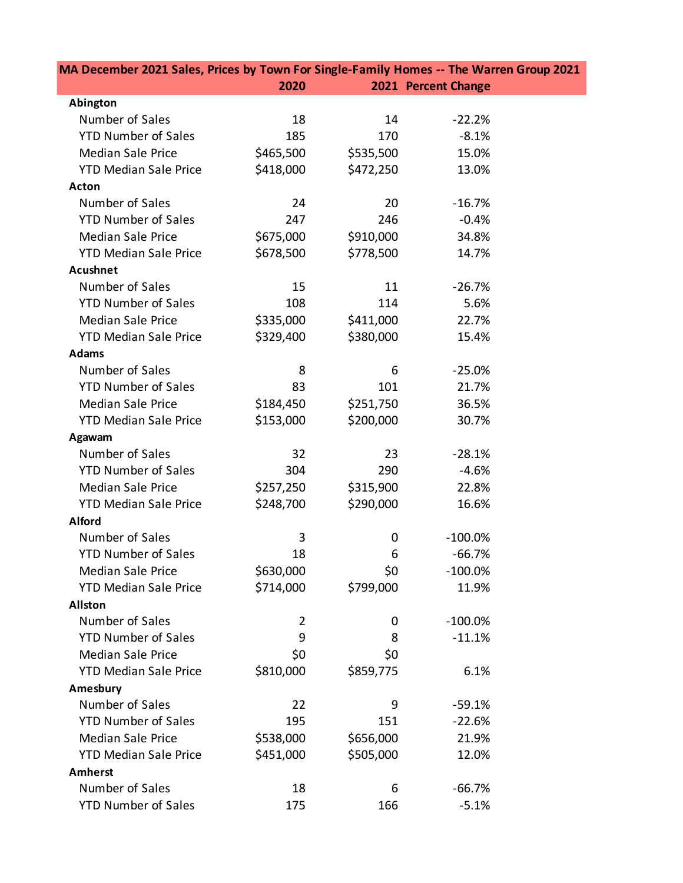| MA December 2021 Sales, Prices by Town For Single-Family Homes -- The Warren Group 2021 |                |           |                     |  |
|-----------------------------------------------------------------------------------------|----------------|-----------|---------------------|--|
|                                                                                         | 2020           |           | 2021 Percent Change |  |
| Abington                                                                                |                |           |                     |  |
| Number of Sales                                                                         | 18             | 14        | $-22.2%$            |  |
| <b>YTD Number of Sales</b>                                                              | 185            | 170       | $-8.1%$             |  |
| <b>Median Sale Price</b>                                                                | \$465,500      | \$535,500 | 15.0%               |  |
| <b>YTD Median Sale Price</b>                                                            | \$418,000      | \$472,250 | 13.0%               |  |
| <b>Acton</b>                                                                            |                |           |                     |  |
| Number of Sales                                                                         | 24             | 20        | $-16.7%$            |  |
| <b>YTD Number of Sales</b>                                                              | 247            | 246       | $-0.4%$             |  |
| <b>Median Sale Price</b>                                                                | \$675,000      | \$910,000 | 34.8%               |  |
| <b>YTD Median Sale Price</b>                                                            | \$678,500      | \$778,500 | 14.7%               |  |
| <b>Acushnet</b>                                                                         |                |           |                     |  |
| Number of Sales                                                                         | 15             | 11        | $-26.7%$            |  |
| <b>YTD Number of Sales</b>                                                              | 108            | 114       | 5.6%                |  |
| <b>Median Sale Price</b>                                                                | \$335,000      | \$411,000 | 22.7%               |  |
| <b>YTD Median Sale Price</b>                                                            | \$329,400      | \$380,000 | 15.4%               |  |
| <b>Adams</b>                                                                            |                |           |                     |  |
| Number of Sales                                                                         | 8              | 6         | $-25.0%$            |  |
| <b>YTD Number of Sales</b>                                                              | 83             | 101       | 21.7%               |  |
| <b>Median Sale Price</b>                                                                | \$184,450      | \$251,750 | 36.5%               |  |
| <b>YTD Median Sale Price</b>                                                            | \$153,000      | \$200,000 | 30.7%               |  |
| Agawam                                                                                  |                |           |                     |  |
| Number of Sales                                                                         | 32             | 23        | $-28.1%$            |  |
| <b>YTD Number of Sales</b>                                                              | 304            | 290       | $-4.6%$             |  |
| <b>Median Sale Price</b>                                                                | \$257,250      | \$315,900 | 22.8%               |  |
| <b>YTD Median Sale Price</b>                                                            | \$248,700      | \$290,000 | 16.6%               |  |
| <b>Alford</b>                                                                           |                |           |                     |  |
| Number of Sales                                                                         | 3              | 0         | $-100.0\%$          |  |
| <b>YTD Number of Sales</b>                                                              | 18             | 6         | $-66.7%$            |  |
| <b>Median Sale Price</b>                                                                | \$630,000      | \$0       | $-100.0%$           |  |
| <b>YTD Median Sale Price</b>                                                            | \$714,000      | \$799,000 | 11.9%               |  |
| <b>Allston</b>                                                                          |                |           |                     |  |
| Number of Sales                                                                         | $\overline{2}$ | 0         | $-100.0%$           |  |
| <b>YTD Number of Sales</b>                                                              | 9              | 8         | $-11.1%$            |  |
| <b>Median Sale Price</b>                                                                | \$0            | \$0       |                     |  |
| <b>YTD Median Sale Price</b>                                                            | \$810,000      | \$859,775 | 6.1%                |  |
| Amesbury                                                                                |                |           |                     |  |
| Number of Sales                                                                         | 22             | 9         | $-59.1%$            |  |
| <b>YTD Number of Sales</b>                                                              | 195            | 151       | $-22.6%$            |  |
| <b>Median Sale Price</b>                                                                | \$538,000      | \$656,000 | 21.9%               |  |
| <b>YTD Median Sale Price</b>                                                            | \$451,000      | \$505,000 | 12.0%               |  |
| <b>Amherst</b>                                                                          |                |           |                     |  |
| Number of Sales                                                                         | 18             | 6         | $-66.7%$            |  |
| <b>YTD Number of Sales</b>                                                              | 175            | 166       | $-5.1%$             |  |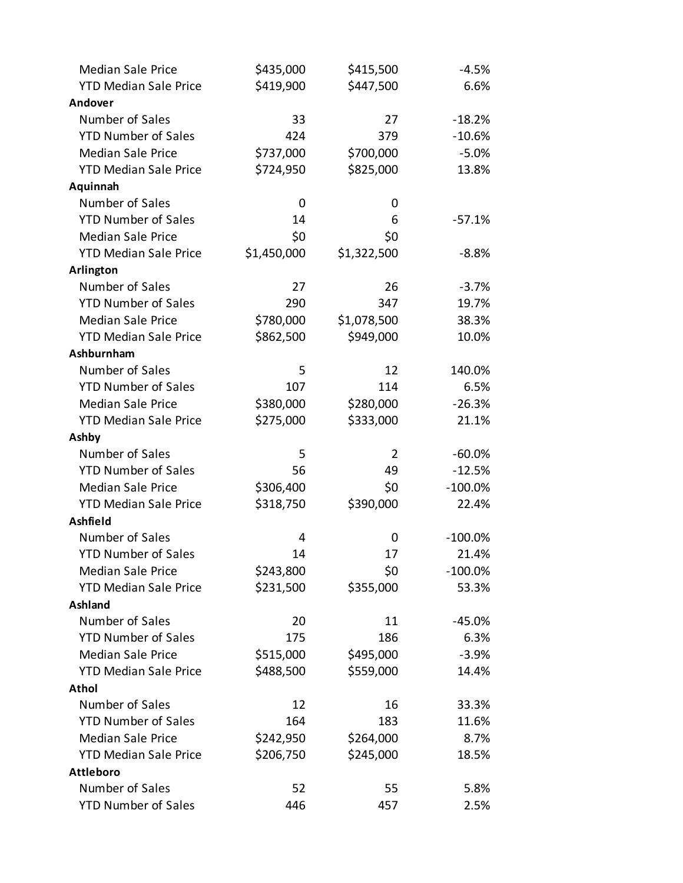| <b>Median Sale Price</b>     | \$435,000   | \$415,500      | $-4.5%$   |
|------------------------------|-------------|----------------|-----------|
| <b>YTD Median Sale Price</b> | \$419,900   | \$447,500      | 6.6%      |
| Andover                      |             |                |           |
| Number of Sales              | 33          | 27             | $-18.2%$  |
| <b>YTD Number of Sales</b>   | 424         | 379            | $-10.6%$  |
| <b>Median Sale Price</b>     | \$737,000   | \$700,000      | $-5.0%$   |
| <b>YTD Median Sale Price</b> | \$724,950   | \$825,000      | 13.8%     |
| Aquinnah                     |             |                |           |
| Number of Sales              | 0           | 0              |           |
| <b>YTD Number of Sales</b>   | 14          | 6              | $-57.1%$  |
| <b>Median Sale Price</b>     | \$0         | \$0            |           |
| <b>YTD Median Sale Price</b> | \$1,450,000 | \$1,322,500    | $-8.8%$   |
| Arlington                    |             |                |           |
| Number of Sales              | 27          | 26             | $-3.7%$   |
| <b>YTD Number of Sales</b>   | 290         | 347            | 19.7%     |
| <b>Median Sale Price</b>     | \$780,000   | \$1,078,500    | 38.3%     |
| <b>YTD Median Sale Price</b> | \$862,500   | \$949,000      | 10.0%     |
| Ashburnham                   |             |                |           |
| Number of Sales              | 5           | 12             | 140.0%    |
| <b>YTD Number of Sales</b>   | 107         | 114            | 6.5%      |
| <b>Median Sale Price</b>     | \$380,000   | \$280,000      | $-26.3%$  |
| <b>YTD Median Sale Price</b> | \$275,000   | \$333,000      | 21.1%     |
| Ashby                        |             |                |           |
| Number of Sales              | 5           | $\overline{2}$ | $-60.0%$  |
| <b>YTD Number of Sales</b>   | 56          | 49             | $-12.5%$  |
| <b>Median Sale Price</b>     | \$306,400   | \$0            | $-100.0%$ |
| <b>YTD Median Sale Price</b> | \$318,750   | \$390,000      | 22.4%     |
| Ashfield                     |             |                |           |
| Number of Sales              | 4           | 0              | $-100.0%$ |
| <b>YTD Number of Sales</b>   | 14          | 17             | 21.4%     |
| <b>Median Sale Price</b>     | \$243,800   | \$0            | $-100.0%$ |
| <b>YTD Median Sale Price</b> | \$231,500   | \$355,000      | 53.3%     |
| Ashland                      |             |                |           |
| Number of Sales              | 20          | 11             | $-45.0%$  |
| <b>YTD Number of Sales</b>   | 175         | 186            | 6.3%      |
| <b>Median Sale Price</b>     | \$515,000   | \$495,000      | $-3.9%$   |
| <b>YTD Median Sale Price</b> | \$488,500   | \$559,000      | 14.4%     |
| <b>Athol</b>                 |             |                |           |
| Number of Sales              | 12          | 16             | 33.3%     |
| <b>YTD Number of Sales</b>   | 164         | 183            | 11.6%     |
| <b>Median Sale Price</b>     | \$242,950   | \$264,000      | 8.7%      |
| <b>YTD Median Sale Price</b> | \$206,750   | \$245,000      | 18.5%     |
| <b>Attleboro</b>             |             |                |           |
| Number of Sales              | 52          | 55             | 5.8%      |
| <b>YTD Number of Sales</b>   | 446         | 457            | 2.5%      |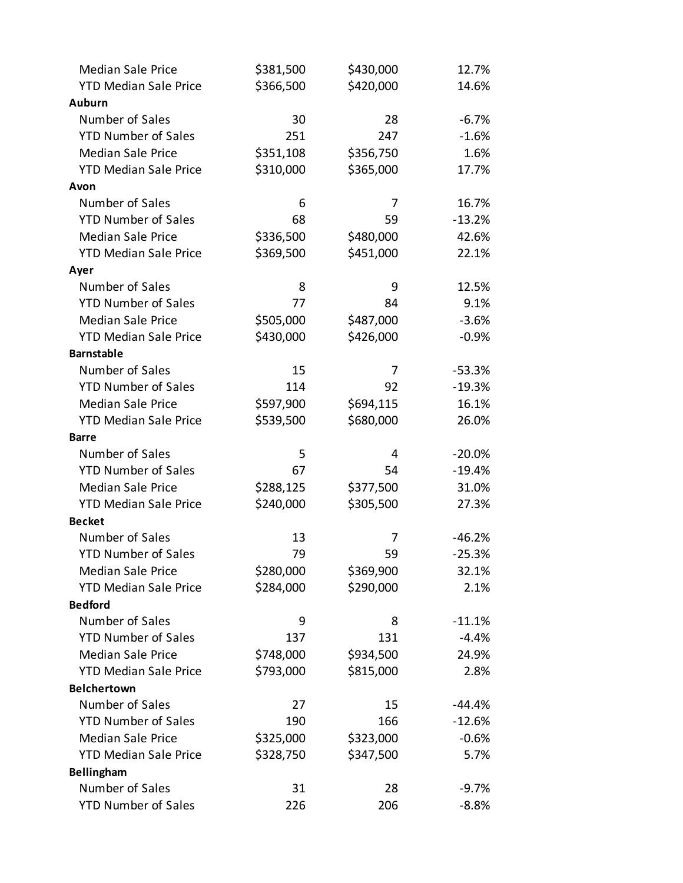| <b>Median Sale Price</b>     | \$381,500 | \$430,000 | 12.7%    |
|------------------------------|-----------|-----------|----------|
| <b>YTD Median Sale Price</b> | \$366,500 | \$420,000 | 14.6%    |
| <b>Auburn</b>                |           |           |          |
| Number of Sales              | 30        | 28        | $-6.7%$  |
| <b>YTD Number of Sales</b>   | 251       | 247       | $-1.6%$  |
| <b>Median Sale Price</b>     | \$351,108 | \$356,750 | 1.6%     |
| <b>YTD Median Sale Price</b> | \$310,000 | \$365,000 | 17.7%    |
| Avon                         |           |           |          |
| Number of Sales              | 6         | 7         | 16.7%    |
| <b>YTD Number of Sales</b>   | 68        | 59        | $-13.2%$ |
| <b>Median Sale Price</b>     | \$336,500 | \$480,000 | 42.6%    |
| <b>YTD Median Sale Price</b> | \$369,500 | \$451,000 | 22.1%    |
| Ayer                         |           |           |          |
| Number of Sales              | 8         | 9         | 12.5%    |
| <b>YTD Number of Sales</b>   | 77        | 84        | 9.1%     |
| <b>Median Sale Price</b>     | \$505,000 | \$487,000 | $-3.6%$  |
| <b>YTD Median Sale Price</b> | \$430,000 | \$426,000 | $-0.9%$  |
| <b>Barnstable</b>            |           |           |          |
| Number of Sales              | 15        | 7         | $-53.3%$ |
| <b>YTD Number of Sales</b>   | 114       | 92        | $-19.3%$ |
| <b>Median Sale Price</b>     | \$597,900 | \$694,115 | 16.1%    |
| <b>YTD Median Sale Price</b> | \$539,500 | \$680,000 | 26.0%    |
| <b>Barre</b>                 |           |           |          |
| Number of Sales              | 5         | 4         | $-20.0%$ |
| <b>YTD Number of Sales</b>   | 67        | 54        | $-19.4%$ |
| <b>Median Sale Price</b>     | \$288,125 | \$377,500 | 31.0%    |
| <b>YTD Median Sale Price</b> | \$240,000 | \$305,500 | 27.3%    |
| <b>Becket</b>                |           |           |          |
| Number of Sales              | 13        | 7         | $-46.2%$ |
| <b>YTD Number of Sales</b>   | 79        | 59        | $-25.3%$ |
| <b>Median Sale Price</b>     | \$280,000 | \$369,900 | 32.1%    |
| <b>YTD Median Sale Price</b> | \$284,000 | \$290,000 | 2.1%     |
| <b>Bedford</b>               |           |           |          |
| Number of Sales              | 9         | 8         | $-11.1%$ |
| <b>YTD Number of Sales</b>   | 137       | 131       | $-4.4%$  |
| <b>Median Sale Price</b>     | \$748,000 | \$934,500 | 24.9%    |
| <b>YTD Median Sale Price</b> | \$793,000 | \$815,000 | 2.8%     |
| <b>Belchertown</b>           |           |           |          |
| Number of Sales              | 27        | 15        | $-44.4%$ |
| <b>YTD Number of Sales</b>   | 190       | 166       | $-12.6%$ |
| <b>Median Sale Price</b>     | \$325,000 | \$323,000 | $-0.6%$  |
| <b>YTD Median Sale Price</b> | \$328,750 | \$347,500 | 5.7%     |
| Bellingham                   |           |           |          |
| Number of Sales              | 31        | 28        | $-9.7%$  |
| <b>YTD Number of Sales</b>   | 226       | 206       | $-8.8%$  |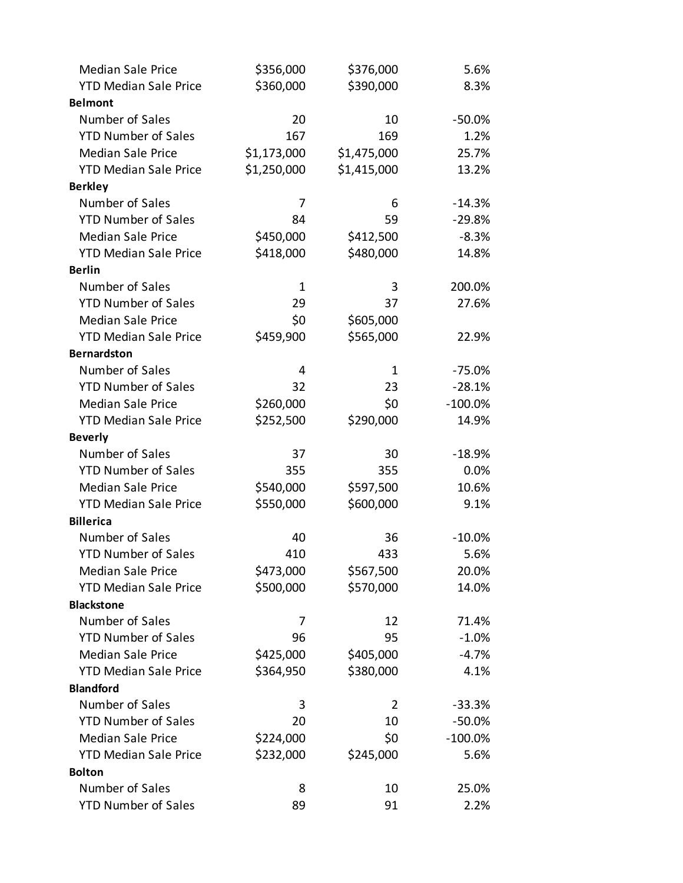| <b>Median Sale Price</b>     | \$356,000   | \$376,000   | 5.6%       |
|------------------------------|-------------|-------------|------------|
| <b>YTD Median Sale Price</b> | \$360,000   | \$390,000   | 8.3%       |
| <b>Belmont</b>               |             |             |            |
| Number of Sales              | 20          | 10          | $-50.0%$   |
| <b>YTD Number of Sales</b>   | 167         | 169         | 1.2%       |
| <b>Median Sale Price</b>     | \$1,173,000 | \$1,475,000 | 25.7%      |
| <b>YTD Median Sale Price</b> | \$1,250,000 | \$1,415,000 | 13.2%      |
| <b>Berkley</b>               |             |             |            |
| Number of Sales              | 7           | 6           | $-14.3%$   |
| <b>YTD Number of Sales</b>   | 84          | 59          | $-29.8%$   |
| <b>Median Sale Price</b>     | \$450,000   | \$412,500   | $-8.3%$    |
| <b>YTD Median Sale Price</b> | \$418,000   | \$480,000   | 14.8%      |
| <b>Berlin</b>                |             |             |            |
| Number of Sales              | 1           | 3           | 200.0%     |
| <b>YTD Number of Sales</b>   | 29          | 37          | 27.6%      |
| <b>Median Sale Price</b>     | \$0         | \$605,000   |            |
| <b>YTD Median Sale Price</b> | \$459,900   | \$565,000   | 22.9%      |
| <b>Bernardston</b>           |             |             |            |
| Number of Sales              | 4           | 1           | $-75.0%$   |
| <b>YTD Number of Sales</b>   | 32          | 23          | $-28.1%$   |
| <b>Median Sale Price</b>     | \$260,000   | \$0         | $-100.0\%$ |
| <b>YTD Median Sale Price</b> | \$252,500   | \$290,000   | 14.9%      |
| <b>Beverly</b>               |             |             |            |
| Number of Sales              | 37          | 30          | $-18.9%$   |
| <b>YTD Number of Sales</b>   | 355         | 355         | 0.0%       |
| <b>Median Sale Price</b>     | \$540,000   | \$597,500   | 10.6%      |
| <b>YTD Median Sale Price</b> | \$550,000   | \$600,000   | 9.1%       |
| <b>Billerica</b>             |             |             |            |
| Number of Sales              | 40          | 36          | $-10.0\%$  |
| <b>YTD Number of Sales</b>   | 410         | 433         | 5.6%       |
| <b>Median Sale Price</b>     | \$473,000   | \$567,500   | 20.0%      |
| <b>YTD Median Sale Price</b> | \$500,000   | \$570,000   | 14.0%      |
| <b>Blackstone</b>            |             |             |            |
| Number of Sales              | 7           | 12          | 71.4%      |
| <b>YTD Number of Sales</b>   | 96          | 95          | $-1.0%$    |
| <b>Median Sale Price</b>     | \$425,000   | \$405,000   | $-4.7%$    |
| <b>YTD Median Sale Price</b> | \$364,950   | \$380,000   | 4.1%       |
| <b>Blandford</b>             |             |             |            |
| Number of Sales              | 3           | 2           | $-33.3%$   |
| <b>YTD Number of Sales</b>   | 20          | 10          | $-50.0%$   |
| <b>Median Sale Price</b>     | \$224,000   | \$0         | $-100.0\%$ |
| <b>YTD Median Sale Price</b> | \$232,000   | \$245,000   | 5.6%       |
| <b>Bolton</b>                |             |             |            |
| Number of Sales              | 8           | 10          | 25.0%      |
| <b>YTD Number of Sales</b>   | 89          | 91          | 2.2%       |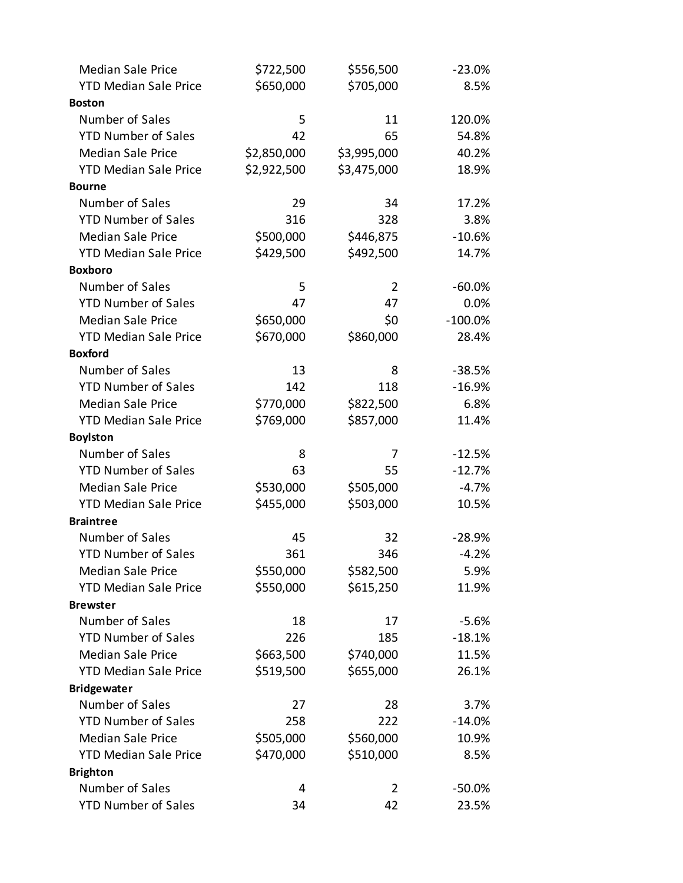| <b>Median Sale Price</b>     | \$722,500   | \$556,500      | $-23.0%$  |
|------------------------------|-------------|----------------|-----------|
| <b>YTD Median Sale Price</b> | \$650,000   | \$705,000      | 8.5%      |
| <b>Boston</b>                |             |                |           |
| Number of Sales              | 5           | 11             | 120.0%    |
| <b>YTD Number of Sales</b>   | 42          | 65             | 54.8%     |
| <b>Median Sale Price</b>     | \$2,850,000 | \$3,995,000    | 40.2%     |
| <b>YTD Median Sale Price</b> | \$2,922,500 | \$3,475,000    | 18.9%     |
| <b>Bourne</b>                |             |                |           |
| Number of Sales              | 29          | 34             | 17.2%     |
| <b>YTD Number of Sales</b>   | 316         | 328            | 3.8%      |
| <b>Median Sale Price</b>     | \$500,000   | \$446,875      | $-10.6%$  |
| <b>YTD Median Sale Price</b> | \$429,500   | \$492,500      | 14.7%     |
| <b>Boxboro</b>               |             |                |           |
| Number of Sales              | 5           | 2              | $-60.0%$  |
| <b>YTD Number of Sales</b>   | 47          | 47             | 0.0%      |
| <b>Median Sale Price</b>     | \$650,000   | \$0            | $-100.0%$ |
| <b>YTD Median Sale Price</b> | \$670,000   | \$860,000      | 28.4%     |
| <b>Boxford</b>               |             |                |           |
| Number of Sales              | 13          | 8              | $-38.5%$  |
| <b>YTD Number of Sales</b>   | 142         | 118            | $-16.9%$  |
| <b>Median Sale Price</b>     | \$770,000   | \$822,500      | 6.8%      |
| <b>YTD Median Sale Price</b> | \$769,000   | \$857,000      | 11.4%     |
| <b>Boylston</b>              |             |                |           |
| Number of Sales              | 8           | 7              | $-12.5%$  |
| <b>YTD Number of Sales</b>   | 63          | 55             | $-12.7%$  |
| <b>Median Sale Price</b>     | \$530,000   | \$505,000      | $-4.7%$   |
| <b>YTD Median Sale Price</b> | \$455,000   | \$503,000      | 10.5%     |
| <b>Braintree</b>             |             |                |           |
| Number of Sales              | 45          | 32             | $-28.9%$  |
| <b>YTD Number of Sales</b>   | 361         | 346            | $-4.2%$   |
| <b>Median Sale Price</b>     | \$550,000   | \$582,500      | 5.9%      |
| <b>YTD Median Sale Price</b> | \$550,000   | \$615,250      | 11.9%     |
| <b>Brewster</b>              |             |                |           |
| Number of Sales              | 18          | 17             | $-5.6%$   |
| <b>YTD Number of Sales</b>   | 226         | 185            | $-18.1%$  |
| <b>Median Sale Price</b>     | \$663,500   | \$740,000      | 11.5%     |
| <b>YTD Median Sale Price</b> | \$519,500   | \$655,000      | 26.1%     |
| <b>Bridgewater</b>           |             |                |           |
| Number of Sales              | 27          | 28             | 3.7%      |
| <b>YTD Number of Sales</b>   | 258         | 222            | $-14.0%$  |
| <b>Median Sale Price</b>     | \$505,000   | \$560,000      | 10.9%     |
| <b>YTD Median Sale Price</b> | \$470,000   | \$510,000      | 8.5%      |
| <b>Brighton</b>              |             |                |           |
| Number of Sales              | 4           | $\overline{2}$ | $-50.0%$  |
| <b>YTD Number of Sales</b>   | 34          | 42             | 23.5%     |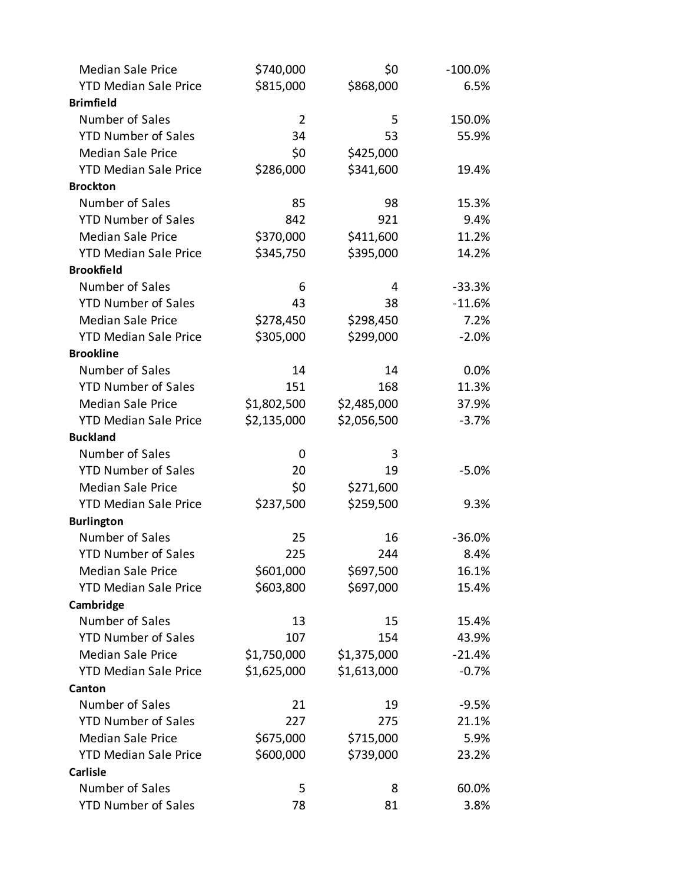| <b>Median Sale Price</b>     | \$740,000      | \$0         | $-100.0\%$ |
|------------------------------|----------------|-------------|------------|
| <b>YTD Median Sale Price</b> | \$815,000      | \$868,000   | 6.5%       |
| <b>Brimfield</b>             |                |             |            |
| Number of Sales              | $\overline{2}$ | 5           | 150.0%     |
| <b>YTD Number of Sales</b>   | 34             | 53          | 55.9%      |
| <b>Median Sale Price</b>     | \$0            | \$425,000   |            |
| <b>YTD Median Sale Price</b> | \$286,000      | \$341,600   | 19.4%      |
| <b>Brockton</b>              |                |             |            |
| Number of Sales              | 85             | 98          | 15.3%      |
| <b>YTD Number of Sales</b>   | 842            | 921         | 9.4%       |
| <b>Median Sale Price</b>     | \$370,000      | \$411,600   | 11.2%      |
| <b>YTD Median Sale Price</b> | \$345,750      | \$395,000   | 14.2%      |
| <b>Brookfield</b>            |                |             |            |
| Number of Sales              | 6              | 4           | $-33.3%$   |
| <b>YTD Number of Sales</b>   | 43             | 38          | $-11.6%$   |
| <b>Median Sale Price</b>     | \$278,450      | \$298,450   | 7.2%       |
| <b>YTD Median Sale Price</b> | \$305,000      | \$299,000   | $-2.0%$    |
| <b>Brookline</b>             |                |             |            |
| Number of Sales              | 14             | 14          | 0.0%       |
| <b>YTD Number of Sales</b>   | 151            | 168         | 11.3%      |
| <b>Median Sale Price</b>     | \$1,802,500    | \$2,485,000 | 37.9%      |
| <b>YTD Median Sale Price</b> | \$2,135,000    | \$2,056,500 | $-3.7%$    |
| <b>Buckland</b>              |                |             |            |
| Number of Sales              | 0              | 3           |            |
| <b>YTD Number of Sales</b>   | 20             | 19          | $-5.0%$    |
| <b>Median Sale Price</b>     | \$0            | \$271,600   |            |
| <b>YTD Median Sale Price</b> | \$237,500      | \$259,500   | 9.3%       |
| <b>Burlington</b>            |                |             |            |
| Number of Sales              | 25             | 16          | $-36.0%$   |
| <b>YTD Number of Sales</b>   | 225            | 244         | 8.4%       |
| <b>Median Sale Price</b>     | \$601,000      | \$697,500   | 16.1%      |
| <b>YTD Median Sale Price</b> | \$603,800      | \$697,000   | 15.4%      |
| Cambridge                    |                |             |            |
| Number of Sales              | 13             | 15          | 15.4%      |
| <b>YTD Number of Sales</b>   | 107            | 154         | 43.9%      |
| <b>Median Sale Price</b>     | \$1,750,000    | \$1,375,000 | $-21.4%$   |
| <b>YTD Median Sale Price</b> | \$1,625,000    | \$1,613,000 | $-0.7%$    |
| Canton                       |                |             |            |
| Number of Sales              | 21             | 19          | $-9.5%$    |
| <b>YTD Number of Sales</b>   | 227            | 275         | 21.1%      |
| <b>Median Sale Price</b>     | \$675,000      | \$715,000   | 5.9%       |
| <b>YTD Median Sale Price</b> | \$600,000      | \$739,000   | 23.2%      |
| <b>Carlisle</b>              |                |             |            |
| Number of Sales              | 5              | 8           | 60.0%      |
| <b>YTD Number of Sales</b>   | 78             | 81          | 3.8%       |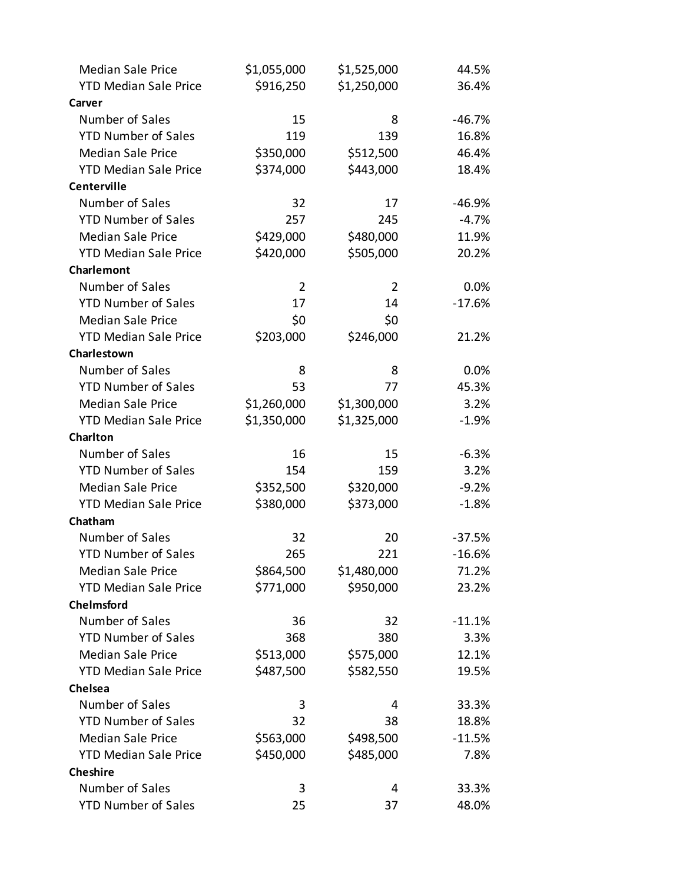| <b>Median Sale Price</b>     | \$1,055,000    | \$1,525,000 | 44.5%    |
|------------------------------|----------------|-------------|----------|
| <b>YTD Median Sale Price</b> | \$916,250      | \$1,250,000 | 36.4%    |
| Carver                       |                |             |          |
| Number of Sales              | 15             | 8           | $-46.7%$ |
| <b>YTD Number of Sales</b>   | 119            | 139         | 16.8%    |
| <b>Median Sale Price</b>     | \$350,000      | \$512,500   | 46.4%    |
| <b>YTD Median Sale Price</b> | \$374,000      | \$443,000   | 18.4%    |
| <b>Centerville</b>           |                |             |          |
| Number of Sales              | 32             | 17          | $-46.9%$ |
| <b>YTD Number of Sales</b>   | 257            | 245         | $-4.7%$  |
| <b>Median Sale Price</b>     | \$429,000      | \$480,000   | 11.9%    |
| <b>YTD Median Sale Price</b> | \$420,000      | \$505,000   | 20.2%    |
| Charlemont                   |                |             |          |
| Number of Sales              | $\overline{2}$ | 2           | 0.0%     |
| <b>YTD Number of Sales</b>   | 17             | 14          | $-17.6%$ |
| <b>Median Sale Price</b>     | \$0            | \$0         |          |
| <b>YTD Median Sale Price</b> | \$203,000      | \$246,000   | 21.2%    |
| Charlestown                  |                |             |          |
| Number of Sales              | 8              | 8           | 0.0%     |
| <b>YTD Number of Sales</b>   | 53             | 77          | 45.3%    |
| <b>Median Sale Price</b>     | \$1,260,000    | \$1,300,000 | 3.2%     |
| <b>YTD Median Sale Price</b> | \$1,350,000    | \$1,325,000 | $-1.9%$  |
| <b>Charlton</b>              |                |             |          |
| Number of Sales              | 16             | 15          | $-6.3%$  |
| <b>YTD Number of Sales</b>   | 154            | 159         | 3.2%     |
| <b>Median Sale Price</b>     | \$352,500      | \$320,000   | $-9.2%$  |
| <b>YTD Median Sale Price</b> | \$380,000      | \$373,000   | $-1.8%$  |
| Chatham                      |                |             |          |
| Number of Sales              | 32             | 20          | $-37.5%$ |
| <b>YTD Number of Sales</b>   | 265            | 221         | $-16.6%$ |
| <b>Median Sale Price</b>     | \$864,500      | \$1,480,000 | 71.2%    |
| <b>YTD Median Sale Price</b> | \$771,000      | \$950,000   | 23.2%    |
| <b>Chelmsford</b>            |                |             |          |
| Number of Sales              | 36             | 32          | $-11.1%$ |
| <b>YTD Number of Sales</b>   | 368            | 380         | 3.3%     |
| <b>Median Sale Price</b>     | \$513,000      | \$575,000   | 12.1%    |
| <b>YTD Median Sale Price</b> | \$487,500      | \$582,550   | 19.5%    |
| Chelsea                      |                |             |          |
| Number of Sales              | 3              | 4           | 33.3%    |
| <b>YTD Number of Sales</b>   | 32             | 38          | 18.8%    |
| <b>Median Sale Price</b>     | \$563,000      | \$498,500   | $-11.5%$ |
| <b>YTD Median Sale Price</b> | \$450,000      | \$485,000   | 7.8%     |
| <b>Cheshire</b>              |                |             |          |
| Number of Sales              | 3              | 4           | 33.3%    |
| <b>YTD Number of Sales</b>   | 25             | 37          | 48.0%    |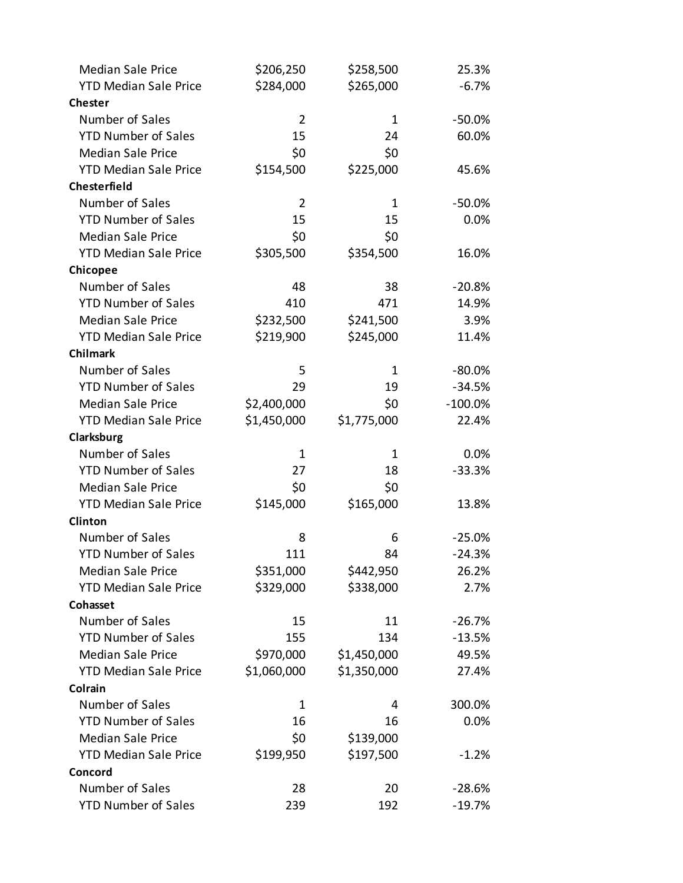| <b>Median Sale Price</b>     | \$206,250      | \$258,500   | 25.3%      |
|------------------------------|----------------|-------------|------------|
| <b>YTD Median Sale Price</b> | \$284,000      | \$265,000   | $-6.7%$    |
| <b>Chester</b>               |                |             |            |
| Number of Sales              | $\overline{2}$ | 1           | $-50.0%$   |
| <b>YTD Number of Sales</b>   | 15             | 24          | 60.0%      |
| <b>Median Sale Price</b>     | \$0            | \$0         |            |
| <b>YTD Median Sale Price</b> | \$154,500      | \$225,000   | 45.6%      |
| Chesterfield                 |                |             |            |
| Number of Sales              | 2              | 1           | $-50.0%$   |
| <b>YTD Number of Sales</b>   | 15             | 15          | 0.0%       |
| <b>Median Sale Price</b>     | \$0            | \$0         |            |
| <b>YTD Median Sale Price</b> | \$305,500      | \$354,500   | 16.0%      |
| Chicopee                     |                |             |            |
| Number of Sales              | 48             | 38          | $-20.8%$   |
| <b>YTD Number of Sales</b>   | 410            | 471         | 14.9%      |
| <b>Median Sale Price</b>     | \$232,500      | \$241,500   | 3.9%       |
| <b>YTD Median Sale Price</b> | \$219,900      | \$245,000   | 11.4%      |
| <b>Chilmark</b>              |                |             |            |
| Number of Sales              | 5              | 1           | $-80.0%$   |
| <b>YTD Number of Sales</b>   | 29             | 19          | $-34.5%$   |
| <b>Median Sale Price</b>     | \$2,400,000    | \$0         | $-100.0\%$ |
| <b>YTD Median Sale Price</b> | \$1,450,000    | \$1,775,000 | 22.4%      |
| Clarksburg                   |                |             |            |
| Number of Sales              | $\mathbf{1}$   | 1           | 0.0%       |
| <b>YTD Number of Sales</b>   | 27             | 18          | $-33.3%$   |
| <b>Median Sale Price</b>     | \$0            | \$0         |            |
| <b>YTD Median Sale Price</b> | \$145,000      | \$165,000   | 13.8%      |
| Clinton                      |                |             |            |
| Number of Sales              | 8              | 6           | $-25.0%$   |
| <b>YTD Number of Sales</b>   | 111            | 84          | $-24.3%$   |
| <b>Median Sale Price</b>     | \$351,000      | \$442,950   | 26.2%      |
| <b>YTD Median Sale Price</b> | \$329,000      | \$338,000   | 2.7%       |
| Cohasset                     |                |             |            |
| Number of Sales              | 15             | 11          | $-26.7%$   |
| <b>YTD Number of Sales</b>   | 155            | 134         | $-13.5%$   |
| <b>Median Sale Price</b>     | \$970,000      | \$1,450,000 | 49.5%      |
| <b>YTD Median Sale Price</b> | \$1,060,000    | \$1,350,000 | 27.4%      |
| Colrain                      |                |             |            |
| Number of Sales              | 1              | 4           | 300.0%     |
| <b>YTD Number of Sales</b>   | 16             | 16          | 0.0%       |
| <b>Median Sale Price</b>     | \$0            | \$139,000   |            |
| <b>YTD Median Sale Price</b> | \$199,950      | \$197,500   | $-1.2%$    |
| Concord                      |                |             |            |
| Number of Sales              | 28             | 20          | $-28.6%$   |
| <b>YTD Number of Sales</b>   | 239            | 192         | $-19.7%$   |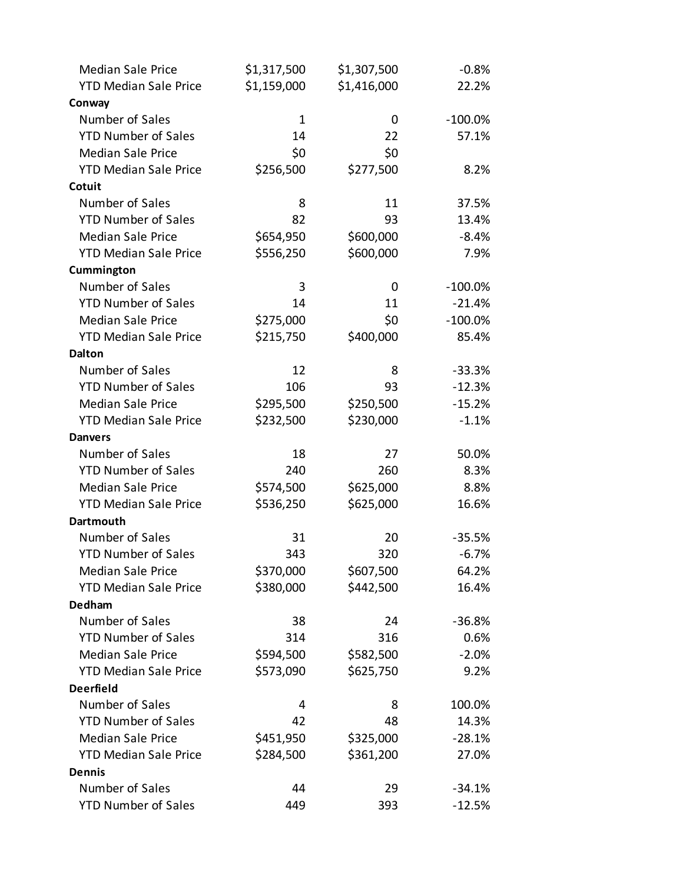| <b>Median Sale Price</b>     | \$1,317,500  | \$1,307,500 | $-0.8%$    |
|------------------------------|--------------|-------------|------------|
| <b>YTD Median Sale Price</b> | \$1,159,000  | \$1,416,000 | 22.2%      |
| Conway                       |              |             |            |
| Number of Sales              | $\mathbf{1}$ | 0           | $-100.0\%$ |
| <b>YTD Number of Sales</b>   | 14           | 22          | 57.1%      |
| <b>Median Sale Price</b>     | \$0          | \$0         |            |
| <b>YTD Median Sale Price</b> | \$256,500    | \$277,500   | 8.2%       |
| Cotuit                       |              |             |            |
| Number of Sales              | 8            | 11          | 37.5%      |
| <b>YTD Number of Sales</b>   | 82           | 93          | 13.4%      |
| <b>Median Sale Price</b>     | \$654,950    | \$600,000   | $-8.4%$    |
| <b>YTD Median Sale Price</b> | \$556,250    | \$600,000   | 7.9%       |
| Cummington                   |              |             |            |
| Number of Sales              | 3            | 0           | $-100.0\%$ |
| <b>YTD Number of Sales</b>   | 14           | 11          | $-21.4%$   |
| <b>Median Sale Price</b>     | \$275,000    | \$0         | $-100.0\%$ |
| <b>YTD Median Sale Price</b> | \$215,750    | \$400,000   | 85.4%      |
| <b>Dalton</b>                |              |             |            |
| Number of Sales              | 12           | 8           | $-33.3%$   |
| <b>YTD Number of Sales</b>   | 106          | 93          | $-12.3%$   |
| <b>Median Sale Price</b>     | \$295,500    | \$250,500   | $-15.2%$   |
| <b>YTD Median Sale Price</b> | \$232,500    | \$230,000   | $-1.1%$    |
| <b>Danvers</b>               |              |             |            |
| Number of Sales              | 18           | 27          | 50.0%      |
| <b>YTD Number of Sales</b>   | 240          | 260         | 8.3%       |
| <b>Median Sale Price</b>     | \$574,500    | \$625,000   | 8.8%       |
| <b>YTD Median Sale Price</b> | \$536,250    | \$625,000   | 16.6%      |
| <b>Dartmouth</b>             |              |             |            |
| Number of Sales              | 31           | 20          | $-35.5%$   |
| <b>YTD Number of Sales</b>   | 343          | 320         | $-6.7%$    |
| <b>Median Sale Price</b>     | \$370,000    | \$607,500   | 64.2%      |
| <b>YTD Median Sale Price</b> | \$380,000    | \$442,500   | 16.4%      |
| <b>Dedham</b>                |              |             |            |
| Number of Sales              | 38           | 24          | $-36.8%$   |
| <b>YTD Number of Sales</b>   | 314          | 316         | 0.6%       |
| <b>Median Sale Price</b>     | \$594,500    | \$582,500   | $-2.0%$    |
| <b>YTD Median Sale Price</b> | \$573,090    | \$625,750   | 9.2%       |
| <b>Deerfield</b>             |              |             |            |
| Number of Sales              | 4            | 8           | 100.0%     |
| <b>YTD Number of Sales</b>   | 42           | 48          | 14.3%      |
| <b>Median Sale Price</b>     | \$451,950    | \$325,000   | $-28.1%$   |
| <b>YTD Median Sale Price</b> | \$284,500    | \$361,200   | 27.0%      |
| <b>Dennis</b>                |              |             |            |
| Number of Sales              | 44           | 29          | $-34.1%$   |
| <b>YTD Number of Sales</b>   | 449          | 393         | $-12.5%$   |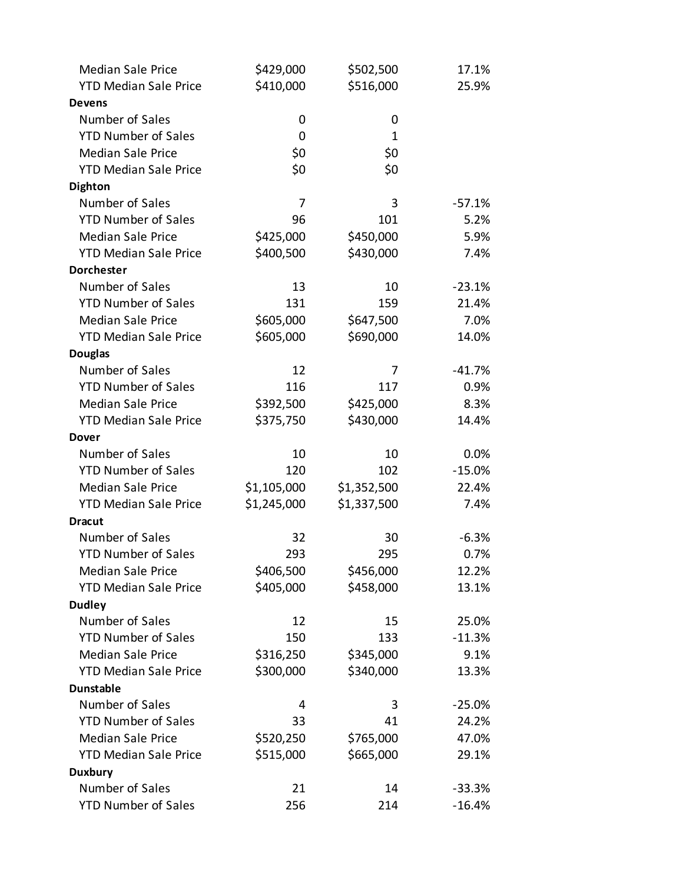| <b>Median Sale Price</b>     | \$429,000   | \$502,500   | 17.1%    |
|------------------------------|-------------|-------------|----------|
| <b>YTD Median Sale Price</b> | \$410,000   | \$516,000   | 25.9%    |
| <b>Devens</b>                |             |             |          |
| Number of Sales              | 0           | 0           |          |
| <b>YTD Number of Sales</b>   | 0           | 1           |          |
| <b>Median Sale Price</b>     | \$0         | \$0         |          |
| <b>YTD Median Sale Price</b> | \$0         | \$0         |          |
| <b>Dighton</b>               |             |             |          |
| Number of Sales              | 7           | 3           | $-57.1%$ |
| <b>YTD Number of Sales</b>   | 96          | 101         | 5.2%     |
| <b>Median Sale Price</b>     | \$425,000   | \$450,000   | 5.9%     |
| <b>YTD Median Sale Price</b> | \$400,500   | \$430,000   | 7.4%     |
| <b>Dorchester</b>            |             |             |          |
| Number of Sales              | 13          | 10          | $-23.1%$ |
| <b>YTD Number of Sales</b>   | 131         | 159         | 21.4%    |
| <b>Median Sale Price</b>     | \$605,000   | \$647,500   | 7.0%     |
| <b>YTD Median Sale Price</b> | \$605,000   | \$690,000   | 14.0%    |
| <b>Douglas</b>               |             |             |          |
| Number of Sales              | 12          | 7           | $-41.7%$ |
| <b>YTD Number of Sales</b>   | 116         | 117         | 0.9%     |
| <b>Median Sale Price</b>     | \$392,500   | \$425,000   | 8.3%     |
| <b>YTD Median Sale Price</b> | \$375,750   | \$430,000   | 14.4%    |
| <b>Dover</b>                 |             |             |          |
| Number of Sales              | 10          | 10          | 0.0%     |
| <b>YTD Number of Sales</b>   | 120         | 102         | $-15.0%$ |
| <b>Median Sale Price</b>     | \$1,105,000 | \$1,352,500 | 22.4%    |
| <b>YTD Median Sale Price</b> | \$1,245,000 | \$1,337,500 | 7.4%     |
| <b>Dracut</b>                |             |             |          |
| Number of Sales              | 32          | 30          | $-6.3%$  |
| <b>YTD Number of Sales</b>   | 293         | 295         | 0.7%     |
| <b>Median Sale Price</b>     | \$406,500   | \$456,000   | 12.2%    |
| <b>YTD Median Sale Price</b> | \$405,000   | \$458,000   | 13.1%    |
| <b>Dudley</b>                |             |             |          |
| Number of Sales              | 12          | 15          | 25.0%    |
| <b>YTD Number of Sales</b>   | 150         | 133         | $-11.3%$ |
| <b>Median Sale Price</b>     | \$316,250   | \$345,000   | 9.1%     |
| <b>YTD Median Sale Price</b> | \$300,000   | \$340,000   | 13.3%    |
| <b>Dunstable</b>             |             |             |          |
| Number of Sales              | 4           | 3           | $-25.0%$ |
| <b>YTD Number of Sales</b>   | 33          | 41          | 24.2%    |
| <b>Median Sale Price</b>     | \$520,250   | \$765,000   | 47.0%    |
| <b>YTD Median Sale Price</b> | \$515,000   | \$665,000   | 29.1%    |
| <b>Duxbury</b>               |             |             |          |
| Number of Sales              | 21          | 14          | $-33.3%$ |
| <b>YTD Number of Sales</b>   | 256         | 214         | $-16.4%$ |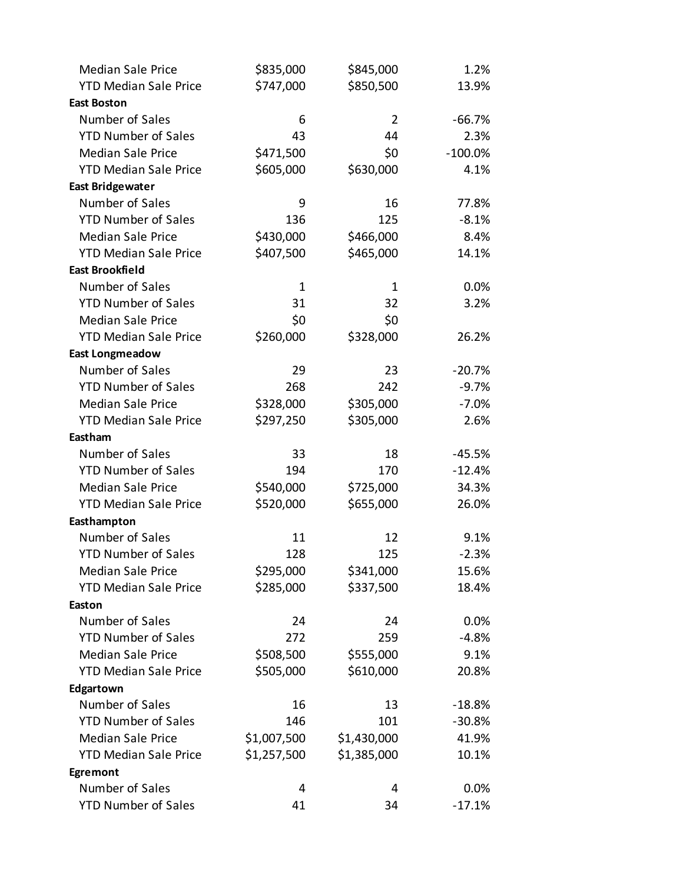| <b>Median Sale Price</b>     | \$835,000    | \$845,000    | 1.2%       |
|------------------------------|--------------|--------------|------------|
| <b>YTD Median Sale Price</b> | \$747,000    | \$850,500    | 13.9%      |
| <b>East Boston</b>           |              |              |            |
| Number of Sales              | 6            | 2            | $-66.7%$   |
| <b>YTD Number of Sales</b>   | 43           | 44           | 2.3%       |
| <b>Median Sale Price</b>     | \$471,500    | \$0          | $-100.0\%$ |
| <b>YTD Median Sale Price</b> | \$605,000    | \$630,000    | 4.1%       |
| <b>East Bridgewater</b>      |              |              |            |
| Number of Sales              | 9            | 16           | 77.8%      |
| <b>YTD Number of Sales</b>   | 136          | 125          | $-8.1%$    |
| <b>Median Sale Price</b>     | \$430,000    | \$466,000    | 8.4%       |
| <b>YTD Median Sale Price</b> | \$407,500    | \$465,000    | 14.1%      |
| <b>East Brookfield</b>       |              |              |            |
| Number of Sales              | $\mathbf{1}$ | $\mathbf{1}$ | 0.0%       |
| <b>YTD Number of Sales</b>   | 31           | 32           | 3.2%       |
| <b>Median Sale Price</b>     | \$0          | \$0          |            |
| <b>YTD Median Sale Price</b> | \$260,000    | \$328,000    | 26.2%      |
| <b>East Longmeadow</b>       |              |              |            |
| Number of Sales              | 29           | 23           | $-20.7%$   |
| <b>YTD Number of Sales</b>   | 268          | 242          | $-9.7%$    |
| <b>Median Sale Price</b>     | \$328,000    | \$305,000    | $-7.0%$    |
| <b>YTD Median Sale Price</b> | \$297,250    | \$305,000    | 2.6%       |
| Eastham                      |              |              |            |
| Number of Sales              | 33           | 18           | $-45.5%$   |
| <b>YTD Number of Sales</b>   | 194          | 170          | $-12.4%$   |
| <b>Median Sale Price</b>     | \$540,000    | \$725,000    | 34.3%      |
| <b>YTD Median Sale Price</b> | \$520,000    | \$655,000    | 26.0%      |
| Easthampton                  |              |              |            |
| Number of Sales              | 11           | 12           | 9.1%       |
| <b>YTD Number of Sales</b>   | 128          | 125          | $-2.3%$    |
| <b>Median Sale Price</b>     | \$295,000    | \$341,000    | 15.6%      |
| <b>YTD Median Sale Price</b> | \$285,000    | \$337,500    | 18.4%      |
| Easton                       |              |              |            |
| Number of Sales              | 24           | 24           | 0.0%       |
| <b>YTD Number of Sales</b>   | 272          | 259          | $-4.8%$    |
| <b>Median Sale Price</b>     | \$508,500    | \$555,000    | 9.1%       |
| <b>YTD Median Sale Price</b> | \$505,000    | \$610,000    | 20.8%      |
| Edgartown                    |              |              |            |
| Number of Sales              | 16           | 13           | $-18.8%$   |
| <b>YTD Number of Sales</b>   | 146          | 101          | $-30.8%$   |
| <b>Median Sale Price</b>     | \$1,007,500  | \$1,430,000  | 41.9%      |
| <b>YTD Median Sale Price</b> | \$1,257,500  | \$1,385,000  | 10.1%      |
| Egremont                     |              |              |            |
| Number of Sales              | 4            | 4            | 0.0%       |
| <b>YTD Number of Sales</b>   | 41           | 34           | $-17.1%$   |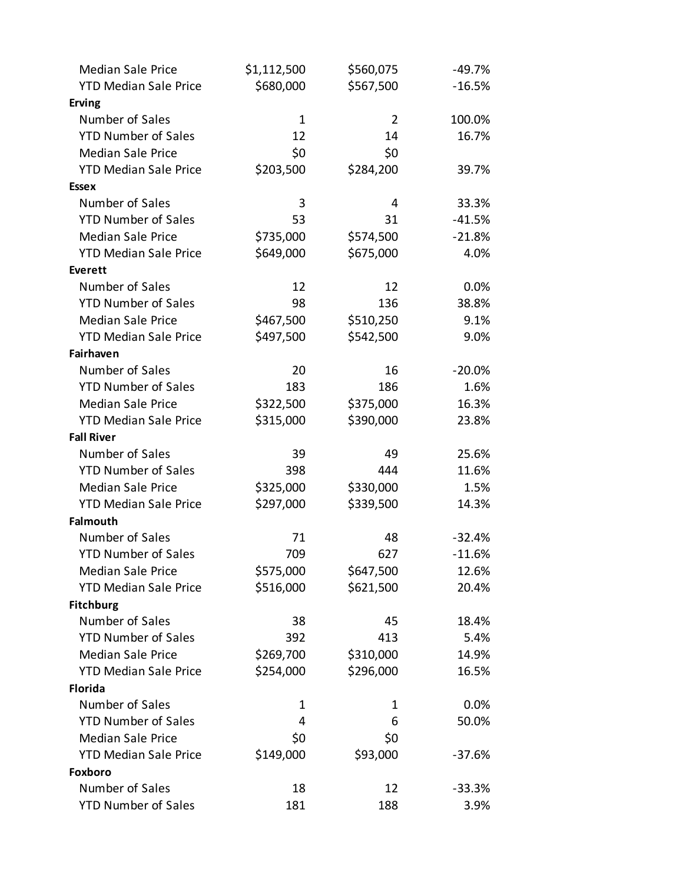| <b>Median Sale Price</b>     | \$1,112,500 | \$560,075      | $-49.7%$ |
|------------------------------|-------------|----------------|----------|
| <b>YTD Median Sale Price</b> | \$680,000   | \$567,500      | $-16.5%$ |
| <b>Erving</b>                |             |                |          |
| Number of Sales              | $\mathbf 1$ | $\overline{2}$ | 100.0%   |
| <b>YTD Number of Sales</b>   | 12          | 14             | 16.7%    |
| <b>Median Sale Price</b>     | \$0         | \$0            |          |
| <b>YTD Median Sale Price</b> | \$203,500   | \$284,200      | 39.7%    |
| <b>Essex</b>                 |             |                |          |
| Number of Sales              | 3           | 4              | 33.3%    |
| <b>YTD Number of Sales</b>   | 53          | 31             | $-41.5%$ |
| <b>Median Sale Price</b>     | \$735,000   | \$574,500      | $-21.8%$ |
| <b>YTD Median Sale Price</b> | \$649,000   | \$675,000      | 4.0%     |
| <b>Everett</b>               |             |                |          |
| Number of Sales              | 12          | 12             | 0.0%     |
| <b>YTD Number of Sales</b>   | 98          | 136            | 38.8%    |
| <b>Median Sale Price</b>     | \$467,500   | \$510,250      | 9.1%     |
| <b>YTD Median Sale Price</b> | \$497,500   | \$542,500      | 9.0%     |
| Fairhaven                    |             |                |          |
| Number of Sales              | 20          | 16             | $-20.0%$ |
| <b>YTD Number of Sales</b>   | 183         | 186            | 1.6%     |
| <b>Median Sale Price</b>     | \$322,500   | \$375,000      | 16.3%    |
| <b>YTD Median Sale Price</b> | \$315,000   | \$390,000      | 23.8%    |
| <b>Fall River</b>            |             |                |          |
| Number of Sales              | 39          | 49             | 25.6%    |
| <b>YTD Number of Sales</b>   | 398         | 444            | 11.6%    |
| <b>Median Sale Price</b>     | \$325,000   | \$330,000      | 1.5%     |
| <b>YTD Median Sale Price</b> | \$297,000   | \$339,500      | 14.3%    |
| <b>Falmouth</b>              |             |                |          |
| Number of Sales              | 71          | 48             | $-32.4%$ |
| <b>YTD Number of Sales</b>   | 709         | 627            | $-11.6%$ |
| <b>Median Sale Price</b>     | \$575,000   | \$647,500      | 12.6%    |
| <b>YTD Median Sale Price</b> | \$516,000   | \$621,500      | 20.4%    |
| <b>Fitchburg</b>             |             |                |          |
| Number of Sales              | 38          | 45             | 18.4%    |
| <b>YTD Number of Sales</b>   | 392         | 413            | 5.4%     |
| <b>Median Sale Price</b>     | \$269,700   | \$310,000      | 14.9%    |
| <b>YTD Median Sale Price</b> | \$254,000   | \$296,000      | 16.5%    |
| <b>Florida</b>               |             |                |          |
| Number of Sales              | 1           | 1              | $0.0\%$  |
| <b>YTD Number of Sales</b>   | 4           | 6              | 50.0%    |
| <b>Median Sale Price</b>     | \$0         | \$0            |          |
| <b>YTD Median Sale Price</b> | \$149,000   | \$93,000       | $-37.6%$ |
| Foxboro                      |             |                |          |
| Number of Sales              | 18          | 12             | $-33.3%$ |
| <b>YTD Number of Sales</b>   | 181         | 188            | 3.9%     |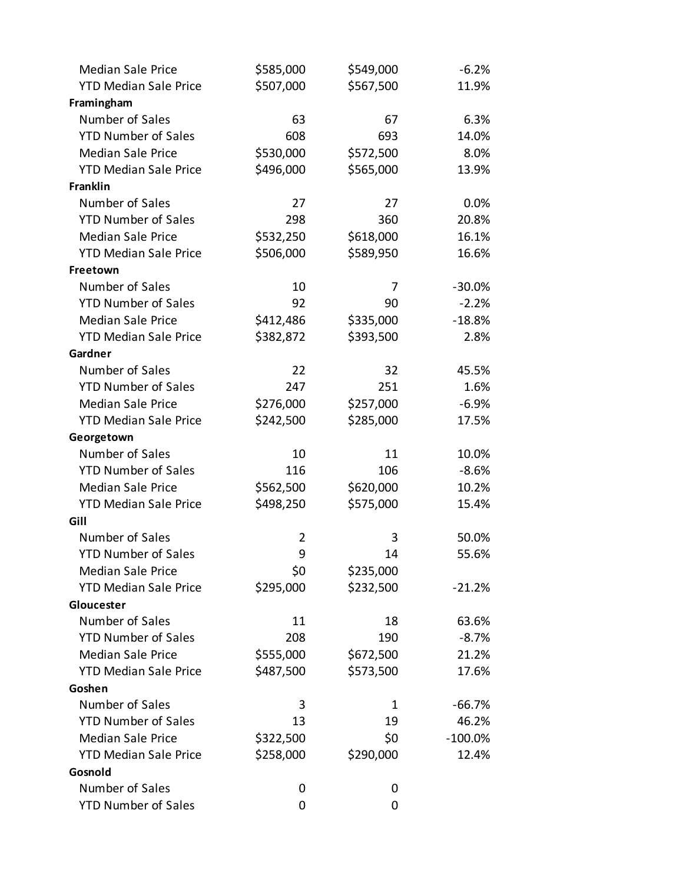| <b>Median Sale Price</b>     | \$585,000 | \$549,000 | $-6.2%$   |
|------------------------------|-----------|-----------|-----------|
| <b>YTD Median Sale Price</b> | \$507,000 | \$567,500 | 11.9%     |
| Framingham                   |           |           |           |
| Number of Sales              | 63        | 67        | 6.3%      |
| <b>YTD Number of Sales</b>   | 608       | 693       | 14.0%     |
| <b>Median Sale Price</b>     | \$530,000 | \$572,500 | 8.0%      |
| <b>YTD Median Sale Price</b> | \$496,000 | \$565,000 | 13.9%     |
| <b>Franklin</b>              |           |           |           |
| Number of Sales              | 27        | 27        | 0.0%      |
| <b>YTD Number of Sales</b>   | 298       | 360       | 20.8%     |
| <b>Median Sale Price</b>     | \$532,250 | \$618,000 | 16.1%     |
| <b>YTD Median Sale Price</b> | \$506,000 | \$589,950 | 16.6%     |
| Freetown                     |           |           |           |
| Number of Sales              | 10        | 7         | $-30.0%$  |
| <b>YTD Number of Sales</b>   | 92        | 90        | $-2.2%$   |
| <b>Median Sale Price</b>     | \$412,486 | \$335,000 | $-18.8%$  |
| <b>YTD Median Sale Price</b> | \$382,872 | \$393,500 | 2.8%      |
| Gardner                      |           |           |           |
| Number of Sales              | 22        | 32        | 45.5%     |
| <b>YTD Number of Sales</b>   | 247       | 251       | 1.6%      |
| <b>Median Sale Price</b>     | \$276,000 | \$257,000 | $-6.9%$   |
| <b>YTD Median Sale Price</b> | \$242,500 | \$285,000 | 17.5%     |
| Georgetown                   |           |           |           |
| Number of Sales              | 10        | 11        | 10.0%     |
| <b>YTD Number of Sales</b>   | 116       | 106       | $-8.6%$   |
| <b>Median Sale Price</b>     | \$562,500 | \$620,000 | 10.2%     |
| <b>YTD Median Sale Price</b> | \$498,250 | \$575,000 | 15.4%     |
| Gill                         |           |           |           |
| Number of Sales              | 2         | 3         | 50.0%     |
| <b>YTD Number of Sales</b>   | 9         | 14        | 55.6%     |
| <b>Median Sale Price</b>     | \$0       | \$235,000 |           |
| <b>YTD Median Sale Price</b> | \$295,000 | \$232,500 | $-21.2%$  |
| Gloucester                   |           |           |           |
| Number of Sales              | 11        | 18        | 63.6%     |
| <b>YTD Number of Sales</b>   | 208       | 190       | $-8.7%$   |
| <b>Median Sale Price</b>     | \$555,000 | \$672,500 | 21.2%     |
| <b>YTD Median Sale Price</b> | \$487,500 | \$573,500 | 17.6%     |
| Goshen                       |           |           |           |
| Number of Sales              | 3         | 1         | $-66.7%$  |
| <b>YTD Number of Sales</b>   | 13        | 19        | 46.2%     |
| <b>Median Sale Price</b>     | \$322,500 | \$0       | $-100.0%$ |
| <b>YTD Median Sale Price</b> | \$258,000 | \$290,000 | 12.4%     |
| Gosnold                      |           |           |           |
| Number of Sales              | 0         | 0         |           |
| <b>YTD Number of Sales</b>   | 0         | 0         |           |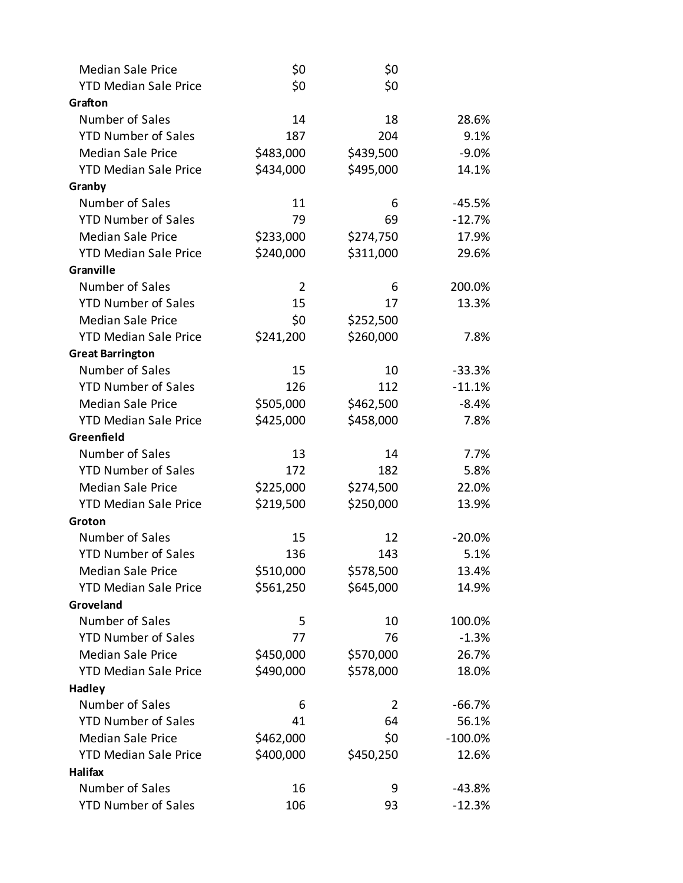| <b>Median Sale Price</b>     | \$0            | \$0       |            |
|------------------------------|----------------|-----------|------------|
| <b>YTD Median Sale Price</b> | \$0            | \$0       |            |
| Grafton                      |                |           |            |
| Number of Sales              | 14             | 18        | 28.6%      |
| <b>YTD Number of Sales</b>   | 187            | 204       | 9.1%       |
| <b>Median Sale Price</b>     | \$483,000      | \$439,500 | $-9.0\%$   |
| <b>YTD Median Sale Price</b> | \$434,000      | \$495,000 | 14.1%      |
| Granby                       |                |           |            |
| Number of Sales              | 11             | 6         | $-45.5%$   |
| <b>YTD Number of Sales</b>   | 79             | 69        | $-12.7%$   |
| <b>Median Sale Price</b>     | \$233,000      | \$274,750 | 17.9%      |
| <b>YTD Median Sale Price</b> | \$240,000      | \$311,000 | 29.6%      |
| Granville                    |                |           |            |
| Number of Sales              | $\overline{2}$ | 6         | 200.0%     |
| <b>YTD Number of Sales</b>   | 15             | 17        | 13.3%      |
| <b>Median Sale Price</b>     | \$0            | \$252,500 |            |
| <b>YTD Median Sale Price</b> | \$241,200      | \$260,000 | 7.8%       |
| <b>Great Barrington</b>      |                |           |            |
| Number of Sales              | 15             | 10        | $-33.3%$   |
| <b>YTD Number of Sales</b>   | 126            | 112       | $-11.1%$   |
| <b>Median Sale Price</b>     | \$505,000      | \$462,500 | $-8.4%$    |
| <b>YTD Median Sale Price</b> | \$425,000      | \$458,000 | 7.8%       |
| Greenfield                   |                |           |            |
| Number of Sales              | 13             | 14        | 7.7%       |
| <b>YTD Number of Sales</b>   | 172            | 182       | 5.8%       |
| <b>Median Sale Price</b>     | \$225,000      | \$274,500 | 22.0%      |
| <b>YTD Median Sale Price</b> | \$219,500      | \$250,000 | 13.9%      |
| Groton                       |                |           |            |
| Number of Sales              | 15             | 12        | $-20.0%$   |
| <b>YTD Number of Sales</b>   | 136            | 143       | 5.1%       |
| <b>Median Sale Price</b>     | \$510,000      | \$578,500 | 13.4%      |
| <b>YTD Median Sale Price</b> | \$561,250      | \$645,000 | 14.9%      |
| Groveland                    |                |           |            |
| Number of Sales              | 5              | 10        | 100.0%     |
| <b>YTD Number of Sales</b>   | 77             | 76        | $-1.3%$    |
| <b>Median Sale Price</b>     | \$450,000      | \$570,000 | 26.7%      |
| <b>YTD Median Sale Price</b> | \$490,000      | \$578,000 | 18.0%      |
| <b>Hadley</b>                |                |           |            |
| Number of Sales              | 6              | 2         | $-66.7%$   |
| <b>YTD Number of Sales</b>   | 41             | 64        | 56.1%      |
| <b>Median Sale Price</b>     | \$462,000      | \$0       | $-100.0\%$ |
| <b>YTD Median Sale Price</b> | \$400,000      | \$450,250 | 12.6%      |
| Halifax                      |                |           |            |
| Number of Sales              | 16             | 9         | $-43.8%$   |
| <b>YTD Number of Sales</b>   | 106            | 93        | $-12.3%$   |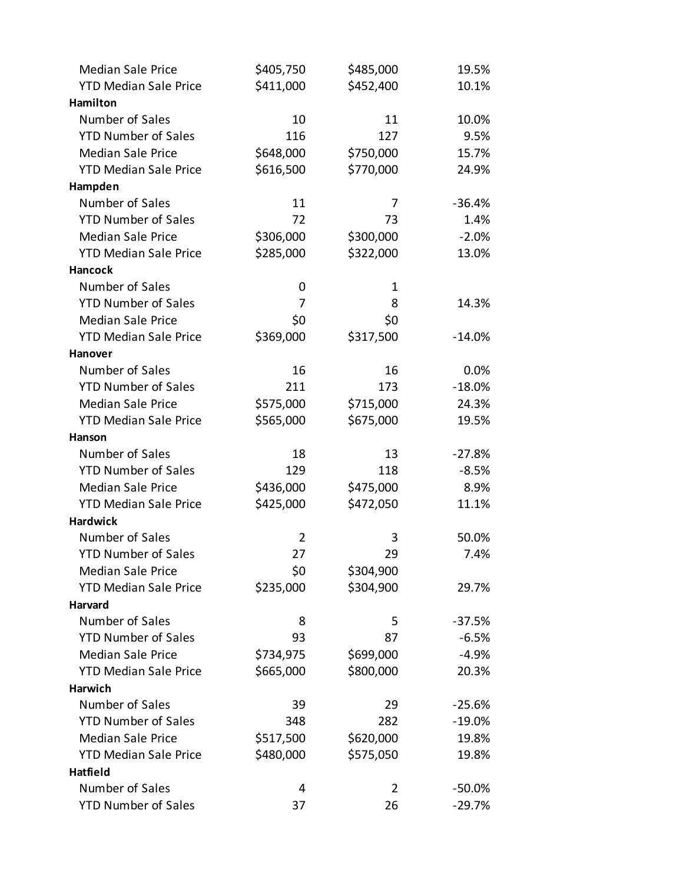| <b>Median Sale Price</b>     | \$405,750      | \$485,000 | 19.5%                |
|------------------------------|----------------|-----------|----------------------|
| <b>YTD Median Sale Price</b> | \$411,000      | \$452,400 | 10.1%                |
| Hamilton                     |                |           |                      |
| Number of Sales              | 10             | 11        | 10.0%                |
| <b>YTD Number of Sales</b>   | 116            | 127       | 9.5%                 |
| <b>Median Sale Price</b>     | \$648,000      | \$750,000 | 15.7%                |
| <b>YTD Median Sale Price</b> | \$616,500      | \$770,000 | 24.9%                |
| Hampden                      |                |           |                      |
| Number of Sales              | 11             | 7         | $-36.4%$             |
| <b>YTD Number of Sales</b>   | 72             | 73        | 1.4%                 |
| <b>Median Sale Price</b>     | \$306,000      | \$300,000 | $-2.0%$              |
| <b>YTD Median Sale Price</b> | \$285,000      | \$322,000 | 13.0%                |
| <b>Hancock</b>               |                |           |                      |
| Number of Sales              | 0              | 1         |                      |
| <b>YTD Number of Sales</b>   | 7              | 8         | 14.3%                |
| <b>Median Sale Price</b>     | \$0            | \$0       |                      |
| <b>YTD Median Sale Price</b> | \$369,000      | \$317,500 | $-14.0%$             |
| Hanover                      |                |           |                      |
| Number of Sales              | 16             | 16        | 0.0%                 |
| <b>YTD Number of Sales</b>   | 211            | 173       | $-18.0%$             |
| <b>Median Sale Price</b>     | \$575,000      | \$715,000 | 24.3%                |
| <b>YTD Median Sale Price</b> | \$565,000      | \$675,000 | 19.5%                |
| Hanson                       |                |           |                      |
| Number of Sales              | 18             | 13        | $-27.8%$             |
| <b>YTD Number of Sales</b>   | 129            | 118       | $-8.5%$              |
| <b>Median Sale Price</b>     | \$436,000      | \$475,000 | 8.9%                 |
| <b>YTD Median Sale Price</b> | \$425,000      | \$472,050 | 11.1%                |
| <b>Hardwick</b>              |                |           |                      |
| Number of Sales              | $\overline{2}$ | 3         | 50.0%                |
| <b>YTD Number of Sales</b>   | 27             | 29        | 7.4%                 |
| <b>Median Sale Price</b>     | \$0            | \$304,900 |                      |
| <b>YTD Median Sale Price</b> | \$235,000      | \$304,900 | 29.7%                |
| Harvard                      |                |           |                      |
| Number of Sales              | 8              | 5         | $-37.5%$             |
| <b>YTD Number of Sales</b>   | 93             | 87        | $-6.5%$              |
| <b>Median Sale Price</b>     | \$734,975      | \$699,000 | $-4.9%$              |
| <b>YTD Median Sale Price</b> | \$665,000      | \$800,000 | 20.3%                |
| <b>Harwich</b>               |                |           |                      |
| Number of Sales              | 39             | 29        | $-25.6%$             |
| <b>YTD Number of Sales</b>   | 348            | 282       | $-19.0%$             |
| <b>Median Sale Price</b>     | \$517,500      | \$620,000 | 19.8%                |
| <b>YTD Median Sale Price</b> | \$480,000      | \$575,050 | 19.8%                |
| Hatfield<br>Number of Sales  | 4              | 2         |                      |
| <b>YTD Number of Sales</b>   |                | 26        | $-50.0%$<br>$-29.7%$ |
|                              | 37             |           |                      |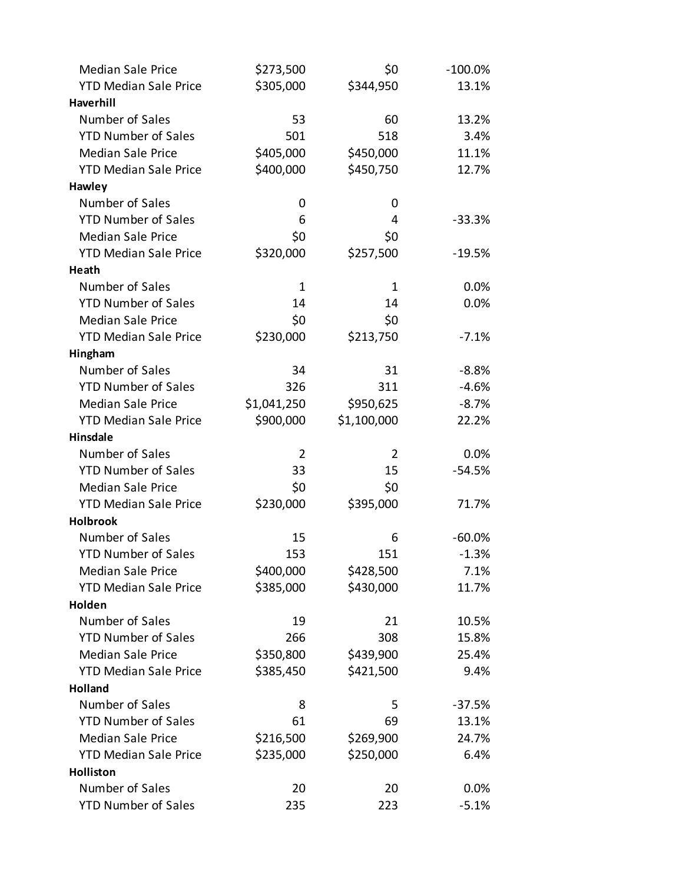| <b>Median Sale Price</b>     | \$273,500      | \$0         | $-100.0\%$ |
|------------------------------|----------------|-------------|------------|
| <b>YTD Median Sale Price</b> | \$305,000      | \$344,950   | 13.1%      |
| <b>Haverhill</b>             |                |             |            |
| Number of Sales              | 53             | 60          | 13.2%      |
| <b>YTD Number of Sales</b>   | 501            | 518         | 3.4%       |
| <b>Median Sale Price</b>     | \$405,000      | \$450,000   | 11.1%      |
| <b>YTD Median Sale Price</b> | \$400,000      | \$450,750   | 12.7%      |
| Hawley                       |                |             |            |
| Number of Sales              | 0              | 0           |            |
| <b>YTD Number of Sales</b>   | 6              | 4           | $-33.3%$   |
| <b>Median Sale Price</b>     | \$0            | \$0         |            |
| <b>YTD Median Sale Price</b> | \$320,000      | \$257,500   | $-19.5%$   |
| Heath                        |                |             |            |
| Number of Sales              | $\mathbf{1}$   | 1           | 0.0%       |
| <b>YTD Number of Sales</b>   | 14             | 14          | 0.0%       |
| <b>Median Sale Price</b>     | \$0            | \$0         |            |
| <b>YTD Median Sale Price</b> | \$230,000      | \$213,750   | $-7.1%$    |
| Hingham                      |                |             |            |
| Number of Sales              | 34             | 31          | $-8.8%$    |
| <b>YTD Number of Sales</b>   | 326            | 311         | $-4.6%$    |
| <b>Median Sale Price</b>     | \$1,041,250    | \$950,625   | $-8.7%$    |
| <b>YTD Median Sale Price</b> | \$900,000      | \$1,100,000 | 22.2%      |
| <b>Hinsdale</b>              |                |             |            |
| Number of Sales              | $\overline{2}$ | 2           | 0.0%       |
| <b>YTD Number of Sales</b>   | 33             | 15          | -54.5%     |
| <b>Median Sale Price</b>     | \$0            | \$0         |            |
| <b>YTD Median Sale Price</b> | \$230,000      | \$395,000   | 71.7%      |
| <b>Holbrook</b>              |                |             |            |
| Number of Sales              | 15             | 6           | $-60.0%$   |
| <b>YTD Number of Sales</b>   | 153            | 151         | $-1.3%$    |
| <b>Median Sale Price</b>     | \$400,000      | \$428,500   | 7.1%       |
| <b>YTD Median Sale Price</b> | \$385,000      | \$430,000   | 11.7%      |
| Holden                       |                |             |            |
| Number of Sales              | 19             | 21          | 10.5%      |
| <b>YTD Number of Sales</b>   | 266            | 308         | 15.8%      |
| <b>Median Sale Price</b>     | \$350,800      | \$439,900   | 25.4%      |
| <b>YTD Median Sale Price</b> | \$385,450      | \$421,500   | 9.4%       |
| <b>Holland</b>               |                |             |            |
| Number of Sales              | 8              | 5           | $-37.5%$   |
| <b>YTD Number of Sales</b>   | 61             | 69          | 13.1%      |
| <b>Median Sale Price</b>     | \$216,500      | \$269,900   | 24.7%      |
| <b>YTD Median Sale Price</b> | \$235,000      | \$250,000   | 6.4%       |
| Holliston                    |                |             |            |
| Number of Sales              | 20             | 20          | 0.0%       |
| <b>YTD Number of Sales</b>   | 235            | 223         | $-5.1%$    |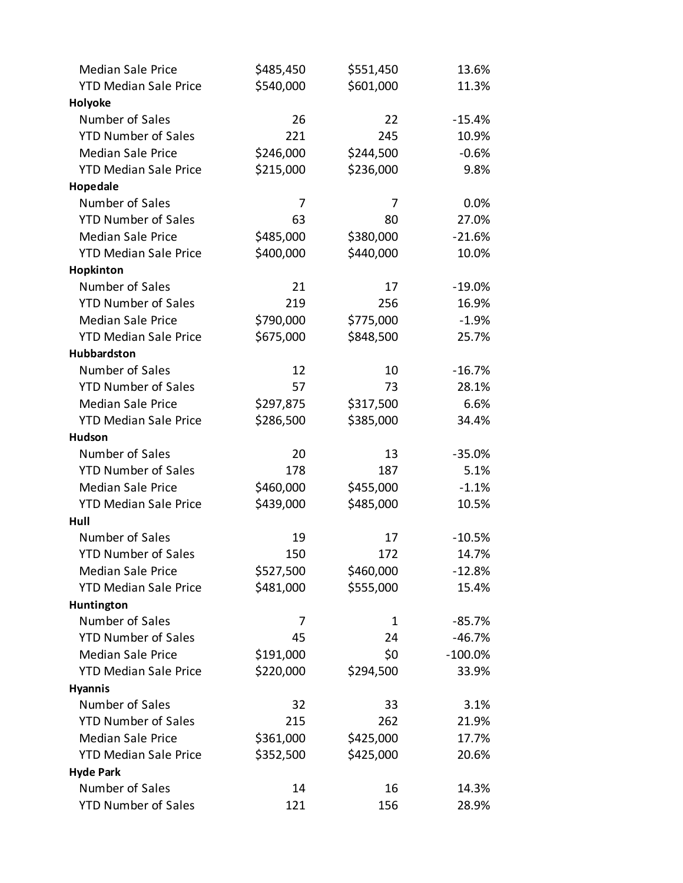| <b>Median Sale Price</b>     | \$485,450 | \$551,450 | 13.6%      |
|------------------------------|-----------|-----------|------------|
| <b>YTD Median Sale Price</b> | \$540,000 | \$601,000 | 11.3%      |
| Holyoke                      |           |           |            |
| Number of Sales              | 26        | 22        | $-15.4%$   |
| <b>YTD Number of Sales</b>   | 221       | 245       | 10.9%      |
| <b>Median Sale Price</b>     | \$246,000 | \$244,500 | $-0.6%$    |
| <b>YTD Median Sale Price</b> | \$215,000 | \$236,000 | 9.8%       |
| Hopedale                     |           |           |            |
| Number of Sales              | 7         | 7         | 0.0%       |
| <b>YTD Number of Sales</b>   | 63        | 80        | 27.0%      |
| <b>Median Sale Price</b>     | \$485,000 | \$380,000 | $-21.6%$   |
| <b>YTD Median Sale Price</b> | \$400,000 | \$440,000 | 10.0%      |
| Hopkinton                    |           |           |            |
| Number of Sales              | 21        | 17        | $-19.0%$   |
| <b>YTD Number of Sales</b>   | 219       | 256       | 16.9%      |
| <b>Median Sale Price</b>     | \$790,000 | \$775,000 | $-1.9%$    |
| <b>YTD Median Sale Price</b> | \$675,000 | \$848,500 | 25.7%      |
| Hubbardston                  |           |           |            |
| Number of Sales              | 12        | 10        | $-16.7%$   |
| <b>YTD Number of Sales</b>   | 57        | 73        | 28.1%      |
| <b>Median Sale Price</b>     | \$297,875 | \$317,500 | 6.6%       |
| <b>YTD Median Sale Price</b> | \$286,500 | \$385,000 | 34.4%      |
| <b>Hudson</b>                |           |           |            |
| Number of Sales              | 20        | 13        | $-35.0%$   |
| <b>YTD Number of Sales</b>   | 178       | 187       | 5.1%       |
| <b>Median Sale Price</b>     | \$460,000 | \$455,000 | $-1.1%$    |
| <b>YTD Median Sale Price</b> | \$439,000 | \$485,000 | 10.5%      |
| Hull                         |           |           |            |
| Number of Sales              | 19        | 17        | $-10.5%$   |
| <b>YTD Number of Sales</b>   | 150       | 172       | 14.7%      |
| <b>Median Sale Price</b>     | \$527,500 | \$460,000 | $-12.8%$   |
| <b>YTD Median Sale Price</b> | \$481,000 | \$555,000 | 15.4%      |
| Huntington                   |           |           |            |
| Number of Sales              | 7         | 1         | $-85.7%$   |
| <b>YTD Number of Sales</b>   | 45        | 24        | $-46.7%$   |
| <b>Median Sale Price</b>     | \$191,000 | \$0       | $-100.0\%$ |
| <b>YTD Median Sale Price</b> | \$220,000 | \$294,500 | 33.9%      |
| <b>Hyannis</b>               |           |           |            |
| Number of Sales              | 32        | 33        | 3.1%       |
| <b>YTD Number of Sales</b>   | 215       | 262       | 21.9%      |
| <b>Median Sale Price</b>     | \$361,000 | \$425,000 | 17.7%      |
| <b>YTD Median Sale Price</b> | \$352,500 | \$425,000 | 20.6%      |
| <b>Hyde Park</b>             |           |           |            |
| Number of Sales              | 14        | 16        | 14.3%      |
| <b>YTD Number of Sales</b>   | 121       | 156       | 28.9%      |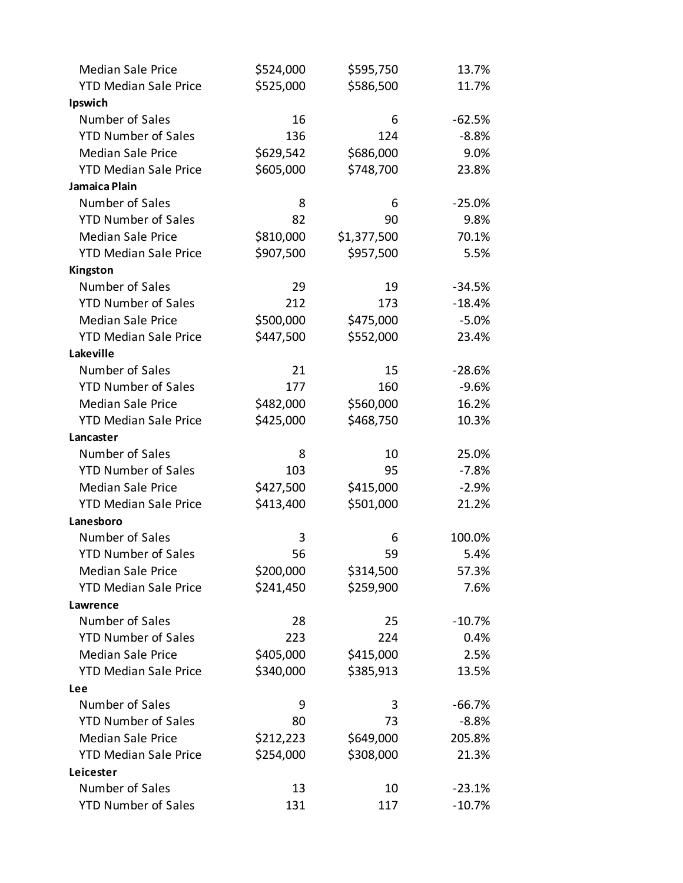| <b>Median Sale Price</b>     | \$524,000 | \$595,750   | 13.7%    |
|------------------------------|-----------|-------------|----------|
| <b>YTD Median Sale Price</b> | \$525,000 | \$586,500   | 11.7%    |
| Ipswich                      |           |             |          |
| Number of Sales              | 16        | 6           | $-62.5%$ |
| <b>YTD Number of Sales</b>   | 136       | 124         | $-8.8%$  |
| <b>Median Sale Price</b>     | \$629,542 | \$686,000   | 9.0%     |
| <b>YTD Median Sale Price</b> | \$605,000 | \$748,700   | 23.8%    |
| Jamaica Plain                |           |             |          |
| Number of Sales              | 8         | 6           | $-25.0%$ |
| <b>YTD Number of Sales</b>   | 82        | 90          | 9.8%     |
| <b>Median Sale Price</b>     | \$810,000 | \$1,377,500 | 70.1%    |
| <b>YTD Median Sale Price</b> | \$907,500 | \$957,500   | 5.5%     |
| Kingston                     |           |             |          |
| Number of Sales              | 29        | 19          | $-34.5%$ |
| <b>YTD Number of Sales</b>   | 212       | 173         | $-18.4%$ |
| <b>Median Sale Price</b>     | \$500,000 | \$475,000   | $-5.0%$  |
| <b>YTD Median Sale Price</b> | \$447,500 | \$552,000   | 23.4%    |
| Lakeville                    |           |             |          |
| Number of Sales              | 21        | 15          | $-28.6%$ |
| <b>YTD Number of Sales</b>   | 177       | 160         | $-9.6%$  |
| <b>Median Sale Price</b>     | \$482,000 | \$560,000   | 16.2%    |
| <b>YTD Median Sale Price</b> | \$425,000 | \$468,750   | 10.3%    |
| Lancaster                    |           |             |          |
| Number of Sales              | 8         | 10          | 25.0%    |
| <b>YTD Number of Sales</b>   | 103       | 95          | $-7.8%$  |
| <b>Median Sale Price</b>     | \$427,500 | \$415,000   | $-2.9%$  |
| <b>YTD Median Sale Price</b> | \$413,400 | \$501,000   | 21.2%    |
| Lanesboro                    |           |             |          |
| Number of Sales              | 3         | 6           | 100.0%   |
| <b>YTD Number of Sales</b>   | 56        | 59          | 5.4%     |
| <b>Median Sale Price</b>     | \$200,000 | \$314,500   | 57.3%    |
| <b>YTD Median Sale Price</b> | \$241,450 | \$259,900   | 7.6%     |
| Lawrence                     |           |             |          |
| Number of Sales              | 28        | 25          | $-10.7%$ |
| <b>YTD Number of Sales</b>   | 223       | 224         | 0.4%     |
| <b>Median Sale Price</b>     | \$405,000 | \$415,000   | 2.5%     |
| <b>YTD Median Sale Price</b> | \$340,000 | \$385,913   | 13.5%    |
| Lee                          |           |             |          |
| Number of Sales              | 9         | 3           | $-66.7%$ |
| <b>YTD Number of Sales</b>   | 80        | 73          | $-8.8%$  |
| <b>Median Sale Price</b>     | \$212,223 | \$649,000   | 205.8%   |
| <b>YTD Median Sale Price</b> | \$254,000 | \$308,000   | 21.3%    |
| Leicester                    |           |             |          |
| Number of Sales              | 13        | 10          | $-23.1%$ |
| <b>YTD Number of Sales</b>   | 131       | 117         | $-10.7%$ |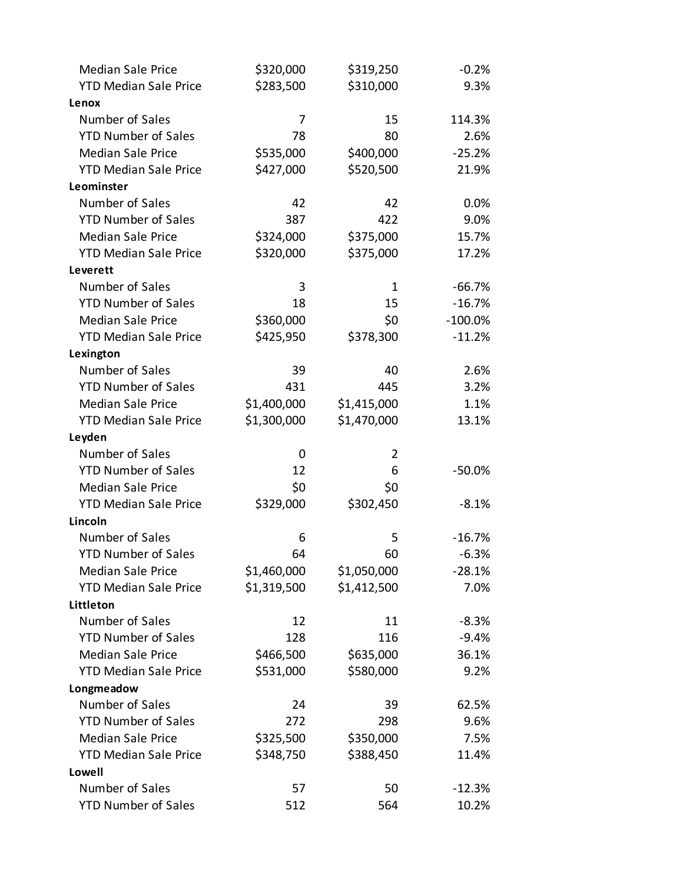| <b>Median Sale Price</b>     | \$320,000   | \$319,250   | $-0.2%$    |
|------------------------------|-------------|-------------|------------|
| <b>YTD Median Sale Price</b> | \$283,500   | \$310,000   | 9.3%       |
| Lenox                        |             |             |            |
| Number of Sales              | 7           | 15          | 114.3%     |
| <b>YTD Number of Sales</b>   | 78          | 80          | 2.6%       |
| <b>Median Sale Price</b>     | \$535,000   | \$400,000   | $-25.2%$   |
| <b>YTD Median Sale Price</b> | \$427,000   | \$520,500   | 21.9%      |
| Leominster                   |             |             |            |
| Number of Sales              | 42          | 42          | 0.0%       |
| <b>YTD Number of Sales</b>   | 387         | 422         | 9.0%       |
| <b>Median Sale Price</b>     | \$324,000   | \$375,000   | 15.7%      |
| <b>YTD Median Sale Price</b> | \$320,000   | \$375,000   | 17.2%      |
| Leverett                     |             |             |            |
| Number of Sales              | 3           | 1           | $-66.7%$   |
| <b>YTD Number of Sales</b>   | 18          | 15          | $-16.7%$   |
| <b>Median Sale Price</b>     | \$360,000   | \$0         | $-100.0\%$ |
| <b>YTD Median Sale Price</b> | \$425,950   | \$378,300   | $-11.2%$   |
| Lexington                    |             |             |            |
| Number of Sales              | 39          | 40          | 2.6%       |
| <b>YTD Number of Sales</b>   | 431         | 445         | 3.2%       |
| <b>Median Sale Price</b>     | \$1,400,000 | \$1,415,000 | 1.1%       |
| <b>YTD Median Sale Price</b> | \$1,300,000 | \$1,470,000 | 13.1%      |
| Leyden                       |             |             |            |
| Number of Sales              | 0           | 2           |            |
| <b>YTD Number of Sales</b>   | 12          | 6           | $-50.0%$   |
| <b>Median Sale Price</b>     | \$0         | \$0         |            |
| <b>YTD Median Sale Price</b> | \$329,000   | \$302,450   | $-8.1%$    |
| Lincoln                      |             |             |            |
| Number of Sales              | 6           | 5           | $-16.7%$   |
| <b>YTD Number of Sales</b>   | 64          | 60          | $-6.3%$    |
| <b>Median Sale Price</b>     | \$1,460,000 | \$1,050,000 | $-28.1%$   |
| <b>YTD Median Sale Price</b> | \$1,319,500 | \$1,412,500 | 7.0%       |
| Littleton                    |             |             |            |
| Number of Sales              | 12          | 11          | $-8.3%$    |
| <b>YTD Number of Sales</b>   | 128         | 116         | $-9.4%$    |
| <b>Median Sale Price</b>     | \$466,500   | \$635,000   | 36.1%      |
| <b>YTD Median Sale Price</b> | \$531,000   | \$580,000   | 9.2%       |
| Longmeadow                   |             |             |            |
| Number of Sales              | 24          | 39          | 62.5%      |
| <b>YTD Number of Sales</b>   | 272         | 298         | 9.6%       |
| <b>Median Sale Price</b>     | \$325,500   | \$350,000   | 7.5%       |
| <b>YTD Median Sale Price</b> | \$348,750   | \$388,450   | 11.4%      |
| Lowell                       |             |             |            |
| Number of Sales              | 57          | 50          | $-12.3%$   |
| <b>YTD Number of Sales</b>   | 512         | 564         | 10.2%      |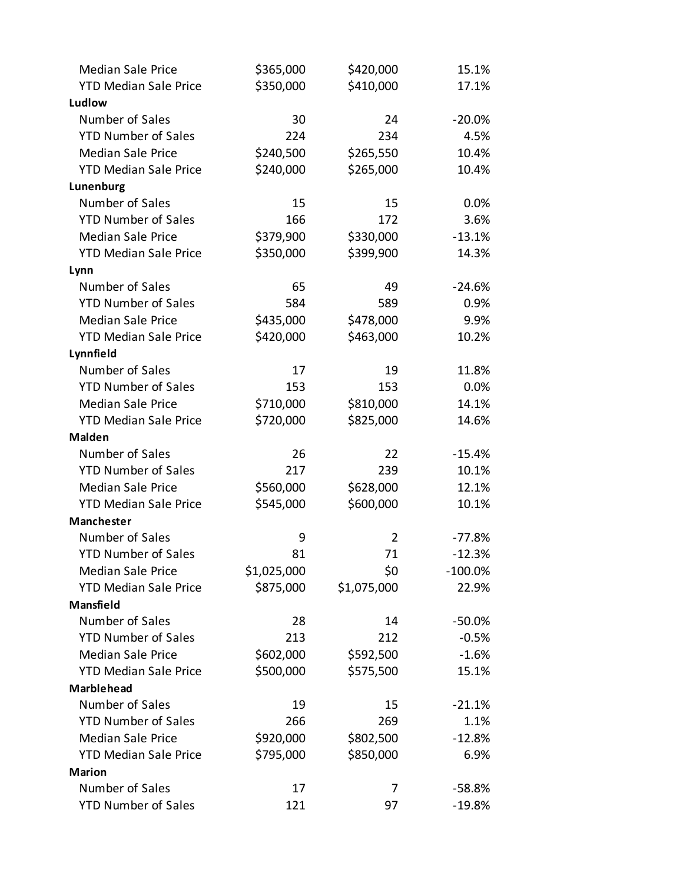| <b>Median Sale Price</b>     | \$365,000   | \$420,000   | 15.1%      |
|------------------------------|-------------|-------------|------------|
| <b>YTD Median Sale Price</b> | \$350,000   | \$410,000   | 17.1%      |
| Ludlow                       |             |             |            |
| Number of Sales              | 30          | 24          | $-20.0%$   |
| <b>YTD Number of Sales</b>   | 224         | 234         | 4.5%       |
| <b>Median Sale Price</b>     | \$240,500   | \$265,550   | 10.4%      |
| <b>YTD Median Sale Price</b> | \$240,000   | \$265,000   | 10.4%      |
| Lunenburg                    |             |             |            |
| Number of Sales              | 15          | 15          | 0.0%       |
| <b>YTD Number of Sales</b>   | 166         | 172         | 3.6%       |
| <b>Median Sale Price</b>     | \$379,900   | \$330,000   | $-13.1%$   |
| <b>YTD Median Sale Price</b> | \$350,000   | \$399,900   | 14.3%      |
| Lynn                         |             |             |            |
| Number of Sales              | 65          | 49          | $-24.6%$   |
| <b>YTD Number of Sales</b>   | 584         | 589         | 0.9%       |
| <b>Median Sale Price</b>     | \$435,000   | \$478,000   | 9.9%       |
| <b>YTD Median Sale Price</b> | \$420,000   | \$463,000   | 10.2%      |
| Lynnfield                    |             |             |            |
| Number of Sales              | 17          | 19          | 11.8%      |
| <b>YTD Number of Sales</b>   | 153         | 153         | 0.0%       |
| <b>Median Sale Price</b>     | \$710,000   | \$810,000   | 14.1%      |
| <b>YTD Median Sale Price</b> | \$720,000   | \$825,000   | 14.6%      |
| <b>Malden</b>                |             |             |            |
| Number of Sales              | 26          | 22          | $-15.4%$   |
| <b>YTD Number of Sales</b>   | 217         | 239         | 10.1%      |
| <b>Median Sale Price</b>     | \$560,000   | \$628,000   | 12.1%      |
| <b>YTD Median Sale Price</b> | \$545,000   | \$600,000   | 10.1%      |
| Manchester                   |             |             |            |
| Number of Sales              | 9           | 2           | $-77.8%$   |
| <b>YTD Number of Sales</b>   | 81          | 71          | $-12.3%$   |
| <b>Median Sale Price</b>     | \$1,025,000 | \$0         | $-100.0\%$ |
| <b>YTD Median Sale Price</b> | \$875,000   | \$1,075,000 | 22.9%      |
| <b>Mansfield</b>             |             |             |            |
| Number of Sales              | 28          | 14          | $-50.0%$   |
| <b>YTD Number of Sales</b>   | 213         | 212         | $-0.5%$    |
| <b>Median Sale Price</b>     | \$602,000   | \$592,500   | $-1.6%$    |
| <b>YTD Median Sale Price</b> | \$500,000   | \$575,500   | 15.1%      |
| <b>Marblehead</b>            |             |             |            |
| Number of Sales              | 19          | 15          | $-21.1%$   |
| <b>YTD Number of Sales</b>   | 266         | 269         | 1.1%       |
| <b>Median Sale Price</b>     | \$920,000   | \$802,500   | $-12.8%$   |
| <b>YTD Median Sale Price</b> | \$795,000   | \$850,000   | 6.9%       |
| <b>Marion</b>                |             |             |            |
| Number of Sales              | 17          | 7           | $-58.8%$   |
| <b>YTD Number of Sales</b>   | 121         | 97          | $-19.8%$   |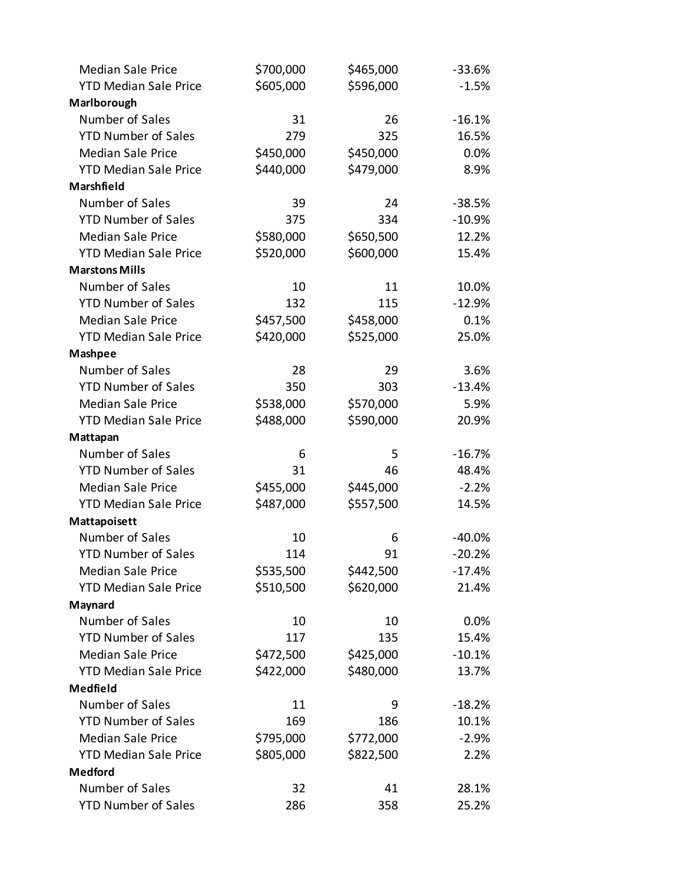| <b>Median Sale Price</b>     | \$700,000 | \$465,000 | $-33.6%$ |
|------------------------------|-----------|-----------|----------|
| <b>YTD Median Sale Price</b> | \$605,000 | \$596,000 | $-1.5%$  |
| Marlborough                  |           |           |          |
| Number of Sales              | 31        | 26        | $-16.1%$ |
| <b>YTD Number of Sales</b>   | 279       | 325       | 16.5%    |
| <b>Median Sale Price</b>     | \$450,000 | \$450,000 | 0.0%     |
| <b>YTD Median Sale Price</b> | \$440,000 | \$479,000 | 8.9%     |
| Marshfield                   |           |           |          |
| Number of Sales              | 39        | 24        | $-38.5%$ |
| <b>YTD Number of Sales</b>   | 375       | 334       | $-10.9%$ |
| <b>Median Sale Price</b>     | \$580,000 | \$650,500 | 12.2%    |
| <b>YTD Median Sale Price</b> | \$520,000 | \$600,000 | 15.4%    |
| <b>Marstons Mills</b>        |           |           |          |
| Number of Sales              | 10        | 11        | 10.0%    |
| <b>YTD Number of Sales</b>   | 132       | 115       | $-12.9%$ |
| <b>Median Sale Price</b>     | \$457,500 | \$458,000 | 0.1%     |
| <b>YTD Median Sale Price</b> | \$420,000 | \$525,000 | 25.0%    |
| <b>Mashpee</b>               |           |           |          |
| Number of Sales              | 28        | 29        | 3.6%     |
| <b>YTD Number of Sales</b>   | 350       | 303       | $-13.4%$ |
| <b>Median Sale Price</b>     | \$538,000 | \$570,000 | 5.9%     |
| <b>YTD Median Sale Price</b> | \$488,000 | \$590,000 | 20.9%    |
| Mattapan                     |           |           |          |
| Number of Sales              | 6         | 5         | $-16.7%$ |
| <b>YTD Number of Sales</b>   | 31        | 46        | 48.4%    |
| <b>Median Sale Price</b>     | \$455,000 | \$445,000 | $-2.2%$  |
| <b>YTD Median Sale Price</b> | \$487,000 | \$557,500 | 14.5%    |
| Mattapoisett                 |           |           |          |
| Number of Sales              | 10        | 6         | $-40.0%$ |
| <b>YTD Number of Sales</b>   | 114       | 91        | $-20.2%$ |
| <b>Median Sale Price</b>     | \$535,500 | \$442,500 | $-17.4%$ |
| <b>YTD Median Sale Price</b> | \$510,500 | \$620,000 | 21.4%    |
| Maynard                      |           |           |          |
| Number of Sales              | 10        | 10        | 0.0%     |
| <b>YTD Number of Sales</b>   | 117       | 135       | 15.4%    |
| <b>Median Sale Price</b>     | \$472,500 | \$425,000 | $-10.1%$ |
| <b>YTD Median Sale Price</b> | \$422,000 | \$480,000 | 13.7%    |
| <b>Medfield</b>              |           |           |          |
| Number of Sales              | 11        | 9         | $-18.2%$ |
| <b>YTD Number of Sales</b>   | 169       | 186       | 10.1%    |
| <b>Median Sale Price</b>     | \$795,000 | \$772,000 | $-2.9%$  |
| <b>YTD Median Sale Price</b> | \$805,000 | \$822,500 | 2.2%     |
| <b>Medford</b>               |           |           |          |
| Number of Sales              | 32        | 41        | 28.1%    |
| <b>YTD Number of Sales</b>   | 286       | 358       | 25.2%    |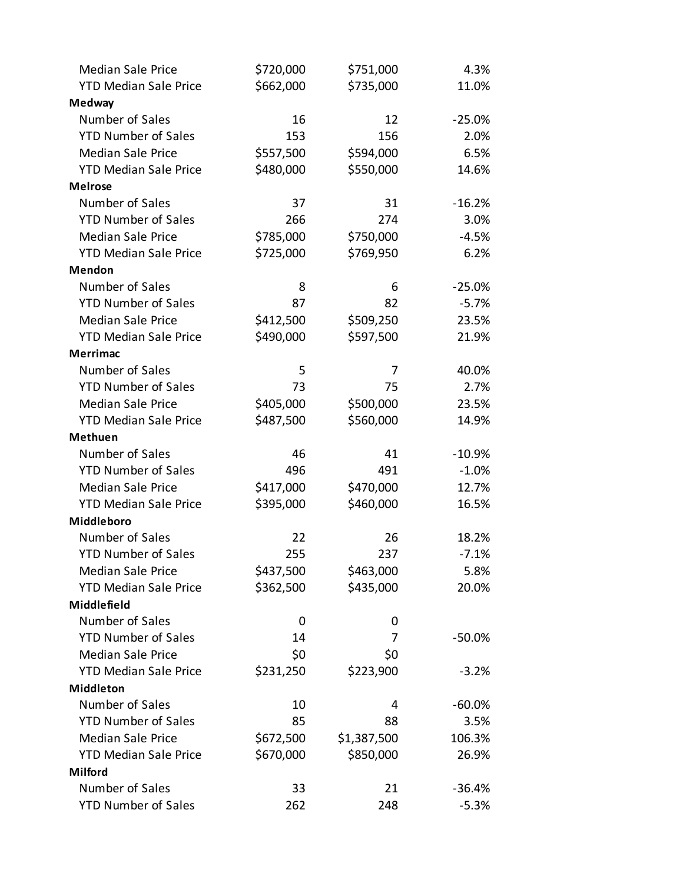| <b>Median Sale Price</b>     | \$720,000 | \$751,000   | 4.3%     |
|------------------------------|-----------|-------------|----------|
| <b>YTD Median Sale Price</b> | \$662,000 | \$735,000   | 11.0%    |
| <b>Medway</b>                |           |             |          |
| Number of Sales              | 16        | 12          | $-25.0%$ |
| <b>YTD Number of Sales</b>   | 153       | 156         | 2.0%     |
| <b>Median Sale Price</b>     | \$557,500 | \$594,000   | 6.5%     |
| <b>YTD Median Sale Price</b> | \$480,000 | \$550,000   | 14.6%    |
| <b>Melrose</b>               |           |             |          |
| Number of Sales              | 37        | 31          | $-16.2%$ |
| <b>YTD Number of Sales</b>   | 266       | 274         | 3.0%     |
| <b>Median Sale Price</b>     | \$785,000 | \$750,000   | $-4.5%$  |
| <b>YTD Median Sale Price</b> | \$725,000 | \$769,950   | 6.2%     |
| <b>Mendon</b>                |           |             |          |
| Number of Sales              | 8         | 6           | $-25.0%$ |
| <b>YTD Number of Sales</b>   | 87        | 82          | $-5.7%$  |
| <b>Median Sale Price</b>     | \$412,500 | \$509,250   | 23.5%    |
| <b>YTD Median Sale Price</b> | \$490,000 | \$597,500   | 21.9%    |
| <b>Merrimac</b>              |           |             |          |
| Number of Sales              | 5         | 7           | 40.0%    |
| <b>YTD Number of Sales</b>   | 73        | 75          | 2.7%     |
| <b>Median Sale Price</b>     | \$405,000 | \$500,000   | 23.5%    |
| <b>YTD Median Sale Price</b> | \$487,500 | \$560,000   | 14.9%    |
| <b>Methuen</b>               |           |             |          |
| Number of Sales              | 46        | 41          | $-10.9%$ |
| <b>YTD Number of Sales</b>   | 496       | 491         | $-1.0%$  |
| <b>Median Sale Price</b>     | \$417,000 | \$470,000   | 12.7%    |
| <b>YTD Median Sale Price</b> | \$395,000 | \$460,000   | 16.5%    |
| Middleboro                   |           |             |          |
| Number of Sales              | 22        | 26          | 18.2%    |
| <b>YTD Number of Sales</b>   | 255       | 237         | $-7.1%$  |
| <b>Median Sale Price</b>     | \$437,500 | \$463,000   | 5.8%     |
| <b>YTD Median Sale Price</b> | \$362,500 | \$435,000   | 20.0%    |
| Middlefield                  |           |             |          |
| Number of Sales              | 0         | 0           |          |
| <b>YTD Number of Sales</b>   | 14        | 7           | $-50.0%$ |
| <b>Median Sale Price</b>     | \$0       | \$0         |          |
| <b>YTD Median Sale Price</b> | \$231,250 | \$223,900   | $-3.2%$  |
| <b>Middleton</b>             |           |             |          |
| Number of Sales              | 10        | 4           | $-60.0%$ |
| <b>YTD Number of Sales</b>   | 85        | 88          | 3.5%     |
| <b>Median Sale Price</b>     | \$672,500 | \$1,387,500 | 106.3%   |
| <b>YTD Median Sale Price</b> | \$670,000 | \$850,000   | 26.9%    |
| <b>Milford</b>               |           |             |          |
| Number of Sales              | 33        | 21          | $-36.4%$ |
| <b>YTD Number of Sales</b>   | 262       | 248         | $-5.3%$  |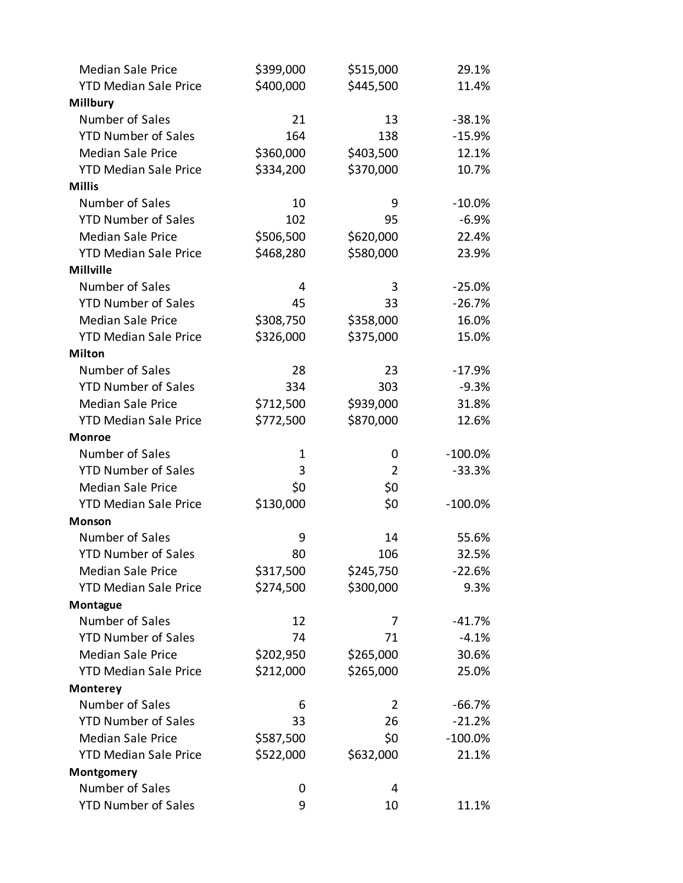| <b>Median Sale Price</b>     | \$399,000 | \$515,000      | 29.1%      |
|------------------------------|-----------|----------------|------------|
| <b>YTD Median Sale Price</b> | \$400,000 | \$445,500      | 11.4%      |
| <b>Millbury</b>              |           |                |            |
| Number of Sales              | 21        | 13             | $-38.1%$   |
| <b>YTD Number of Sales</b>   | 164       | 138            | $-15.9%$   |
| <b>Median Sale Price</b>     | \$360,000 | \$403,500      | 12.1%      |
| <b>YTD Median Sale Price</b> | \$334,200 | \$370,000      | 10.7%      |
| <b>Millis</b>                |           |                |            |
| Number of Sales              | 10        | 9              | $-10.0%$   |
| <b>YTD Number of Sales</b>   | 102       | 95             | $-6.9%$    |
| <b>Median Sale Price</b>     | \$506,500 | \$620,000      | 22.4%      |
| <b>YTD Median Sale Price</b> | \$468,280 | \$580,000      | 23.9%      |
| <b>Millville</b>             |           |                |            |
| Number of Sales              | 4         | 3              | $-25.0%$   |
| <b>YTD Number of Sales</b>   | 45        | 33             | $-26.7%$   |
| <b>Median Sale Price</b>     | \$308,750 | \$358,000      | 16.0%      |
| <b>YTD Median Sale Price</b> | \$326,000 | \$375,000      | 15.0%      |
| <b>Milton</b>                |           |                |            |
| Number of Sales              | 28        | 23             | $-17.9%$   |
| <b>YTD Number of Sales</b>   | 334       | 303            | $-9.3%$    |
| <b>Median Sale Price</b>     | \$712,500 | \$939,000      | 31.8%      |
| <b>YTD Median Sale Price</b> | \$772,500 | \$870,000      | 12.6%      |
| <b>Monroe</b>                |           |                |            |
| Number of Sales              | 1         | 0              | $-100.0\%$ |
| <b>YTD Number of Sales</b>   | 3         | $\overline{2}$ | $-33.3%$   |
| <b>Median Sale Price</b>     | \$0       | \$0            |            |
| <b>YTD Median Sale Price</b> | \$130,000 | \$0            | $-100.0%$  |
| <b>Monson</b>                |           |                |            |
| Number of Sales              | 9         | 14             | 55.6%      |
| <b>YTD Number of Sales</b>   | 80        | 106            | 32.5%      |
| <b>Median Sale Price</b>     | \$317,500 | \$245,750      | $-22.6%$   |
| <b>YTD Median Sale Price</b> | \$274,500 | \$300,000      | 9.3%       |
| Montague                     |           |                |            |
| Number of Sales              | 12        | 7              | $-41.7%$   |
| <b>YTD Number of Sales</b>   | 74        | 71             | $-4.1%$    |
| <b>Median Sale Price</b>     | \$202,950 | \$265,000      | 30.6%      |
| <b>YTD Median Sale Price</b> | \$212,000 | \$265,000      | 25.0%      |
| <b>Monterey</b>              |           |                |            |
| Number of Sales              | 6         | 2              | $-66.7%$   |
| <b>YTD Number of Sales</b>   | 33        | 26             | $-21.2%$   |
| <b>Median Sale Price</b>     | \$587,500 | \$0            | $-100.0\%$ |
| <b>YTD Median Sale Price</b> | \$522,000 | \$632,000      | 21.1%      |
| Montgomery                   |           |                |            |
| Number of Sales              | 0         | 4              |            |
| <b>YTD Number of Sales</b>   | 9         | 10             | 11.1%      |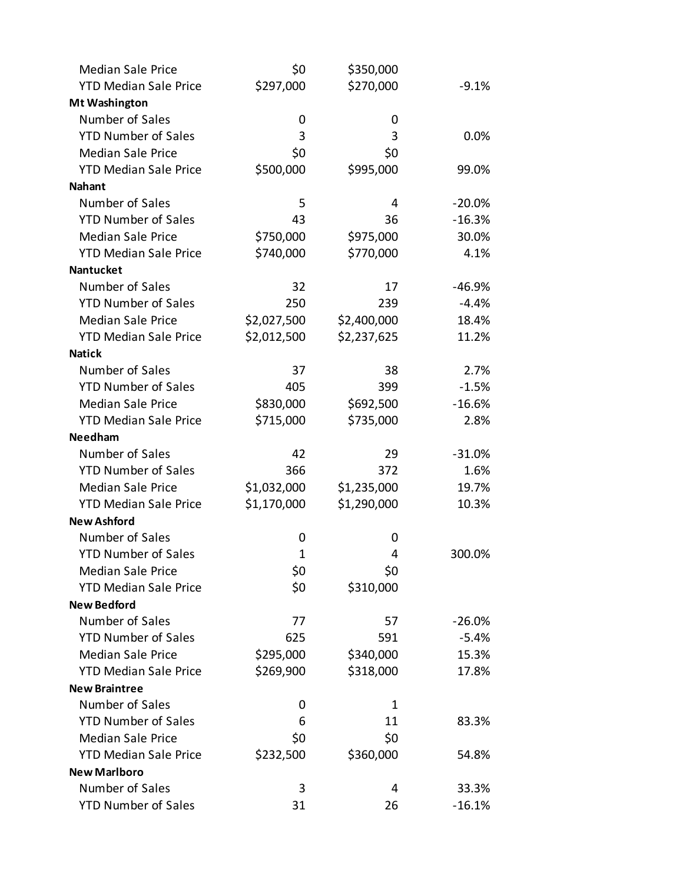| <b>Median Sale Price</b>     | \$0          | \$350,000   |          |
|------------------------------|--------------|-------------|----------|
| <b>YTD Median Sale Price</b> | \$297,000    | \$270,000   | $-9.1%$  |
| <b>Mt Washington</b>         |              |             |          |
| Number of Sales              | 0            | 0           |          |
| <b>YTD Number of Sales</b>   | 3            | 3           | 0.0%     |
| <b>Median Sale Price</b>     | \$0          | \$0         |          |
| <b>YTD Median Sale Price</b> | \$500,000    | \$995,000   | 99.0%    |
| <b>Nahant</b>                |              |             |          |
| Number of Sales              | 5            | 4           | $-20.0%$ |
| <b>YTD Number of Sales</b>   | 43           | 36          | $-16.3%$ |
| <b>Median Sale Price</b>     | \$750,000    | \$975,000   | 30.0%    |
| <b>YTD Median Sale Price</b> | \$740,000    | \$770,000   | 4.1%     |
| <b>Nantucket</b>             |              |             |          |
| Number of Sales              | 32           | 17          | $-46.9%$ |
| <b>YTD Number of Sales</b>   | 250          | 239         | $-4.4%$  |
| <b>Median Sale Price</b>     | \$2,027,500  | \$2,400,000 | 18.4%    |
| <b>YTD Median Sale Price</b> | \$2,012,500  | \$2,237,625 | 11.2%    |
| <b>Natick</b>                |              |             |          |
| Number of Sales              | 37           | 38          | 2.7%     |
| <b>YTD Number of Sales</b>   | 405          | 399         | $-1.5%$  |
| <b>Median Sale Price</b>     | \$830,000    | \$692,500   | $-16.6%$ |
| <b>YTD Median Sale Price</b> | \$715,000    | \$735,000   | 2.8%     |
| <b>Needham</b>               |              |             |          |
| Number of Sales              | 42           | 29          | $-31.0%$ |
| <b>YTD Number of Sales</b>   | 366          | 372         | 1.6%     |
| <b>Median Sale Price</b>     | \$1,032,000  | \$1,235,000 | 19.7%    |
| <b>YTD Median Sale Price</b> | \$1,170,000  | \$1,290,000 | 10.3%    |
| <b>New Ashford</b>           |              |             |          |
| Number of Sales              | 0            | 0           |          |
| <b>YTD Number of Sales</b>   | $\mathbf{1}$ | 4           | 300.0%   |
| <b>Median Sale Price</b>     | \$0          | \$0         |          |
| <b>YTD Median Sale Price</b> | \$0          | \$310,000   |          |
| <b>New Bedford</b>           |              |             |          |
| Number of Sales              | 77           | 57          | $-26.0%$ |
| <b>YTD Number of Sales</b>   | 625          | 591         | $-5.4%$  |
| <b>Median Sale Price</b>     | \$295,000    | \$340,000   | 15.3%    |
| <b>YTD Median Sale Price</b> | \$269,900    | \$318,000   | 17.8%    |
| <b>New Braintree</b>         |              |             |          |
| Number of Sales              | 0            | 1           |          |
| <b>YTD Number of Sales</b>   | 6            | 11          | 83.3%    |
| <b>Median Sale Price</b>     | \$0          | \$0         |          |
| <b>YTD Median Sale Price</b> | \$232,500    | \$360,000   | 54.8%    |
| <b>New Marlboro</b>          |              |             |          |
| Number of Sales              | 3            | 4           | 33.3%    |
| <b>YTD Number of Sales</b>   | 31           | 26          | $-16.1%$ |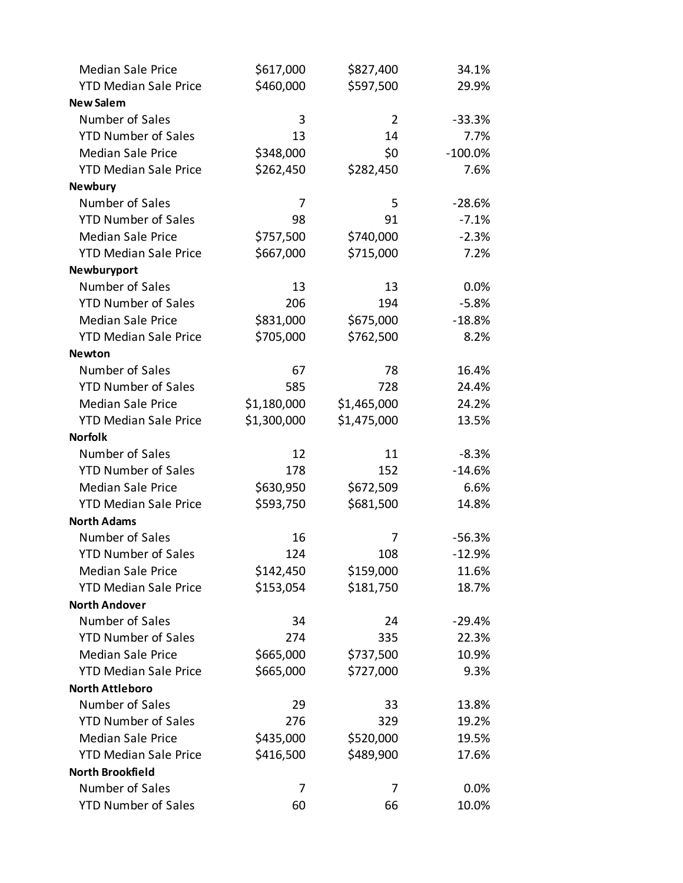| <b>Median Sale Price</b>     | \$617,000   | \$827,400      | 34.1%      |
|------------------------------|-------------|----------------|------------|
| <b>YTD Median Sale Price</b> | \$460,000   | \$597,500      | 29.9%      |
| <b>New Salem</b>             |             |                |            |
| Number of Sales              | 3           | $\overline{2}$ | $-33.3%$   |
| <b>YTD Number of Sales</b>   | 13          | 14             | 7.7%       |
| <b>Median Sale Price</b>     | \$348,000   | \$0            | $-100.0\%$ |
| <b>YTD Median Sale Price</b> | \$262,450   | \$282,450      | 7.6%       |
| <b>Newbury</b>               |             |                |            |
| Number of Sales              | 7           | 5              | $-28.6%$   |
| <b>YTD Number of Sales</b>   | 98          | 91             | $-7.1%$    |
| <b>Median Sale Price</b>     | \$757,500   | \$740,000      | $-2.3%$    |
| <b>YTD Median Sale Price</b> | \$667,000   | \$715,000      | 7.2%       |
| Newburyport                  |             |                |            |
| Number of Sales              | 13          | 13             | 0.0%       |
| <b>YTD Number of Sales</b>   | 206         | 194            | $-5.8%$    |
| <b>Median Sale Price</b>     | \$831,000   | \$675,000      | $-18.8%$   |
| <b>YTD Median Sale Price</b> | \$705,000   | \$762,500      | 8.2%       |
| <b>Newton</b>                |             |                |            |
| Number of Sales              | 67          | 78             | 16.4%      |
| <b>YTD Number of Sales</b>   | 585         | 728            | 24.4%      |
| <b>Median Sale Price</b>     | \$1,180,000 | \$1,465,000    | 24.2%      |
| <b>YTD Median Sale Price</b> | \$1,300,000 | \$1,475,000    | 13.5%      |
| <b>Norfolk</b>               |             |                |            |
| Number of Sales              | 12          | 11             | $-8.3%$    |
| <b>YTD Number of Sales</b>   | 178         | 152            | $-14.6%$   |
| <b>Median Sale Price</b>     | \$630,950   | \$672,509      | 6.6%       |
| <b>YTD Median Sale Price</b> | \$593,750   | \$681,500      | 14.8%      |
| <b>North Adams</b>           |             |                |            |
| Number of Sales              | 16          | 7              | $-56.3%$   |
| <b>YTD Number of Sales</b>   | 124         | 108            | $-12.9%$   |
| <b>Median Sale Price</b>     | \$142,450   | \$159,000      | 11.6%      |
| <b>YTD Median Sale Price</b> | \$153,054   | \$181,750      | 18.7%      |
| <b>North Andover</b>         |             |                |            |
| Number of Sales              | 34          | 24             | $-29.4%$   |
| <b>YTD Number of Sales</b>   | 274         | 335            | 22.3%      |
| <b>Median Sale Price</b>     | \$665,000   | \$737,500      | 10.9%      |
| <b>YTD Median Sale Price</b> | \$665,000   | \$727,000      | 9.3%       |
| <b>North Attleboro</b>       |             |                |            |
| Number of Sales              | 29          | 33             | 13.8%      |
| <b>YTD Number of Sales</b>   | 276         | 329            | 19.2%      |
| <b>Median Sale Price</b>     | \$435,000   | \$520,000      | 19.5%      |
| <b>YTD Median Sale Price</b> | \$416,500   | \$489,900      | 17.6%      |
| <b>North Brookfield</b>      |             |                |            |
| Number of Sales              | 7           | 7              | 0.0%       |
| <b>YTD Number of Sales</b>   | 60          | 66             | 10.0%      |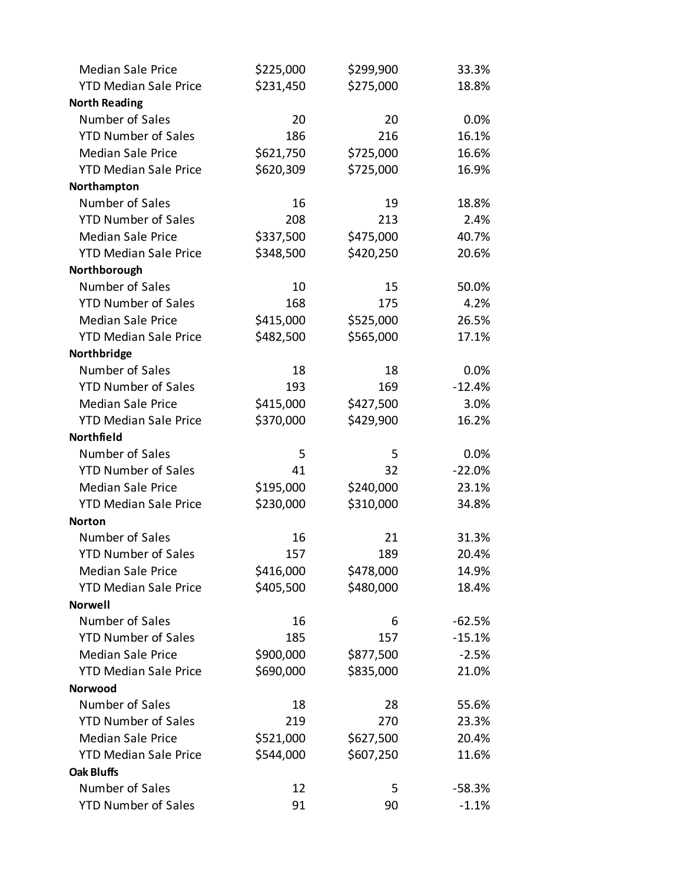| <b>Median Sale Price</b>     | \$225,000 | \$299,900 | 33.3%    |
|------------------------------|-----------|-----------|----------|
| <b>YTD Median Sale Price</b> | \$231,450 | \$275,000 | 18.8%    |
| <b>North Reading</b>         |           |           |          |
| Number of Sales              | 20        | 20        | 0.0%     |
| <b>YTD Number of Sales</b>   | 186       | 216       | 16.1%    |
| <b>Median Sale Price</b>     | \$621,750 | \$725,000 | 16.6%    |
| <b>YTD Median Sale Price</b> | \$620,309 | \$725,000 | 16.9%    |
| Northampton                  |           |           |          |
| Number of Sales              | 16        | 19        | 18.8%    |
| <b>YTD Number of Sales</b>   | 208       | 213       | 2.4%     |
| <b>Median Sale Price</b>     | \$337,500 | \$475,000 | 40.7%    |
| <b>YTD Median Sale Price</b> | \$348,500 | \$420,250 | 20.6%    |
| Northborough                 |           |           |          |
| Number of Sales              | 10        | 15        | 50.0%    |
| <b>YTD Number of Sales</b>   | 168       | 175       | 4.2%     |
| <b>Median Sale Price</b>     | \$415,000 | \$525,000 | 26.5%    |
| <b>YTD Median Sale Price</b> | \$482,500 | \$565,000 | 17.1%    |
| Northbridge                  |           |           |          |
| Number of Sales              | 18        | 18        | 0.0%     |
| <b>YTD Number of Sales</b>   | 193       | 169       | $-12.4%$ |
| <b>Median Sale Price</b>     | \$415,000 | \$427,500 | 3.0%     |
| <b>YTD Median Sale Price</b> | \$370,000 | \$429,900 | 16.2%    |
| Northfield                   |           |           |          |
| Number of Sales              | 5         | 5         | 0.0%     |
| <b>YTD Number of Sales</b>   | 41        | 32        | $-22.0%$ |
| <b>Median Sale Price</b>     | \$195,000 | \$240,000 | 23.1%    |
| <b>YTD Median Sale Price</b> | \$230,000 | \$310,000 | 34.8%    |
| <b>Norton</b>                |           |           |          |
| Number of Sales              | 16        | 21        | 31.3%    |
| <b>YTD Number of Sales</b>   | 157       | 189       | 20.4%    |
| <b>Median Sale Price</b>     | \$416,000 | \$478,000 | 14.9%    |
| <b>YTD Median Sale Price</b> | \$405,500 | \$480,000 | 18.4%    |
| <b>Norwell</b>               |           |           |          |
| Number of Sales              | 16        | 6         | $-62.5%$ |
| <b>YTD Number of Sales</b>   | 185       | 157       | $-15.1%$ |
| <b>Median Sale Price</b>     | \$900,000 | \$877,500 | $-2.5%$  |
| <b>YTD Median Sale Price</b> | \$690,000 | \$835,000 | 21.0%    |
| Norwood                      |           |           |          |
| Number of Sales              | 18        | 28        | 55.6%    |
| <b>YTD Number of Sales</b>   | 219       | 270       | 23.3%    |
| <b>Median Sale Price</b>     | \$521,000 | \$627,500 | 20.4%    |
| <b>YTD Median Sale Price</b> | \$544,000 | \$607,250 | 11.6%    |
| <b>Oak Bluffs</b>            |           |           |          |
| Number of Sales              | 12        | 5         | $-58.3%$ |
| <b>YTD Number of Sales</b>   | 91        | 90        | $-1.1%$  |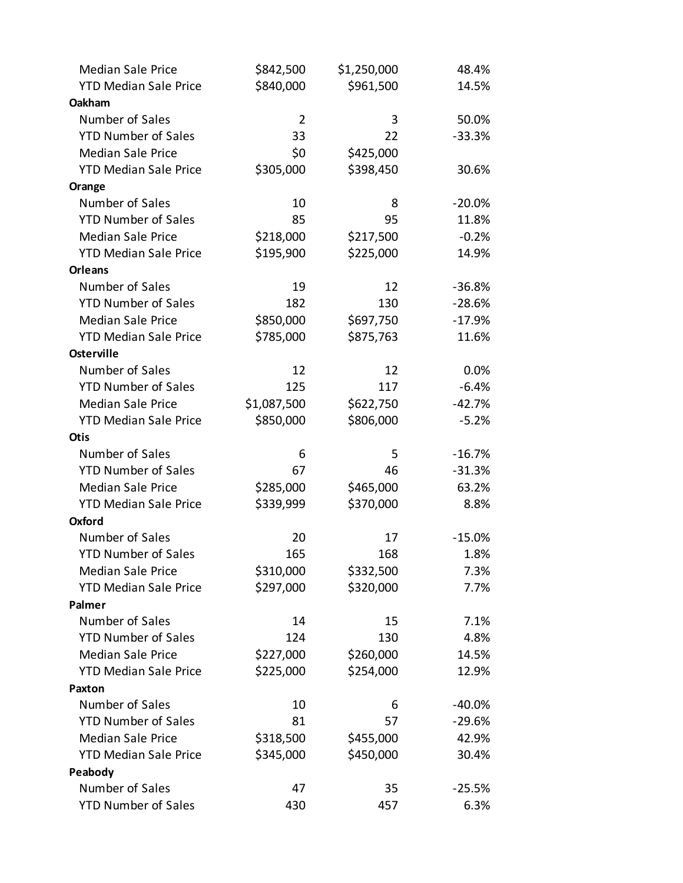| <b>Median Sale Price</b>     | \$842,500      | \$1,250,000 | 48.4%    |
|------------------------------|----------------|-------------|----------|
| <b>YTD Median Sale Price</b> | \$840,000      | \$961,500   | 14.5%    |
| Oakham                       |                |             |          |
| Number of Sales              | $\overline{2}$ | 3           | 50.0%    |
| <b>YTD Number of Sales</b>   | 33             | 22          | $-33.3%$ |
| <b>Median Sale Price</b>     | \$0            | \$425,000   |          |
| <b>YTD Median Sale Price</b> | \$305,000      | \$398,450   | 30.6%    |
| Orange                       |                |             |          |
| Number of Sales              | 10             | 8           | $-20.0%$ |
| <b>YTD Number of Sales</b>   | 85             | 95          | 11.8%    |
| <b>Median Sale Price</b>     | \$218,000      | \$217,500   | $-0.2%$  |
| <b>YTD Median Sale Price</b> | \$195,900      | \$225,000   | 14.9%    |
| <b>Orleans</b>               |                |             |          |
| Number of Sales              | 19             | 12          | $-36.8%$ |
| <b>YTD Number of Sales</b>   | 182            | 130         | $-28.6%$ |
| <b>Median Sale Price</b>     | \$850,000      | \$697,750   | $-17.9%$ |
| <b>YTD Median Sale Price</b> | \$785,000      | \$875,763   | 11.6%    |
| <b>Osterville</b>            |                |             |          |
| Number of Sales              | 12             | 12          | 0.0%     |
| <b>YTD Number of Sales</b>   | 125            | 117         | $-6.4%$  |
| <b>Median Sale Price</b>     | \$1,087,500    | \$622,750   | $-42.7%$ |
| <b>YTD Median Sale Price</b> | \$850,000      | \$806,000   | $-5.2%$  |
| <b>Otis</b>                  |                |             |          |
| Number of Sales              | 6              | 5           | $-16.7%$ |
| <b>YTD Number of Sales</b>   | 67             | 46          | $-31.3%$ |
| <b>Median Sale Price</b>     | \$285,000      | \$465,000   | 63.2%    |
| <b>YTD Median Sale Price</b> | \$339,999      | \$370,000   | 8.8%     |
| <b>Oxford</b>                |                |             |          |
| Number of Sales              | 20             | 17          | $-15.0%$ |
| <b>YTD Number of Sales</b>   | 165            | 168         | 1.8%     |
| <b>Median Sale Price</b>     | \$310,000      | \$332,500   | 7.3%     |
| <b>YTD Median Sale Price</b> | \$297,000      | \$320,000   | 7.7%     |
| Palmer                       |                |             |          |
| Number of Sales              | 14             | 15          | 7.1%     |
| <b>YTD Number of Sales</b>   | 124            | 130         | 4.8%     |
| <b>Median Sale Price</b>     | \$227,000      | \$260,000   | 14.5%    |
| <b>YTD Median Sale Price</b> | \$225,000      | \$254,000   | 12.9%    |
| <b>Paxton</b>                |                |             |          |
| Number of Sales              | 10             | 6           | $-40.0%$ |
| <b>YTD Number of Sales</b>   | 81             | 57          | $-29.6%$ |
| <b>Median Sale Price</b>     | \$318,500      | \$455,000   | 42.9%    |
| <b>YTD Median Sale Price</b> | \$345,000      | \$450,000   | 30.4%    |
| Peabody                      |                |             |          |
| Number of Sales              | 47             | 35          | $-25.5%$ |
| <b>YTD Number of Sales</b>   | 430            | 457         | 6.3%     |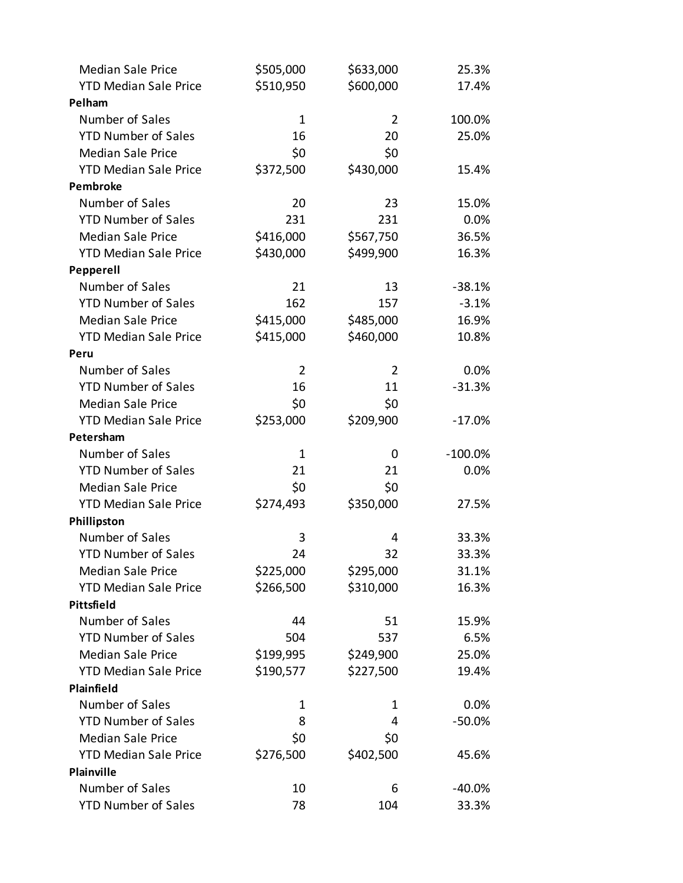| <b>Median Sale Price</b>     | \$505,000      | \$633,000      | 25.3%      |
|------------------------------|----------------|----------------|------------|
| <b>YTD Median Sale Price</b> | \$510,950      | \$600,000      | 17.4%      |
| Pelham                       |                |                |            |
| Number of Sales              | $\mathbf{1}$   | 2              | 100.0%     |
| <b>YTD Number of Sales</b>   | 16             | 20             | 25.0%      |
| <b>Median Sale Price</b>     | \$0            | \$0            |            |
| <b>YTD Median Sale Price</b> | \$372,500      | \$430,000      | 15.4%      |
| Pembroke                     |                |                |            |
| Number of Sales              | 20             | 23             | 15.0%      |
| <b>YTD Number of Sales</b>   | 231            | 231            | 0.0%       |
| <b>Median Sale Price</b>     | \$416,000      | \$567,750      | 36.5%      |
| <b>YTD Median Sale Price</b> | \$430,000      | \$499,900      | 16.3%      |
| Pepperell                    |                |                |            |
| Number of Sales              | 21             | 13             | $-38.1%$   |
| <b>YTD Number of Sales</b>   | 162            | 157            | $-3.1%$    |
| <b>Median Sale Price</b>     | \$415,000      | \$485,000      | 16.9%      |
| <b>YTD Median Sale Price</b> | \$415,000      | \$460,000      | 10.8%      |
| Peru                         |                |                |            |
| Number of Sales              | $\overline{2}$ | $\overline{2}$ | 0.0%       |
| <b>YTD Number of Sales</b>   | 16             | 11             | $-31.3%$   |
| <b>Median Sale Price</b>     | \$0            | \$0            |            |
| <b>YTD Median Sale Price</b> | \$253,000      | \$209,900      | $-17.0%$   |
| Petersham                    |                |                |            |
| Number of Sales              | $\mathbf{1}$   | 0              | $-100.0\%$ |
| <b>YTD Number of Sales</b>   | 21             | 21             | 0.0%       |
| <b>Median Sale Price</b>     | \$0            | \$0            |            |
| <b>YTD Median Sale Price</b> | \$274,493      | \$350,000      | 27.5%      |
| Phillipston                  |                |                |            |
| Number of Sales              | 3              | 4              | 33.3%      |
| <b>YTD Number of Sales</b>   | 24             | 32             | 33.3%      |
| <b>Median Sale Price</b>     | \$225,000      | \$295,000      | 31.1%      |
| <b>YTD Median Sale Price</b> | \$266,500      | \$310,000      | 16.3%      |
| Pittsfield                   |                |                |            |
| Number of Sales              | 44             | 51             | 15.9%      |
| <b>YTD Number of Sales</b>   | 504            | 537            | 6.5%       |
| <b>Median Sale Price</b>     | \$199,995      | \$249,900      | 25.0%      |
| <b>YTD Median Sale Price</b> | \$190,577      | \$227,500      | 19.4%      |
| Plainfield                   |                |                |            |
| Number of Sales              | 1              | 1              | $0.0\%$    |
| <b>YTD Number of Sales</b>   | 8              | 4              | $-50.0%$   |
| <b>Median Sale Price</b>     | \$0            | \$0            |            |
| <b>YTD Median Sale Price</b> | \$276,500      | \$402,500      | 45.6%      |
| Plainville                   |                |                |            |
| Number of Sales              | 10             | 6              | -40.0%     |
| <b>YTD Number of Sales</b>   | 78             | 104            | 33.3%      |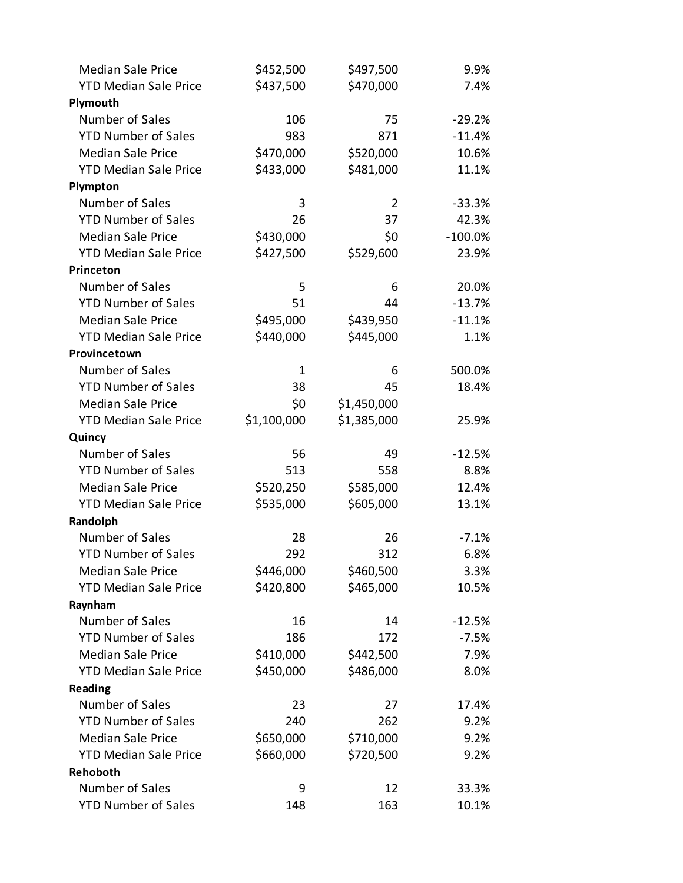| <b>Median Sale Price</b>     | \$452,500    | \$497,500   | 9.9%       |
|------------------------------|--------------|-------------|------------|
| <b>YTD Median Sale Price</b> | \$437,500    | \$470,000   | 7.4%       |
| Plymouth                     |              |             |            |
| Number of Sales              | 106          | 75          | $-29.2%$   |
| <b>YTD Number of Sales</b>   | 983          | 871         | $-11.4%$   |
| <b>Median Sale Price</b>     | \$470,000    | \$520,000   | 10.6%      |
| <b>YTD Median Sale Price</b> | \$433,000    | \$481,000   | 11.1%      |
| Plympton                     |              |             |            |
| Number of Sales              | 3            | 2           | $-33.3%$   |
| <b>YTD Number of Sales</b>   | 26           | 37          | 42.3%      |
| <b>Median Sale Price</b>     | \$430,000    | \$0         | $-100.0\%$ |
| <b>YTD Median Sale Price</b> | \$427,500    | \$529,600   | 23.9%      |
| Princeton                    |              |             |            |
| Number of Sales              | 5            | 6           | 20.0%      |
| <b>YTD Number of Sales</b>   | 51           | 44          | $-13.7%$   |
| <b>Median Sale Price</b>     | \$495,000    | \$439,950   | $-11.1%$   |
| <b>YTD Median Sale Price</b> | \$440,000    | \$445,000   | 1.1%       |
| Provincetown                 |              |             |            |
| Number of Sales              | $\mathbf{1}$ | 6           | 500.0%     |
| <b>YTD Number of Sales</b>   | 38           | 45          | 18.4%      |
| <b>Median Sale Price</b>     | \$0          | \$1,450,000 |            |
| <b>YTD Median Sale Price</b> | \$1,100,000  | \$1,385,000 | 25.9%      |
| Quincy                       |              |             |            |
| Number of Sales              | 56           | 49          | $-12.5%$   |
| <b>YTD Number of Sales</b>   | 513          | 558         | 8.8%       |
| <b>Median Sale Price</b>     | \$520,250    | \$585,000   | 12.4%      |
| <b>YTD Median Sale Price</b> | \$535,000    | \$605,000   | 13.1%      |
| Randolph                     |              |             |            |
| Number of Sales              | 28           | 26          | $-7.1%$    |
| <b>YTD Number of Sales</b>   | 292          | 312         | 6.8%       |
| <b>Median Sale Price</b>     | \$446,000    | \$460,500   | 3.3%       |
| <b>YTD Median Sale Price</b> | \$420,800    | \$465,000   | 10.5%      |
| Raynham                      |              |             |            |
| Number of Sales              | 16           | 14          | $-12.5%$   |
| <b>YTD Number of Sales</b>   | 186          | 172         | $-7.5%$    |
| <b>Median Sale Price</b>     | \$410,000    | \$442,500   | 7.9%       |
| <b>YTD Median Sale Price</b> | \$450,000    | \$486,000   | 8.0%       |
| <b>Reading</b>               |              |             |            |
| Number of Sales              | 23           | 27          | 17.4%      |
| <b>YTD Number of Sales</b>   | 240          | 262         | 9.2%       |
| <b>Median Sale Price</b>     | \$650,000    | \$710,000   | 9.2%       |
| <b>YTD Median Sale Price</b> | \$660,000    | \$720,500   | 9.2%       |
| Rehoboth                     |              |             |            |
| Number of Sales              | 9            | 12          | 33.3%      |
| <b>YTD Number of Sales</b>   | 148          | 163         | 10.1%      |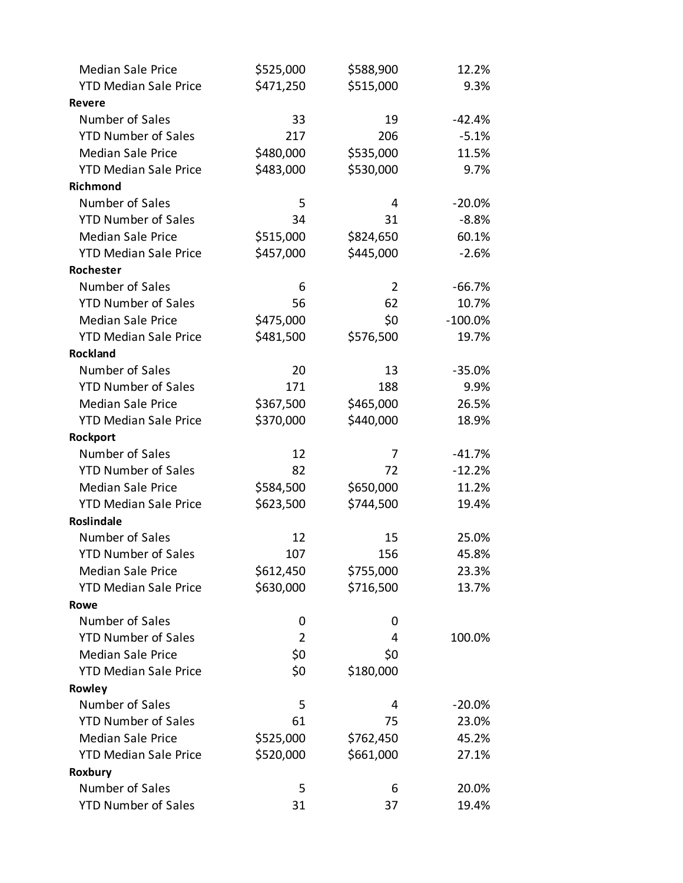| <b>Median Sale Price</b>     | \$525,000      | \$588,900      | 12.2%     |
|------------------------------|----------------|----------------|-----------|
| <b>YTD Median Sale Price</b> | \$471,250      | \$515,000      | 9.3%      |
| <b>Revere</b>                |                |                |           |
| Number of Sales              | 33             | 19             | $-42.4%$  |
| <b>YTD Number of Sales</b>   | 217            | 206            | $-5.1%$   |
| <b>Median Sale Price</b>     | \$480,000      | \$535,000      | 11.5%     |
| <b>YTD Median Sale Price</b> | \$483,000      | \$530,000      | 9.7%      |
| Richmond                     |                |                |           |
| Number of Sales              | 5              | 4              | $-20.0%$  |
| <b>YTD Number of Sales</b>   | 34             | 31             | $-8.8%$   |
| <b>Median Sale Price</b>     | \$515,000      | \$824,650      | 60.1%     |
| <b>YTD Median Sale Price</b> | \$457,000      | \$445,000      | $-2.6%$   |
| Rochester                    |                |                |           |
| Number of Sales              | 6              | $\overline{2}$ | $-66.7%$  |
| <b>YTD Number of Sales</b>   | 56             | 62             | 10.7%     |
| <b>Median Sale Price</b>     | \$475,000      | \$0            | $-100.0%$ |
| <b>YTD Median Sale Price</b> | \$481,500      | \$576,500      | 19.7%     |
| <b>Rockland</b>              |                |                |           |
| Number of Sales              | 20             | 13             | $-35.0%$  |
| <b>YTD Number of Sales</b>   | 171            | 188            | 9.9%      |
| <b>Median Sale Price</b>     | \$367,500      | \$465,000      | 26.5%     |
| <b>YTD Median Sale Price</b> | \$370,000      | \$440,000      | 18.9%     |
| Rockport                     |                |                |           |
| Number of Sales              | 12             | 7              | $-41.7%$  |
| <b>YTD Number of Sales</b>   | 82             | 72             | $-12.2%$  |
| <b>Median Sale Price</b>     | \$584,500      | \$650,000      | 11.2%     |
| <b>YTD Median Sale Price</b> | \$623,500      | \$744,500      | 19.4%     |
| <b>Roslindale</b>            |                |                |           |
| Number of Sales              | 12             | 15             | 25.0%     |
| <b>YTD Number of Sales</b>   | 107            | 156            | 45.8%     |
| <b>Median Sale Price</b>     | \$612,450      | \$755,000      | 23.3%     |
| <b>YTD Median Sale Price</b> | \$630,000      | \$716,500      | 13.7%     |
| Rowe                         |                |                |           |
| Number of Sales              | 0              | 0              |           |
| <b>YTD Number of Sales</b>   | $\overline{2}$ | 4              | 100.0%    |
| <b>Median Sale Price</b>     | \$0            | \$0            |           |
| <b>YTD Median Sale Price</b> | \$0            | \$180,000      |           |
| Rowley                       |                |                |           |
| Number of Sales              | 5              | 4              | $-20.0%$  |
| <b>YTD Number of Sales</b>   | 61             | 75             | 23.0%     |
| <b>Median Sale Price</b>     | \$525,000      | \$762,450      | 45.2%     |
| <b>YTD Median Sale Price</b> | \$520,000      | \$661,000      | 27.1%     |
| Roxbury                      |                |                |           |
| Number of Sales              | 5              | 6              | 20.0%     |
| <b>YTD Number of Sales</b>   | 31             | 37             | 19.4%     |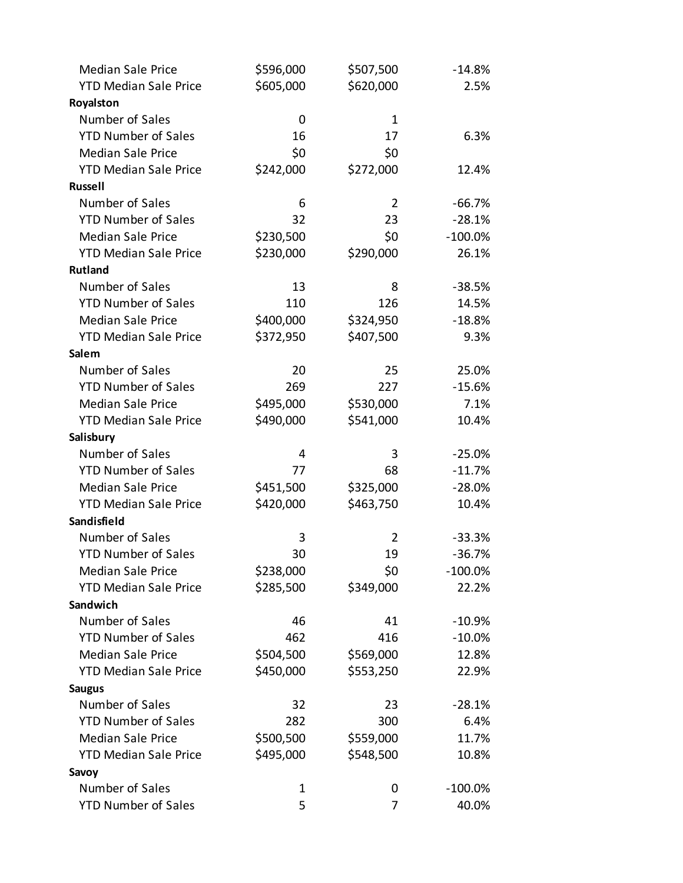| <b>Median Sale Price</b>     | \$596,000 | \$507,500 | $-14.8%$   |
|------------------------------|-----------|-----------|------------|
| <b>YTD Median Sale Price</b> | \$605,000 | \$620,000 | 2.5%       |
| Royalston                    |           |           |            |
| Number of Sales              | 0         | 1         |            |
| <b>YTD Number of Sales</b>   | 16        | 17        | 6.3%       |
| <b>Median Sale Price</b>     | \$0       | \$0       |            |
| <b>YTD Median Sale Price</b> | \$242,000 | \$272,000 | 12.4%      |
| <b>Russell</b>               |           |           |            |
| Number of Sales              | 6         | 2         | $-66.7%$   |
| <b>YTD Number of Sales</b>   | 32        | 23        | $-28.1%$   |
| <b>Median Sale Price</b>     | \$230,500 | \$0       | $-100.0\%$ |
| <b>YTD Median Sale Price</b> | \$230,000 | \$290,000 | 26.1%      |
| <b>Rutland</b>               |           |           |            |
| Number of Sales              | 13        | 8         | $-38.5%$   |
| <b>YTD Number of Sales</b>   | 110       | 126       | 14.5%      |
| <b>Median Sale Price</b>     | \$400,000 | \$324,950 | $-18.8%$   |
| <b>YTD Median Sale Price</b> | \$372,950 | \$407,500 | 9.3%       |
| Salem                        |           |           |            |
| Number of Sales              | 20        | 25        | 25.0%      |
| <b>YTD Number of Sales</b>   | 269       | 227       | $-15.6%$   |
| <b>Median Sale Price</b>     | \$495,000 | \$530,000 | 7.1%       |
| <b>YTD Median Sale Price</b> | \$490,000 | \$541,000 | 10.4%      |
| Salisbury                    |           |           |            |
| Number of Sales              | 4         | 3         | $-25.0%$   |
| <b>YTD Number of Sales</b>   | 77        | 68        | $-11.7%$   |
| <b>Median Sale Price</b>     | \$451,500 | \$325,000 | $-28.0%$   |
| <b>YTD Median Sale Price</b> | \$420,000 | \$463,750 | 10.4%      |
| Sandisfield                  |           |           |            |
| Number of Sales              | 3         | 2         | $-33.3%$   |
| <b>YTD Number of Sales</b>   | 30        | 19        | $-36.7%$   |
| <b>Median Sale Price</b>     | \$238,000 | \$0       | $-100.0\%$ |
| <b>YTD Median Sale Price</b> | \$285,500 | \$349,000 | 22.2%      |
| Sandwich                     |           |           |            |
| Number of Sales              | 46        | 41        | $-10.9%$   |
| <b>YTD Number of Sales</b>   | 462       | 416       | $-10.0\%$  |
| <b>Median Sale Price</b>     | \$504,500 | \$569,000 | 12.8%      |
| <b>YTD Median Sale Price</b> | \$450,000 | \$553,250 | 22.9%      |
| <b>Saugus</b>                |           |           |            |
| Number of Sales              | 32        | 23        | $-28.1%$   |
| <b>YTD Number of Sales</b>   | 282       | 300       | 6.4%       |
| <b>Median Sale Price</b>     | \$500,500 | \$559,000 | 11.7%      |
| <b>YTD Median Sale Price</b> | \$495,000 | \$548,500 | 10.8%      |
| Savoy                        |           |           |            |
| Number of Sales              | 1         | 0         | $-100.0\%$ |
| <b>YTD Number of Sales</b>   | 5         | 7         | 40.0%      |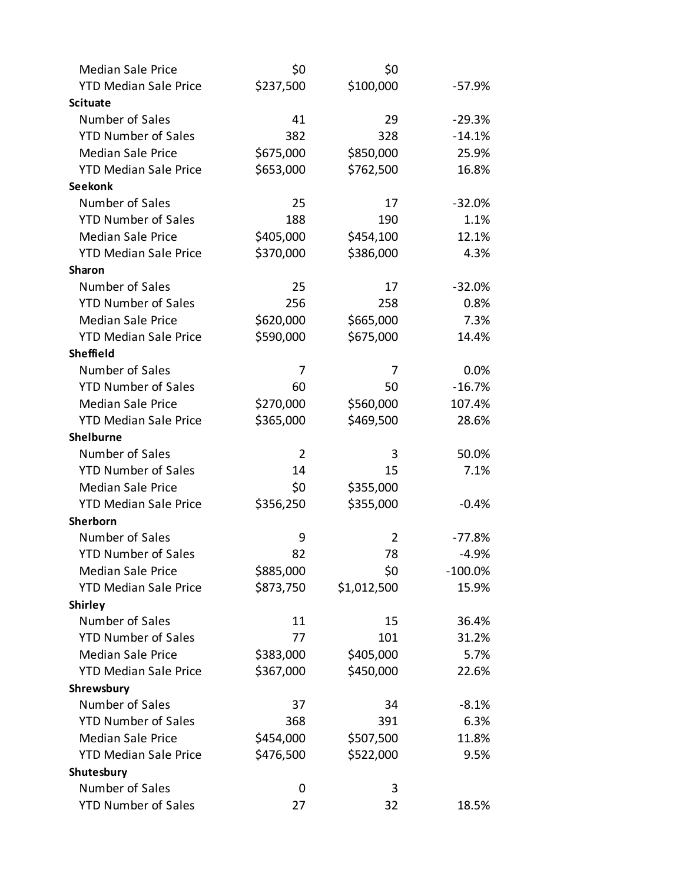| <b>Median Sale Price</b>     | \$0            | \$0         |            |
|------------------------------|----------------|-------------|------------|
| <b>YTD Median Sale Price</b> | \$237,500      | \$100,000   | $-57.9%$   |
| <b>Scituate</b>              |                |             |            |
| Number of Sales              | 41             | 29          | $-29.3%$   |
| <b>YTD Number of Sales</b>   | 382            | 328         | $-14.1%$   |
| <b>Median Sale Price</b>     | \$675,000      | \$850,000   | 25.9%      |
| <b>YTD Median Sale Price</b> | \$653,000      | \$762,500   | 16.8%      |
| <b>Seekonk</b>               |                |             |            |
| Number of Sales              | 25             | 17          | $-32.0%$   |
| <b>YTD Number of Sales</b>   | 188            | 190         | 1.1%       |
| <b>Median Sale Price</b>     | \$405,000      | \$454,100   | 12.1%      |
| <b>YTD Median Sale Price</b> | \$370,000      | \$386,000   | 4.3%       |
| <b>Sharon</b>                |                |             |            |
| Number of Sales              | 25             | 17          | $-32.0%$   |
| <b>YTD Number of Sales</b>   | 256            | 258         | 0.8%       |
| <b>Median Sale Price</b>     | \$620,000      | \$665,000   | 7.3%       |
| <b>YTD Median Sale Price</b> | \$590,000      | \$675,000   | 14.4%      |
| <b>Sheffield</b>             |                |             |            |
| Number of Sales              | 7              | 7           | 0.0%       |
| <b>YTD Number of Sales</b>   | 60             | 50          | $-16.7%$   |
| <b>Median Sale Price</b>     | \$270,000      | \$560,000   | 107.4%     |
| <b>YTD Median Sale Price</b> | \$365,000      | \$469,500   | 28.6%      |
| <b>Shelburne</b>             |                |             |            |
| Number of Sales              | $\overline{2}$ | 3           | 50.0%      |
| <b>YTD Number of Sales</b>   | 14             | 15          | 7.1%       |
| <b>Median Sale Price</b>     | \$0            | \$355,000   |            |
| <b>YTD Median Sale Price</b> | \$356,250      | \$355,000   | $-0.4%$    |
| Sherborn                     |                |             |            |
| Number of Sales              | 9              | 2           | $-77.8%$   |
| <b>YTD Number of Sales</b>   | 82             | 78          | $-4.9%$    |
| <b>Median Sale Price</b>     | \$885,000      | \$0         | $-100.0\%$ |
| <b>YTD Median Sale Price</b> | \$873,750      | \$1,012,500 | 15.9%      |
| <b>Shirley</b>               |                |             |            |
| Number of Sales              | 11             | 15          | 36.4%      |
| <b>YTD Number of Sales</b>   | 77             | 101         | 31.2%      |
| <b>Median Sale Price</b>     | \$383,000      | \$405,000   | 5.7%       |
| <b>YTD Median Sale Price</b> | \$367,000      | \$450,000   | 22.6%      |
| Shrewsbury                   |                |             |            |
| Number of Sales              | 37             | 34          | $-8.1%$    |
| <b>YTD Number of Sales</b>   | 368            | 391         | 6.3%       |
| <b>Median Sale Price</b>     | \$454,000      | \$507,500   | 11.8%      |
| <b>YTD Median Sale Price</b> | \$476,500      | \$522,000   | 9.5%       |
| Shutesbury                   |                |             |            |
| Number of Sales              | 0              | 3           |            |
| <b>YTD Number of Sales</b>   | 27             | 32          | 18.5%      |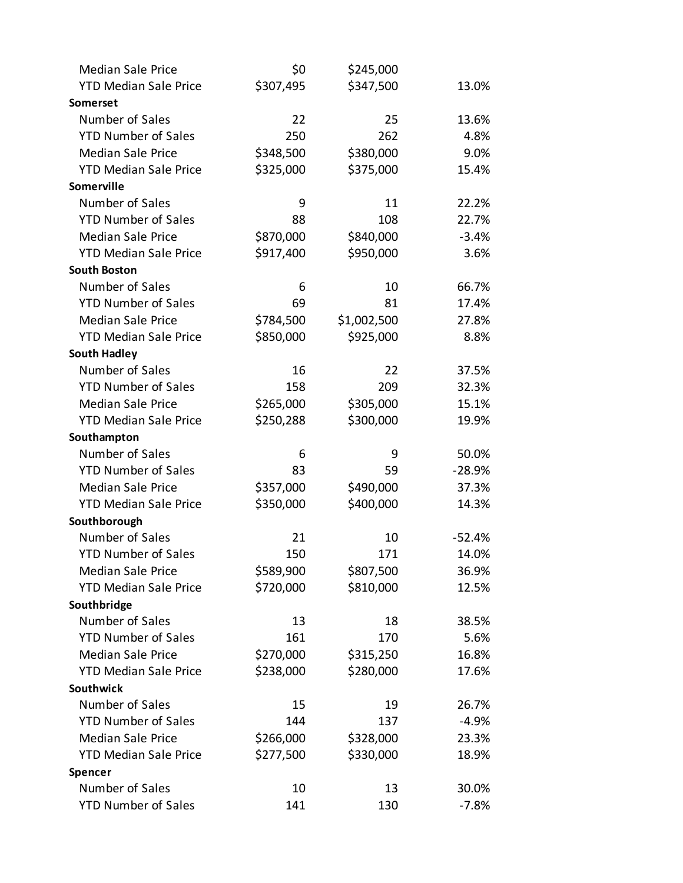| <b>Median Sale Price</b>     | \$0       | \$245,000   |          |
|------------------------------|-----------|-------------|----------|
| <b>YTD Median Sale Price</b> | \$307,495 | \$347,500   | 13.0%    |
| Somerset                     |           |             |          |
| Number of Sales              | 22        | 25          | 13.6%    |
| <b>YTD Number of Sales</b>   | 250       | 262         | 4.8%     |
| <b>Median Sale Price</b>     | \$348,500 | \$380,000   | 9.0%     |
| <b>YTD Median Sale Price</b> | \$325,000 | \$375,000   | 15.4%    |
| <b>Somerville</b>            |           |             |          |
| Number of Sales              | 9         | 11          | 22.2%    |
| <b>YTD Number of Sales</b>   | 88        | 108         | 22.7%    |
| <b>Median Sale Price</b>     | \$870,000 | \$840,000   | $-3.4%$  |
| <b>YTD Median Sale Price</b> | \$917,400 | \$950,000   | 3.6%     |
| <b>South Boston</b>          |           |             |          |
| Number of Sales              | 6         | 10          | 66.7%    |
| <b>YTD Number of Sales</b>   | 69        | 81          | 17.4%    |
| <b>Median Sale Price</b>     | \$784,500 | \$1,002,500 | 27.8%    |
| <b>YTD Median Sale Price</b> | \$850,000 | \$925,000   | 8.8%     |
| <b>South Hadley</b>          |           |             |          |
| Number of Sales              | 16        | 22          | 37.5%    |
| <b>YTD Number of Sales</b>   | 158       | 209         | 32.3%    |
| <b>Median Sale Price</b>     | \$265,000 | \$305,000   | 15.1%    |
| <b>YTD Median Sale Price</b> | \$250,288 | \$300,000   | 19.9%    |
| Southampton                  |           |             |          |
| Number of Sales              | 6         | 9           | 50.0%    |
| <b>YTD Number of Sales</b>   | 83        | 59          | $-28.9%$ |
| <b>Median Sale Price</b>     | \$357,000 | \$490,000   | 37.3%    |
| <b>YTD Median Sale Price</b> | \$350,000 | \$400,000   | 14.3%    |
| Southborough                 |           |             |          |
| Number of Sales              | 21        | 10          | $-52.4%$ |
| <b>YTD Number of Sales</b>   | 150       | 171         | 14.0%    |
| <b>Median Sale Price</b>     | \$589,900 | \$807,500   | 36.9%    |
| <b>YTD Median Sale Price</b> | \$720,000 | \$810,000   | 12.5%    |
| Southbridge                  |           |             |          |
| Number of Sales              | 13        | 18          | 38.5%    |
| <b>YTD Number of Sales</b>   | 161       | 170         | 5.6%     |
| <b>Median Sale Price</b>     | \$270,000 | \$315,250   | 16.8%    |
| <b>YTD Median Sale Price</b> | \$238,000 | \$280,000   | 17.6%    |
| <b>Southwick</b>             |           |             |          |
| Number of Sales              | 15        | 19          | 26.7%    |
| <b>YTD Number of Sales</b>   | 144       | 137         | $-4.9%$  |
| <b>Median Sale Price</b>     | \$266,000 | \$328,000   | 23.3%    |
| <b>YTD Median Sale Price</b> | \$277,500 | \$330,000   | 18.9%    |
| Spencer                      |           |             |          |
| Number of Sales              | 10        | 13          | 30.0%    |
| <b>YTD Number of Sales</b>   | 141       | 130         | $-7.8%$  |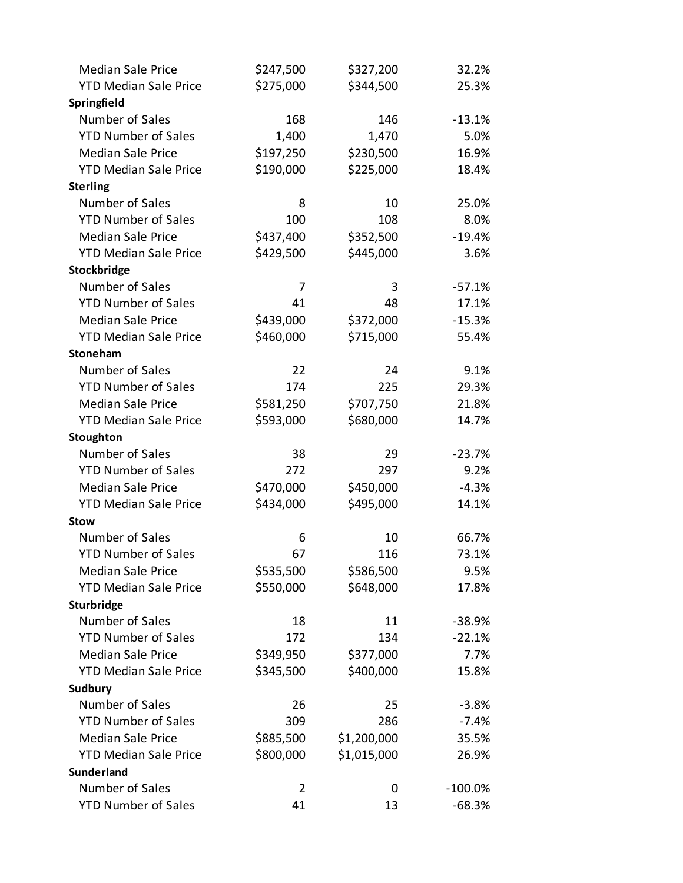| <b>Median Sale Price</b>     | \$247,500      | \$327,200   | 32.2%      |
|------------------------------|----------------|-------------|------------|
| <b>YTD Median Sale Price</b> | \$275,000      | \$344,500   | 25.3%      |
| Springfield                  |                |             |            |
| Number of Sales              | 168            | 146         | $-13.1%$   |
| <b>YTD Number of Sales</b>   | 1,400          | 1,470       | 5.0%       |
| <b>Median Sale Price</b>     | \$197,250      | \$230,500   | 16.9%      |
| <b>YTD Median Sale Price</b> | \$190,000      | \$225,000   | 18.4%      |
| <b>Sterling</b>              |                |             |            |
| Number of Sales              | 8              | 10          | 25.0%      |
| <b>YTD Number of Sales</b>   | 100            | 108         | 8.0%       |
| <b>Median Sale Price</b>     | \$437,400      | \$352,500   | $-19.4%$   |
| <b>YTD Median Sale Price</b> | \$429,500      | \$445,000   | 3.6%       |
| Stockbridge                  |                |             |            |
| Number of Sales              | 7              | 3           | $-57.1%$   |
| <b>YTD Number of Sales</b>   | 41             | 48          | 17.1%      |
| <b>Median Sale Price</b>     | \$439,000      | \$372,000   | $-15.3%$   |
| <b>YTD Median Sale Price</b> | \$460,000      | \$715,000   | 55.4%      |
| Stoneham                     |                |             |            |
| Number of Sales              | 22             | 24          | 9.1%       |
| <b>YTD Number of Sales</b>   | 174            | 225         | 29.3%      |
| <b>Median Sale Price</b>     | \$581,250      | \$707,750   | 21.8%      |
| <b>YTD Median Sale Price</b> | \$593,000      | \$680,000   | 14.7%      |
| Stoughton                    |                |             |            |
| Number of Sales              | 38             | 29          | $-23.7%$   |
| <b>YTD Number of Sales</b>   | 272            | 297         | 9.2%       |
| <b>Median Sale Price</b>     | \$470,000      | \$450,000   | $-4.3%$    |
| <b>YTD Median Sale Price</b> | \$434,000      | \$495,000   | 14.1%      |
| <b>Stow</b>                  |                |             |            |
| Number of Sales              | 6              | 10          | 66.7%      |
| <b>YTD Number of Sales</b>   | 67             | 116         | 73.1%      |
| <b>Median Sale Price</b>     | \$535,500      | \$586,500   | 9.5%       |
| <b>YTD Median Sale Price</b> | \$550,000      | \$648,000   | 17.8%      |
| Sturbridge                   |                |             |            |
| Number of Sales              | 18             | 11          | $-38.9%$   |
| <b>YTD Number of Sales</b>   | 172            | 134         | $-22.1%$   |
| <b>Median Sale Price</b>     | \$349,950      | \$377,000   | 7.7%       |
| <b>YTD Median Sale Price</b> | \$345,500      | \$400,000   | 15.8%      |
| Sudbury                      |                |             |            |
| Number of Sales              | 26             | 25          | $-3.8%$    |
| <b>YTD Number of Sales</b>   | 309            | 286         | $-7.4%$    |
| <b>Median Sale Price</b>     | \$885,500      | \$1,200,000 | 35.5%      |
| <b>YTD Median Sale Price</b> | \$800,000      | \$1,015,000 | 26.9%      |
| <b>Sunderland</b>            |                |             |            |
| Number of Sales              | $\overline{2}$ | 0           | $-100.0\%$ |
| <b>YTD Number of Sales</b>   | 41             | 13          | $-68.3%$   |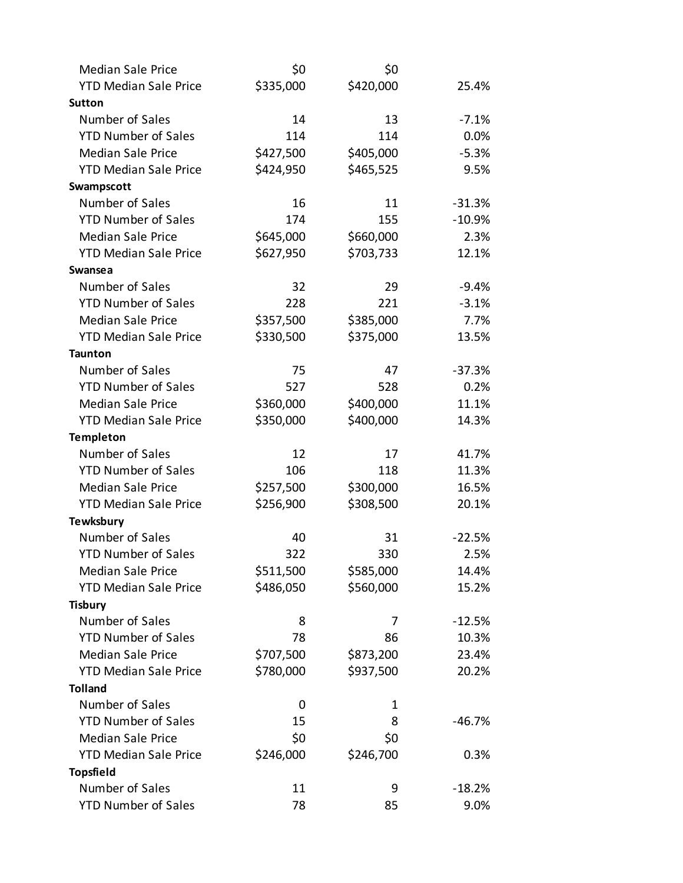| <b>Median Sale Price</b>     | \$0       | \$0       |          |
|------------------------------|-----------|-----------|----------|
| <b>YTD Median Sale Price</b> | \$335,000 | \$420,000 | 25.4%    |
| <b>Sutton</b>                |           |           |          |
| Number of Sales              | 14        | 13        | $-7.1%$  |
| <b>YTD Number of Sales</b>   | 114       | 114       | 0.0%     |
| <b>Median Sale Price</b>     | \$427,500 | \$405,000 | $-5.3%$  |
| <b>YTD Median Sale Price</b> | \$424,950 | \$465,525 | 9.5%     |
| Swampscott                   |           |           |          |
| Number of Sales              | 16        | 11        | $-31.3%$ |
| <b>YTD Number of Sales</b>   | 174       | 155       | $-10.9%$ |
| <b>Median Sale Price</b>     | \$645,000 | \$660,000 | 2.3%     |
| <b>YTD Median Sale Price</b> | \$627,950 | \$703,733 | 12.1%    |
| <b>Swansea</b>               |           |           |          |
| Number of Sales              | 32        | 29        | $-9.4%$  |
| <b>YTD Number of Sales</b>   | 228       | 221       | $-3.1%$  |
| <b>Median Sale Price</b>     | \$357,500 | \$385,000 | 7.7%     |
| <b>YTD Median Sale Price</b> | \$330,500 | \$375,000 | 13.5%    |
| <b>Taunton</b>               |           |           |          |
| Number of Sales              | 75        | 47        | $-37.3%$ |
| <b>YTD Number of Sales</b>   | 527       | 528       | 0.2%     |
| <b>Median Sale Price</b>     | \$360,000 | \$400,000 | 11.1%    |
| <b>YTD Median Sale Price</b> | \$350,000 | \$400,000 | 14.3%    |
| <b>Templeton</b>             |           |           |          |
| Number of Sales              | 12        | 17        | 41.7%    |
| <b>YTD Number of Sales</b>   | 106       | 118       | 11.3%    |
| <b>Median Sale Price</b>     | \$257,500 | \$300,000 | 16.5%    |
| <b>YTD Median Sale Price</b> | \$256,900 | \$308,500 | 20.1%    |
| <b>Tewksbury</b>             |           |           |          |
| Number of Sales              | 40        | 31        | $-22.5%$ |
| <b>YTD Number of Sales</b>   | 322       | 330       | 2.5%     |
| <b>Median Sale Price</b>     | \$511,500 | \$585,000 | 14.4%    |
| <b>YTD Median Sale Price</b> | \$486,050 | \$560,000 | 15.2%    |
| <b>Tisbury</b>               |           |           |          |
| Number of Sales              | 8         | 7         | $-12.5%$ |
| <b>YTD Number of Sales</b>   | 78        | 86        | 10.3%    |
| <b>Median Sale Price</b>     | \$707,500 | \$873,200 | 23.4%    |
| <b>YTD Median Sale Price</b> | \$780,000 | \$937,500 | 20.2%    |
| <b>Tolland</b>               |           |           |          |
| Number of Sales              | 0         | 1         |          |
| <b>YTD Number of Sales</b>   | 15        | 8         | $-46.7%$ |
| <b>Median Sale Price</b>     | \$0       | \$0       |          |
| <b>YTD Median Sale Price</b> | \$246,000 | \$246,700 | 0.3%     |
| <b>Topsfield</b>             |           |           |          |
| Number of Sales              | 11        | 9         | $-18.2%$ |
| <b>YTD Number of Sales</b>   | 78        | 85        | 9.0%     |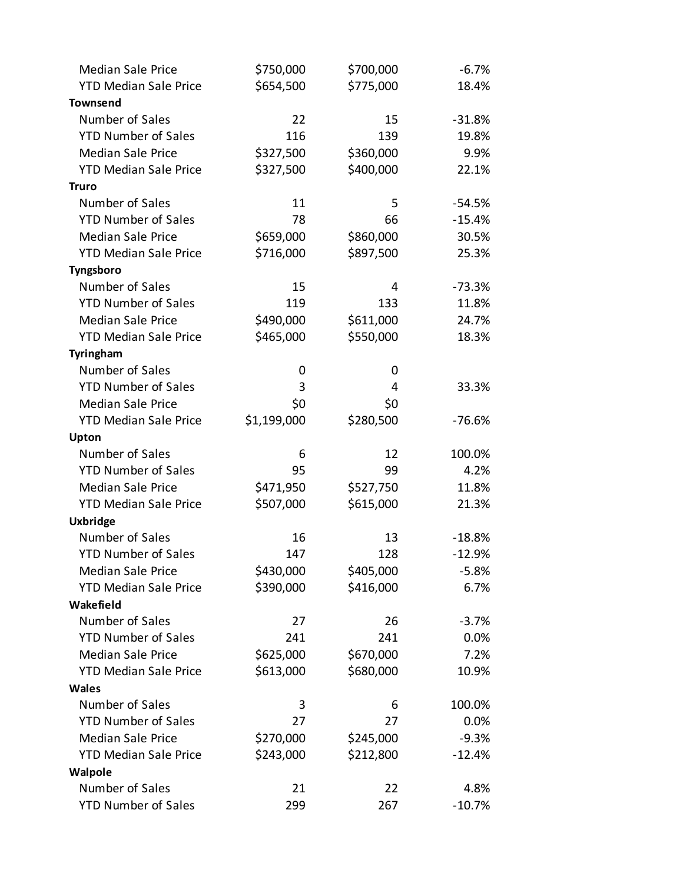| <b>Median Sale Price</b>     | \$750,000   | \$700,000 | $-6.7%$  |
|------------------------------|-------------|-----------|----------|
| <b>YTD Median Sale Price</b> | \$654,500   | \$775,000 | 18.4%    |
| <b>Townsend</b>              |             |           |          |
| Number of Sales              | 22          | 15        | $-31.8%$ |
| <b>YTD Number of Sales</b>   | 116         | 139       | 19.8%    |
| <b>Median Sale Price</b>     | \$327,500   | \$360,000 | 9.9%     |
| <b>YTD Median Sale Price</b> | \$327,500   | \$400,000 | 22.1%    |
| <b>Truro</b>                 |             |           |          |
| Number of Sales              | 11          | 5         | $-54.5%$ |
| <b>YTD Number of Sales</b>   | 78          | 66        | $-15.4%$ |
| <b>Median Sale Price</b>     | \$659,000   | \$860,000 | 30.5%    |
| <b>YTD Median Sale Price</b> | \$716,000   | \$897,500 | 25.3%    |
| Tyngsboro                    |             |           |          |
| Number of Sales              | 15          | 4         | $-73.3%$ |
| <b>YTD Number of Sales</b>   | 119         | 133       | 11.8%    |
| <b>Median Sale Price</b>     | \$490,000   | \$611,000 | 24.7%    |
| <b>YTD Median Sale Price</b> | \$465,000   | \$550,000 | 18.3%    |
| Tyringham                    |             |           |          |
| Number of Sales              | 0           | 0         |          |
| <b>YTD Number of Sales</b>   | 3           | 4         | 33.3%    |
| <b>Median Sale Price</b>     | \$0         | \$0       |          |
| <b>YTD Median Sale Price</b> | \$1,199,000 | \$280,500 | $-76.6%$ |
| Upton                        |             |           |          |
| Number of Sales              | 6           | 12        | 100.0%   |
| <b>YTD Number of Sales</b>   | 95          | 99        | 4.2%     |
| <b>Median Sale Price</b>     | \$471,950   | \$527,750 | 11.8%    |
| <b>YTD Median Sale Price</b> | \$507,000   | \$615,000 | 21.3%    |
| <b>Uxbridge</b>              |             |           |          |
| Number of Sales              | 16          | 13        | $-18.8%$ |
| <b>YTD Number of Sales</b>   | 147         | 128       | $-12.9%$ |
| <b>Median Sale Price</b>     | \$430,000   | \$405,000 | $-5.8%$  |
| <b>YTD Median Sale Price</b> | \$390,000   | \$416,000 | 6.7%     |
| Wakefield                    |             |           |          |
| Number of Sales              | 27          | 26        | $-3.7%$  |
| <b>YTD Number of Sales</b>   | 241         | 241       | 0.0%     |
| <b>Median Sale Price</b>     | \$625,000   | \$670,000 | 7.2%     |
| <b>YTD Median Sale Price</b> | \$613,000   | \$680,000 | 10.9%    |
| <b>Wales</b>                 |             |           |          |
| Number of Sales              | 3           | 6         | 100.0%   |
| <b>YTD Number of Sales</b>   | 27          | 27        | 0.0%     |
| <b>Median Sale Price</b>     | \$270,000   | \$245,000 | $-9.3%$  |
| <b>YTD Median Sale Price</b> | \$243,000   | \$212,800 | $-12.4%$ |
| Walpole                      |             |           |          |
| Number of Sales              | 21          | 22        | 4.8%     |
| <b>YTD Number of Sales</b>   | 299         | 267       | $-10.7%$ |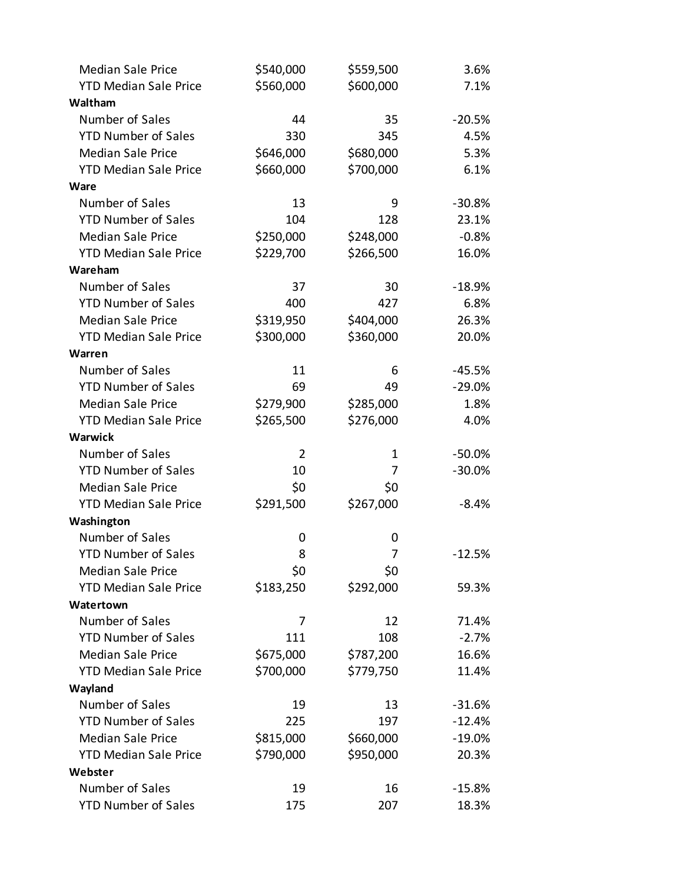| <b>Median Sale Price</b>     | \$540,000      | \$559,500 | 3.6%     |
|------------------------------|----------------|-----------|----------|
| <b>YTD Median Sale Price</b> | \$560,000      | \$600,000 | 7.1%     |
| Waltham                      |                |           |          |
| Number of Sales              | 44             | 35        | $-20.5%$ |
| <b>YTD Number of Sales</b>   | 330            | 345       | 4.5%     |
| <b>Median Sale Price</b>     | \$646,000      | \$680,000 | 5.3%     |
| <b>YTD Median Sale Price</b> | \$660,000      | \$700,000 | 6.1%     |
| Ware                         |                |           |          |
| Number of Sales              | 13             | 9         | $-30.8%$ |
| <b>YTD Number of Sales</b>   | 104            | 128       | 23.1%    |
| <b>Median Sale Price</b>     | \$250,000      | \$248,000 | $-0.8%$  |
| <b>YTD Median Sale Price</b> | \$229,700      | \$266,500 | 16.0%    |
| Wareham                      |                |           |          |
| Number of Sales              | 37             | 30        | $-18.9%$ |
| <b>YTD Number of Sales</b>   | 400            | 427       | 6.8%     |
| <b>Median Sale Price</b>     | \$319,950      | \$404,000 | 26.3%    |
| <b>YTD Median Sale Price</b> | \$300,000      | \$360,000 | 20.0%    |
| Warren                       |                |           |          |
| Number of Sales              | 11             | 6         | $-45.5%$ |
| <b>YTD Number of Sales</b>   | 69             | 49        | $-29.0%$ |
| <b>Median Sale Price</b>     | \$279,900      | \$285,000 | 1.8%     |
| <b>YTD Median Sale Price</b> | \$265,500      | \$276,000 | 4.0%     |
| <b>Warwick</b>               |                |           |          |
| Number of Sales              | $\overline{2}$ | 1         | $-50.0%$ |
| <b>YTD Number of Sales</b>   | 10             | 7         | $-30.0%$ |
| <b>Median Sale Price</b>     | \$0            | \$0       |          |
| <b>YTD Median Sale Price</b> | \$291,500      | \$267,000 | $-8.4%$  |
| Washington                   |                |           |          |
| Number of Sales              | 0              | 0         |          |
| <b>YTD Number of Sales</b>   | 8              | 7         | $-12.5%$ |
| <b>Median Sale Price</b>     | \$0            | \$0       |          |
| <b>YTD Median Sale Price</b> | \$183,250      | \$292,000 | 59.3%    |
| Watertown                    |                |           |          |
| Number of Sales              | 7              | 12        | 71.4%    |
| <b>YTD Number of Sales</b>   | 111            | 108       | $-2.7%$  |
| <b>Median Sale Price</b>     | \$675,000      | \$787,200 | 16.6%    |
| <b>YTD Median Sale Price</b> | \$700,000      | \$779,750 | 11.4%    |
| Wayland                      |                |           |          |
| Number of Sales              | 19             | 13        | $-31.6%$ |
| <b>YTD Number of Sales</b>   | 225            | 197       | $-12.4%$ |
| <b>Median Sale Price</b>     | \$815,000      | \$660,000 | $-19.0%$ |
| <b>YTD Median Sale Price</b> | \$790,000      | \$950,000 | 20.3%    |
| Webster                      |                |           |          |
| Number of Sales              | 19             | 16        | $-15.8%$ |
| <b>YTD Number of Sales</b>   | 175            | 207       | 18.3%    |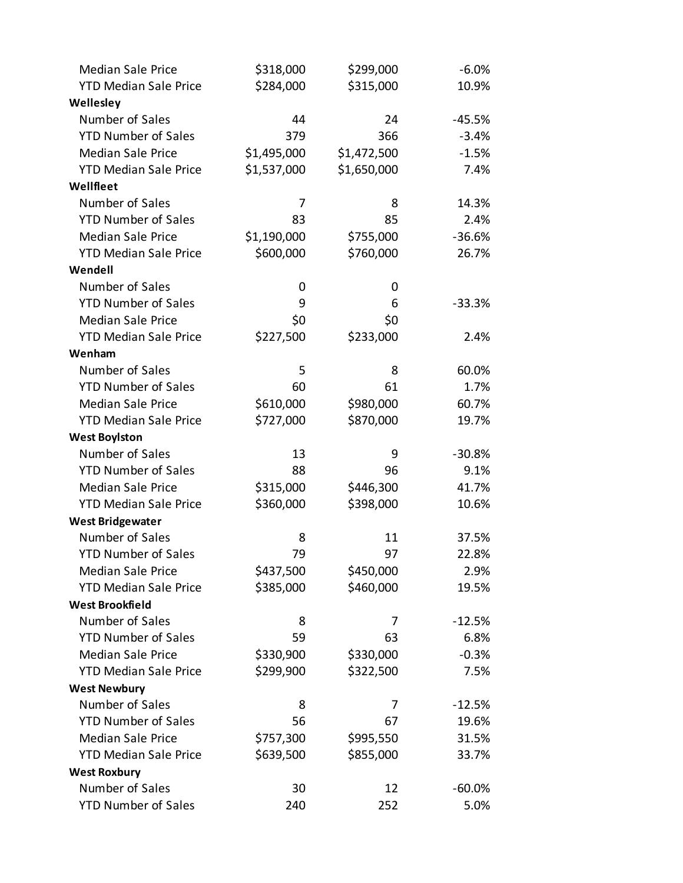| <b>Median Sale Price</b>     | \$318,000   | \$299,000   | $-6.0%$  |
|------------------------------|-------------|-------------|----------|
| <b>YTD Median Sale Price</b> | \$284,000   | \$315,000   | 10.9%    |
| Wellesley                    |             |             |          |
| Number of Sales              | 44          | 24          | $-45.5%$ |
| <b>YTD Number of Sales</b>   | 379         | 366         | $-3.4%$  |
| <b>Median Sale Price</b>     | \$1,495,000 | \$1,472,500 | $-1.5%$  |
| <b>YTD Median Sale Price</b> | \$1,537,000 | \$1,650,000 | 7.4%     |
| Wellfleet                    |             |             |          |
| Number of Sales              | 7           | 8           | 14.3%    |
| <b>YTD Number of Sales</b>   | 83          | 85          | 2.4%     |
| <b>Median Sale Price</b>     | \$1,190,000 | \$755,000   | $-36.6%$ |
| <b>YTD Median Sale Price</b> | \$600,000   | \$760,000   | 26.7%    |
| Wendell                      |             |             |          |
| Number of Sales              | 0           | 0           |          |
| <b>YTD Number of Sales</b>   | 9           | 6           | $-33.3%$ |
| <b>Median Sale Price</b>     | \$0         | \$0         |          |
| <b>YTD Median Sale Price</b> | \$227,500   | \$233,000   | 2.4%     |
| Wenham                       |             |             |          |
| Number of Sales              | 5           | 8           | 60.0%    |
| <b>YTD Number of Sales</b>   | 60          | 61          | 1.7%     |
| <b>Median Sale Price</b>     | \$610,000   | \$980,000   | 60.7%    |
| <b>YTD Median Sale Price</b> | \$727,000   | \$870,000   | 19.7%    |
| <b>West Boylston</b>         |             |             |          |
| Number of Sales              | 13          | 9           | $-30.8%$ |
| <b>YTD Number of Sales</b>   | 88          | 96          | 9.1%     |
| <b>Median Sale Price</b>     | \$315,000   | \$446,300   | 41.7%    |
| <b>YTD Median Sale Price</b> | \$360,000   | \$398,000   | 10.6%    |
| <b>West Bridgewater</b>      |             |             |          |
| Number of Sales              | 8           | 11          | 37.5%    |
| <b>YTD Number of Sales</b>   | 79          | 97          | 22.8%    |
| <b>Median Sale Price</b>     | \$437,500   | \$450,000   | 2.9%     |
| <b>YTD Median Sale Price</b> | \$385,000   | \$460,000   | 19.5%    |
| <b>West Brookfield</b>       |             |             |          |
| Number of Sales              | 8           | 7           | $-12.5%$ |
| <b>YTD Number of Sales</b>   | 59          | 63          | 6.8%     |
| <b>Median Sale Price</b>     | \$330,900   | \$330,000   | $-0.3%$  |
| <b>YTD Median Sale Price</b> | \$299,900   | \$322,500   | 7.5%     |
| <b>West Newbury</b>          |             |             |          |
| Number of Sales              | 8           | 7           | $-12.5%$ |
| <b>YTD Number of Sales</b>   | 56          | 67          | 19.6%    |
| <b>Median Sale Price</b>     | \$757,300   | \$995,550   | 31.5%    |
| <b>YTD Median Sale Price</b> | \$639,500   | \$855,000   | 33.7%    |
| <b>West Roxbury</b>          |             |             |          |
| Number of Sales              | 30          | 12          | $-60.0%$ |
| <b>YTD Number of Sales</b>   | 240         | 252         | 5.0%     |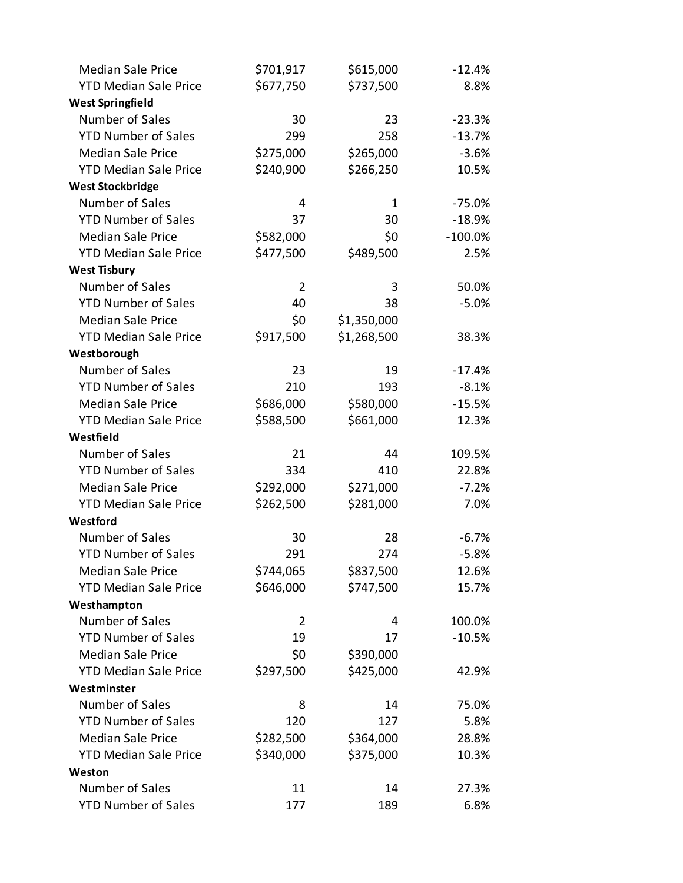| <b>Median Sale Price</b>     | \$701,917      | \$615,000   | $-12.4%$   |
|------------------------------|----------------|-------------|------------|
| <b>YTD Median Sale Price</b> | \$677,750      | \$737,500   | 8.8%       |
| <b>West Springfield</b>      |                |             |            |
| Number of Sales              | 30             | 23          | $-23.3%$   |
| <b>YTD Number of Sales</b>   | 299            | 258         | $-13.7%$   |
| <b>Median Sale Price</b>     | \$275,000      | \$265,000   | $-3.6%$    |
| <b>YTD Median Sale Price</b> | \$240,900      | \$266,250   | 10.5%      |
| <b>West Stockbridge</b>      |                |             |            |
| Number of Sales              | 4              | 1           | $-75.0%$   |
| <b>YTD Number of Sales</b>   | 37             | 30          | $-18.9%$   |
| <b>Median Sale Price</b>     | \$582,000      | \$0         | $-100.0\%$ |
| <b>YTD Median Sale Price</b> | \$477,500      | \$489,500   | 2.5%       |
| <b>West Tisbury</b>          |                |             |            |
| Number of Sales              | $\overline{2}$ | 3           | 50.0%      |
| <b>YTD Number of Sales</b>   | 40             | 38          | $-5.0%$    |
| <b>Median Sale Price</b>     | \$0            | \$1,350,000 |            |
| <b>YTD Median Sale Price</b> | \$917,500      | \$1,268,500 | 38.3%      |
| Westborough                  |                |             |            |
| Number of Sales              | 23             | 19          | $-17.4%$   |
| <b>YTD Number of Sales</b>   | 210            | 193         | $-8.1%$    |
| <b>Median Sale Price</b>     | \$686,000      | \$580,000   | $-15.5%$   |
| <b>YTD Median Sale Price</b> | \$588,500      | \$661,000   | 12.3%      |
| Westfield                    |                |             |            |
| Number of Sales              | 21             | 44          | 109.5%     |
| <b>YTD Number of Sales</b>   | 334            | 410         | 22.8%      |
| <b>Median Sale Price</b>     | \$292,000      | \$271,000   | $-7.2%$    |
| <b>YTD Median Sale Price</b> | \$262,500      | \$281,000   | 7.0%       |
| Westford                     |                |             |            |
| Number of Sales              | 30             | 28          | $-6.7%$    |
| <b>YTD Number of Sales</b>   | 291            | 274         | $-5.8%$    |
| <b>Median Sale Price</b>     | \$744,065      | \$837,500   | 12.6%      |
| <b>YTD Median Sale Price</b> | \$646,000      | \$747,500   | 15.7%      |
| Westhampton                  |                |             |            |
| Number of Sales              | $\overline{2}$ | 4           | 100.0%     |
| <b>YTD Number of Sales</b>   | 19             | 17          | $-10.5%$   |
| <b>Median Sale Price</b>     | \$0            | \$390,000   |            |
| <b>YTD Median Sale Price</b> | \$297,500      | \$425,000   | 42.9%      |
| Westminster                  |                |             |            |
| Number of Sales              | 8              | 14          | 75.0%      |
| <b>YTD Number of Sales</b>   | 120            | 127         | 5.8%       |
| <b>Median Sale Price</b>     | \$282,500      | \$364,000   | 28.8%      |
| <b>YTD Median Sale Price</b> | \$340,000      | \$375,000   | 10.3%      |
| Weston                       |                |             |            |
| Number of Sales              | 11             | 14          | 27.3%      |
| <b>YTD Number of Sales</b>   | 177            | 189         | 6.8%       |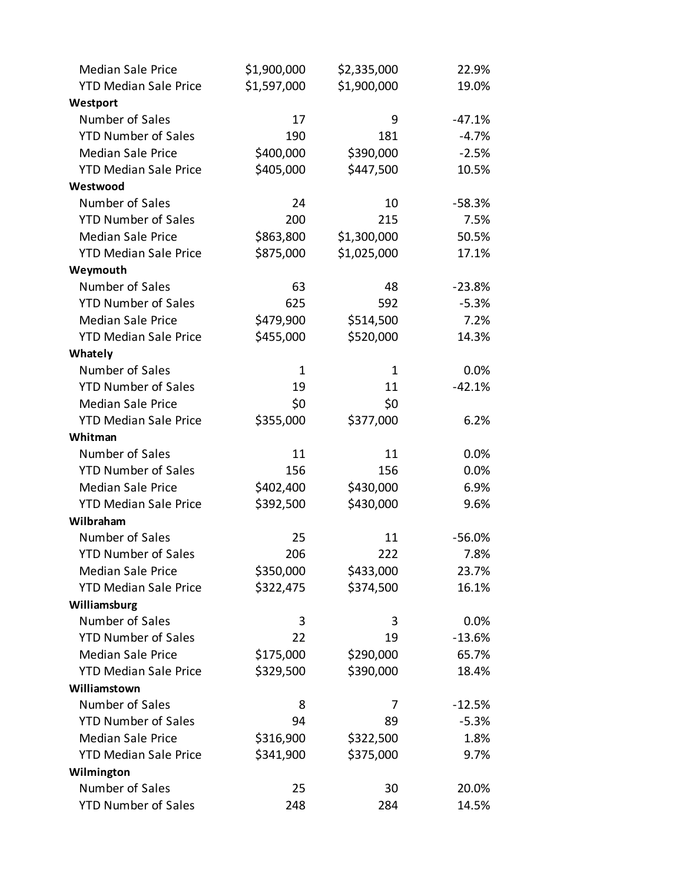| <b>Median Sale Price</b>     | \$1,900,000 | \$2,335,000 | 22.9%    |
|------------------------------|-------------|-------------|----------|
| <b>YTD Median Sale Price</b> | \$1,597,000 | \$1,900,000 | 19.0%    |
| Westport                     |             |             |          |
| Number of Sales              | 17          | 9           | $-47.1%$ |
| <b>YTD Number of Sales</b>   | 190         | 181         | $-4.7%$  |
| <b>Median Sale Price</b>     | \$400,000   | \$390,000   | $-2.5%$  |
| <b>YTD Median Sale Price</b> | \$405,000   | \$447,500   | 10.5%    |
| Westwood                     |             |             |          |
| Number of Sales              | 24          | 10          | $-58.3%$ |
| <b>YTD Number of Sales</b>   | 200         | 215         | 7.5%     |
| <b>Median Sale Price</b>     | \$863,800   | \$1,300,000 | 50.5%    |
| <b>YTD Median Sale Price</b> | \$875,000   | \$1,025,000 | 17.1%    |
| Weymouth                     |             |             |          |
| Number of Sales              | 63          | 48          | $-23.8%$ |
| <b>YTD Number of Sales</b>   | 625         | 592         | $-5.3%$  |
| <b>Median Sale Price</b>     | \$479,900   | \$514,500   | 7.2%     |
| <b>YTD Median Sale Price</b> | \$455,000   | \$520,000   | 14.3%    |
| Whately                      |             |             |          |
| Number of Sales              | 1           | 1           | 0.0%     |
| <b>YTD Number of Sales</b>   | 19          | 11          | $-42.1%$ |
| <b>Median Sale Price</b>     | \$0         | \$0         |          |
| <b>YTD Median Sale Price</b> | \$355,000   | \$377,000   | 6.2%     |
| Whitman                      |             |             |          |
| Number of Sales              | 11          | 11          | 0.0%     |
| <b>YTD Number of Sales</b>   | 156         | 156         | 0.0%     |
| <b>Median Sale Price</b>     | \$402,400   | \$430,000   | 6.9%     |
| <b>YTD Median Sale Price</b> | \$392,500   | \$430,000   | 9.6%     |
| Wilbraham                    |             |             |          |
| Number of Sales              | 25          | 11          | $-56.0%$ |
| <b>YTD Number of Sales</b>   | 206         | 222         | 7.8%     |
| <b>Median Sale Price</b>     | \$350,000   | \$433,000   | 23.7%    |
| <b>YTD Median Sale Price</b> | \$322,475   | \$374,500   | 16.1%    |
| Williamsburg                 |             |             |          |
| Number of Sales              | 3           | 3           | 0.0%     |
| <b>YTD Number of Sales</b>   | 22          | 19          | $-13.6%$ |
| <b>Median Sale Price</b>     | \$175,000   | \$290,000   | 65.7%    |
| <b>YTD Median Sale Price</b> | \$329,500   | \$390,000   | 18.4%    |
| Williamstown                 |             |             |          |
| Number of Sales              | 8           | 7           | $-12.5%$ |
| <b>YTD Number of Sales</b>   | 94          | 89          | $-5.3%$  |
| <b>Median Sale Price</b>     | \$316,900   | \$322,500   | 1.8%     |
| <b>YTD Median Sale Price</b> | \$341,900   | \$375,000   | 9.7%     |
| Wilmington                   |             |             |          |
| Number of Sales              | 25          | 30          | 20.0%    |
| <b>YTD Number of Sales</b>   | 248         | 284         | 14.5%    |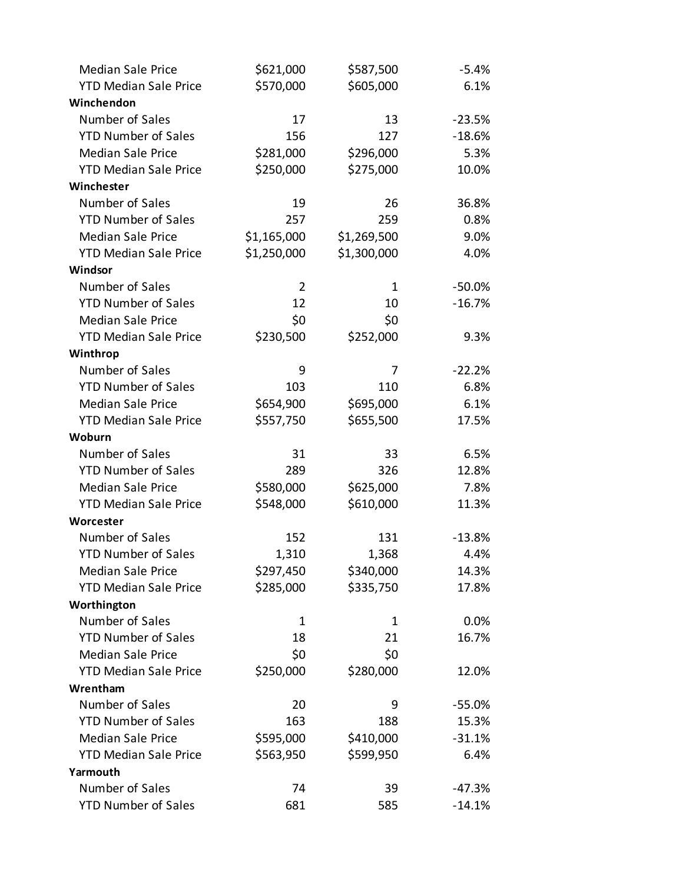| <b>Median Sale Price</b>     | \$621,000      | \$587,500   | $-5.4%$  |
|------------------------------|----------------|-------------|----------|
| <b>YTD Median Sale Price</b> | \$570,000      | \$605,000   | 6.1%     |
| Winchendon                   |                |             |          |
| Number of Sales              | 17             | 13          | $-23.5%$ |
| <b>YTD Number of Sales</b>   | 156            | 127         | $-18.6%$ |
| <b>Median Sale Price</b>     | \$281,000      | \$296,000   | 5.3%     |
| <b>YTD Median Sale Price</b> | \$250,000      | \$275,000   | 10.0%    |
| Winchester                   |                |             |          |
| Number of Sales              | 19             | 26          | 36.8%    |
| <b>YTD Number of Sales</b>   | 257            | 259         | 0.8%     |
| <b>Median Sale Price</b>     | \$1,165,000    | \$1,269,500 | 9.0%     |
| <b>YTD Median Sale Price</b> | \$1,250,000    | \$1,300,000 | 4.0%     |
| Windsor                      |                |             |          |
| Number of Sales              | $\overline{2}$ | 1           | $-50.0%$ |
| <b>YTD Number of Sales</b>   | 12             | 10          | $-16.7%$ |
| <b>Median Sale Price</b>     | \$0            | \$0         |          |
| <b>YTD Median Sale Price</b> | \$230,500      | \$252,000   | 9.3%     |
| Winthrop                     |                |             |          |
| Number of Sales              | 9              | 7           | $-22.2%$ |
| <b>YTD Number of Sales</b>   | 103            | 110         | 6.8%     |
| <b>Median Sale Price</b>     | \$654,900      | \$695,000   | 6.1%     |
| <b>YTD Median Sale Price</b> | \$557,750      | \$655,500   | 17.5%    |
| Woburn                       |                |             |          |
| Number of Sales              | 31             | 33          | 6.5%     |
| <b>YTD Number of Sales</b>   | 289            | 326         | 12.8%    |
| <b>Median Sale Price</b>     | \$580,000      | \$625,000   | 7.8%     |
| <b>YTD Median Sale Price</b> | \$548,000      | \$610,000   | 11.3%    |
| Worcester                    |                |             |          |
| Number of Sales              | 152            | 131         | $-13.8%$ |
| <b>YTD Number of Sales</b>   | 1,310          | 1,368       | 4.4%     |
| <b>Median Sale Price</b>     | \$297,450      | \$340,000   | 14.3%    |
| <b>YTD Median Sale Price</b> | \$285,000      | \$335,750   | 17.8%    |
| Worthington                  |                |             |          |
| Number of Sales              | $\mathbf{1}$   | 1           | 0.0%     |
| <b>YTD Number of Sales</b>   | 18             | 21          | 16.7%    |
| <b>Median Sale Price</b>     | \$0            | \$0         |          |
| <b>YTD Median Sale Price</b> | \$250,000      | \$280,000   | 12.0%    |
| Wrentham                     |                |             |          |
| Number of Sales              | 20             | 9           | $-55.0%$ |
| <b>YTD Number of Sales</b>   | 163            | 188         | 15.3%    |
| <b>Median Sale Price</b>     | \$595,000      | \$410,000   | $-31.1%$ |
| <b>YTD Median Sale Price</b> | \$563,950      | \$599,950   | 6.4%     |
| Yarmouth                     |                |             |          |
| Number of Sales              | 74             | 39          | $-47.3%$ |
| <b>YTD Number of Sales</b>   | 681            | 585         | $-14.1%$ |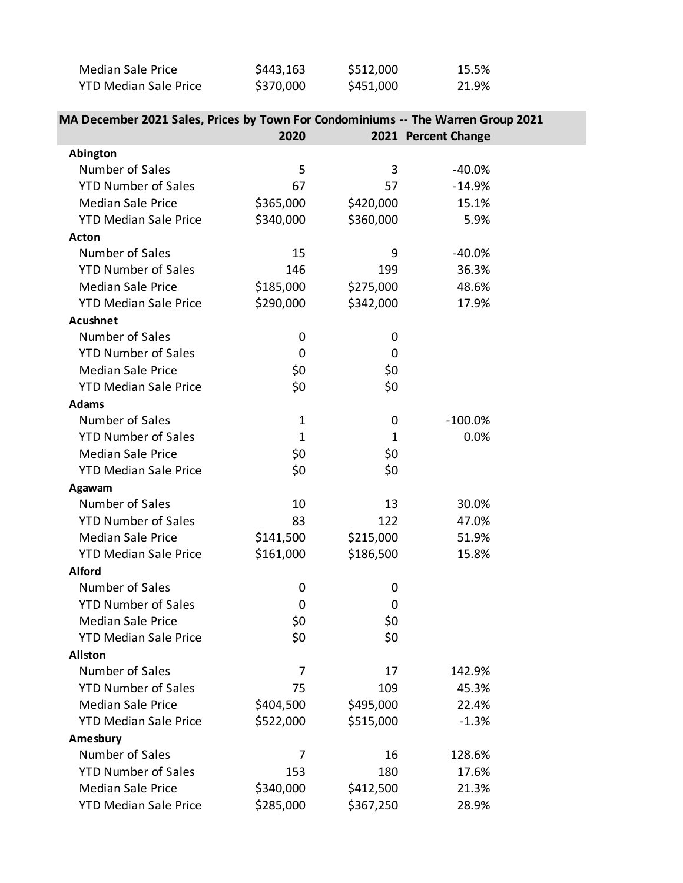| Median Sale Price            | \$443,163 | \$512,000 | 15.5% |
|------------------------------|-----------|-----------|-------|
| <b>YTD Median Sale Price</b> | \$370,000 | \$451,000 | 21.9% |

| T TU MCUI DI JATE FIILE                                                          | , vuu v v cc | <b>OOO.LC+C</b> | 21.770              |  |
|----------------------------------------------------------------------------------|--------------|-----------------|---------------------|--|
| MA December 2021 Sales, Prices by Town For Condominiums -- The Warren Group 2021 |              |                 |                     |  |
|                                                                                  | 2020         |                 | 2021 Percent Change |  |
| Abington                                                                         |              |                 |                     |  |
| Number of Saloc                                                                  |              |                 | _40 OOZ             |  |

| Number of Sales              | 5            | 3           | $-40.0%$   |  |
|------------------------------|--------------|-------------|------------|--|
| <b>YTD Number of Sales</b>   | 67           | 57          | $-14.9%$   |  |
| <b>Median Sale Price</b>     | \$365,000    | \$420,000   | 15.1%      |  |
| <b>YTD Median Sale Price</b> | \$340,000    | \$360,000   | 5.9%       |  |
| <b>Acton</b>                 |              |             |            |  |
| Number of Sales              | 15           | 9           | $-40.0%$   |  |
| <b>YTD Number of Sales</b>   | 146          | 199         | 36.3%      |  |
| <b>Median Sale Price</b>     | \$185,000    | \$275,000   | 48.6%      |  |
| <b>YTD Median Sale Price</b> | \$290,000    | \$342,000   | 17.9%      |  |
| <b>Acushnet</b>              |              |             |            |  |
| Number of Sales              | 0            | 0           |            |  |
| <b>YTD Number of Sales</b>   | 0            | 0           |            |  |
| <b>Median Sale Price</b>     | \$0          | \$0         |            |  |
| <b>YTD Median Sale Price</b> | \$0          | \$0         |            |  |
| <b>Adams</b>                 |              |             |            |  |
| Number of Sales              | $\mathbf{1}$ | 0           | $-100.0\%$ |  |
| <b>YTD Number of Sales</b>   | $\mathbf{1}$ | $\mathbf 1$ | 0.0%       |  |
| <b>Median Sale Price</b>     | \$0          | \$0         |            |  |
| <b>YTD Median Sale Price</b> | \$0          | \$0         |            |  |
| Agawam                       |              |             |            |  |
| Number of Sales              | 10           | 13          | 30.0%      |  |
| <b>YTD Number of Sales</b>   | 83           | 122         | 47.0%      |  |
| <b>Median Sale Price</b>     | \$141,500    | \$215,000   | 51.9%      |  |
| <b>YTD Median Sale Price</b> | \$161,000    | \$186,500   | 15.8%      |  |
| <b>Alford</b>                |              |             |            |  |
| Number of Sales              | 0            | 0           |            |  |
| <b>YTD Number of Sales</b>   | 0            | 0           |            |  |
| <b>Median Sale Price</b>     | \$0          | \$0         |            |  |
| <b>YTD Median Sale Price</b> | \$0          | \$0         |            |  |
| <b>Allston</b>               |              |             |            |  |
| Number of Sales              | 7            | 17          | 142.9%     |  |
| <b>YTD Number of Sales</b>   | 75           | 109         | 45.3%      |  |
| <b>Median Sale Price</b>     | \$404,500    | \$495,000   | 22.4%      |  |
| <b>YTD Median Sale Price</b> | \$522,000    | \$515,000   | $-1.3%$    |  |
| Amesbury                     |              |             |            |  |
| Number of Sales              | 7            | 16          | 128.6%     |  |
| <b>YTD Number of Sales</b>   | 153          | 180         | 17.6%      |  |
| <b>Median Sale Price</b>     | \$340,000    | \$412,500   | 21.3%      |  |
| <b>YTD Median Sale Price</b> | \$285,000    | \$367,250   | 28.9%      |  |
|                              |              |             |            |  |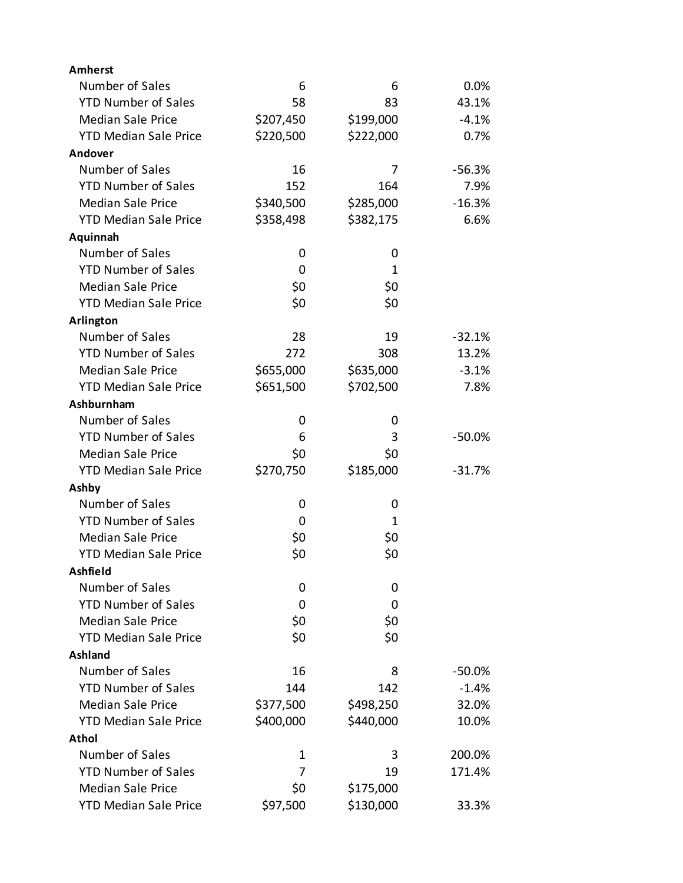| <b>Amherst</b>               |           |           |          |
|------------------------------|-----------|-----------|----------|
| Number of Sales              | 6         | 6         | 0.0%     |
| <b>YTD Number of Sales</b>   | 58        | 83        | 43.1%    |
| <b>Median Sale Price</b>     | \$207,450 | \$199,000 | $-4.1%$  |
| <b>YTD Median Sale Price</b> | \$220,500 | \$222,000 | 0.7%     |
| Andover                      |           |           |          |
| Number of Sales              | 16        | 7         | $-56.3%$ |
| <b>YTD Number of Sales</b>   | 152       | 164       | 7.9%     |
| <b>Median Sale Price</b>     | \$340,500 | \$285,000 | $-16.3%$ |
| <b>YTD Median Sale Price</b> | \$358,498 | \$382,175 | 6.6%     |
| Aquinnah                     |           |           |          |
| Number of Sales              | 0         | 0         |          |
| <b>YTD Number of Sales</b>   | 0         | 1         |          |
| <b>Median Sale Price</b>     | \$0       | \$0       |          |
| <b>YTD Median Sale Price</b> | \$0       | \$0       |          |
| Arlington                    |           |           |          |
| Number of Sales              | 28        | 19        | $-32.1%$ |
| <b>YTD Number of Sales</b>   | 272       | 308       | 13.2%    |
| <b>Median Sale Price</b>     | \$655,000 | \$635,000 | $-3.1%$  |
| <b>YTD Median Sale Price</b> | \$651,500 | \$702,500 | 7.8%     |
| Ashburnham                   |           |           |          |
| Number of Sales              | 0         | 0         |          |
| <b>YTD Number of Sales</b>   | 6         | 3         | $-50.0%$ |
| <b>Median Sale Price</b>     | \$0       | \$0       |          |
| <b>YTD Median Sale Price</b> | \$270,750 | \$185,000 | $-31.7%$ |
| Ashby                        |           |           |          |
| Number of Sales              | 0         | 0         |          |
| <b>YTD Number of Sales</b>   | 0         | 1         |          |
| <b>Median Sale Price</b>     | \$0       | \$0       |          |
| <b>YTD Median Sale Price</b> | \$0       | \$0       |          |
| Ashfield                     |           |           |          |
| Number of Sales              | 0         | 0         |          |
| <b>YTD Number of Sales</b>   | 0         | 0         |          |
| <b>Median Sale Price</b>     | \$0       | \$0       |          |
| <b>YTD Median Sale Price</b> | \$0       | \$0       |          |
| Ashland                      |           |           |          |
| Number of Sales              | 16        | 8         | $-50.0%$ |
| <b>YTD Number of Sales</b>   | 144       | 142       | $-1.4%$  |
| <b>Median Sale Price</b>     | \$377,500 | \$498,250 | 32.0%    |
| <b>YTD Median Sale Price</b> | \$400,000 | \$440,000 | 10.0%    |
| <b>Athol</b>                 |           |           |          |
| Number of Sales              | 1         | 3         | 200.0%   |
| <b>YTD Number of Sales</b>   | 7         | 19        | 171.4%   |
| <b>Median Sale Price</b>     | \$0       | \$175,000 |          |
| <b>YTD Median Sale Price</b> | \$97,500  | \$130,000 | 33.3%    |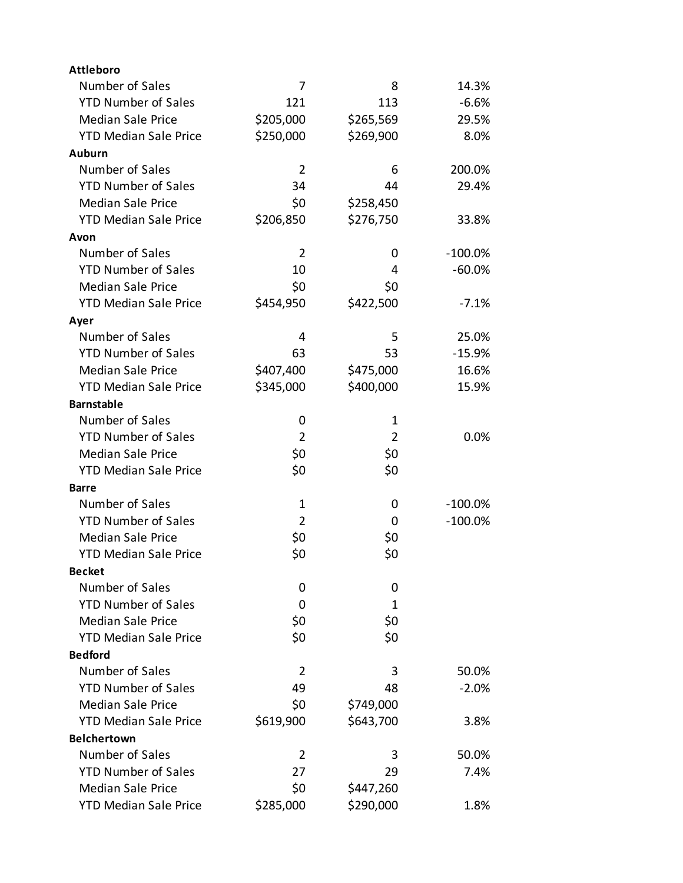| <b>Attleboro</b>             |                |                |            |
|------------------------------|----------------|----------------|------------|
| Number of Sales              | 7              | 8              | 14.3%      |
| <b>YTD Number of Sales</b>   | 121            | 113            | $-6.6%$    |
| <b>Median Sale Price</b>     | \$205,000      | \$265,569      | 29.5%      |
| <b>YTD Median Sale Price</b> | \$250,000      | \$269,900      | 8.0%       |
| <b>Auburn</b>                |                |                |            |
| Number of Sales              | 2              | 6              | 200.0%     |
| <b>YTD Number of Sales</b>   | 34             | 44             | 29.4%      |
| <b>Median Sale Price</b>     | \$0            | \$258,450      |            |
| <b>YTD Median Sale Price</b> | \$206,850      | \$276,750      | 33.8%      |
| Avon                         |                |                |            |
| Number of Sales              | 2              | 0              | $-100.0\%$ |
| <b>YTD Number of Sales</b>   | 10             | 4              | $-60.0\%$  |
| <b>Median Sale Price</b>     | \$0            | \$0            |            |
| <b>YTD Median Sale Price</b> | \$454,950      | \$422,500      | $-7.1%$    |
| Ayer                         |                |                |            |
| Number of Sales              | 4              | 5              | 25.0%      |
| <b>YTD Number of Sales</b>   | 63             | 53             | $-15.9%$   |
| <b>Median Sale Price</b>     | \$407,400      | \$475,000      | 16.6%      |
| <b>YTD Median Sale Price</b> | \$345,000      | \$400,000      | 15.9%      |
| <b>Barnstable</b>            |                |                |            |
| Number of Sales              | 0              | 1              |            |
| <b>YTD Number of Sales</b>   | $\overline{2}$ | $\overline{2}$ | 0.0%       |
| <b>Median Sale Price</b>     | \$0            | \$0            |            |
| <b>YTD Median Sale Price</b> | \$0            | \$0            |            |
| Barre                        |                |                |            |
| Number of Sales              | 1              | 0              | $-100.0\%$ |
| <b>YTD Number of Sales</b>   | 2              | 0              | $-100.0%$  |
| <b>Median Sale Price</b>     | \$0            | \$0            |            |
| <b>YTD Median Sale Price</b> | \$0            | \$0            |            |
| <b>Becket</b>                |                |                |            |
| Number of Sales              | 0              | 0              |            |
| <b>YTD Number of Sales</b>   | 0              | 1              |            |
| <b>Median Sale Price</b>     | \$0            | \$0            |            |
| <b>YTD Median Sale Price</b> | \$0            | \$0            |            |
| <b>Bedford</b>               |                |                |            |
| Number of Sales              | 2              | 3              | 50.0%      |
| <b>YTD Number of Sales</b>   | 49             | 48             | $-2.0%$    |
| <b>Median Sale Price</b>     | \$0            | \$749,000      |            |
| <b>YTD Median Sale Price</b> | \$619,900      | \$643,700      | 3.8%       |
| <b>Belchertown</b>           |                |                |            |
| Number of Sales              | 2              | 3              | 50.0%      |
| <b>YTD Number of Sales</b>   | 27             | 29             | 7.4%       |
| <b>Median Sale Price</b>     | \$0            | \$447,260      |            |
| <b>YTD Median Sale Price</b> | \$285,000      | \$290,000      | 1.8%       |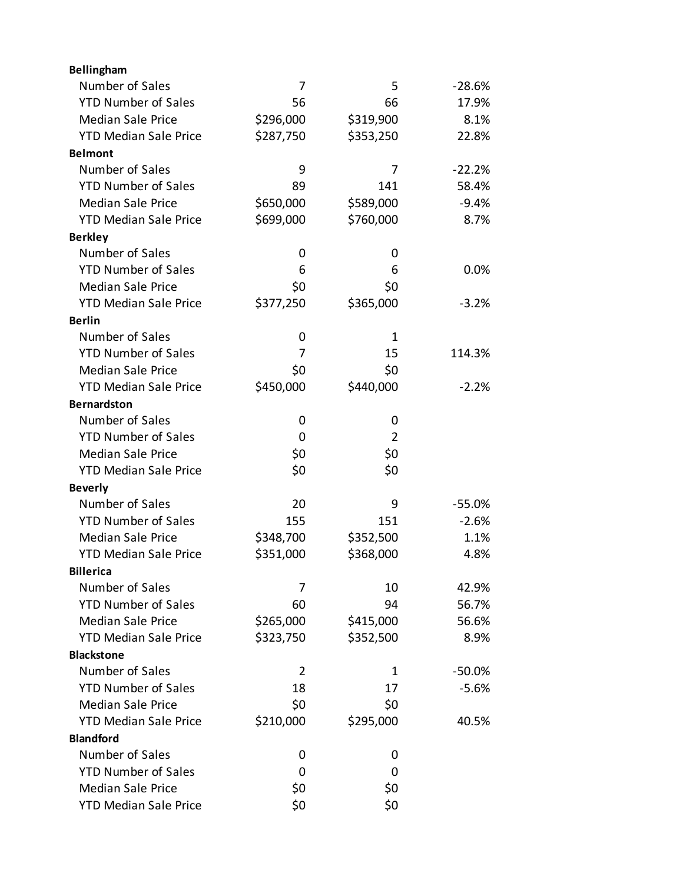| Bellingham                   |           |                |          |
|------------------------------|-----------|----------------|----------|
| Number of Sales              | 7         | 5              | $-28.6%$ |
| <b>YTD Number of Sales</b>   | 56        | 66             | 17.9%    |
| <b>Median Sale Price</b>     | \$296,000 | \$319,900      | 8.1%     |
| <b>YTD Median Sale Price</b> | \$287,750 | \$353,250      | 22.8%    |
| <b>Belmont</b>               |           |                |          |
| Number of Sales              | 9         | 7              | $-22.2%$ |
| <b>YTD Number of Sales</b>   | 89        | 141            | 58.4%    |
| <b>Median Sale Price</b>     | \$650,000 | \$589,000      | $-9.4%$  |
| <b>YTD Median Sale Price</b> | \$699,000 | \$760,000      | 8.7%     |
| <b>Berkley</b>               |           |                |          |
| Number of Sales              | 0         | 0              |          |
| <b>YTD Number of Sales</b>   | 6         | 6              | 0.0%     |
| <b>Median Sale Price</b>     | \$0       | \$0            |          |
| <b>YTD Median Sale Price</b> | \$377,250 | \$365,000      | $-3.2%$  |
| <b>Berlin</b>                |           |                |          |
| Number of Sales              | 0         | $\mathbf{1}$   |          |
| <b>YTD Number of Sales</b>   | 7         | 15             | 114.3%   |
| <b>Median Sale Price</b>     | \$0       | \$0            |          |
| <b>YTD Median Sale Price</b> | \$450,000 | \$440,000      | $-2.2%$  |
| <b>Bernardston</b>           |           |                |          |
| Number of Sales              | 0         | 0              |          |
| <b>YTD Number of Sales</b>   | 0         | $\overline{2}$ |          |
| <b>Median Sale Price</b>     | \$0       | \$0            |          |
| <b>YTD Median Sale Price</b> | \$0       | \$0            |          |
| <b>Beverly</b>               |           |                |          |
| Number of Sales              | 20        | 9              | $-55.0%$ |
| <b>YTD Number of Sales</b>   | 155       | 151            | $-2.6%$  |
| <b>Median Sale Price</b>     | \$348,700 | \$352,500      | 1.1%     |
| <b>YTD Median Sale Price</b> | \$351,000 | \$368,000      | 4.8%     |
| <b>Billerica</b>             |           |                |          |
| Number of Sales              | 7         | 10             | 42.9%    |
| <b>YTD Number of Sales</b>   | 60        | 94             | 56.7%    |
| <b>Median Sale Price</b>     | \$265,000 | \$415,000      | 56.6%    |
| <b>YTD Median Sale Price</b> | \$323,750 | \$352,500      | 8.9%     |
| <b>Blackstone</b>            |           |                |          |
| Number of Sales              | 2         | 1              | $-50.0%$ |
| <b>YTD Number of Sales</b>   | 18        | 17             | $-5.6%$  |
| <b>Median Sale Price</b>     | \$0       | \$0            |          |
| <b>YTD Median Sale Price</b> | \$210,000 | \$295,000      | 40.5%    |
| <b>Blandford</b>             |           |                |          |
| Number of Sales              | 0         | 0              |          |
| <b>YTD Number of Sales</b>   | 0         | 0              |          |
| <b>Median Sale Price</b>     | \$0       | \$0            |          |
| <b>YTD Median Sale Price</b> | \$0       | \$0            |          |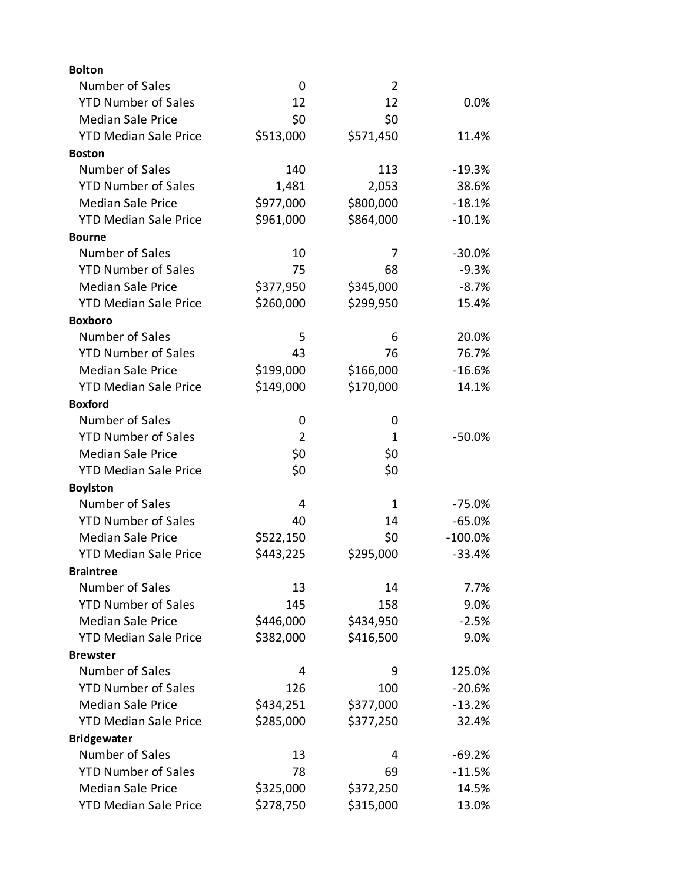| <b>Bolton</b>                |                |                |            |
|------------------------------|----------------|----------------|------------|
| Number of Sales              | 0              | $\overline{2}$ |            |
| <b>YTD Number of Sales</b>   | 12             | 12             | 0.0%       |
| <b>Median Sale Price</b>     | \$0            | \$0            |            |
| <b>YTD Median Sale Price</b> | \$513,000      | \$571,450      | 11.4%      |
| <b>Boston</b>                |                |                |            |
| Number of Sales              | 140            | 113            | $-19.3%$   |
| <b>YTD Number of Sales</b>   | 1,481          | 2,053          | 38.6%      |
| <b>Median Sale Price</b>     | \$977,000      | \$800,000      | $-18.1%$   |
| <b>YTD Median Sale Price</b> | \$961,000      | \$864,000      | $-10.1%$   |
| <b>Bourne</b>                |                |                |            |
| Number of Sales              | 10             | 7              | $-30.0%$   |
| <b>YTD Number of Sales</b>   | 75             | 68             | $-9.3%$    |
| <b>Median Sale Price</b>     | \$377,950      | \$345,000      | $-8.7%$    |
| <b>YTD Median Sale Price</b> | \$260,000      | \$299,950      | 15.4%      |
| <b>Boxboro</b>               |                |                |            |
| Number of Sales              | 5              | 6              | 20.0%      |
| <b>YTD Number of Sales</b>   | 43             | 76             | 76.7%      |
| <b>Median Sale Price</b>     | \$199,000      | \$166,000      | $-16.6%$   |
| <b>YTD Median Sale Price</b> | \$149,000      | \$170,000      | 14.1%      |
| <b>Boxford</b>               |                |                |            |
| Number of Sales              | 0              | 0              |            |
| <b>YTD Number of Sales</b>   | $\overline{2}$ | 1              | $-50.0%$   |
| <b>Median Sale Price</b>     | \$0            | \$0            |            |
| <b>YTD Median Sale Price</b> | \$0            | \$0            |            |
| <b>Boylston</b>              |                |                |            |
| Number of Sales              | 4              | 1              | $-75.0%$   |
| <b>YTD Number of Sales</b>   | 40             | 14             | $-65.0%$   |
| <b>Median Sale Price</b>     | \$522,150      | \$0            | $-100.0\%$ |
| <b>YTD Median Sale Price</b> | \$443,225      | \$295,000      | $-33.4%$   |
| <b>Braintree</b>             |                |                |            |
| Number of Sales              | 13             | 14             | 7.7%       |
| <b>YTD Number of Sales</b>   | 145            | 158            | 9.0%       |
| <b>Median Sale Price</b>     | \$446,000      | \$434,950      | $-2.5%$    |
| <b>YTD Median Sale Price</b> | \$382,000      | \$416,500      | 9.0%       |
| <b>Brewster</b>              |                |                |            |
| Number of Sales              | 4              | 9              | 125.0%     |
| <b>YTD Number of Sales</b>   | 126            | 100            | $-20.6%$   |
| <b>Median Sale Price</b>     | \$434,251      | \$377,000      | $-13.2%$   |
| <b>YTD Median Sale Price</b> | \$285,000      | \$377,250      | 32.4%      |
| <b>Bridgewater</b>           |                |                |            |
| Number of Sales              | 13             | 4              | $-69.2%$   |
| <b>YTD Number of Sales</b>   | 78             | 69             | $-11.5%$   |
| <b>Median Sale Price</b>     | \$325,000      | \$372,250      | 14.5%      |
| <b>YTD Median Sale Price</b> | \$278,750      | \$315,000      | 13.0%      |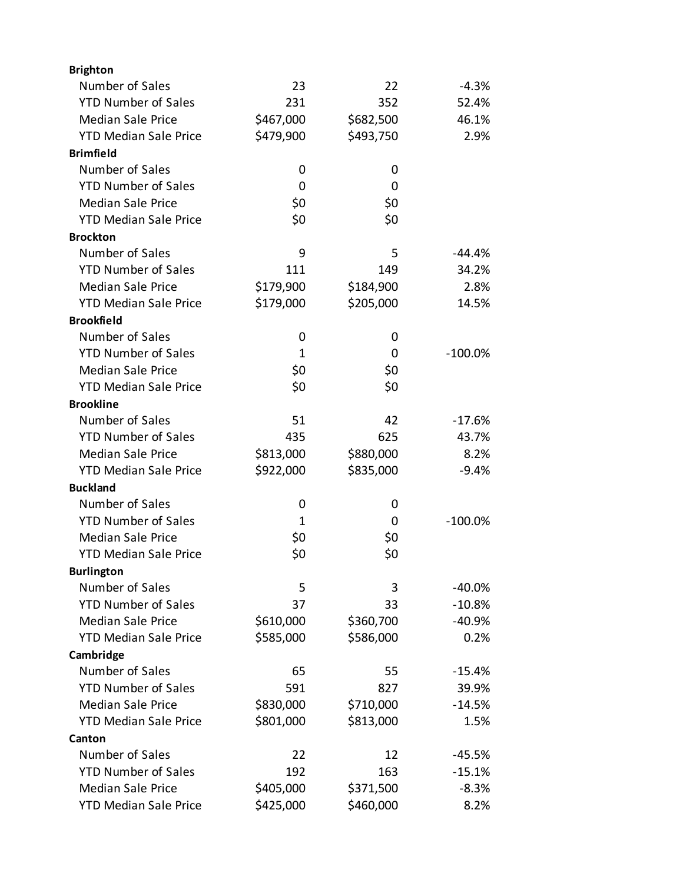| <b>Brighton</b>              |           |           |            |
|------------------------------|-----------|-----------|------------|
| Number of Sales              | 23        | 22        | $-4.3%$    |
| <b>YTD Number of Sales</b>   | 231       | 352       | 52.4%      |
| <b>Median Sale Price</b>     | \$467,000 | \$682,500 | 46.1%      |
| <b>YTD Median Sale Price</b> | \$479,900 | \$493,750 | 2.9%       |
| <b>Brimfield</b>             |           |           |            |
| Number of Sales              | 0         | 0         |            |
| <b>YTD Number of Sales</b>   | 0         | 0         |            |
| <b>Median Sale Price</b>     | \$0       | \$0       |            |
| <b>YTD Median Sale Price</b> | \$0       | \$0       |            |
| <b>Brockton</b>              |           |           |            |
| Number of Sales              | 9         | 5         | $-44.4%$   |
| <b>YTD Number of Sales</b>   | 111       | 149       | 34.2%      |
| <b>Median Sale Price</b>     | \$179,900 | \$184,900 | 2.8%       |
| <b>YTD Median Sale Price</b> | \$179,000 | \$205,000 | 14.5%      |
| <b>Brookfield</b>            |           |           |            |
| Number of Sales              | 0         | 0         |            |
| <b>YTD Number of Sales</b>   | 1         | 0         | $-100.0\%$ |
| <b>Median Sale Price</b>     | \$0       | \$0       |            |
| <b>YTD Median Sale Price</b> | \$0       | \$0       |            |
| <b>Brookline</b>             |           |           |            |
| Number of Sales              | 51        | 42        | $-17.6%$   |
| <b>YTD Number of Sales</b>   | 435       | 625       | 43.7%      |
| <b>Median Sale Price</b>     | \$813,000 | \$880,000 | 8.2%       |
| <b>YTD Median Sale Price</b> | \$922,000 | \$835,000 | $-9.4%$    |
| <b>Buckland</b>              |           |           |            |
| Number of Sales              | 0         | 0         |            |
| <b>YTD Number of Sales</b>   | 1         | 0         | $-100.0\%$ |
| <b>Median Sale Price</b>     | \$0       | \$0       |            |
| <b>YTD Median Sale Price</b> | \$0       | \$0       |            |
| <b>Burlington</b>            |           |           |            |
| Number of Sales              | 5         | 3         | -40.0%     |
| <b>YTD Number of Sales</b>   | 37        | 33        | $-10.8%$   |
| <b>Median Sale Price</b>     | \$610,000 | \$360,700 | $-40.9%$   |
| <b>YTD Median Sale Price</b> | \$585,000 | \$586,000 | 0.2%       |
| Cambridge                    |           |           |            |
| Number of Sales              | 65        | 55        | $-15.4%$   |
| <b>YTD Number of Sales</b>   | 591       | 827       | 39.9%      |
| <b>Median Sale Price</b>     | \$830,000 | \$710,000 | $-14.5%$   |
| <b>YTD Median Sale Price</b> | \$801,000 | \$813,000 | 1.5%       |
| Canton                       |           |           |            |
| Number of Sales              | 22        | 12        | $-45.5%$   |
| <b>YTD Number of Sales</b>   | 192       | 163       | $-15.1%$   |
| <b>Median Sale Price</b>     | \$405,000 | \$371,500 | $-8.3%$    |
| <b>YTD Median Sale Price</b> | \$425,000 | \$460,000 | 8.2%       |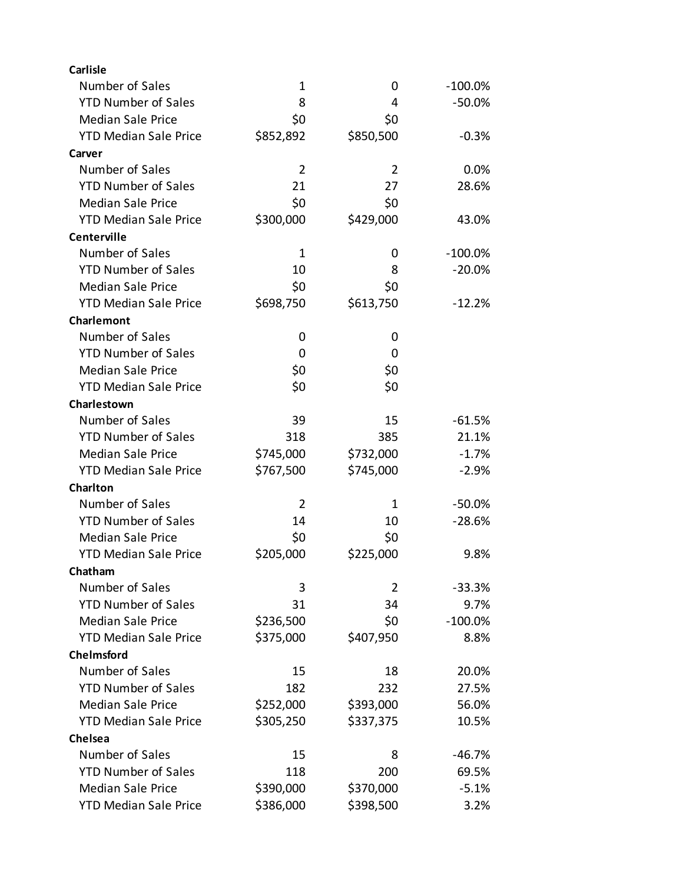| <b>Carlisle</b>              |                |                |            |
|------------------------------|----------------|----------------|------------|
| Number of Sales              | 1              | 0              | $-100.0\%$ |
| <b>YTD Number of Sales</b>   | 8              | 4              | $-50.0%$   |
| <b>Median Sale Price</b>     | \$0            | \$0            |            |
| <b>YTD Median Sale Price</b> | \$852,892      | \$850,500      | $-0.3%$    |
| Carver                       |                |                |            |
| Number of Sales              | $\overline{2}$ | 2              | 0.0%       |
| <b>YTD Number of Sales</b>   | 21             | 27             | 28.6%      |
| <b>Median Sale Price</b>     | \$0            | \$0            |            |
| <b>YTD Median Sale Price</b> | \$300,000      | \$429,000      | 43.0%      |
| Centerville                  |                |                |            |
| Number of Sales              | $\mathbf 1$    | 0              | $-100.0\%$ |
| <b>YTD Number of Sales</b>   | 10             | 8              | $-20.0%$   |
| <b>Median Sale Price</b>     | \$0            | \$0            |            |
| <b>YTD Median Sale Price</b> | \$698,750      | \$613,750      | $-12.2%$   |
| Charlemont                   |                |                |            |
| Number of Sales              | 0              | 0              |            |
| <b>YTD Number of Sales</b>   | 0              | 0              |            |
| <b>Median Sale Price</b>     | \$0            | \$0            |            |
| <b>YTD Median Sale Price</b> | \$0            | \$0            |            |
| Charlestown                  |                |                |            |
| Number of Sales              | 39             | 15             | $-61.5%$   |
| <b>YTD Number of Sales</b>   | 318            | 385            | 21.1%      |
| <b>Median Sale Price</b>     | \$745,000      | \$732,000      | $-1.7%$    |
| <b>YTD Median Sale Price</b> | \$767,500      | \$745,000      | $-2.9%$    |
| Charlton                     |                |                |            |
| Number of Sales              | $\overline{2}$ | $\mathbf{1}$   | $-50.0\%$  |
| <b>YTD Number of Sales</b>   | 14             | 10             | $-28.6%$   |
| <b>Median Sale Price</b>     | \$0            | \$0            |            |
| <b>YTD Median Sale Price</b> | \$205,000      | \$225,000      | 9.8%       |
| Chatham                      |                |                |            |
| Number of Sales              | 3              | $\overline{2}$ | $-33.3%$   |
| <b>YTD Number of Sales</b>   | 31             | 34             | 9.7%       |
| <b>Median Sale Price</b>     | \$236,500      | \$0            | $-100.0%$  |
| <b>YTD Median Sale Price</b> | \$375,000      | \$407,950      | 8.8%       |
| Chelmsford                   |                |                |            |
| Number of Sales              | 15             | 18             | 20.0%      |
| <b>YTD Number of Sales</b>   | 182            | 232            | 27.5%      |
| <b>Median Sale Price</b>     | \$252,000      | \$393,000      | 56.0%      |
| <b>YTD Median Sale Price</b> | \$305,250      | \$337,375      | 10.5%      |
| Chelsea                      |                |                |            |
| Number of Sales              | 15             | 8              | $-46.7%$   |
| <b>YTD Number of Sales</b>   | 118            | 200            | 69.5%      |
| <b>Median Sale Price</b>     | \$390,000      | \$370,000      | $-5.1%$    |
| <b>YTD Median Sale Price</b> | \$386,000      | \$398,500      | 3.2%       |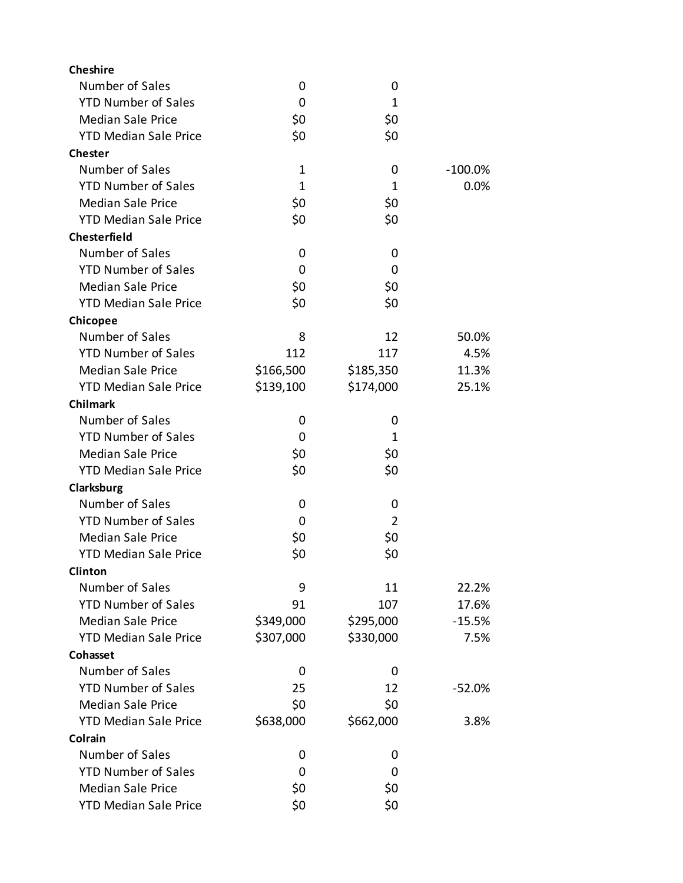| <b>Cheshire</b>              |              |                |            |
|------------------------------|--------------|----------------|------------|
| Number of Sales              | 0            | 0              |            |
| <b>YTD Number of Sales</b>   | 0            | 1              |            |
| <b>Median Sale Price</b>     | \$0          | \$0            |            |
| <b>YTD Median Sale Price</b> | \$0          | \$0            |            |
| <b>Chester</b>               |              |                |            |
| Number of Sales              | 1            | 0              | $-100.0\%$ |
| <b>YTD Number of Sales</b>   | $\mathbf{1}$ | 1              | 0.0%       |
| <b>Median Sale Price</b>     | \$0          | \$0            |            |
| <b>YTD Median Sale Price</b> | \$0          | \$0            |            |
| <b>Chesterfield</b>          |              |                |            |
| Number of Sales              | 0            | 0              |            |
| <b>YTD Number of Sales</b>   | 0            | 0              |            |
| <b>Median Sale Price</b>     | \$0          | \$0            |            |
| <b>YTD Median Sale Price</b> | \$0          | \$0            |            |
| Chicopee                     |              |                |            |
| Number of Sales              | 8            | 12             | 50.0%      |
| <b>YTD Number of Sales</b>   | 112          | 117            | 4.5%       |
| <b>Median Sale Price</b>     | \$166,500    | \$185,350      | 11.3%      |
| <b>YTD Median Sale Price</b> | \$139,100    | \$174,000      | 25.1%      |
| <b>Chilmark</b>              |              |                |            |
| Number of Sales              | 0            | 0              |            |
| <b>YTD Number of Sales</b>   | 0            | 1              |            |
| <b>Median Sale Price</b>     | \$0          | \$0            |            |
| <b>YTD Median Sale Price</b> | \$0          | \$0            |            |
| Clarksburg                   |              |                |            |
| Number of Sales              | 0            | 0              |            |
| <b>YTD Number of Sales</b>   | 0            | $\overline{2}$ |            |
| <b>Median Sale Price</b>     | \$0          | \$0            |            |
| <b>YTD Median Sale Price</b> | \$0          | \$0            |            |
| <b>Clinton</b>               |              |                |            |
| Number of Sales              | 9            | 11             | 22.2%      |
| <b>YTD Number of Sales</b>   | 91           | 107            | 17.6%      |
| <b>Median Sale Price</b>     | \$349,000    | \$295,000      | $-15.5%$   |
| <b>YTD Median Sale Price</b> | \$307,000    | \$330,000      | 7.5%       |
| Cohasset                     |              |                |            |
| Number of Sales              | 0            | 0              |            |
| <b>YTD Number of Sales</b>   | 25           | 12             | $-52.0%$   |
| <b>Median Sale Price</b>     | \$0          | \$0            |            |
| <b>YTD Median Sale Price</b> | \$638,000    | \$662,000      | 3.8%       |
| Colrain                      |              |                |            |
| Number of Sales              | 0            | 0              |            |
| <b>YTD Number of Sales</b>   | 0            | 0              |            |
| <b>Median Sale Price</b>     | \$0          | \$0            |            |
| <b>YTD Median Sale Price</b> | \$0          | \$0            |            |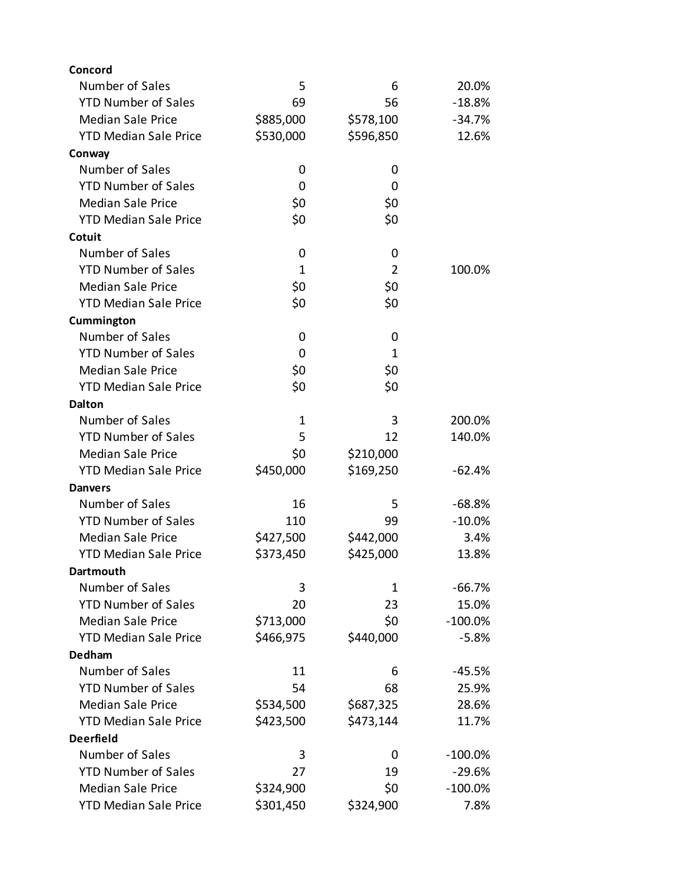| Concord                      |              |                |           |
|------------------------------|--------------|----------------|-----------|
| Number of Sales              | 5            | 6              | 20.0%     |
| <b>YTD Number of Sales</b>   | 69           | 56             | $-18.8%$  |
| <b>Median Sale Price</b>     | \$885,000    | \$578,100      | $-34.7%$  |
| <b>YTD Median Sale Price</b> | \$530,000    | \$596,850      | 12.6%     |
| Conway                       |              |                |           |
| Number of Sales              | 0            | 0              |           |
| <b>YTD Number of Sales</b>   | 0            | 0              |           |
| <b>Median Sale Price</b>     | \$0          | \$0            |           |
| <b>YTD Median Sale Price</b> | \$0          | \$0            |           |
| Cotuit                       |              |                |           |
| Number of Sales              | 0            | 0              |           |
| <b>YTD Number of Sales</b>   | $\mathbf{1}$ | $\overline{2}$ | 100.0%    |
| <b>Median Sale Price</b>     | \$0          | \$0            |           |
| <b>YTD Median Sale Price</b> | \$0          | \$0            |           |
| Cummington                   |              |                |           |
| Number of Sales              | 0            | 0              |           |
| <b>YTD Number of Sales</b>   | 0            | 1              |           |
| <b>Median Sale Price</b>     | \$0          | \$0            |           |
| <b>YTD Median Sale Price</b> | \$0          | \$0            |           |
| <b>Dalton</b>                |              |                |           |
| Number of Sales              | 1            | 3              | 200.0%    |
| <b>YTD Number of Sales</b>   | 5            | 12             | 140.0%    |
| <b>Median Sale Price</b>     | \$0          | \$210,000      |           |
| <b>YTD Median Sale Price</b> | \$450,000    | \$169,250      | $-62.4%$  |
| <b>Danvers</b>               |              |                |           |
| Number of Sales              | 16           | 5              | $-68.8%$  |
| <b>YTD Number of Sales</b>   | 110          | 99             | $-10.0%$  |
| <b>Median Sale Price</b>     | \$427,500    | \$442,000      | 3.4%      |
| <b>YTD Median Sale Price</b> | \$373,450    | \$425,000      | 13.8%     |
| Dartmouth                    |              |                |           |
| Number of Sales              | 3            | 1              | $-66.7%$  |
| <b>YTD Number of Sales</b>   | 20           | 23             | 15.0%     |
| <b>Median Sale Price</b>     | \$713,000    | \$0            | $-100.0%$ |
| <b>YTD Median Sale Price</b> | \$466,975    | \$440,000      | $-5.8%$   |
| Dedham                       |              |                |           |
| Number of Sales              | 11           | 6              | $-45.5%$  |
| <b>YTD Number of Sales</b>   | 54           | 68             | 25.9%     |
| <b>Median Sale Price</b>     | \$534,500    | \$687,325      | 28.6%     |
| <b>YTD Median Sale Price</b> | \$423,500    | \$473,144      | 11.7%     |
| <b>Deerfield</b>             |              |                |           |
| Number of Sales              | 3            | 0              | $-100.0%$ |
| <b>YTD Number of Sales</b>   | 27           | 19             | $-29.6%$  |
| <b>Median Sale Price</b>     | \$324,900    | \$0            | $-100.0%$ |
| <b>YTD Median Sale Price</b> | \$301,450    | \$324,900      | 7.8%      |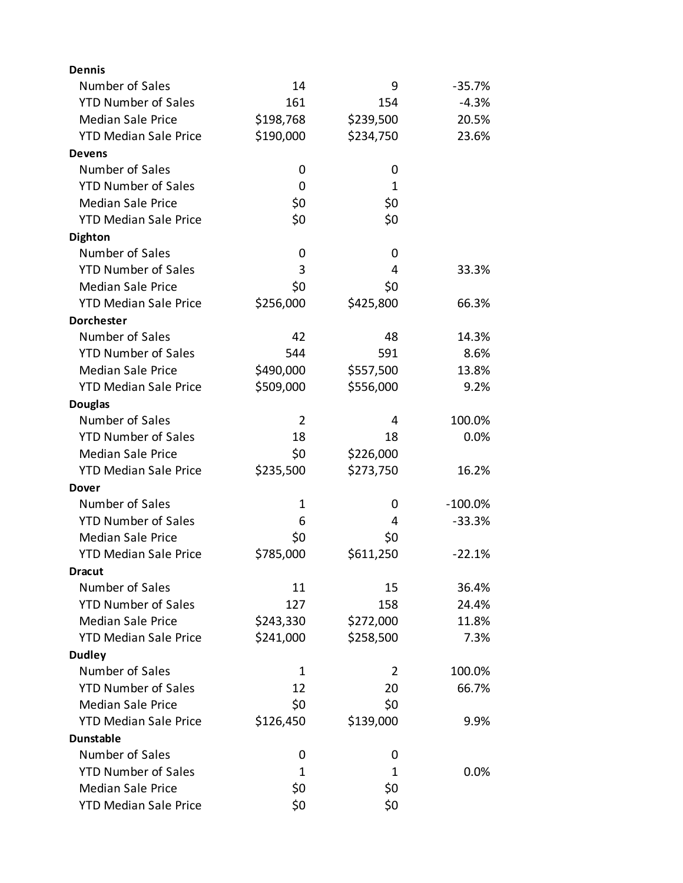| <b>Dennis</b>                |              |           |            |
|------------------------------|--------------|-----------|------------|
| Number of Sales              | 14           | 9         | $-35.7%$   |
| <b>YTD Number of Sales</b>   | 161          | 154       | $-4.3%$    |
| <b>Median Sale Price</b>     | \$198,768    | \$239,500 | 20.5%      |
| <b>YTD Median Sale Price</b> | \$190,000    | \$234,750 | 23.6%      |
| <b>Devens</b>                |              |           |            |
| Number of Sales              | 0            | 0         |            |
| <b>YTD Number of Sales</b>   | 0            | 1         |            |
| <b>Median Sale Price</b>     | \$0          | \$0       |            |
| <b>YTD Median Sale Price</b> | \$0          | \$0       |            |
| <b>Dighton</b>               |              |           |            |
| Number of Sales              | 0            | 0         |            |
| <b>YTD Number of Sales</b>   | 3            | 4         | 33.3%      |
| <b>Median Sale Price</b>     | \$0          | \$0       |            |
| <b>YTD Median Sale Price</b> | \$256,000    | \$425,800 | 66.3%      |
| <b>Dorchester</b>            |              |           |            |
| Number of Sales              | 42           | 48        | 14.3%      |
| <b>YTD Number of Sales</b>   | 544          | 591       | 8.6%       |
| <b>Median Sale Price</b>     | \$490,000    | \$557,500 | 13.8%      |
| <b>YTD Median Sale Price</b> | \$509,000    | \$556,000 | 9.2%       |
| <b>Douglas</b>               |              |           |            |
| Number of Sales              | 2            | 4         | 100.0%     |
| <b>YTD Number of Sales</b>   | 18           | 18        | 0.0%       |
| <b>Median Sale Price</b>     | \$0          | \$226,000 |            |
| <b>YTD Median Sale Price</b> | \$235,500    | \$273,750 | 16.2%      |
| Dover                        |              |           |            |
| Number of Sales              | 1            | 0         | $-100.0\%$ |
| <b>YTD Number of Sales</b>   | 6            | 4         | $-33.3%$   |
| <b>Median Sale Price</b>     | \$0          | \$0       |            |
| <b>YTD Median Sale Price</b> | \$785,000    | \$611,250 | $-22.1%$   |
| <b>Dracut</b>                |              |           |            |
| Number of Sales              | 11           | 15        | 36.4%      |
| <b>YTD Number of Sales</b>   | 127          | 158       | 24.4%      |
| <b>Median Sale Price</b>     | \$243,330    | \$272,000 | 11.8%      |
| <b>YTD Median Sale Price</b> | \$241,000    | \$258,500 | 7.3%       |
| <b>Dudley</b>                |              |           |            |
| Number of Sales              | 1            | 2         | 100.0%     |
| <b>YTD Number of Sales</b>   | 12           | 20        | 66.7%      |
| <b>Median Sale Price</b>     | \$0          | \$0       |            |
| <b>YTD Median Sale Price</b> | \$126,450    | \$139,000 | 9.9%       |
| <b>Dunstable</b>             |              |           |            |
| Number of Sales              | 0            | 0         |            |
| <b>YTD Number of Sales</b>   | $\mathbf{1}$ | 1         | 0.0%       |
| <b>Median Sale Price</b>     | \$0          | \$0       |            |
| <b>YTD Median Sale Price</b> | \$0          | \$0       |            |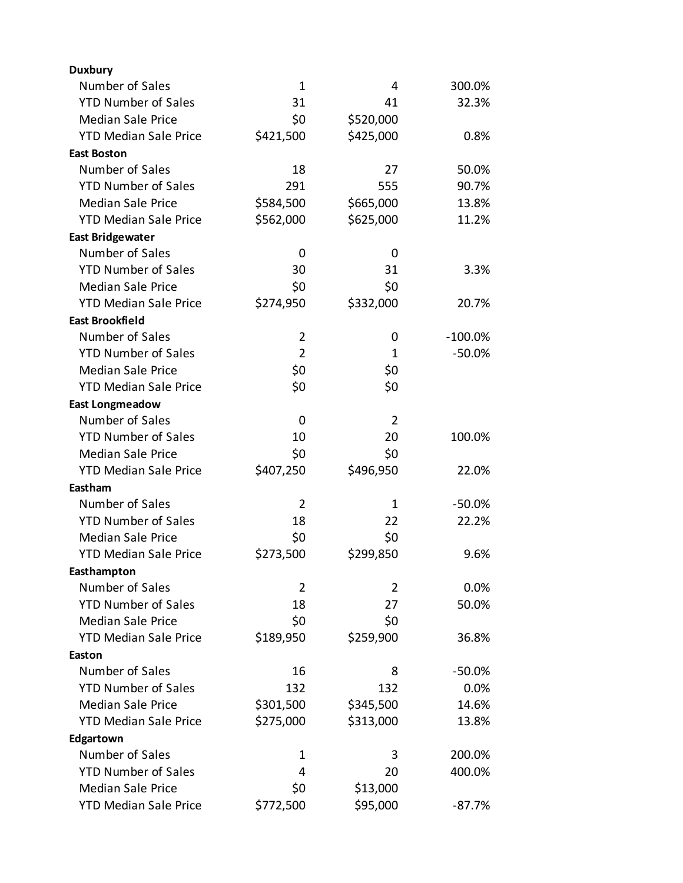| <b>Duxbury</b>               |                |                |           |
|------------------------------|----------------|----------------|-----------|
| Number of Sales              | $\mathbf 1$    | 4              | 300.0%    |
| <b>YTD Number of Sales</b>   | 31             | 41             | 32.3%     |
| <b>Median Sale Price</b>     | \$0            | \$520,000      |           |
| <b>YTD Median Sale Price</b> | \$421,500      | \$425,000      | 0.8%      |
| <b>East Boston</b>           |                |                |           |
| Number of Sales              | 18             | 27             | 50.0%     |
| <b>YTD Number of Sales</b>   | 291            | 555            | 90.7%     |
| <b>Median Sale Price</b>     | \$584,500      | \$665,000      | 13.8%     |
| <b>YTD Median Sale Price</b> | \$562,000      | \$625,000      | 11.2%     |
| <b>East Bridgewater</b>      |                |                |           |
| Number of Sales              | 0              | 0              |           |
| <b>YTD Number of Sales</b>   | 30             | 31             | 3.3%      |
| <b>Median Sale Price</b>     | \$0            | \$0            |           |
| <b>YTD Median Sale Price</b> | \$274,950      | \$332,000      | 20.7%     |
| <b>East Brookfield</b>       |                |                |           |
| Number of Sales              | $\overline{2}$ | 0              | $-100.0%$ |
| <b>YTD Number of Sales</b>   | $\overline{2}$ | 1              | $-50.0%$  |
| <b>Median Sale Price</b>     | \$0            | \$0            |           |
| <b>YTD Median Sale Price</b> | \$0            | \$0            |           |
| <b>East Longmeadow</b>       |                |                |           |
| Number of Sales              | 0              | $\overline{2}$ |           |
| <b>YTD Number of Sales</b>   | 10             | 20             | 100.0%    |
| <b>Median Sale Price</b>     | \$0            | \$0            |           |
| <b>YTD Median Sale Price</b> | \$407,250      | \$496,950      | 22.0%     |
| Eastham                      |                |                |           |
| Number of Sales              | $\overline{2}$ | 1              | $-50.0%$  |
| <b>YTD Number of Sales</b>   | 18             | 22             | 22.2%     |
| <b>Median Sale Price</b>     | \$0            | \$0            |           |
| <b>YTD Median Sale Price</b> | \$273,500      | \$299,850      | 9.6%      |
| Easthampton                  |                |                |           |
| Number of Sales              | $\overline{2}$ | $\overline{2}$ | 0.0%      |
| <b>YTD Number of Sales</b>   | 18             | 27             | 50.0%     |
| <b>Median Sale Price</b>     | \$0            | \$0            |           |
| <b>YTD Median Sale Price</b> | \$189,950      | \$259,900      | 36.8%     |
| Easton                       |                |                |           |
| Number of Sales              | 16             | 8              | $-50.0%$  |
| <b>YTD Number of Sales</b>   | 132            | 132            | 0.0%      |
| <b>Median Sale Price</b>     | \$301,500      | \$345,500      | 14.6%     |
| <b>YTD Median Sale Price</b> | \$275,000      | \$313,000      | 13.8%     |
| Edgartown                    |                |                |           |
| Number of Sales              | 1              | 3              | 200.0%    |
| <b>YTD Number of Sales</b>   | 4              | 20             | 400.0%    |
| <b>Median Sale Price</b>     | \$0            | \$13,000       |           |
| <b>YTD Median Sale Price</b> | \$772,500      | \$95,000       | $-87.7%$  |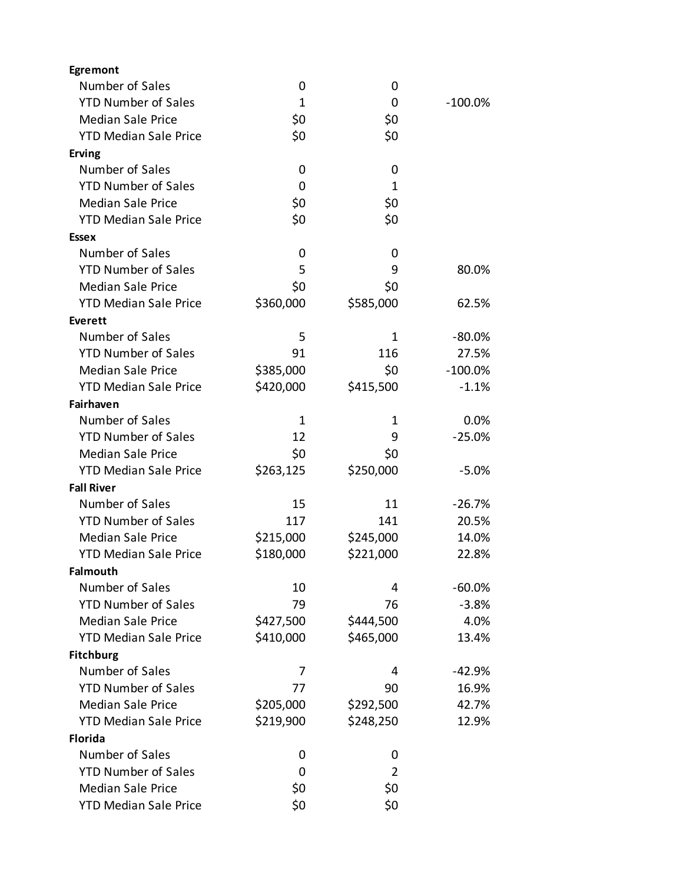| Number of Sales<br>0<br>0<br><b>YTD Number of Sales</b><br>$\mathbf{1}$<br>0<br>$-100.0%$<br>\$0<br><b>Median Sale Price</b><br>\$0<br>\$0<br>\$0<br><b>YTD Median Sale Price</b><br><b>Erving</b><br>Number of Sales<br>0<br>0<br><b>YTD Number of Sales</b><br>1<br>0<br>\$0<br><b>Median Sale Price</b><br>\$0 |
|-------------------------------------------------------------------------------------------------------------------------------------------------------------------------------------------------------------------------------------------------------------------------------------------------------------------|
|                                                                                                                                                                                                                                                                                                                   |
|                                                                                                                                                                                                                                                                                                                   |
|                                                                                                                                                                                                                                                                                                                   |
|                                                                                                                                                                                                                                                                                                                   |
|                                                                                                                                                                                                                                                                                                                   |
|                                                                                                                                                                                                                                                                                                                   |
|                                                                                                                                                                                                                                                                                                                   |
|                                                                                                                                                                                                                                                                                                                   |
| \$0<br><b>YTD Median Sale Price</b><br>\$0                                                                                                                                                                                                                                                                        |
| <b>Essex</b>                                                                                                                                                                                                                                                                                                      |
| Number of Sales<br>0<br>0                                                                                                                                                                                                                                                                                         |
| <b>YTD Number of Sales</b><br>5<br>9<br>80.0%                                                                                                                                                                                                                                                                     |
| <b>Median Sale Price</b><br>\$0<br>\$0                                                                                                                                                                                                                                                                            |
| <b>YTD Median Sale Price</b><br>\$360,000<br>\$585,000<br>62.5%                                                                                                                                                                                                                                                   |
| <b>Everett</b>                                                                                                                                                                                                                                                                                                    |
| Number of Sales<br>5<br>1<br>$-80.0\%$                                                                                                                                                                                                                                                                            |
| <b>YTD Number of Sales</b><br>91<br>116<br>27.5%                                                                                                                                                                                                                                                                  |
| <b>Median Sale Price</b><br>\$385,000<br>\$0<br>$-100.0%$                                                                                                                                                                                                                                                         |
| <b>YTD Median Sale Price</b><br>\$420,000<br>\$415,500<br>$-1.1%$                                                                                                                                                                                                                                                 |
| Fairhaven                                                                                                                                                                                                                                                                                                         |
| Number of Sales<br>0.0%<br>1<br>1                                                                                                                                                                                                                                                                                 |
| <b>YTD Number of Sales</b><br>12<br>9<br>$-25.0%$                                                                                                                                                                                                                                                                 |
| <b>Median Sale Price</b><br>\$0<br>\$0                                                                                                                                                                                                                                                                            |
| <b>YTD Median Sale Price</b><br>\$250,000<br>\$263,125<br>$-5.0%$                                                                                                                                                                                                                                                 |
| <b>Fall River</b>                                                                                                                                                                                                                                                                                                 |
| Number of Sales<br>15<br>11<br>$-26.7%$                                                                                                                                                                                                                                                                           |
| <b>YTD Number of Sales</b><br>117<br>141<br>20.5%                                                                                                                                                                                                                                                                 |
| <b>Median Sale Price</b><br>\$215,000<br>\$245,000<br>14.0%                                                                                                                                                                                                                                                       |
| <b>YTD Median Sale Price</b><br>\$180,000<br>\$221,000<br>22.8%                                                                                                                                                                                                                                                   |
| <b>Falmouth</b>                                                                                                                                                                                                                                                                                                   |
| Number of Sales<br>10<br>4<br>$-60.0%$                                                                                                                                                                                                                                                                            |
| <b>YTD Number of Sales</b><br>79<br>$-3.8%$<br>76                                                                                                                                                                                                                                                                 |
| <b>Median Sale Price</b><br>\$427,500<br>\$444,500<br>4.0%                                                                                                                                                                                                                                                        |
| \$465,000<br><b>YTD Median Sale Price</b><br>\$410,000<br>13.4%                                                                                                                                                                                                                                                   |
| <b>Fitchburg</b>                                                                                                                                                                                                                                                                                                  |
| Number of Sales<br>7<br>4<br>-42.9%                                                                                                                                                                                                                                                                               |
| <b>YTD Number of Sales</b><br>16.9%<br>77<br>90                                                                                                                                                                                                                                                                   |
| <b>Median Sale Price</b><br>\$205,000<br>\$292,500<br>42.7%                                                                                                                                                                                                                                                       |
| \$219,900<br>\$248,250<br><b>YTD Median Sale Price</b><br>12.9%                                                                                                                                                                                                                                                   |
| <b>Florida</b>                                                                                                                                                                                                                                                                                                    |
| Number of Sales<br>0<br>0                                                                                                                                                                                                                                                                                         |
| <b>YTD Number of Sales</b><br>2<br>0                                                                                                                                                                                                                                                                              |
| <b>Median Sale Price</b><br>\$0<br>\$0                                                                                                                                                                                                                                                                            |
| \$0<br>\$0<br><b>YTD Median Sale Price</b>                                                                                                                                                                                                                                                                        |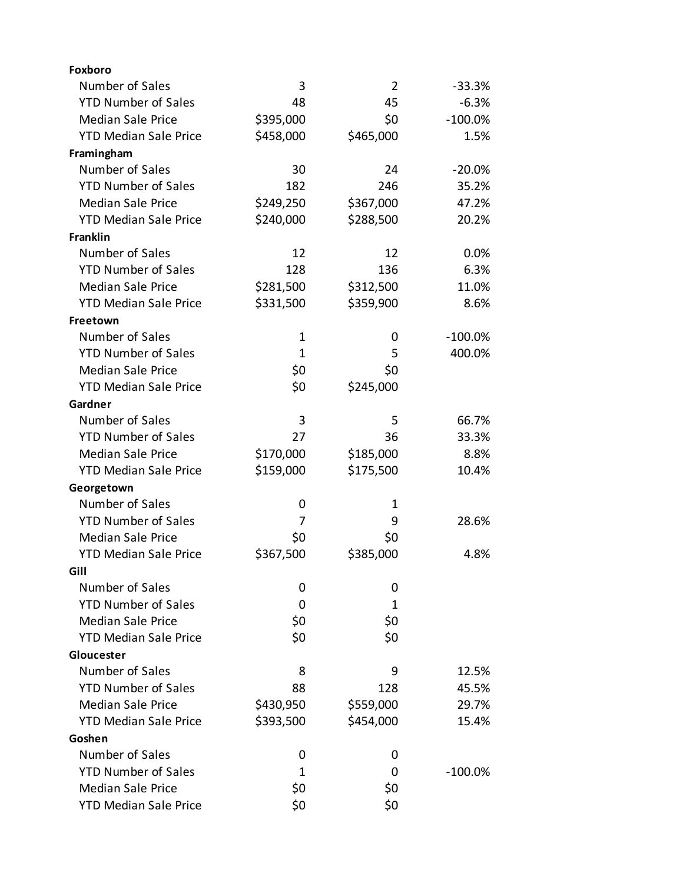| <b>Foxboro</b>               |             |                |            |
|------------------------------|-------------|----------------|------------|
| Number of Sales              | 3           | $\overline{2}$ | $-33.3%$   |
| <b>YTD Number of Sales</b>   | 48          | 45             | $-6.3%$    |
| <b>Median Sale Price</b>     | \$395,000   | \$0            | $-100.0\%$ |
| <b>YTD Median Sale Price</b> | \$458,000   | \$465,000      | 1.5%       |
| Framingham                   |             |                |            |
| Number of Sales              | 30          | 24             | $-20.0%$   |
| <b>YTD Number of Sales</b>   | 182         | 246            | 35.2%      |
| <b>Median Sale Price</b>     | \$249,250   | \$367,000      | 47.2%      |
| <b>YTD Median Sale Price</b> | \$240,000   | \$288,500      | 20.2%      |
| Franklin                     |             |                |            |
| Number of Sales              | 12          | 12             | 0.0%       |
| <b>YTD Number of Sales</b>   | 128         | 136            | 6.3%       |
| <b>Median Sale Price</b>     | \$281,500   | \$312,500      | 11.0%      |
| <b>YTD Median Sale Price</b> | \$331,500   | \$359,900      | 8.6%       |
| Freetown                     |             |                |            |
| Number of Sales              | $\mathbf 1$ | 0              | $-100.0\%$ |
| <b>YTD Number of Sales</b>   | 1           | 5              | 400.0%     |
| <b>Median Sale Price</b>     | \$0         | \$0            |            |
| <b>YTD Median Sale Price</b> | \$0         | \$245,000      |            |
| Gardner                      |             |                |            |
| Number of Sales              | 3           | 5              | 66.7%      |
| <b>YTD Number of Sales</b>   | 27          | 36             | 33.3%      |
| <b>Median Sale Price</b>     | \$170,000   | \$185,000      | 8.8%       |
| <b>YTD Median Sale Price</b> | \$159,000   | \$175,500      | 10.4%      |
| Georgetown                   |             |                |            |
| Number of Sales              | 0           | 1              |            |
| <b>YTD Number of Sales</b>   | 7           | 9              | 28.6%      |
| <b>Median Sale Price</b>     | \$0         | \$0            |            |
| <b>YTD Median Sale Price</b> | \$367,500   | \$385,000      | 4.8%       |
| Gill                         |             |                |            |
| Number of Sales              | 0           | 0              |            |
| <b>YTD Number of Sales</b>   | 0           | 1              |            |
| <b>Median Sale Price</b>     | \$0         | \$0            |            |
| <b>YTD Median Sale Price</b> | \$0         | \$0            |            |
| Gloucester                   |             |                |            |
| Number of Sales              | 8           | 9              | 12.5%      |
| <b>YTD Number of Sales</b>   | 88          | 128            | 45.5%      |
| <b>Median Sale Price</b>     | \$430,950   | \$559,000      | 29.7%      |
| <b>YTD Median Sale Price</b> | \$393,500   | \$454,000      | 15.4%      |
| Goshen                       |             |                |            |
| Number of Sales              | 0           | 0              |            |
| <b>YTD Number of Sales</b>   | 1           | 0              | $-100.0\%$ |
| <b>Median Sale Price</b>     | \$0         | \$0            |            |
| <b>YTD Median Sale Price</b> | \$0         | \$0            |            |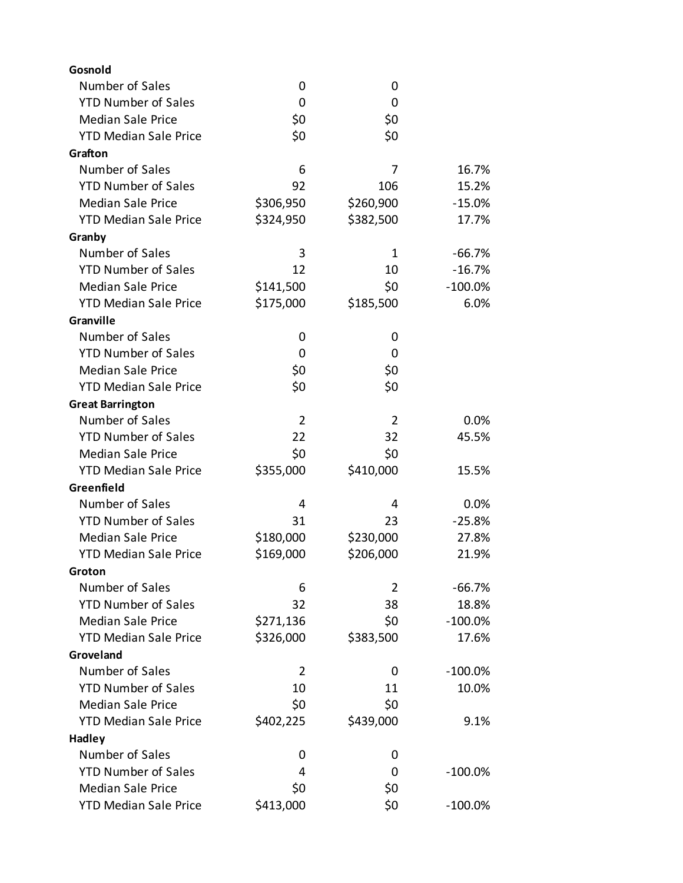| Gosnold                      |           |                |            |
|------------------------------|-----------|----------------|------------|
| Number of Sales              | 0         | 0              |            |
| <b>YTD Number of Sales</b>   | 0         | 0              |            |
| <b>Median Sale Price</b>     | \$0       | \$0            |            |
| <b>YTD Median Sale Price</b> | \$0       | \$0            |            |
| Grafton                      |           |                |            |
| Number of Sales              | 6         | 7              | 16.7%      |
| <b>YTD Number of Sales</b>   | 92        | 106            | 15.2%      |
| <b>Median Sale Price</b>     | \$306,950 | \$260,900      | $-15.0%$   |
| <b>YTD Median Sale Price</b> | \$324,950 | \$382,500      | 17.7%      |
| Granby                       |           |                |            |
| Number of Sales              | 3         | 1              | $-66.7%$   |
| <b>YTD Number of Sales</b>   | 12        | 10             | $-16.7%$   |
| <b>Median Sale Price</b>     | \$141,500 | \$0            | $-100.0\%$ |
| <b>YTD Median Sale Price</b> | \$175,000 | \$185,500      | 6.0%       |
| Granville                    |           |                |            |
| Number of Sales              | 0         | 0              |            |
| <b>YTD Number of Sales</b>   | 0         | 0              |            |
| <b>Median Sale Price</b>     | \$0       | \$0            |            |
| <b>YTD Median Sale Price</b> | \$0       | \$0            |            |
| <b>Great Barrington</b>      |           |                |            |
| Number of Sales              | 2         | $\overline{2}$ | 0.0%       |
| <b>YTD Number of Sales</b>   | 22        | 32             | 45.5%      |
| <b>Median Sale Price</b>     | \$0       | \$0            |            |
| <b>YTD Median Sale Price</b> | \$355,000 | \$410,000      | 15.5%      |
| Greenfield                   |           |                |            |
| Number of Sales              | 4         | 4              | 0.0%       |
| <b>YTD Number of Sales</b>   | 31        | 23             | $-25.8%$   |
| <b>Median Sale Price</b>     | \$180,000 | \$230,000      | 27.8%      |
| <b>YTD Median Sale Price</b> | \$169,000 | \$206,000      | 21.9%      |
| Groton                       |           |                |            |
| Number of Sales              | 6         | 2              | $-66.7%$   |
| <b>YTD Number of Sales</b>   | 32        | 38             | 18.8%      |
| <b>Median Sale Price</b>     | \$271,136 | \$0            | $-100.0%$  |
| <b>YTD Median Sale Price</b> | \$326,000 | \$383,500      | 17.6%      |
| Groveland                    |           |                |            |
| Number of Sales              | 2         | 0              | $-100.0\%$ |
| <b>YTD Number of Sales</b>   | 10        | 11             | 10.0%      |
| <b>Median Sale Price</b>     | \$0       | \$0            |            |
| <b>YTD Median Sale Price</b> | \$402,225 | \$439,000      | 9.1%       |
| <b>Hadley</b>                |           |                |            |
| Number of Sales              | 0         | 0              |            |
| <b>YTD Number of Sales</b>   | 4         | 0              | $-100.0\%$ |
| <b>Median Sale Price</b>     | \$0       | \$0            |            |
| <b>YTD Median Sale Price</b> | \$413,000 | \$0            | $-100.0\%$ |
|                              |           |                |            |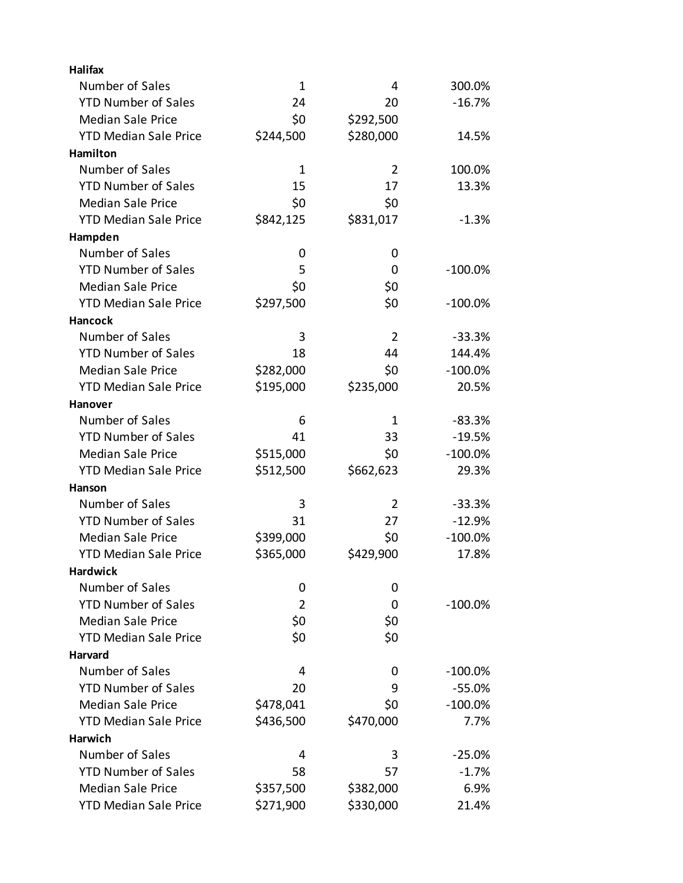| <b>Halifax</b>               |             |                |            |
|------------------------------|-------------|----------------|------------|
| Number of Sales              | $\mathbf 1$ | 4              | 300.0%     |
| <b>YTD Number of Sales</b>   | 24          | 20             | $-16.7%$   |
| <b>Median Sale Price</b>     | \$0         | \$292,500      |            |
| <b>YTD Median Sale Price</b> | \$244,500   | \$280,000      | 14.5%      |
| Hamilton                     |             |                |            |
| Number of Sales              | 1           | 2              | 100.0%     |
| <b>YTD Number of Sales</b>   | 15          | 17             | 13.3%      |
| <b>Median Sale Price</b>     | \$0         | \$0            |            |
| <b>YTD Median Sale Price</b> | \$842,125   | \$831,017      | $-1.3%$    |
| Hampden                      |             |                |            |
| Number of Sales              | 0           | 0              |            |
| <b>YTD Number of Sales</b>   | 5           | 0              | $-100.0\%$ |
| <b>Median Sale Price</b>     | \$0         | \$0            |            |
| <b>YTD Median Sale Price</b> | \$297,500   | \$0            | $-100.0\%$ |
| <b>Hancock</b>               |             |                |            |
| Number of Sales              | 3           | $\overline{2}$ | $-33.3%$   |
| <b>YTD Number of Sales</b>   | 18          | 44             | 144.4%     |
| <b>Median Sale Price</b>     | \$282,000   | \$0            | $-100.0\%$ |
| <b>YTD Median Sale Price</b> | \$195,000   | \$235,000      | 20.5%      |
| <b>Hanover</b>               |             |                |            |
| Number of Sales              | 6           | 1              | $-83.3%$   |
| <b>YTD Number of Sales</b>   | 41          | 33             | $-19.5%$   |
| <b>Median Sale Price</b>     | \$515,000   | \$0            | $-100.0\%$ |
| <b>YTD Median Sale Price</b> | \$512,500   | \$662,623      | 29.3%      |
| <b>Hanson</b>                |             |                |            |
| Number of Sales              | 3           | 2              | $-33.3%$   |
| <b>YTD Number of Sales</b>   | 31          | 27             | $-12.9%$   |
| <b>Median Sale Price</b>     | \$399,000   | \$0            | $-100.0\%$ |
| <b>YTD Median Sale Price</b> | \$365,000   | \$429,900      | 17.8%      |
| <b>Hardwick</b>              |             |                |            |
| Number of Sales              | 0           | 0              |            |
| <b>YTD Number of Sales</b>   | 2           | 0              | $-100.0\%$ |
| <b>Median Sale Price</b>     | \$0         | \$0            |            |
| <b>YTD Median Sale Price</b> | \$0         | \$0            |            |
| <b>Harvard</b>               |             |                |            |
| Number of Sales              | 4           | 0              | $-100.0\%$ |
| <b>YTD Number of Sales</b>   | 20          | 9              | $-55.0%$   |
| <b>Median Sale Price</b>     | \$478,041   | \$0            | $-100.0\%$ |
| <b>YTD Median Sale Price</b> | \$436,500   | \$470,000      | 7.7%       |
| Harwich                      |             |                |            |
| Number of Sales              | 4           | 3              | $-25.0%$   |
| <b>YTD Number of Sales</b>   | 58          | 57             | $-1.7%$    |
| <b>Median Sale Price</b>     | \$357,500   | \$382,000      | 6.9%       |
| <b>YTD Median Sale Price</b> | \$271,900   | \$330,000      | 21.4%      |
|                              |             |                |            |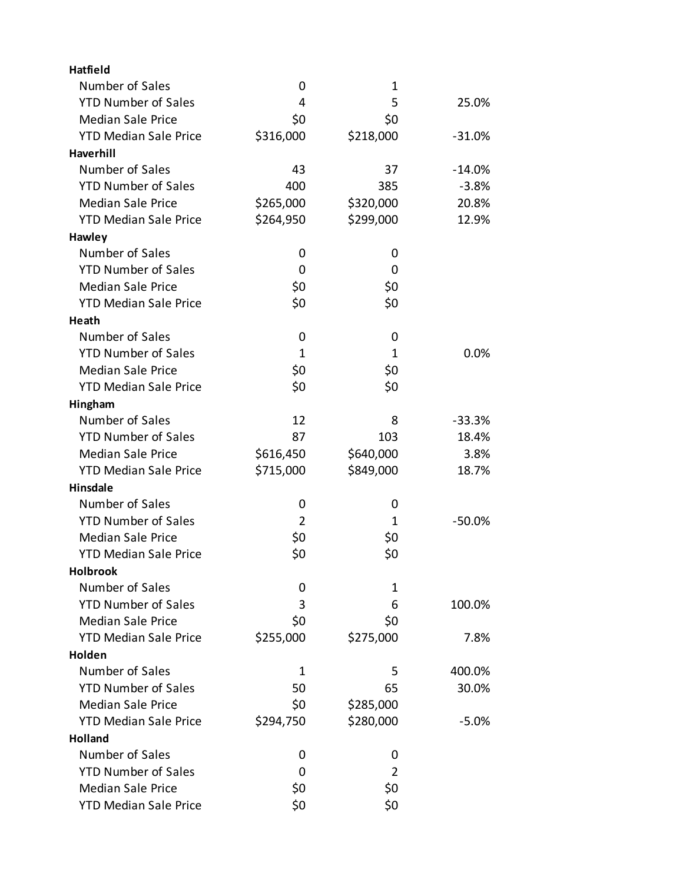| Number of Sales<br>0<br>1<br><b>YTD Number of Sales</b><br>5<br>4<br>25.0%<br><b>Median Sale Price</b><br>\$0<br>\$0<br><b>YTD Median Sale Price</b><br>\$218,000<br>\$316,000<br>$-31.0%$<br>Haverhill<br>Number of Sales<br>43<br>37<br>$-14.0%$<br><b>YTD Number of Sales</b><br>400<br>$-3.8%$<br>385<br><b>Median Sale Price</b><br>\$265,000<br>\$320,000<br>20.8%<br><b>YTD Median Sale Price</b><br>\$264,950<br>\$299,000<br>12.9%<br>Hawley<br>Number of Sales<br>0<br>0<br><b>YTD Number of Sales</b><br>0<br>0<br><b>Median Sale Price</b><br>\$0<br>\$0<br>\$0<br><b>YTD Median Sale Price</b><br>\$0<br>Heath<br>Number of Sales<br>0<br>0<br><b>YTD Number of Sales</b><br>0.0%<br>1<br>1<br>\$0<br><b>Median Sale Price</b><br>\$0<br><b>YTD Median Sale Price</b><br>\$0<br>\$0<br>Hingham<br>Number of Sales<br>12<br>$-33.3%$<br>8<br><b>YTD Number of Sales</b><br>87<br>103<br>18.4%<br><b>Median Sale Price</b><br>\$640,000<br>3.8%<br>\$616,450<br>\$715,000<br><b>YTD Median Sale Price</b><br>\$849,000<br>18.7%<br>Hinsdale<br>Number of Sales<br>0<br>0<br><b>YTD Number of Sales</b><br>2<br>$-50.0%$<br>1<br><b>Median Sale Price</b><br>\$0<br>\$0<br>\$0<br>\$0<br><b>YTD Median Sale Price</b><br><b>Holbrook</b><br>Number of Sales<br>0<br>1<br><b>YTD Number of Sales</b><br>3<br>6<br>100.0%<br><b>Median Sale Price</b><br>\$0<br>\$0<br><b>YTD Median Sale Price</b><br>\$255,000<br>\$275,000<br>7.8%<br>Holden<br>Number of Sales<br>400.0%<br>1<br>5<br><b>YTD Number of Sales</b><br>50<br>65<br>30.0%<br><b>Median Sale Price</b><br>\$0<br>\$285,000<br><b>YTD Median Sale Price</b><br>\$280,000<br>\$294,750<br>$-5.0%$<br>Holland<br>Number of Sales<br>0<br>0<br><b>YTD Number of Sales</b><br>$\overline{2}$<br>0<br><b>Median Sale Price</b><br>\$0<br>\$0 | Hatfield                     |     |     |  |
|---------------------------------------------------------------------------------------------------------------------------------------------------------------------------------------------------------------------------------------------------------------------------------------------------------------------------------------------------------------------------------------------------------------------------------------------------------------------------------------------------------------------------------------------------------------------------------------------------------------------------------------------------------------------------------------------------------------------------------------------------------------------------------------------------------------------------------------------------------------------------------------------------------------------------------------------------------------------------------------------------------------------------------------------------------------------------------------------------------------------------------------------------------------------------------------------------------------------------------------------------------------------------------------------------------------------------------------------------------------------------------------------------------------------------------------------------------------------------------------------------------------------------------------------------------------------------------------------------------------------------------------------------------------------------------------------------------------------------------------------------------------------------------------------------------------|------------------------------|-----|-----|--|
|                                                                                                                                                                                                                                                                                                                                                                                                                                                                                                                                                                                                                                                                                                                                                                                                                                                                                                                                                                                                                                                                                                                                                                                                                                                                                                                                                                                                                                                                                                                                                                                                                                                                                                                                                                                                               |                              |     |     |  |
|                                                                                                                                                                                                                                                                                                                                                                                                                                                                                                                                                                                                                                                                                                                                                                                                                                                                                                                                                                                                                                                                                                                                                                                                                                                                                                                                                                                                                                                                                                                                                                                                                                                                                                                                                                                                               |                              |     |     |  |
|                                                                                                                                                                                                                                                                                                                                                                                                                                                                                                                                                                                                                                                                                                                                                                                                                                                                                                                                                                                                                                                                                                                                                                                                                                                                                                                                                                                                                                                                                                                                                                                                                                                                                                                                                                                                               |                              |     |     |  |
|                                                                                                                                                                                                                                                                                                                                                                                                                                                                                                                                                                                                                                                                                                                                                                                                                                                                                                                                                                                                                                                                                                                                                                                                                                                                                                                                                                                                                                                                                                                                                                                                                                                                                                                                                                                                               |                              |     |     |  |
|                                                                                                                                                                                                                                                                                                                                                                                                                                                                                                                                                                                                                                                                                                                                                                                                                                                                                                                                                                                                                                                                                                                                                                                                                                                                                                                                                                                                                                                                                                                                                                                                                                                                                                                                                                                                               |                              |     |     |  |
|                                                                                                                                                                                                                                                                                                                                                                                                                                                                                                                                                                                                                                                                                                                                                                                                                                                                                                                                                                                                                                                                                                                                                                                                                                                                                                                                                                                                                                                                                                                                                                                                                                                                                                                                                                                                               |                              |     |     |  |
|                                                                                                                                                                                                                                                                                                                                                                                                                                                                                                                                                                                                                                                                                                                                                                                                                                                                                                                                                                                                                                                                                                                                                                                                                                                                                                                                                                                                                                                                                                                                                                                                                                                                                                                                                                                                               |                              |     |     |  |
|                                                                                                                                                                                                                                                                                                                                                                                                                                                                                                                                                                                                                                                                                                                                                                                                                                                                                                                                                                                                                                                                                                                                                                                                                                                                                                                                                                                                                                                                                                                                                                                                                                                                                                                                                                                                               |                              |     |     |  |
|                                                                                                                                                                                                                                                                                                                                                                                                                                                                                                                                                                                                                                                                                                                                                                                                                                                                                                                                                                                                                                                                                                                                                                                                                                                                                                                                                                                                                                                                                                                                                                                                                                                                                                                                                                                                               |                              |     |     |  |
|                                                                                                                                                                                                                                                                                                                                                                                                                                                                                                                                                                                                                                                                                                                                                                                                                                                                                                                                                                                                                                                                                                                                                                                                                                                                                                                                                                                                                                                                                                                                                                                                                                                                                                                                                                                                               |                              |     |     |  |
|                                                                                                                                                                                                                                                                                                                                                                                                                                                                                                                                                                                                                                                                                                                                                                                                                                                                                                                                                                                                                                                                                                                                                                                                                                                                                                                                                                                                                                                                                                                                                                                                                                                                                                                                                                                                               |                              |     |     |  |
|                                                                                                                                                                                                                                                                                                                                                                                                                                                                                                                                                                                                                                                                                                                                                                                                                                                                                                                                                                                                                                                                                                                                                                                                                                                                                                                                                                                                                                                                                                                                                                                                                                                                                                                                                                                                               |                              |     |     |  |
|                                                                                                                                                                                                                                                                                                                                                                                                                                                                                                                                                                                                                                                                                                                                                                                                                                                                                                                                                                                                                                                                                                                                                                                                                                                                                                                                                                                                                                                                                                                                                                                                                                                                                                                                                                                                               |                              |     |     |  |
|                                                                                                                                                                                                                                                                                                                                                                                                                                                                                                                                                                                                                                                                                                                                                                                                                                                                                                                                                                                                                                                                                                                                                                                                                                                                                                                                                                                                                                                                                                                                                                                                                                                                                                                                                                                                               |                              |     |     |  |
|                                                                                                                                                                                                                                                                                                                                                                                                                                                                                                                                                                                                                                                                                                                                                                                                                                                                                                                                                                                                                                                                                                                                                                                                                                                                                                                                                                                                                                                                                                                                                                                                                                                                                                                                                                                                               |                              |     |     |  |
|                                                                                                                                                                                                                                                                                                                                                                                                                                                                                                                                                                                                                                                                                                                                                                                                                                                                                                                                                                                                                                                                                                                                                                                                                                                                                                                                                                                                                                                                                                                                                                                                                                                                                                                                                                                                               |                              |     |     |  |
|                                                                                                                                                                                                                                                                                                                                                                                                                                                                                                                                                                                                                                                                                                                                                                                                                                                                                                                                                                                                                                                                                                                                                                                                                                                                                                                                                                                                                                                                                                                                                                                                                                                                                                                                                                                                               |                              |     |     |  |
|                                                                                                                                                                                                                                                                                                                                                                                                                                                                                                                                                                                                                                                                                                                                                                                                                                                                                                                                                                                                                                                                                                                                                                                                                                                                                                                                                                                                                                                                                                                                                                                                                                                                                                                                                                                                               |                              |     |     |  |
|                                                                                                                                                                                                                                                                                                                                                                                                                                                                                                                                                                                                                                                                                                                                                                                                                                                                                                                                                                                                                                                                                                                                                                                                                                                                                                                                                                                                                                                                                                                                                                                                                                                                                                                                                                                                               |                              |     |     |  |
|                                                                                                                                                                                                                                                                                                                                                                                                                                                                                                                                                                                                                                                                                                                                                                                                                                                                                                                                                                                                                                                                                                                                                                                                                                                                                                                                                                                                                                                                                                                                                                                                                                                                                                                                                                                                               |                              |     |     |  |
|                                                                                                                                                                                                                                                                                                                                                                                                                                                                                                                                                                                                                                                                                                                                                                                                                                                                                                                                                                                                                                                                                                                                                                                                                                                                                                                                                                                                                                                                                                                                                                                                                                                                                                                                                                                                               |                              |     |     |  |
|                                                                                                                                                                                                                                                                                                                                                                                                                                                                                                                                                                                                                                                                                                                                                                                                                                                                                                                                                                                                                                                                                                                                                                                                                                                                                                                                                                                                                                                                                                                                                                                                                                                                                                                                                                                                               |                              |     |     |  |
|                                                                                                                                                                                                                                                                                                                                                                                                                                                                                                                                                                                                                                                                                                                                                                                                                                                                                                                                                                                                                                                                                                                                                                                                                                                                                                                                                                                                                                                                                                                                                                                                                                                                                                                                                                                                               |                              |     |     |  |
|                                                                                                                                                                                                                                                                                                                                                                                                                                                                                                                                                                                                                                                                                                                                                                                                                                                                                                                                                                                                                                                                                                                                                                                                                                                                                                                                                                                                                                                                                                                                                                                                                                                                                                                                                                                                               |                              |     |     |  |
|                                                                                                                                                                                                                                                                                                                                                                                                                                                                                                                                                                                                                                                                                                                                                                                                                                                                                                                                                                                                                                                                                                                                                                                                                                                                                                                                                                                                                                                                                                                                                                                                                                                                                                                                                                                                               |                              |     |     |  |
|                                                                                                                                                                                                                                                                                                                                                                                                                                                                                                                                                                                                                                                                                                                                                                                                                                                                                                                                                                                                                                                                                                                                                                                                                                                                                                                                                                                                                                                                                                                                                                                                                                                                                                                                                                                                               |                              |     |     |  |
|                                                                                                                                                                                                                                                                                                                                                                                                                                                                                                                                                                                                                                                                                                                                                                                                                                                                                                                                                                                                                                                                                                                                                                                                                                                                                                                                                                                                                                                                                                                                                                                                                                                                                                                                                                                                               |                              |     |     |  |
|                                                                                                                                                                                                                                                                                                                                                                                                                                                                                                                                                                                                                                                                                                                                                                                                                                                                                                                                                                                                                                                                                                                                                                                                                                                                                                                                                                                                                                                                                                                                                                                                                                                                                                                                                                                                               |                              |     |     |  |
|                                                                                                                                                                                                                                                                                                                                                                                                                                                                                                                                                                                                                                                                                                                                                                                                                                                                                                                                                                                                                                                                                                                                                                                                                                                                                                                                                                                                                                                                                                                                                                                                                                                                                                                                                                                                               |                              |     |     |  |
|                                                                                                                                                                                                                                                                                                                                                                                                                                                                                                                                                                                                                                                                                                                                                                                                                                                                                                                                                                                                                                                                                                                                                                                                                                                                                                                                                                                                                                                                                                                                                                                                                                                                                                                                                                                                               |                              |     |     |  |
|                                                                                                                                                                                                                                                                                                                                                                                                                                                                                                                                                                                                                                                                                                                                                                                                                                                                                                                                                                                                                                                                                                                                                                                                                                                                                                                                                                                                                                                                                                                                                                                                                                                                                                                                                                                                               |                              |     |     |  |
|                                                                                                                                                                                                                                                                                                                                                                                                                                                                                                                                                                                                                                                                                                                                                                                                                                                                                                                                                                                                                                                                                                                                                                                                                                                                                                                                                                                                                                                                                                                                                                                                                                                                                                                                                                                                               |                              |     |     |  |
|                                                                                                                                                                                                                                                                                                                                                                                                                                                                                                                                                                                                                                                                                                                                                                                                                                                                                                                                                                                                                                                                                                                                                                                                                                                                                                                                                                                                                                                                                                                                                                                                                                                                                                                                                                                                               |                              |     |     |  |
|                                                                                                                                                                                                                                                                                                                                                                                                                                                                                                                                                                                                                                                                                                                                                                                                                                                                                                                                                                                                                                                                                                                                                                                                                                                                                                                                                                                                                                                                                                                                                                                                                                                                                                                                                                                                               |                              |     |     |  |
|                                                                                                                                                                                                                                                                                                                                                                                                                                                                                                                                                                                                                                                                                                                                                                                                                                                                                                                                                                                                                                                                                                                                                                                                                                                                                                                                                                                                                                                                                                                                                                                                                                                                                                                                                                                                               |                              |     |     |  |
|                                                                                                                                                                                                                                                                                                                                                                                                                                                                                                                                                                                                                                                                                                                                                                                                                                                                                                                                                                                                                                                                                                                                                                                                                                                                                                                                                                                                                                                                                                                                                                                                                                                                                                                                                                                                               |                              |     |     |  |
|                                                                                                                                                                                                                                                                                                                                                                                                                                                                                                                                                                                                                                                                                                                                                                                                                                                                                                                                                                                                                                                                                                                                                                                                                                                                                                                                                                                                                                                                                                                                                                                                                                                                                                                                                                                                               |                              |     |     |  |
|                                                                                                                                                                                                                                                                                                                                                                                                                                                                                                                                                                                                                                                                                                                                                                                                                                                                                                                                                                                                                                                                                                                                                                                                                                                                                                                                                                                                                                                                                                                                                                                                                                                                                                                                                                                                               |                              |     |     |  |
|                                                                                                                                                                                                                                                                                                                                                                                                                                                                                                                                                                                                                                                                                                                                                                                                                                                                                                                                                                                                                                                                                                                                                                                                                                                                                                                                                                                                                                                                                                                                                                                                                                                                                                                                                                                                               |                              |     |     |  |
|                                                                                                                                                                                                                                                                                                                                                                                                                                                                                                                                                                                                                                                                                                                                                                                                                                                                                                                                                                                                                                                                                                                                                                                                                                                                                                                                                                                                                                                                                                                                                                                                                                                                                                                                                                                                               |                              |     |     |  |
|                                                                                                                                                                                                                                                                                                                                                                                                                                                                                                                                                                                                                                                                                                                                                                                                                                                                                                                                                                                                                                                                                                                                                                                                                                                                                                                                                                                                                                                                                                                                                                                                                                                                                                                                                                                                               |                              |     |     |  |
|                                                                                                                                                                                                                                                                                                                                                                                                                                                                                                                                                                                                                                                                                                                                                                                                                                                                                                                                                                                                                                                                                                                                                                                                                                                                                                                                                                                                                                                                                                                                                                                                                                                                                                                                                                                                               |                              |     |     |  |
|                                                                                                                                                                                                                                                                                                                                                                                                                                                                                                                                                                                                                                                                                                                                                                                                                                                                                                                                                                                                                                                                                                                                                                                                                                                                                                                                                                                                                                                                                                                                                                                                                                                                                                                                                                                                               |                              |     |     |  |
|                                                                                                                                                                                                                                                                                                                                                                                                                                                                                                                                                                                                                                                                                                                                                                                                                                                                                                                                                                                                                                                                                                                                                                                                                                                                                                                                                                                                                                                                                                                                                                                                                                                                                                                                                                                                               | <b>YTD Median Sale Price</b> | \$0 | \$0 |  |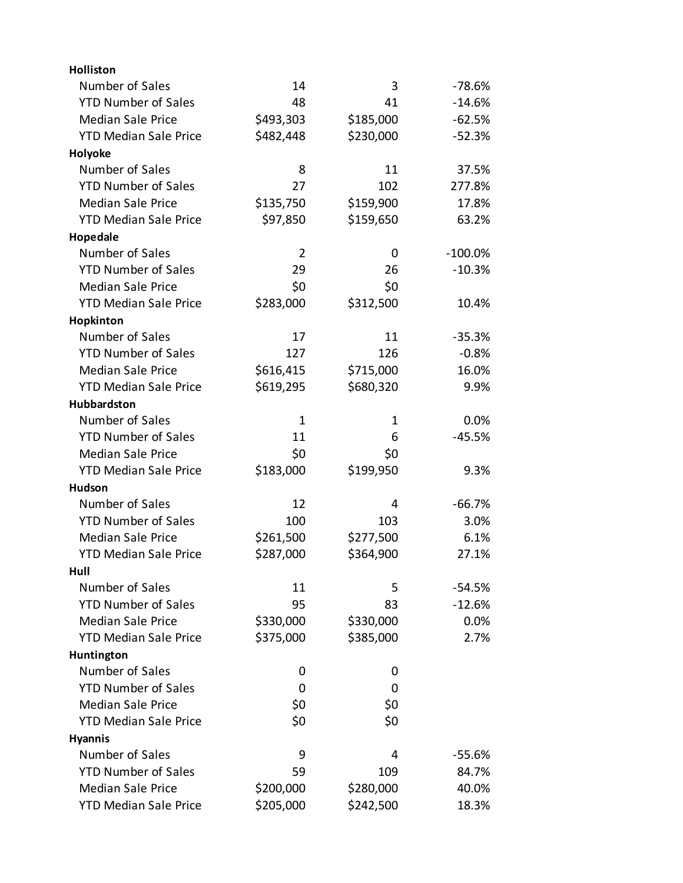| <b>Holliston</b>             |                |           |            |
|------------------------------|----------------|-----------|------------|
| Number of Sales              | 14             | 3         | $-78.6%$   |
| <b>YTD Number of Sales</b>   | 48             | 41        | $-14.6%$   |
| <b>Median Sale Price</b>     | \$493,303      | \$185,000 | $-62.5%$   |
| <b>YTD Median Sale Price</b> | \$482,448      | \$230,000 | $-52.3%$   |
| Holyoke                      |                |           |            |
| Number of Sales              | 8              | 11        | 37.5%      |
| <b>YTD Number of Sales</b>   | 27             | 102       | 277.8%     |
| <b>Median Sale Price</b>     | \$135,750      | \$159,900 | 17.8%      |
| <b>YTD Median Sale Price</b> | \$97,850       | \$159,650 | 63.2%      |
| Hopedale                     |                |           |            |
| Number of Sales              | $\overline{2}$ | 0         | $-100.0\%$ |
| <b>YTD Number of Sales</b>   | 29             | 26        | $-10.3%$   |
| <b>Median Sale Price</b>     | \$0            | \$0       |            |
| <b>YTD Median Sale Price</b> | \$283,000      | \$312,500 | 10.4%      |
| Hopkinton                    |                |           |            |
| Number of Sales              | 17             | 11        | $-35.3%$   |
| <b>YTD Number of Sales</b>   | 127            | 126       | $-0.8%$    |
| <b>Median Sale Price</b>     | \$616,415      | \$715,000 | 16.0%      |
| <b>YTD Median Sale Price</b> | \$619,295      | \$680,320 | 9.9%       |
| Hubbardston                  |                |           |            |
| Number of Sales              | 1              | 1         | 0.0%       |
| <b>YTD Number of Sales</b>   | 11             | 6         | $-45.5%$   |
| <b>Median Sale Price</b>     | \$0            | \$0       |            |
| <b>YTD Median Sale Price</b> | \$183,000      | \$199,950 | 9.3%       |
| <b>Hudson</b>                |                |           |            |
| Number of Sales              | 12             | 4         | $-66.7%$   |
| <b>YTD Number of Sales</b>   | 100            | 103       | 3.0%       |
| <b>Median Sale Price</b>     | \$261,500      | \$277,500 | 6.1%       |
| <b>YTD Median Sale Price</b> | \$287,000      | \$364,900 | 27.1%      |
| Hull                         |                |           |            |
| Number of Sales              | 11             | 5         | $-54.5%$   |
| <b>YTD Number of Sales</b>   | 95             | 83        | $-12.6%$   |
| <b>Median Sale Price</b>     | \$330,000      | \$330,000 | 0.0%       |
| <b>YTD Median Sale Price</b> | \$375,000      | \$385,000 | 2.7%       |
| Huntington                   |                |           |            |
| Number of Sales              | 0              | 0         |            |
| <b>YTD Number of Sales</b>   | 0              | 0         |            |
| <b>Median Sale Price</b>     | \$0            | \$0       |            |
| <b>YTD Median Sale Price</b> | \$0            | \$0       |            |
| <b>Hyannis</b>               |                |           |            |
| Number of Sales              | 9              | 4         | $-55.6%$   |
| <b>YTD Number of Sales</b>   | 59             | 109       | 84.7%      |
| <b>Median Sale Price</b>     | \$200,000      | \$280,000 | 40.0%      |
| <b>YTD Median Sale Price</b> | \$205,000      | \$242,500 | 18.3%      |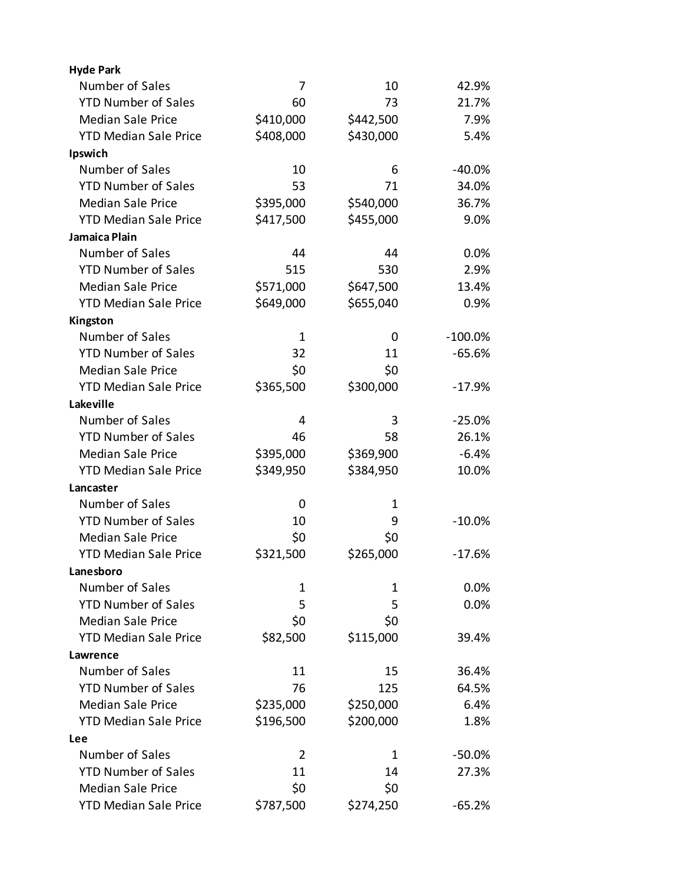| <b>Hyde Park</b>             |              |           |            |
|------------------------------|--------------|-----------|------------|
| Number of Sales              | 7            | 10        | 42.9%      |
| <b>YTD Number of Sales</b>   | 60           | 73        | 21.7%      |
| <b>Median Sale Price</b>     | \$410,000    | \$442,500 | 7.9%       |
| <b>YTD Median Sale Price</b> | \$408,000    | \$430,000 | 5.4%       |
| Ipswich                      |              |           |            |
| Number of Sales              | 10           | 6         | $-40.0%$   |
| <b>YTD Number of Sales</b>   | 53           | 71        | 34.0%      |
| <b>Median Sale Price</b>     | \$395,000    | \$540,000 | 36.7%      |
| <b>YTD Median Sale Price</b> | \$417,500    | \$455,000 | 9.0%       |
| Jamaica Plain                |              |           |            |
| Number of Sales              | 44           | 44        | 0.0%       |
| <b>YTD Number of Sales</b>   | 515          | 530       | 2.9%       |
| <b>Median Sale Price</b>     | \$571,000    | \$647,500 | 13.4%      |
| <b>YTD Median Sale Price</b> | \$649,000    | \$655,040 | 0.9%       |
| Kingston                     |              |           |            |
| Number of Sales              | $\mathbf{1}$ | 0         | $-100.0\%$ |
| <b>YTD Number of Sales</b>   | 32           | 11        | $-65.6%$   |
| <b>Median Sale Price</b>     | \$0          | \$0       |            |
| <b>YTD Median Sale Price</b> | \$365,500    | \$300,000 | $-17.9%$   |
| Lakeville                    |              |           |            |
| Number of Sales              | 4            | 3         | $-25.0%$   |
| <b>YTD Number of Sales</b>   | 46           | 58        | 26.1%      |
| <b>Median Sale Price</b>     | \$395,000    | \$369,900 | $-6.4%$    |
| <b>YTD Median Sale Price</b> | \$349,950    | \$384,950 | 10.0%      |
| Lancaster                    |              |           |            |
| Number of Sales              | 0            | 1         |            |
| <b>YTD Number of Sales</b>   | 10           | 9         | $-10.0%$   |
| <b>Median Sale Price</b>     | \$0          | \$0       |            |
| <b>YTD Median Sale Price</b> | \$321,500    | \$265,000 | $-17.6%$   |
| Lanesboro                    |              |           |            |
| Number of Sales              | $\mathbf 1$  | 1         | 0.0%       |
| <b>YTD Number of Sales</b>   | 5            | 5         | 0.0%       |
| <b>Median Sale Price</b>     | \$0          | \$0       |            |
| <b>YTD Median Sale Price</b> | \$82,500     | \$115,000 | 39.4%      |
| Lawrence                     |              |           |            |
| Number of Sales              | 11           | 15        | 36.4%      |
| <b>YTD Number of Sales</b>   | 76           | 125       | 64.5%      |
| <b>Median Sale Price</b>     | \$235,000    | \$250,000 | 6.4%       |
| <b>YTD Median Sale Price</b> | \$196,500    | \$200,000 | 1.8%       |
| <b>Lee</b>                   |              |           |            |
| Number of Sales              | 2            | 1         | $-50.0%$   |
| <b>YTD Number of Sales</b>   | 11           | 14        | 27.3%      |
| <b>Median Sale Price</b>     | \$0          | \$0       |            |
| <b>YTD Median Sale Price</b> | \$787,500    | \$274,250 | $-65.2%$   |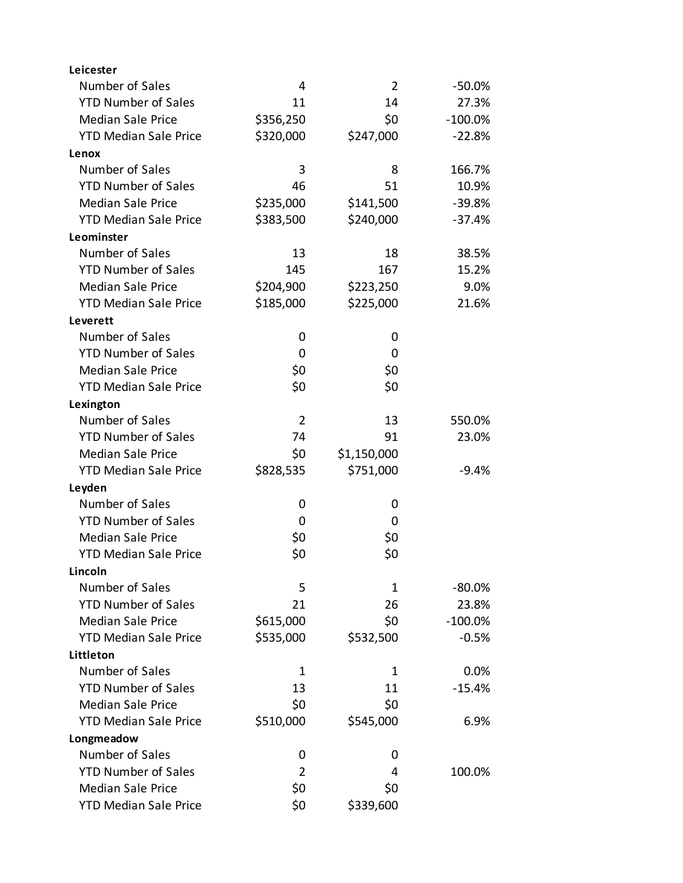| Leicester                    |                |                |            |
|------------------------------|----------------|----------------|------------|
| Number of Sales              | 4              | $\overline{2}$ | $-50.0%$   |
| <b>YTD Number of Sales</b>   | 11             | 14             | 27.3%      |
| <b>Median Sale Price</b>     | \$356,250      | \$0            | $-100.0\%$ |
| <b>YTD Median Sale Price</b> | \$320,000      | \$247,000      | $-22.8%$   |
| Lenox                        |                |                |            |
| Number of Sales              | 3              | 8              | 166.7%     |
| <b>YTD Number of Sales</b>   | 46             | 51             | 10.9%      |
| <b>Median Sale Price</b>     | \$235,000      | \$141,500      | $-39.8%$   |
| <b>YTD Median Sale Price</b> | \$383,500      | \$240,000      | $-37.4%$   |
| Leominster                   |                |                |            |
| Number of Sales              | 13             | 18             | 38.5%      |
| <b>YTD Number of Sales</b>   | 145            | 167            | 15.2%      |
| <b>Median Sale Price</b>     | \$204,900      | \$223,250      | 9.0%       |
| <b>YTD Median Sale Price</b> | \$185,000      | \$225,000      | 21.6%      |
| Leverett                     |                |                |            |
| Number of Sales              | 0              | 0              |            |
| <b>YTD Number of Sales</b>   | 0              | 0              |            |
| <b>Median Sale Price</b>     | \$0            | \$0            |            |
| <b>YTD Median Sale Price</b> | \$0            | \$0            |            |
| Lexington                    |                |                |            |
| Number of Sales              | $\overline{2}$ | 13             | 550.0%     |
| <b>YTD Number of Sales</b>   | 74             | 91             | 23.0%      |
| <b>Median Sale Price</b>     | \$0            | \$1,150,000    |            |
| <b>YTD Median Sale Price</b> | \$828,535      | \$751,000      | $-9.4%$    |
| Leyden                       |                |                |            |
| Number of Sales              | 0              | 0              |            |
| <b>YTD Number of Sales</b>   | 0              | 0              |            |
| <b>Median Sale Price</b>     | \$0            | \$0            |            |
| <b>YTD Median Sale Price</b> | \$0            | \$0            |            |
| Lincoln                      |                |                |            |
| Number of Sales              | 5              | 1              | $-80.0%$   |
| <b>YTD Number of Sales</b>   | 21             | 26             | 23.8%      |
| <b>Median Sale Price</b>     | \$615,000      | \$0            | $-100.0%$  |
| <b>YTD Median Sale Price</b> | \$535,000      | \$532,500      | $-0.5%$    |
| Littleton                    |                |                |            |
| Number of Sales              | $\mathbf 1$    | 1              | 0.0%       |
| <b>YTD Number of Sales</b>   | 13             | 11             | $-15.4%$   |
| <b>Median Sale Price</b>     | \$0            | \$0            |            |
| <b>YTD Median Sale Price</b> | \$510,000      | \$545,000      | 6.9%       |
| Longmeadow                   |                |                |            |
| Number of Sales              | 0              | 0              |            |
| <b>YTD Number of Sales</b>   | $\overline{2}$ | 4              | 100.0%     |
| <b>Median Sale Price</b>     | \$0            | \$0            |            |
| <b>YTD Median Sale Price</b> | \$0            | \$339,600      |            |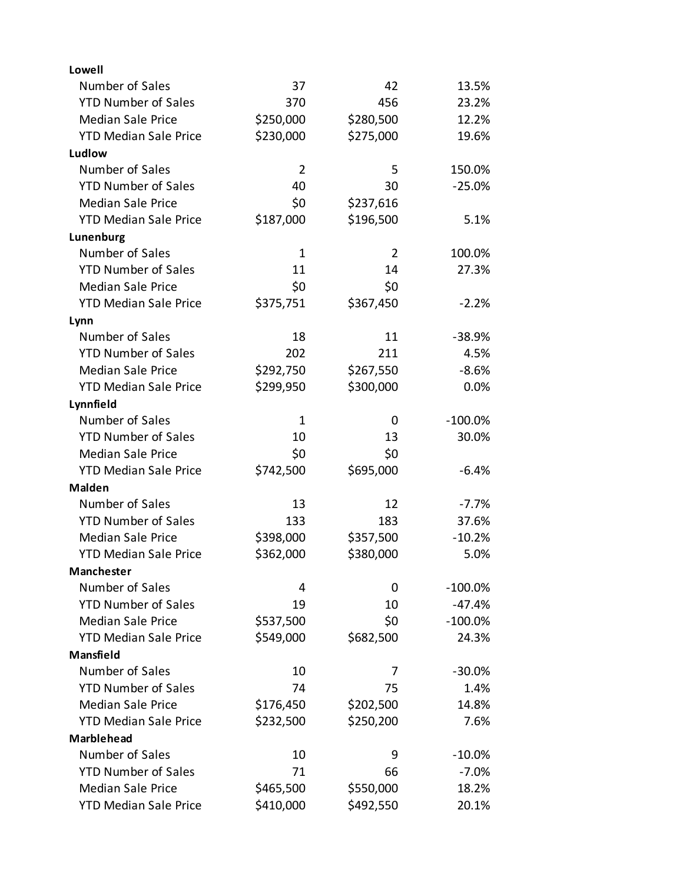| Lowell                       |                |                |            |
|------------------------------|----------------|----------------|------------|
| Number of Sales              | 37             | 42             | 13.5%      |
| <b>YTD Number of Sales</b>   | 370            | 456            | 23.2%      |
| <b>Median Sale Price</b>     | \$250,000      | \$280,500      | 12.2%      |
| <b>YTD Median Sale Price</b> | \$230,000      | \$275,000      | 19.6%      |
| Ludlow                       |                |                |            |
| Number of Sales              | $\overline{2}$ | 5              | 150.0%     |
| <b>YTD Number of Sales</b>   | 40             | 30             | $-25.0%$   |
| <b>Median Sale Price</b>     | \$0            | \$237,616      |            |
| <b>YTD Median Sale Price</b> | \$187,000      | \$196,500      | 5.1%       |
| Lunenburg                    |                |                |            |
| Number of Sales              | 1              | $\overline{2}$ | 100.0%     |
| <b>YTD Number of Sales</b>   | 11             | 14             | 27.3%      |
| <b>Median Sale Price</b>     | \$0            | \$0            |            |
| <b>YTD Median Sale Price</b> | \$375,751      | \$367,450      | $-2.2%$    |
| Lynn                         |                |                |            |
| Number of Sales              | 18             | 11             | $-38.9%$   |
| <b>YTD Number of Sales</b>   | 202            | 211            | 4.5%       |
| <b>Median Sale Price</b>     | \$292,750      | \$267,550      | $-8.6%$    |
| <b>YTD Median Sale Price</b> | \$299,950      | \$300,000      | 0.0%       |
| Lynnfield                    |                |                |            |
| Number of Sales              | 1              | 0              | $-100.0\%$ |
| <b>YTD Number of Sales</b>   | 10             | 13             | 30.0%      |
| <b>Median Sale Price</b>     | \$0            | \$0            |            |
| <b>YTD Median Sale Price</b> | \$742,500      | \$695,000      | $-6.4%$    |
| <b>Malden</b>                |                |                |            |
| Number of Sales              | 13             | 12             | $-7.7%$    |
| <b>YTD Number of Sales</b>   | 133            | 183            | 37.6%      |
| <b>Median Sale Price</b>     | \$398,000      | \$357,500      | $-10.2%$   |
| <b>YTD Median Sale Price</b> | \$362,000      | \$380,000      | 5.0%       |
| Manchester                   |                |                |            |
| Number of Sales              | 4              | 0              | $-100.0\%$ |
| <b>YTD Number of Sales</b>   | 19             | 10             | $-47.4%$   |
| <b>Median Sale Price</b>     | \$537,500      | \$0            | $-100.0\%$ |
| <b>YTD Median Sale Price</b> | \$549,000      | \$682,500      | 24.3%      |
| Mansfield                    |                |                |            |
| Number of Sales              | 10             | 7              | $-30.0%$   |
| <b>YTD Number of Sales</b>   | 74             | 75             | 1.4%       |
| <b>Median Sale Price</b>     | \$176,450      | \$202,500      | 14.8%      |
| <b>YTD Median Sale Price</b> | \$232,500      | \$250,200      | 7.6%       |
| <b>Marblehead</b>            |                |                |            |
| Number of Sales              | 10             | 9              | $-10.0\%$  |
| <b>YTD Number of Sales</b>   | 71             | 66             | $-7.0%$    |
| <b>Median Sale Price</b>     | \$465,500      | \$550,000      | 18.2%      |
| <b>YTD Median Sale Price</b> | \$410,000      | \$492,550      | 20.1%      |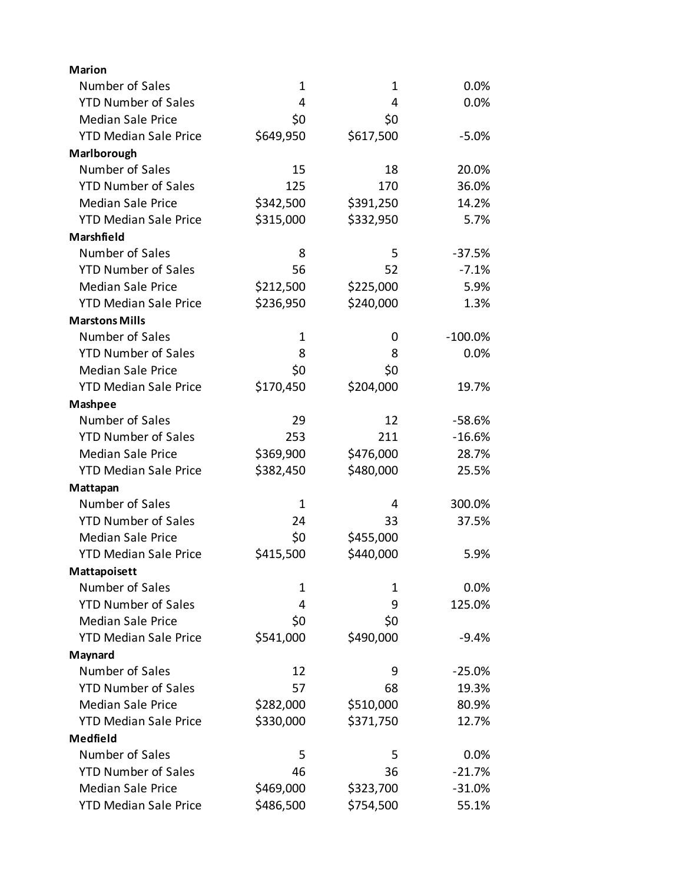| <b>Marion</b>                |              |           |            |
|------------------------------|--------------|-----------|------------|
| Number of Sales              | $\mathbf 1$  | 1         | $0.0\%$    |
| <b>YTD Number of Sales</b>   | 4            | 4         | 0.0%       |
| <b>Median Sale Price</b>     | \$0          | \$0       |            |
| <b>YTD Median Sale Price</b> | \$649,950    | \$617,500 | $-5.0%$    |
| Marlborough                  |              |           |            |
| Number of Sales              | 15           | 18        | 20.0%      |
| <b>YTD Number of Sales</b>   | 125          | 170       | 36.0%      |
| <b>Median Sale Price</b>     | \$342,500    | \$391,250 | 14.2%      |
| <b>YTD Median Sale Price</b> | \$315,000    | \$332,950 | 5.7%       |
| Marshfield                   |              |           |            |
| Number of Sales              | 8            | 5         | $-37.5%$   |
| <b>YTD Number of Sales</b>   | 56           | 52        | $-7.1%$    |
| <b>Median Sale Price</b>     | \$212,500    | \$225,000 | 5.9%       |
| <b>YTD Median Sale Price</b> | \$236,950    | \$240,000 | 1.3%       |
| <b>Marstons Mills</b>        |              |           |            |
| Number of Sales              | $\mathbf{1}$ | 0         | $-100.0\%$ |
| <b>YTD Number of Sales</b>   | 8            | 8         | 0.0%       |
| <b>Median Sale Price</b>     | \$0          | \$0       |            |
| <b>YTD Median Sale Price</b> | \$170,450    | \$204,000 | 19.7%      |
| <b>Mashpee</b>               |              |           |            |
| Number of Sales              | 29           | 12        | $-58.6%$   |
| <b>YTD Number of Sales</b>   | 253          | 211       | $-16.6%$   |
| <b>Median Sale Price</b>     | \$369,900    | \$476,000 | 28.7%      |
| <b>YTD Median Sale Price</b> | \$382,450    | \$480,000 | 25.5%      |
| Mattapan                     |              |           |            |
| Number of Sales              | $\mathbf{1}$ | 4         | 300.0%     |
| <b>YTD Number of Sales</b>   | 24           | 33        | 37.5%      |
| <b>Median Sale Price</b>     | \$0          | \$455,000 |            |
| <b>YTD Median Sale Price</b> | \$415,500    | \$440,000 | 5.9%       |
| Mattapoisett                 |              |           |            |
| Number of Sales              | 1            | 1         | $0.0\%$    |
| <b>YTD Number of Sales</b>   | 4            | 9         | 125.0%     |
| <b>Median Sale Price</b>     | \$0          | \$0       |            |
| <b>YTD Median Sale Price</b> | \$541,000    | \$490,000 | $-9.4%$    |
| Maynard                      |              |           |            |
| Number of Sales              | 12           | 9         | $-25.0%$   |
| <b>YTD Number of Sales</b>   | 57           | 68        | 19.3%      |
| <b>Median Sale Price</b>     | \$282,000    | \$510,000 | 80.9%      |
| <b>YTD Median Sale Price</b> | \$330,000    | \$371,750 | 12.7%      |
| Medfield                     |              |           |            |
| Number of Sales              | 5            | 5         | 0.0%       |
| <b>YTD Number of Sales</b>   | 46           | 36        | $-21.7%$   |
| <b>Median Sale Price</b>     | \$469,000    | \$323,700 | $-31.0%$   |
| <b>YTD Median Sale Price</b> | \$486,500    | \$754,500 | 55.1%      |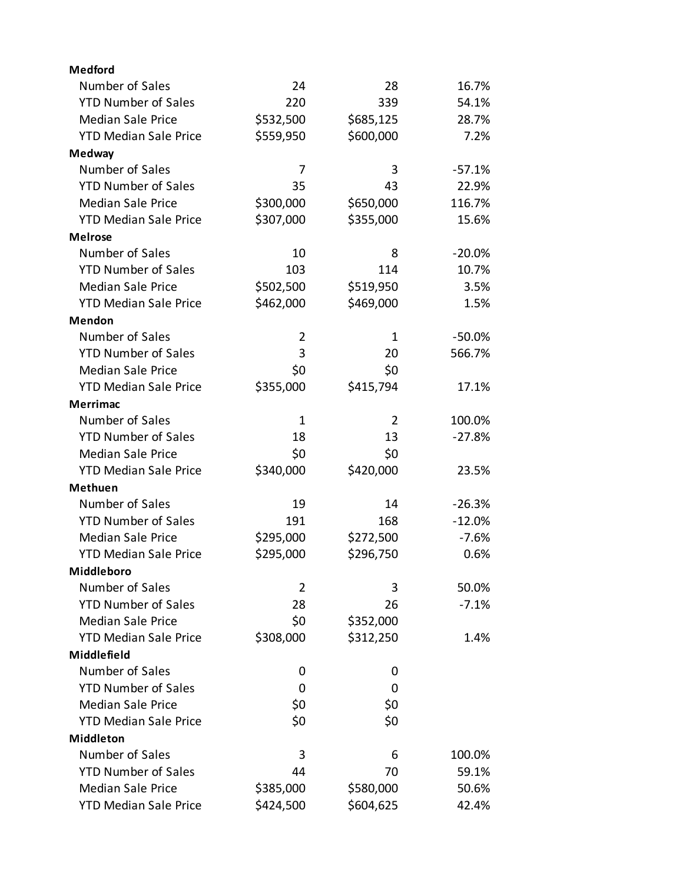| <b>Medford</b>               |                |           |           |
|------------------------------|----------------|-----------|-----------|
| Number of Sales              | 24             | 28        | 16.7%     |
| <b>YTD Number of Sales</b>   | 220            | 339       | 54.1%     |
| <b>Median Sale Price</b>     | \$532,500      | \$685,125 | 28.7%     |
| <b>YTD Median Sale Price</b> | \$559,950      | \$600,000 | 7.2%      |
| Medway                       |                |           |           |
| Number of Sales              | 7              | 3         | $-57.1%$  |
| <b>YTD Number of Sales</b>   | 35             | 43        | 22.9%     |
| <b>Median Sale Price</b>     | \$300,000      | \$650,000 | 116.7%    |
| <b>YTD Median Sale Price</b> | \$307,000      | \$355,000 | 15.6%     |
| <b>Melrose</b>               |                |           |           |
| Number of Sales              | 10             | 8         | $-20.0%$  |
| <b>YTD Number of Sales</b>   | 103            | 114       | 10.7%     |
| <b>Median Sale Price</b>     | \$502,500      | \$519,950 | 3.5%      |
| <b>YTD Median Sale Price</b> | \$462,000      | \$469,000 | 1.5%      |
| Mendon                       |                |           |           |
| Number of Sales              | $\overline{2}$ | 1         | $-50.0\%$ |
| <b>YTD Number of Sales</b>   | 3              | 20        | 566.7%    |
| <b>Median Sale Price</b>     | \$0            | \$0       |           |
| <b>YTD Median Sale Price</b> | \$355,000      | \$415,794 | 17.1%     |
| <b>Merrimac</b>              |                |           |           |
| Number of Sales              | 1              | 2         | 100.0%    |
| <b>YTD Number of Sales</b>   | 18             | 13        | $-27.8%$  |
| <b>Median Sale Price</b>     | \$0            | \$0       |           |
| <b>YTD Median Sale Price</b> | \$340,000      | \$420,000 | 23.5%     |
| <b>Methuen</b>               |                |           |           |
| Number of Sales              | 19             | 14        | $-26.3%$  |
| <b>YTD Number of Sales</b>   | 191            | 168       | $-12.0%$  |
| <b>Median Sale Price</b>     | \$295,000      | \$272,500 | $-7.6%$   |
| <b>YTD Median Sale Price</b> | \$295,000      | \$296,750 | 0.6%      |
| Middleboro                   |                |           |           |
| Number of Sales              | 2              | 3         | 50.0%     |
| <b>YTD Number of Sales</b>   | 28             | 26        | $-7.1%$   |
| <b>Median Sale Price</b>     | \$0            | \$352,000 |           |
| <b>YTD Median Sale Price</b> | \$308,000      | \$312,250 | 1.4%      |
| Middlefield                  |                |           |           |
| Number of Sales              | 0              | 0         |           |
| <b>YTD Number of Sales</b>   | 0              | 0         |           |
| <b>Median Sale Price</b>     | \$0            | \$0       |           |
| <b>YTD Median Sale Price</b> | \$0            | \$0       |           |
| <b>Middleton</b>             |                |           |           |
| Number of Sales              | 3              | 6         | 100.0%    |
| <b>YTD Number of Sales</b>   | 44             | 70        | 59.1%     |
| <b>Median Sale Price</b>     | \$385,000      | \$580,000 | 50.6%     |
| <b>YTD Median Sale Price</b> | \$424,500      | \$604,625 | 42.4%     |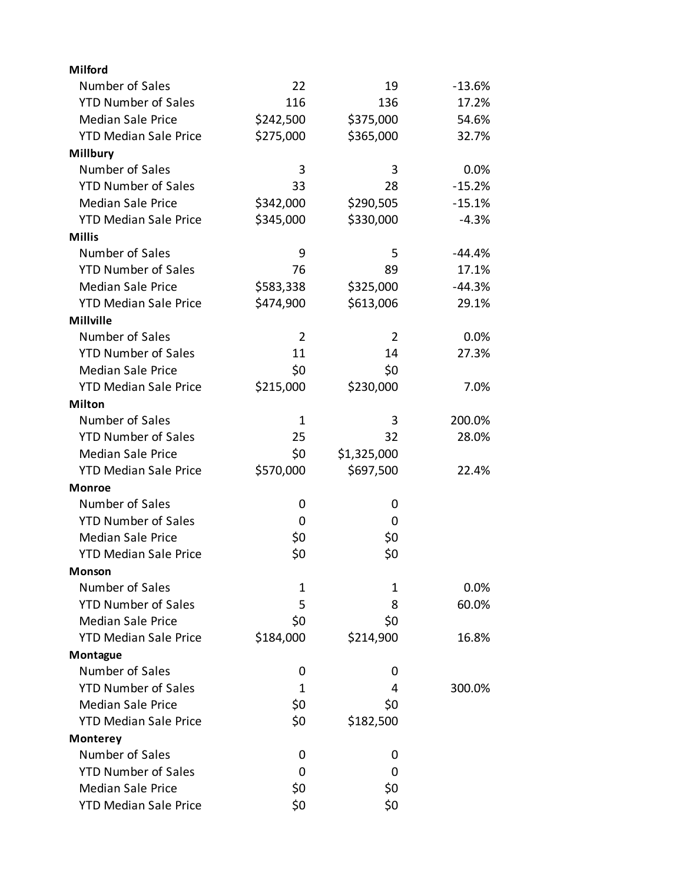| <b>Milford</b>               |                |             |          |
|------------------------------|----------------|-------------|----------|
| Number of Sales              | 22             | 19          | $-13.6%$ |
| <b>YTD Number of Sales</b>   | 116            | 136         | 17.2%    |
| <b>Median Sale Price</b>     | \$242,500      | \$375,000   | 54.6%    |
| <b>YTD Median Sale Price</b> | \$275,000      | \$365,000   | 32.7%    |
| <b>Millbury</b>              |                |             |          |
| Number of Sales              | 3              | 3           | 0.0%     |
| <b>YTD Number of Sales</b>   | 33             | 28          | $-15.2%$ |
| <b>Median Sale Price</b>     | \$342,000      | \$290,505   | $-15.1%$ |
| <b>YTD Median Sale Price</b> | \$345,000      | \$330,000   | $-4.3%$  |
| <b>Millis</b>                |                |             |          |
| Number of Sales              | 9              | 5           | $-44.4%$ |
| <b>YTD Number of Sales</b>   | 76             | 89          | 17.1%    |
| <b>Median Sale Price</b>     | \$583,338      | \$325,000   | $-44.3%$ |
| <b>YTD Median Sale Price</b> | \$474,900      | \$613,006   | 29.1%    |
| <b>Millville</b>             |                |             |          |
| Number of Sales              | $\overline{2}$ | 2           | 0.0%     |
| <b>YTD Number of Sales</b>   | 11             | 14          | 27.3%    |
| <b>Median Sale Price</b>     | \$0            | \$0         |          |
| <b>YTD Median Sale Price</b> | \$215,000      | \$230,000   | 7.0%     |
| <b>Milton</b>                |                |             |          |
| Number of Sales              | 1              | 3           | 200.0%   |
| <b>YTD Number of Sales</b>   | 25             | 32          | 28.0%    |
| <b>Median Sale Price</b>     | \$0            | \$1,325,000 |          |
| <b>YTD Median Sale Price</b> | \$570,000      | \$697,500   | 22.4%    |
| <b>Monroe</b>                |                |             |          |
| Number of Sales              | 0              | 0           |          |
| <b>YTD Number of Sales</b>   | 0              | 0           |          |
| <b>Median Sale Price</b>     | \$0            | \$0         |          |
| <b>YTD Median Sale Price</b> | \$0            | \$0         |          |
| Monson                       |                |             |          |
| Number of Sales              | 1              | 1           | 0.0%     |
| <b>YTD Number of Sales</b>   | 5              | 8           | 60.0%    |
| <b>Median Sale Price</b>     | \$0            | \$0         |          |
| <b>YTD Median Sale Price</b> | \$184,000      | \$214,900   | 16.8%    |
| Montague                     |                |             |          |
| Number of Sales              | 0              | 0           |          |
| <b>YTD Number of Sales</b>   | 1              | 4           | 300.0%   |
| <b>Median Sale Price</b>     | \$0            | \$0         |          |
| <b>YTD Median Sale Price</b> | \$0            | \$182,500   |          |
| <b>Monterey</b>              |                |             |          |
| Number of Sales              | 0              | 0           |          |
| <b>YTD Number of Sales</b>   | 0              | 0           |          |
| <b>Median Sale Price</b>     | \$0            | \$0         |          |
| <b>YTD Median Sale Price</b> | \$0            | \$0         |          |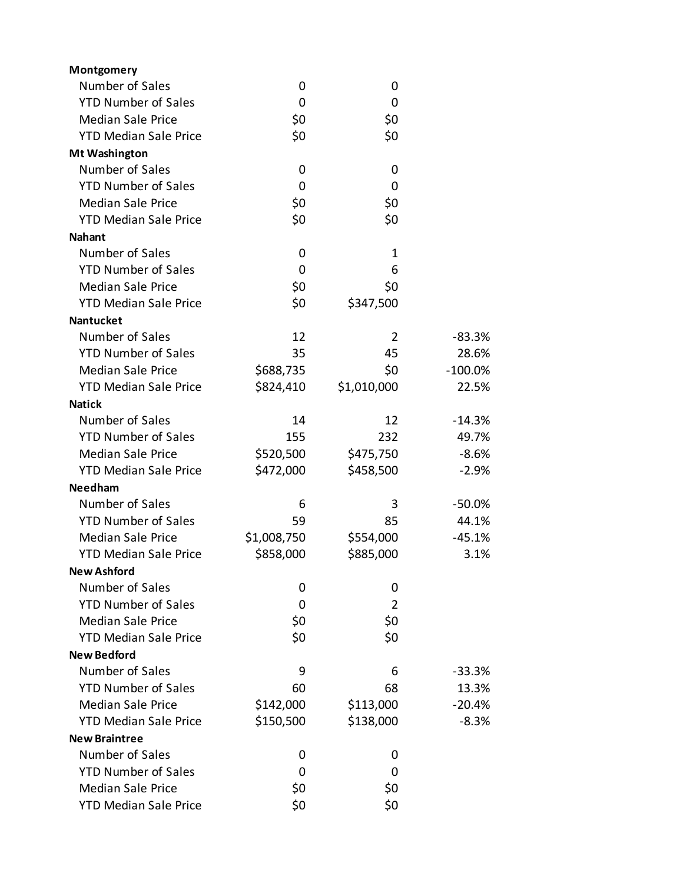| Montgomery                   |             |                |            |
|------------------------------|-------------|----------------|------------|
| Number of Sales              | 0           | 0              |            |
| <b>YTD Number of Sales</b>   | 0           | 0              |            |
| <b>Median Sale Price</b>     | \$0         | \$0            |            |
| <b>YTD Median Sale Price</b> | \$0         | \$0            |            |
| <b>Mt Washington</b>         |             |                |            |
| Number of Sales              | 0           | 0              |            |
| <b>YTD Number of Sales</b>   | 0           | 0              |            |
| <b>Median Sale Price</b>     | \$0         | \$0            |            |
| <b>YTD Median Sale Price</b> | \$0         | \$0            |            |
| <b>Nahant</b>                |             |                |            |
| Number of Sales              | 0           | $\mathbf 1$    |            |
| <b>YTD Number of Sales</b>   | 0           | 6              |            |
| <b>Median Sale Price</b>     | \$0         | \$0            |            |
| <b>YTD Median Sale Price</b> | \$0         | \$347,500      |            |
| <b>Nantucket</b>             |             |                |            |
| Number of Sales              | 12          | 2              | $-83.3%$   |
| <b>YTD Number of Sales</b>   | 35          | 45             | 28.6%      |
| <b>Median Sale Price</b>     | \$688,735   | \$0            | $-100.0\%$ |
| <b>YTD Median Sale Price</b> | \$824,410   | \$1,010,000    | 22.5%      |
| <b>Natick</b>                |             |                |            |
| Number of Sales              | 14          | 12             | $-14.3%$   |
| <b>YTD Number of Sales</b>   | 155         | 232            | 49.7%      |
| <b>Median Sale Price</b>     | \$520,500   | \$475,750      | $-8.6%$    |
| <b>YTD Median Sale Price</b> | \$472,000   | \$458,500      | $-2.9%$    |
| <b>Needham</b>               |             |                |            |
| Number of Sales              | 6           | 3              | $-50.0%$   |
| <b>YTD Number of Sales</b>   | 59          | 85             | 44.1%      |
| <b>Median Sale Price</b>     | \$1,008,750 | \$554,000      | $-45.1%$   |
| <b>YTD Median Sale Price</b> | \$858,000   | \$885,000      | 3.1%       |
| <b>New Ashford</b>           |             |                |            |
| Number of Sales              | 0           | 0              |            |
| <b>YTD Number of Sales</b>   | 0           | $\overline{2}$ |            |
| <b>Median Sale Price</b>     | \$0         | \$0            |            |
| <b>YTD Median Sale Price</b> | \$0         | \$0            |            |
| <b>New Bedford</b>           |             |                |            |
| Number of Sales              | 9           | 6              | $-33.3%$   |
| <b>YTD Number of Sales</b>   | 60          | 68             | 13.3%      |
| <b>Median Sale Price</b>     | \$142,000   | \$113,000      | $-20.4%$   |
| <b>YTD Median Sale Price</b> | \$150,500   | \$138,000      | $-8.3%$    |
| <b>New Braintree</b>         |             |                |            |
| Number of Sales              | 0           | 0              |            |
| <b>YTD Number of Sales</b>   | 0           | 0              |            |
| <b>Median Sale Price</b>     | \$0         | \$0            |            |
| <b>YTD Median Sale Price</b> | \$0         | \$0            |            |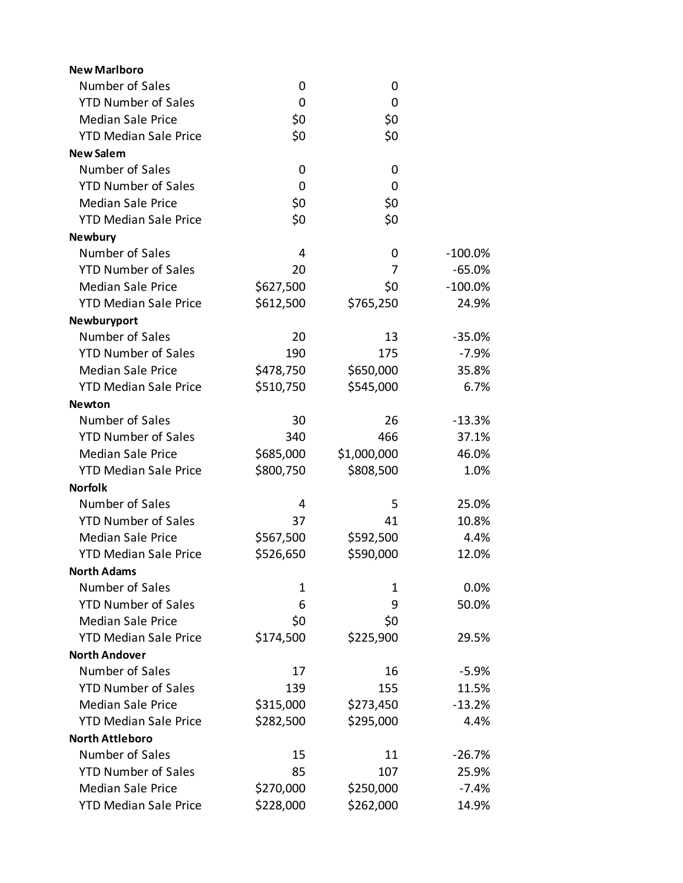| <b>New Marlboro</b>          |              |             |            |
|------------------------------|--------------|-------------|------------|
| Number of Sales              | 0            | 0           |            |
| <b>YTD Number of Sales</b>   | 0            | 0           |            |
| <b>Median Sale Price</b>     | \$0          | \$0         |            |
| <b>YTD Median Sale Price</b> | \$0          | \$0         |            |
| <b>New Salem</b>             |              |             |            |
| Number of Sales              | 0            | 0           |            |
| <b>YTD Number of Sales</b>   | 0            | $\mathbf 0$ |            |
| <b>Median Sale Price</b>     | \$0          | \$0         |            |
| <b>YTD Median Sale Price</b> | \$0          | \$0         |            |
| <b>Newbury</b>               |              |             |            |
| Number of Sales              | 4            | 0           | $-100.0\%$ |
| <b>YTD Number of Sales</b>   | 20           | 7           | $-65.0%$   |
| <b>Median Sale Price</b>     | \$627,500    | \$0         | $-100.0\%$ |
| <b>YTD Median Sale Price</b> | \$612,500    | \$765,250   | 24.9%      |
| Newburyport                  |              |             |            |
| Number of Sales              | 20           | 13          | $-35.0%$   |
| <b>YTD Number of Sales</b>   | 190          | 175         | $-7.9%$    |
| <b>Median Sale Price</b>     | \$478,750    | \$650,000   | 35.8%      |
| <b>YTD Median Sale Price</b> | \$510,750    | \$545,000   | 6.7%       |
| <b>Newton</b>                |              |             |            |
| Number of Sales              | 30           | 26          | $-13.3%$   |
| <b>YTD Number of Sales</b>   | 340          | 466         | 37.1%      |
| <b>Median Sale Price</b>     | \$685,000    | \$1,000,000 | 46.0%      |
| <b>YTD Median Sale Price</b> | \$800,750    | \$808,500   | 1.0%       |
| <b>Norfolk</b>               |              |             |            |
| Number of Sales              | 4            | 5           | 25.0%      |
| <b>YTD Number of Sales</b>   | 37           | 41          | 10.8%      |
| <b>Median Sale Price</b>     | \$567,500    | \$592,500   | 4.4%       |
| <b>YTD Median Sale Price</b> | \$526,650    | \$590,000   | 12.0%      |
| <b>North Adams</b>           |              |             |            |
| Number of Sales              | $\mathbf{1}$ | 1           | 0.0%       |
| <b>YTD Number of Sales</b>   | 6            | 9           | 50.0%      |
| <b>Median Sale Price</b>     | \$0          | \$0         |            |
| <b>YTD Median Sale Price</b> | \$174,500    | \$225,900   | 29.5%      |
| <b>North Andover</b>         |              |             |            |
| Number of Sales              | 17           | 16          | $-5.9%$    |
| <b>YTD Number of Sales</b>   | 139          | 155         | 11.5%      |
| <b>Median Sale Price</b>     | \$315,000    | \$273,450   | $-13.2%$   |
| <b>YTD Median Sale Price</b> | \$282,500    | \$295,000   | 4.4%       |
| <b>North Attleboro</b>       |              |             |            |
| Number of Sales              | 15           | 11          | $-26.7%$   |
| <b>YTD Number of Sales</b>   | 85           | 107         | 25.9%      |
| <b>Median Sale Price</b>     | \$270,000    | \$250,000   | $-7.4%$    |
| <b>YTD Median Sale Price</b> | \$228,000    | \$262,000   | 14.9%      |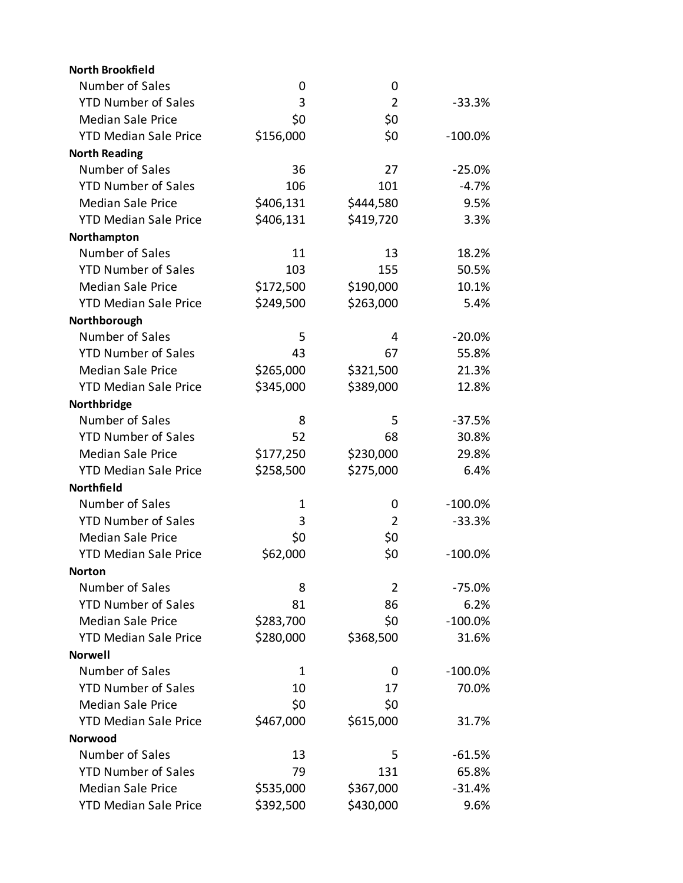| <b>North Brookfield</b>      |           |                |            |
|------------------------------|-----------|----------------|------------|
| Number of Sales              | 0         | 0              |            |
| <b>YTD Number of Sales</b>   | 3         | $\overline{2}$ | $-33.3%$   |
| <b>Median Sale Price</b>     | \$0       | \$0            |            |
| <b>YTD Median Sale Price</b> | \$156,000 | \$0            | $-100.0\%$ |
| <b>North Reading</b>         |           |                |            |
| Number of Sales              | 36        | 27             | $-25.0%$   |
| <b>YTD Number of Sales</b>   | 106       | 101            | $-4.7%$    |
| <b>Median Sale Price</b>     | \$406,131 | \$444,580      | 9.5%       |
| <b>YTD Median Sale Price</b> | \$406,131 | \$419,720      | 3.3%       |
| Northampton                  |           |                |            |
| Number of Sales              | 11        | 13             | 18.2%      |
| <b>YTD Number of Sales</b>   | 103       | 155            | 50.5%      |
| <b>Median Sale Price</b>     | \$172,500 | \$190,000      | 10.1%      |
| <b>YTD Median Sale Price</b> | \$249,500 | \$263,000      | 5.4%       |
| Northborough                 |           |                |            |
| Number of Sales              | 5         | 4              | $-20.0%$   |
| <b>YTD Number of Sales</b>   | 43        | 67             | 55.8%      |
| <b>Median Sale Price</b>     | \$265,000 | \$321,500      | 21.3%      |
| <b>YTD Median Sale Price</b> | \$345,000 | \$389,000      | 12.8%      |
| Northbridge                  |           |                |            |
| Number of Sales              | 8         | 5              | $-37.5%$   |
| <b>YTD Number of Sales</b>   | 52        | 68             | 30.8%      |
| <b>Median Sale Price</b>     | \$177,250 | \$230,000      | 29.8%      |
| <b>YTD Median Sale Price</b> | \$258,500 | \$275,000      | 6.4%       |
| Northfield                   |           |                |            |
| Number of Sales              | 1         | 0              | $-100.0\%$ |
| <b>YTD Number of Sales</b>   | 3         | $\overline{2}$ | $-33.3%$   |
| <b>Median Sale Price</b>     | \$0       | \$0            |            |
| <b>YTD Median Sale Price</b> | \$62,000  | \$0            | $-100.0%$  |
| <b>Norton</b>                |           |                |            |
| Number of Sales              | 8         | $\overline{2}$ | -75.0%     |
| <b>YTD Number of Sales</b>   | 81        | 86             | 6.2%       |
| <b>Median Sale Price</b>     | \$283,700 | \$0            | $-100.0\%$ |
| <b>YTD Median Sale Price</b> | \$280,000 | \$368,500      | 31.6%      |
| <b>Norwell</b>               |           |                |            |
| Number of Sales              | 1         | 0              | $-100.0\%$ |
| <b>YTD Number of Sales</b>   | 10        | 17             | 70.0%      |
| <b>Median Sale Price</b>     | \$0       | \$0            |            |
| <b>YTD Median Sale Price</b> | \$467,000 | \$615,000      | 31.7%      |
| Norwood                      |           |                |            |
| Number of Sales              | 13        | 5              | $-61.5%$   |
| <b>YTD Number of Sales</b>   | 79        | 131            | 65.8%      |
| <b>Median Sale Price</b>     | \$535,000 | \$367,000      | $-31.4%$   |
| <b>YTD Median Sale Price</b> | \$392,500 | \$430,000      | 9.6%       |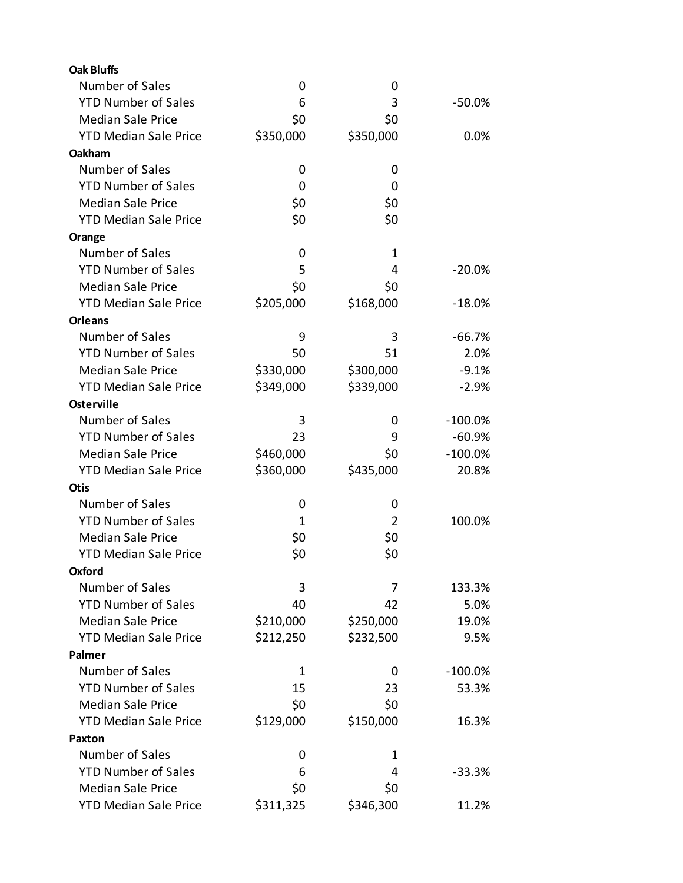| <b>Oak Bluffs</b>            |           |                |           |
|------------------------------|-----------|----------------|-----------|
| Number of Sales              | 0         | 0              |           |
| <b>YTD Number of Sales</b>   | 6         | 3              | $-50.0%$  |
| <b>Median Sale Price</b>     | \$0       | \$0            |           |
| <b>YTD Median Sale Price</b> | \$350,000 | \$350,000      | 0.0%      |
| Oakham                       |           |                |           |
| Number of Sales              | 0         | 0              |           |
| <b>YTD Number of Sales</b>   | 0         | 0              |           |
| <b>Median Sale Price</b>     | \$0       | \$0            |           |
| <b>YTD Median Sale Price</b> | \$0       | \$0            |           |
| Orange                       |           |                |           |
| Number of Sales              | 0         | 1              |           |
| <b>YTD Number of Sales</b>   | 5         | 4              | $-20.0%$  |
| <b>Median Sale Price</b>     | \$0       | \$0            |           |
| <b>YTD Median Sale Price</b> | \$205,000 | \$168,000      | $-18.0%$  |
| <b>Orleans</b>               |           |                |           |
| Number of Sales              | 9         | 3              | $-66.7%$  |
| <b>YTD Number of Sales</b>   | 50        | 51             | 2.0%      |
| <b>Median Sale Price</b>     | \$330,000 | \$300,000      | $-9.1%$   |
| <b>YTD Median Sale Price</b> | \$349,000 | \$339,000      | $-2.9%$   |
| <b>Osterville</b>            |           |                |           |
| Number of Sales              | 3         | 0              | $-100.0%$ |
| <b>YTD Number of Sales</b>   | 23        | 9              | $-60.9%$  |
| <b>Median Sale Price</b>     | \$460,000 | \$0            | $-100.0%$ |
| <b>YTD Median Sale Price</b> | \$360,000 | \$435,000      | 20.8%     |
| <b>Otis</b>                  |           |                |           |
| Number of Sales              | 0         | 0              |           |
| <b>YTD Number of Sales</b>   | 1         | $\overline{2}$ | 100.0%    |
| <b>Median Sale Price</b>     | \$0       | \$0            |           |
| <b>YTD Median Sale Price</b> | \$0       | \$0            |           |
| Oxford                       |           |                |           |
| Number of Sales              | 3         | 7              | 133.3%    |
| <b>YTD Number of Sales</b>   | 40        | 42             | 5.0%      |
| <b>Median Sale Price</b>     | \$210,000 | \$250,000      | 19.0%     |
| <b>YTD Median Sale Price</b> | \$212,250 | \$232,500      | 9.5%      |
| Palmer                       |           |                |           |
| Number of Sales              | 1         | 0              | $-100.0%$ |
| <b>YTD Number of Sales</b>   | 15        | 23             | 53.3%     |
| <b>Median Sale Price</b>     | \$0       | \$0            |           |
| <b>YTD Median Sale Price</b> | \$129,000 | \$150,000      | 16.3%     |
| Paxton                       |           |                |           |
| Number of Sales              | 0         | 1              |           |
| <b>YTD Number of Sales</b>   | 6         | 4              | $-33.3%$  |
| <b>Median Sale Price</b>     | \$0       | \$0            |           |
| <b>YTD Median Sale Price</b> | \$311,325 | \$346,300      | 11.2%     |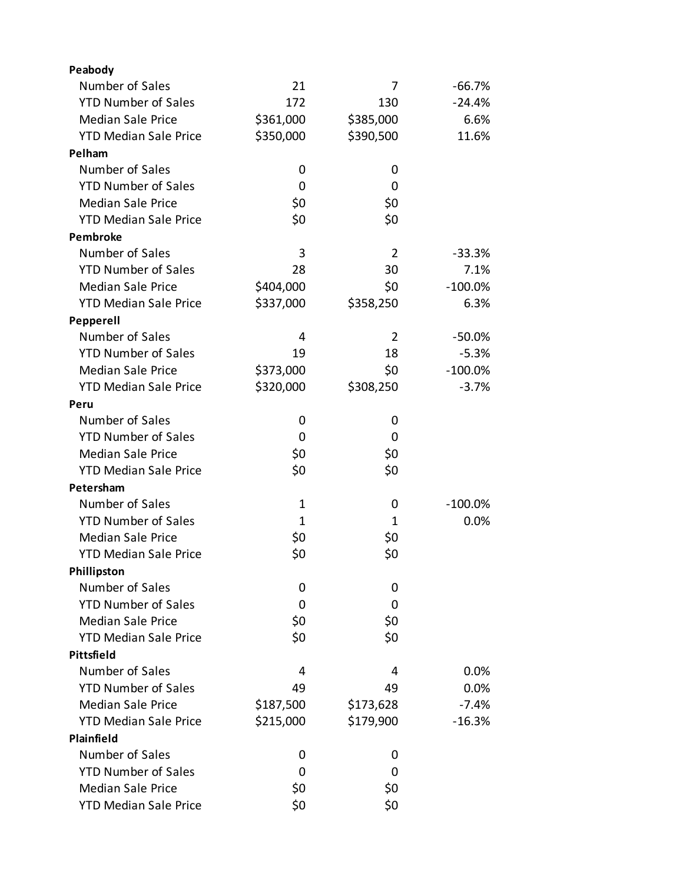| Peabody                      |             |                |            |
|------------------------------|-------------|----------------|------------|
| Number of Sales              | 21          | 7              | -66.7%     |
| <b>YTD Number of Sales</b>   | 172         | 130            | $-24.4%$   |
| <b>Median Sale Price</b>     | \$361,000   | \$385,000      | 6.6%       |
| <b>YTD Median Sale Price</b> | \$350,000   | \$390,500      | 11.6%      |
| Pelham                       |             |                |            |
| Number of Sales              | 0           | 0              |            |
| <b>YTD Number of Sales</b>   | 0           | 0              |            |
| <b>Median Sale Price</b>     | \$0         | \$0            |            |
| <b>YTD Median Sale Price</b> | \$0         | \$0            |            |
| Pembroke                     |             |                |            |
| Number of Sales              | 3           | $\overline{2}$ | $-33.3%$   |
| <b>YTD Number of Sales</b>   | 28          | 30             | 7.1%       |
| <b>Median Sale Price</b>     | \$404,000   | \$0            | $-100.0%$  |
| <b>YTD Median Sale Price</b> | \$337,000   | \$358,250      | 6.3%       |
| Pepperell                    |             |                |            |
| Number of Sales              | 4           | $\overline{2}$ | $-50.0\%$  |
| <b>YTD Number of Sales</b>   | 19          | 18             | $-5.3%$    |
| <b>Median Sale Price</b>     | \$373,000   | \$0            | $-100.0%$  |
| <b>YTD Median Sale Price</b> | \$320,000   | \$308,250      | $-3.7%$    |
| Peru                         |             |                |            |
| Number of Sales              | 0           | 0              |            |
| <b>YTD Number of Sales</b>   | 0           | 0              |            |
| <b>Median Sale Price</b>     | \$0         | \$0            |            |
| <b>YTD Median Sale Price</b> | \$0         | \$0            |            |
| Petersham                    |             |                |            |
| Number of Sales              | $\mathbf 1$ | 0              | $-100.0\%$ |
| <b>YTD Number of Sales</b>   | 1           | 1              | 0.0%       |
| <b>Median Sale Price</b>     | \$0         | \$0            |            |
| <b>YTD Median Sale Price</b> | \$0         | \$0            |            |
| Phillipston                  |             |                |            |
| Number of Sales              | 0           | 0              |            |
| <b>YTD Number of Sales</b>   | 0           | 0              |            |
| <b>Median Sale Price</b>     | \$0         | \$0            |            |
| <b>YTD Median Sale Price</b> | \$0         | \$0            |            |
| Pittsfield                   |             |                |            |
| Number of Sales              | 4           | 4              | 0.0%       |
| <b>YTD Number of Sales</b>   | 49          | 49             | 0.0%       |
| <b>Median Sale Price</b>     | \$187,500   | \$173,628      | $-7.4%$    |
| <b>YTD Median Sale Price</b> | \$215,000   | \$179,900      | $-16.3%$   |
| Plainfield                   |             |                |            |
| Number of Sales              | 0           | 0              |            |
| <b>YTD Number of Sales</b>   | 0           | 0              |            |
| <b>Median Sale Price</b>     | \$0         | \$0            |            |
| <b>YTD Median Sale Price</b> | \$0         | \$0            |            |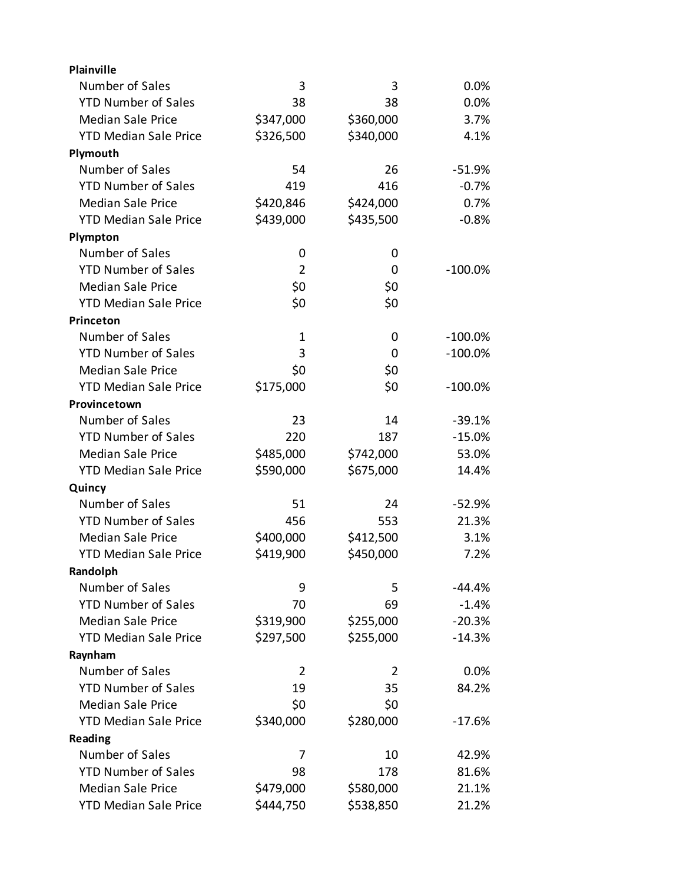| Plainville                   |                |           |            |
|------------------------------|----------------|-----------|------------|
| Number of Sales              | 3              | 3         | 0.0%       |
| <b>YTD Number of Sales</b>   | 38             | 38        | 0.0%       |
| <b>Median Sale Price</b>     | \$347,000      | \$360,000 | 3.7%       |
| <b>YTD Median Sale Price</b> | \$326,500      | \$340,000 | 4.1%       |
| Plymouth                     |                |           |            |
| Number of Sales              | 54             | 26        | $-51.9%$   |
| <b>YTD Number of Sales</b>   | 419            | 416       | $-0.7%$    |
| <b>Median Sale Price</b>     | \$420,846      | \$424,000 | 0.7%       |
| <b>YTD Median Sale Price</b> | \$439,000      | \$435,500 | $-0.8%$    |
| Plympton                     |                |           |            |
| Number of Sales              | 0              | 0         |            |
| <b>YTD Number of Sales</b>   | $\overline{2}$ | 0         | $-100.0\%$ |
| <b>Median Sale Price</b>     | \$0            | \$0       |            |
| <b>YTD Median Sale Price</b> | \$0            | \$0       |            |
| Princeton                    |                |           |            |
| Number of Sales              | $\mathbf 1$    | 0         | $-100.0\%$ |
| <b>YTD Number of Sales</b>   | 3              | 0         | $-100.0%$  |
| <b>Median Sale Price</b>     | \$0            | \$0       |            |
| <b>YTD Median Sale Price</b> | \$175,000      | \$0       | $-100.0%$  |
| Provincetown                 |                |           |            |
| Number of Sales              | 23             | 14        | $-39.1%$   |
| <b>YTD Number of Sales</b>   | 220            | 187       | $-15.0%$   |
| <b>Median Sale Price</b>     | \$485,000      | \$742,000 | 53.0%      |
| <b>YTD Median Sale Price</b> | \$590,000      | \$675,000 | 14.4%      |
| Quincy                       |                |           |            |
| Number of Sales              | 51             | 24        | $-52.9%$   |
| <b>YTD Number of Sales</b>   | 456            | 553       | 21.3%      |
| <b>Median Sale Price</b>     | \$400,000      | \$412,500 | 3.1%       |
| <b>YTD Median Sale Price</b> | \$419,900      | \$450,000 | 7.2%       |
| Randolph                     |                |           |            |
| Number of Sales              | 9              | 5         | $-44.4%$   |
| <b>YTD Number of Sales</b>   | 70             | 69        | $-1.4%$    |
| <b>Median Sale Price</b>     | \$319,900      | \$255,000 | $-20.3%$   |
| <b>YTD Median Sale Price</b> | \$297,500      | \$255,000 | $-14.3%$   |
| Raynham                      |                |           |            |
| Number of Sales              | $\overline{2}$ | 2         | 0.0%       |
| <b>YTD Number of Sales</b>   | 19             | 35        | 84.2%      |
| <b>Median Sale Price</b>     | \$0            | \$0       |            |
| <b>YTD Median Sale Price</b> | \$340,000      | \$280,000 | $-17.6%$   |
| Reading                      |                |           |            |
| Number of Sales              | 7              | 10        | 42.9%      |
| <b>YTD Number of Sales</b>   | 98             | 178       | 81.6%      |
| <b>Median Sale Price</b>     | \$479,000      | \$580,000 | 21.1%      |
| <b>YTD Median Sale Price</b> | \$444,750      | \$538,850 | 21.2%      |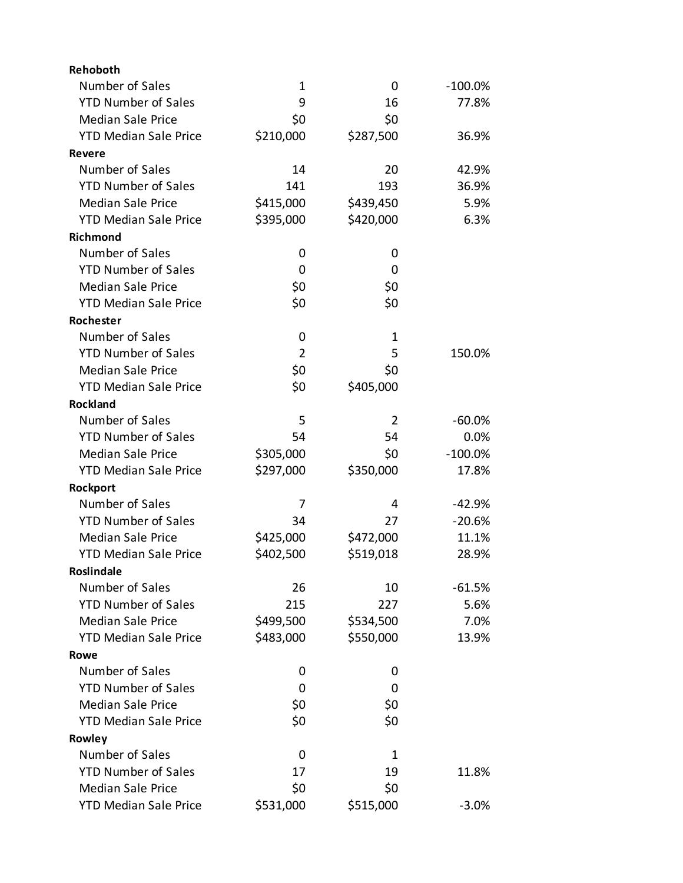| Rehoboth                     |           |             |            |
|------------------------------|-----------|-------------|------------|
| Number of Sales              | 1         | 0           | $-100.0\%$ |
| <b>YTD Number of Sales</b>   | 9         | 16          | 77.8%      |
| <b>Median Sale Price</b>     | \$0       | \$0         |            |
| <b>YTD Median Sale Price</b> | \$210,000 | \$287,500   | 36.9%      |
| <b>Revere</b>                |           |             |            |
| Number of Sales              | 14        | 20          | 42.9%      |
| <b>YTD Number of Sales</b>   | 141       | 193         | 36.9%      |
| <b>Median Sale Price</b>     | \$415,000 | \$439,450   | 5.9%       |
| <b>YTD Median Sale Price</b> | \$395,000 | \$420,000   | 6.3%       |
| <b>Richmond</b>              |           |             |            |
| Number of Sales              | 0         | 0           |            |
| <b>YTD Number of Sales</b>   | 0         | 0           |            |
| <b>Median Sale Price</b>     | \$0       | \$0         |            |
| <b>YTD Median Sale Price</b> | \$0       | \$0         |            |
| Rochester                    |           |             |            |
| Number of Sales              | 0         | $\mathbf 1$ |            |
| <b>YTD Number of Sales</b>   | 2         | 5           | 150.0%     |
| <b>Median Sale Price</b>     | \$0       | \$0         |            |
| <b>YTD Median Sale Price</b> | \$0       | \$405,000   |            |
| <b>Rockland</b>              |           |             |            |
| Number of Sales              | 5         | 2           | $-60.0%$   |
| <b>YTD Number of Sales</b>   | 54        | 54          | 0.0%       |
| <b>Median Sale Price</b>     | \$305,000 | \$0         | $-100.0%$  |
| <b>YTD Median Sale Price</b> | \$297,000 | \$350,000   | 17.8%      |
| Rockport                     |           |             |            |
| Number of Sales              | 7         | 4           | $-42.9%$   |
| <b>YTD Number of Sales</b>   | 34        | 27          | $-20.6%$   |
| <b>Median Sale Price</b>     | \$425,000 | \$472,000   | 11.1%      |
| <b>YTD Median Sale Price</b> | \$402,500 | \$519,018   | 28.9%      |
| Roslindale                   |           |             |            |
| Number of Sales              | 26        | 10          | $-61.5%$   |
| <b>YTD Number of Sales</b>   | 215       | 227         | 5.6%       |
| <b>Median Sale Price</b>     | \$499,500 | \$534,500   | 7.0%       |
| <b>YTD Median Sale Price</b> | \$483,000 | \$550,000   | 13.9%      |
| Rowe                         |           |             |            |
| Number of Sales              | 0         | 0           |            |
| <b>YTD Number of Sales</b>   | 0         | 0           |            |
| <b>Median Sale Price</b>     | \$0       | \$0         |            |
| <b>YTD Median Sale Price</b> | \$0       | \$0         |            |
| Rowley                       |           |             |            |
| Number of Sales              | 0         | 1           |            |
| <b>YTD Number of Sales</b>   | 17        | 19          | 11.8%      |
| <b>Median Sale Price</b>     | \$0       | \$0         |            |
| <b>YTD Median Sale Price</b> | \$531,000 | \$515,000   | $-3.0%$    |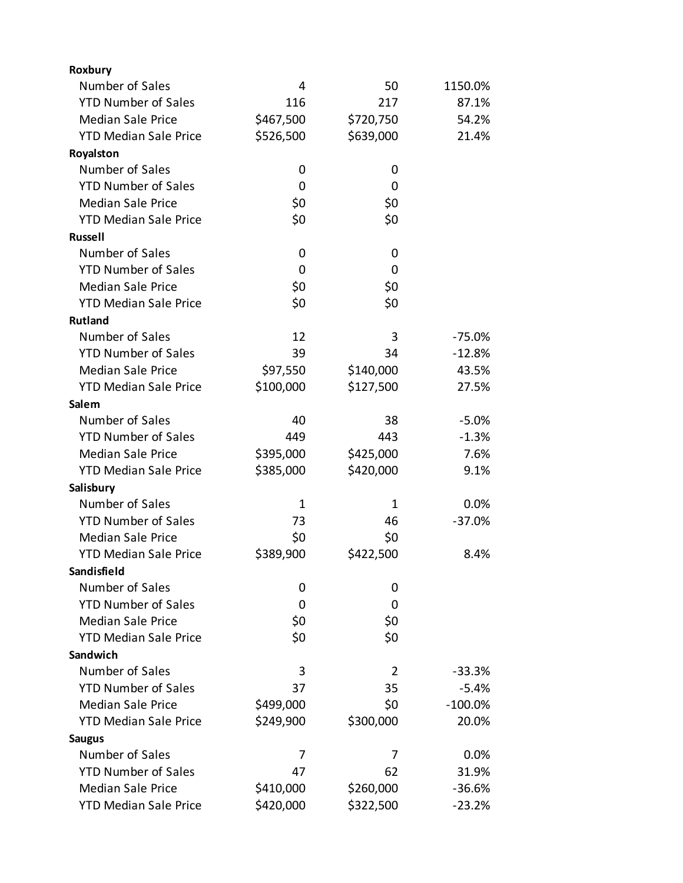| Roxbury                      |           |                |           |
|------------------------------|-----------|----------------|-----------|
| Number of Sales              | 4         | 50             | 1150.0%   |
| <b>YTD Number of Sales</b>   | 116       | 217            | 87.1%     |
| <b>Median Sale Price</b>     | \$467,500 | \$720,750      | 54.2%     |
| <b>YTD Median Sale Price</b> | \$526,500 | \$639,000      | 21.4%     |
| Royalston                    |           |                |           |
| Number of Sales              | 0         | 0              |           |
| <b>YTD Number of Sales</b>   | 0         | 0              |           |
| <b>Median Sale Price</b>     | \$0       | \$0            |           |
| <b>YTD Median Sale Price</b> | \$0       | \$0            |           |
| <b>Russell</b>               |           |                |           |
| Number of Sales              | 0         | 0              |           |
| <b>YTD Number of Sales</b>   | 0         | 0              |           |
| <b>Median Sale Price</b>     | \$0       | \$0            |           |
| <b>YTD Median Sale Price</b> | \$0       | \$0            |           |
| <b>Rutland</b>               |           |                |           |
| Number of Sales              | 12        | 3              | $-75.0%$  |
| <b>YTD Number of Sales</b>   | 39        | 34             | $-12.8%$  |
| <b>Median Sale Price</b>     | \$97,550  | \$140,000      | 43.5%     |
| <b>YTD Median Sale Price</b> | \$100,000 | \$127,500      | 27.5%     |
| Salem                        |           |                |           |
| Number of Sales              | 40        | 38             | $-5.0%$   |
| <b>YTD Number of Sales</b>   | 449       | 443            | $-1.3%$   |
| <b>Median Sale Price</b>     | \$395,000 | \$425,000      | 7.6%      |
| <b>YTD Median Sale Price</b> | \$385,000 | \$420,000      | 9.1%      |
| Salisbury                    |           |                |           |
| Number of Sales              | 1         | 1              | 0.0%      |
| <b>YTD Number of Sales</b>   | 73        | 46             | $-37.0%$  |
| <b>Median Sale Price</b>     | \$0       | \$0            |           |
| <b>YTD Median Sale Price</b> | \$389,900 | \$422,500      | 8.4%      |
| Sandisfield                  |           |                |           |
| Number of Sales              | 0         | 0              |           |
| <b>YTD Number of Sales</b>   | 0         | 0              |           |
| <b>Median Sale Price</b>     | \$0       | \$0            |           |
| <b>YTD Median Sale Price</b> | \$0       | \$0            |           |
| Sandwich                     |           |                |           |
| Number of Sales              | 3         | $\overline{2}$ | $-33.3%$  |
| <b>YTD Number of Sales</b>   | 37        | 35             | $-5.4%$   |
| <b>Median Sale Price</b>     | \$499,000 | \$0            | $-100.0%$ |
| <b>YTD Median Sale Price</b> | \$249,900 | \$300,000      | 20.0%     |
| <b>Saugus</b>                |           |                |           |
| Number of Sales              | 7         | 7              | 0.0%      |
| <b>YTD Number of Sales</b>   | 47        | 62             | 31.9%     |
| <b>Median Sale Price</b>     | \$410,000 | \$260,000      | $-36.6%$  |
| <b>YTD Median Sale Price</b> | \$420,000 | \$322,500      | $-23.2%$  |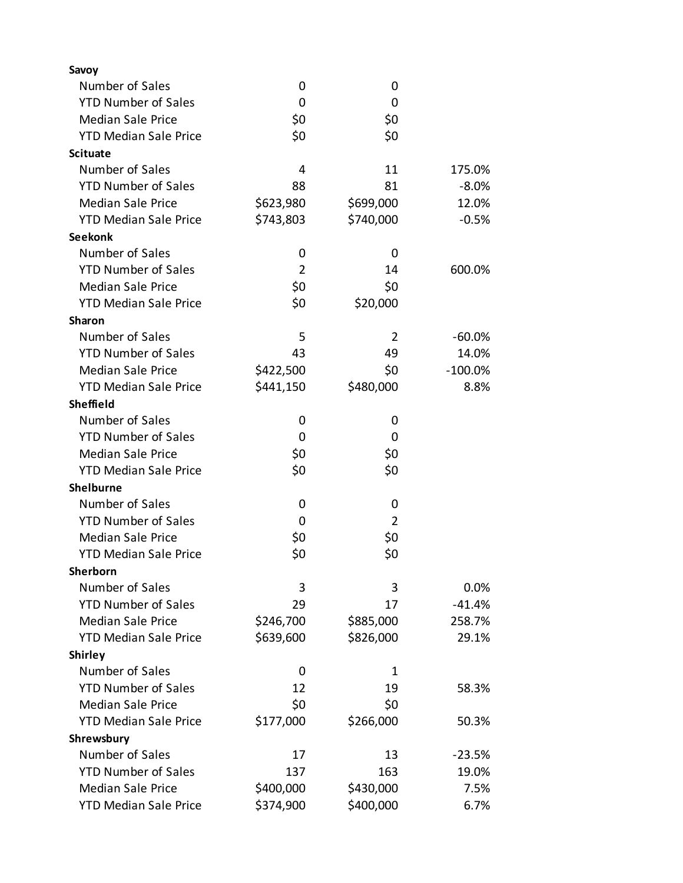| Savoy                         |                |                |            |
|-------------------------------|----------------|----------------|------------|
| Number of Sales               | 0              | 0              |            |
| <b>YTD Number of Sales</b>    | 0              | 0              |            |
| <b>Median Sale Price</b>      | \$0            | \$0            |            |
| <b>YTD Median Sale Price</b>  | \$0            | \$0            |            |
| <b>Scituate</b>               |                |                |            |
| Number of Sales               | 4              | 11             | 175.0%     |
| <b>YTD Number of Sales</b>    | 88             | 81             | $-8.0%$    |
| <b>Median Sale Price</b>      | \$623,980      | \$699,000      | 12.0%      |
| <b>YTD Median Sale Price</b>  | \$743,803      | \$740,000      | $-0.5%$    |
| <b>Seekonk</b>                |                |                |            |
| Number of Sales               | 0              | 0              |            |
| <b>YTD Number of Sales</b>    | $\overline{2}$ | 14             | 600.0%     |
| <b>Median Sale Price</b>      | \$0            | \$0            |            |
| <b>YTD Median Sale Price</b>  | \$0            | \$20,000       |            |
| <b>Sharon</b>                 |                |                |            |
| Number of Sales               | 5              | $\overline{2}$ | $-60.0\%$  |
| <b>YTD Number of Sales</b>    | 43             | 49             | 14.0%      |
| <b>Median Sale Price</b>      | \$422,500      | \$0            | $-100.0\%$ |
| <b>YTD Median Sale Price</b>  | \$441,150      | \$480,000      | 8.8%       |
| <b>Sheffield</b>              |                |                |            |
| Number of Sales               | 0              | 0              |            |
| <b>YTD Number of Sales</b>    | 0              | 0              |            |
| <b>Median Sale Price</b>      | \$0            | \$0            |            |
| <b>YTD Median Sale Price</b>  | \$0            | \$0            |            |
| <b>Shelburne</b>              |                |                |            |
| Number of Sales               | 0              | 0              |            |
| <b>YTD Number of Sales</b>    | 0              | $\overline{2}$ |            |
| <b>Median Sale Price</b>      | \$0            | \$0            |            |
| <b>YTD Median Sale Price</b>  | \$0            | \$0            |            |
| Sherborn                      |                |                |            |
| Number of Sales               | 3              | 3              | $0.0\%$    |
| <b>YTD Number of Sales</b>    | 29             | 17             | $-41.4%$   |
| <b>Median Sale Price</b>      | \$246,700      | \$885,000      | 258.7%     |
| <b>YTD Median Sale Price</b>  | \$639,600      | \$826,000      | 29.1%      |
| <b>Shirley</b>                |                |                |            |
| Number of Sales               | 0              | 1              |            |
| <b>YTD Number of Sales</b>    | 12             | 19             | 58.3%      |
| <b>Median Sale Price</b>      | \$0            | \$0            |            |
| <b>YTD Median Sale Price</b>  |                |                |            |
|                               | \$177,000      | \$266,000      | 50.3%      |
| Shrewsbury<br>Number of Sales |                |                |            |
|                               | 17             | 13             | $-23.5%$   |
| <b>YTD Number of Sales</b>    | 137            | 163            | 19.0%      |
| <b>Median Sale Price</b>      | \$400,000      | \$430,000      | 7.5%       |
| <b>YTD Median Sale Price</b>  | \$374,900      | \$400,000      | 6.7%       |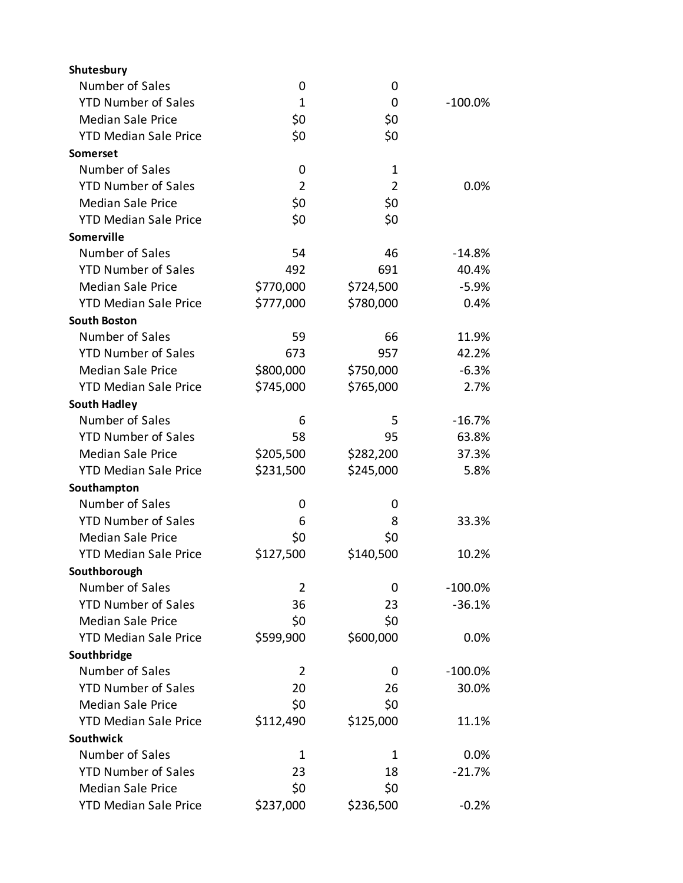| Shutesbury                   |                |                |           |
|------------------------------|----------------|----------------|-----------|
| Number of Sales              | 0              | 0              |           |
| <b>YTD Number of Sales</b>   | $\mathbf{1}$   | 0              | $-100.0%$ |
| <b>Median Sale Price</b>     | \$0            | \$0            |           |
| <b>YTD Median Sale Price</b> | \$0            | \$0            |           |
| Somerset                     |                |                |           |
| Number of Sales              | 0              | 1              |           |
| <b>YTD Number of Sales</b>   | $\overline{2}$ | $\overline{2}$ | 0.0%      |
| <b>Median Sale Price</b>     | \$0            | \$0            |           |
| <b>YTD Median Sale Price</b> | \$0            | \$0            |           |
| Somerville                   |                |                |           |
| Number of Sales              | 54             | 46             | $-14.8%$  |
| <b>YTD Number of Sales</b>   | 492            | 691            | 40.4%     |
| <b>Median Sale Price</b>     | \$770,000      | \$724,500      | $-5.9%$   |
| <b>YTD Median Sale Price</b> | \$777,000      | \$780,000      | 0.4%      |
| <b>South Boston</b>          |                |                |           |
| Number of Sales              | 59             | 66             | 11.9%     |
| <b>YTD Number of Sales</b>   | 673            | 957            | 42.2%     |
| <b>Median Sale Price</b>     | \$800,000      | \$750,000      | $-6.3%$   |
| <b>YTD Median Sale Price</b> | \$745,000      | \$765,000      | 2.7%      |
| <b>South Hadley</b>          |                |                |           |
| Number of Sales              | 6              | 5              | $-16.7%$  |
| <b>YTD Number of Sales</b>   | 58             | 95             | 63.8%     |
| <b>Median Sale Price</b>     | \$205,500      | \$282,200      | 37.3%     |
| <b>YTD Median Sale Price</b> | \$231,500      | \$245,000      | 5.8%      |
| Southampton                  |                |                |           |
| Number of Sales              | 0              | 0              |           |
| <b>YTD Number of Sales</b>   | 6              | 8              | 33.3%     |
| <b>Median Sale Price</b>     | \$0            | \$0            |           |
| <b>YTD Median Sale Price</b> | \$127,500      | \$140,500      | 10.2%     |
| Southborough                 |                |                |           |
| Number of Sales              | 2              | 0              | $-100.0%$ |
| <b>YTD Number of Sales</b>   | 36             | 23             | $-36.1%$  |
| <b>Median Sale Price</b>     | \$0            | \$0            |           |
| <b>YTD Median Sale Price</b> | \$599,900      | \$600,000      | 0.0%      |
| Southbridge                  |                |                |           |
| Number of Sales              | 2              | 0              | $-100.0%$ |
| <b>YTD Number of Sales</b>   | 20             | 26             | 30.0%     |
| <b>Median Sale Price</b>     | \$0            | \$0            |           |
| <b>YTD Median Sale Price</b> | \$112,490      | \$125,000      | 11.1%     |
| Southwick                    |                |                |           |
| Number of Sales              | 1              | 1              | 0.0%      |
| <b>YTD Number of Sales</b>   | 23             | 18             | $-21.7%$  |
| <b>Median Sale Price</b>     | \$0            | \$0            |           |
| <b>YTD Median Sale Price</b> | \$237,000      | \$236,500      | $-0.2%$   |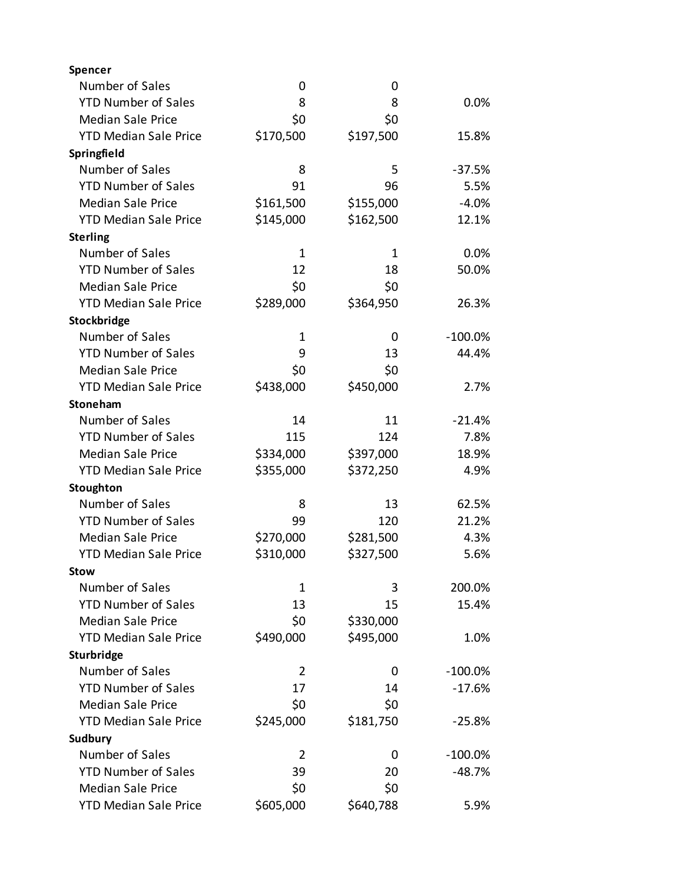| Spencer                      |             |           |            |
|------------------------------|-------------|-----------|------------|
| Number of Sales              | 0           | 0         |            |
| <b>YTD Number of Sales</b>   | 8           | 8         | 0.0%       |
| <b>Median Sale Price</b>     | \$0         | \$0       |            |
| <b>YTD Median Sale Price</b> | \$170,500   | \$197,500 | 15.8%      |
| Springfield                  |             |           |            |
| Number of Sales              | 8           | 5         | $-37.5%$   |
| <b>YTD Number of Sales</b>   | 91          | 96        | 5.5%       |
| <b>Median Sale Price</b>     | \$161,500   | \$155,000 | $-4.0%$    |
| <b>YTD Median Sale Price</b> | \$145,000   | \$162,500 | 12.1%      |
| <b>Sterling</b>              |             |           |            |
| Number of Sales              | 1           | 1         | 0.0%       |
| <b>YTD Number of Sales</b>   | 12          | 18        | 50.0%      |
| <b>Median Sale Price</b>     | \$0         | \$0       |            |
| <b>YTD Median Sale Price</b> | \$289,000   | \$364,950 | 26.3%      |
| Stockbridge                  |             |           |            |
| Number of Sales              | $\mathbf 1$ | 0         | $-100.0\%$ |
| <b>YTD Number of Sales</b>   | 9           | 13        | 44.4%      |
| <b>Median Sale Price</b>     | \$0         | \$0       |            |
| <b>YTD Median Sale Price</b> | \$438,000   | \$450,000 | 2.7%       |
| Stoneham                     |             |           |            |
| Number of Sales              | 14          | 11        | $-21.4%$   |
| <b>YTD Number of Sales</b>   | 115         | 124       | 7.8%       |
| <b>Median Sale Price</b>     | \$334,000   | \$397,000 | 18.9%      |
| <b>YTD Median Sale Price</b> | \$355,000   | \$372,250 | 4.9%       |
| Stoughton                    |             |           |            |
| Number of Sales              | 8           | 13        | 62.5%      |
| <b>YTD Number of Sales</b>   | 99          | 120       | 21.2%      |
| <b>Median Sale Price</b>     | \$270,000   | \$281,500 | 4.3%       |
| <b>YTD Median Sale Price</b> | \$310,000   | \$327,500 | 5.6%       |
| <b>Stow</b>                  |             |           |            |
| Number of Sales              | 1           | 3         | 200.0%     |
| <b>YTD Number of Sales</b>   | 13          | 15        | 15.4%      |
| <b>Median Sale Price</b>     | \$0         | \$330,000 |            |
| <b>YTD Median Sale Price</b> | \$490,000   | \$495,000 | 1.0%       |
| Sturbridge                   |             |           |            |
| Number of Sales              | 2           | 0         | $-100.0%$  |
| <b>YTD Number of Sales</b>   | 17          | 14        | $-17.6%$   |
| <b>Median Sale Price</b>     | \$0         | \$0       |            |
| <b>YTD Median Sale Price</b> | \$245,000   | \$181,750 | $-25.8%$   |
| Sudbury                      |             |           |            |
| Number of Sales              | 2           | 0         | $-100.0%$  |
| <b>YTD Number of Sales</b>   | 39          | 20        | $-48.7%$   |
| <b>Median Sale Price</b>     | \$0         | \$0       |            |
| <b>YTD Median Sale Price</b> | \$605,000   | \$640,788 | 5.9%       |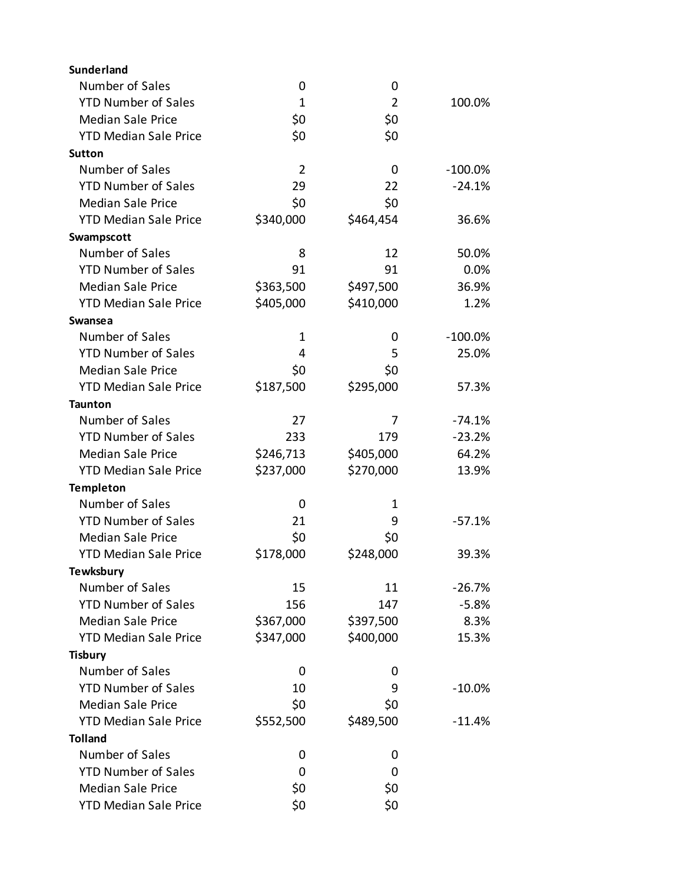| <b>Sunderland</b>            |                |                |            |
|------------------------------|----------------|----------------|------------|
| Number of Sales              | 0              | 0              |            |
| <b>YTD Number of Sales</b>   | $\mathbf{1}$   | $\overline{2}$ | 100.0%     |
| <b>Median Sale Price</b>     | \$0            | \$0            |            |
| <b>YTD Median Sale Price</b> | \$0            | \$0            |            |
| <b>Sutton</b>                |                |                |            |
| Number of Sales              | $\overline{2}$ | 0              | $-100.0\%$ |
| <b>YTD Number of Sales</b>   | 29             | 22             | $-24.1%$   |
| <b>Median Sale Price</b>     | \$0            | \$0            |            |
| <b>YTD Median Sale Price</b> | \$340,000      | \$464,454      | 36.6%      |
| Swampscott                   |                |                |            |
| Number of Sales              | 8              | 12             | 50.0%      |
| <b>YTD Number of Sales</b>   | 91             | 91             | 0.0%       |
| <b>Median Sale Price</b>     | \$363,500      | \$497,500      | 36.9%      |
| <b>YTD Median Sale Price</b> | \$405,000      | \$410,000      | 1.2%       |
| Swansea                      |                |                |            |
| Number of Sales              | 1              | 0              | $-100.0%$  |
| <b>YTD Number of Sales</b>   | 4              | 5              | 25.0%      |
| <b>Median Sale Price</b>     | \$0            | \$0            |            |
| <b>YTD Median Sale Price</b> | \$187,500      | \$295,000      | 57.3%      |
| <b>Taunton</b>               |                |                |            |
| Number of Sales              | 27             | 7              | $-74.1%$   |
| <b>YTD Number of Sales</b>   | 233            | 179            | $-23.2%$   |
| <b>Median Sale Price</b>     | \$246,713      | \$405,000      | 64.2%      |
| <b>YTD Median Sale Price</b> | \$237,000      | \$270,000      | 13.9%      |
| <b>Templeton</b>             |                |                |            |
| Number of Sales              | 0              | 1              |            |
| <b>YTD Number of Sales</b>   | 21             | 9              | $-57.1%$   |
| <b>Median Sale Price</b>     | \$0            | \$0            |            |
| <b>YTD Median Sale Price</b> | \$178,000      | \$248,000      | 39.3%      |
| <b>Tewksbury</b>             |                |                |            |
| Number of Sales              | 15             | 11             | $-26.7%$   |
| <b>YTD Number of Sales</b>   | 156            | 147            | $-5.8%$    |
| <b>Median Sale Price</b>     | \$367,000      | \$397,500      | 8.3%       |
| <b>YTD Median Sale Price</b> | \$347,000      | \$400,000      | 15.3%      |
| <b>Tisbury</b>               |                |                |            |
| Number of Sales              | 0              | 0              |            |
| <b>YTD Number of Sales</b>   | 10             | 9              | $-10.0%$   |
| <b>Median Sale Price</b>     | \$0            | \$0            |            |
| <b>YTD Median Sale Price</b> | \$552,500      | \$489,500      | $-11.4%$   |
| <b>Tolland</b>               |                |                |            |
| Number of Sales              | 0              | 0              |            |
| <b>YTD Number of Sales</b>   | 0              | 0              |            |
| <b>Median Sale Price</b>     | \$0            | \$0            |            |
| <b>YTD Median Sale Price</b> | \$0            | \$0            |            |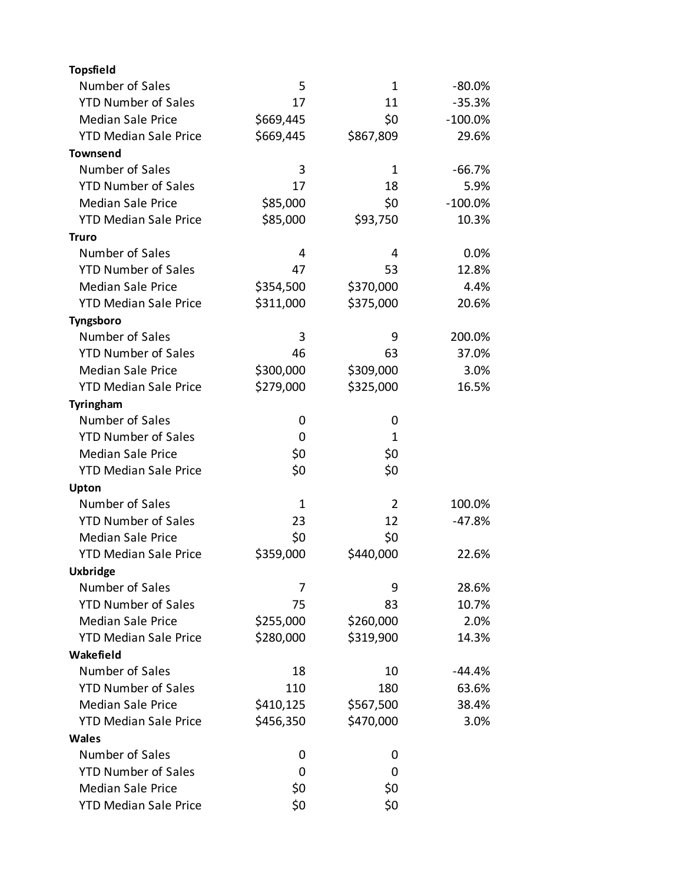| <b>Topsfield</b>             |              |           |            |
|------------------------------|--------------|-----------|------------|
| Number of Sales              | 5            | 1         | $-80.0\%$  |
| <b>YTD Number of Sales</b>   | 17           | 11        | $-35.3%$   |
| <b>Median Sale Price</b>     | \$669,445    | \$0       | $-100.0\%$ |
| <b>YTD Median Sale Price</b> | \$669,445    | \$867,809 | 29.6%      |
| <b>Townsend</b>              |              |           |            |
| Number of Sales              | 3            | 1         | $-66.7%$   |
| <b>YTD Number of Sales</b>   | 17           | 18        | 5.9%       |
| <b>Median Sale Price</b>     | \$85,000     | \$0       | $-100.0\%$ |
| <b>YTD Median Sale Price</b> | \$85,000     | \$93,750  | 10.3%      |
| Truro                        |              |           |            |
| Number of Sales              | 4            | 4         | 0.0%       |
| <b>YTD Number of Sales</b>   | 47           | 53        | 12.8%      |
| <b>Median Sale Price</b>     | \$354,500    | \$370,000 | 4.4%       |
| <b>YTD Median Sale Price</b> | \$311,000    | \$375,000 | 20.6%      |
| Tyngsboro                    |              |           |            |
| Number of Sales              | 3            | 9         | 200.0%     |
| <b>YTD Number of Sales</b>   | 46           | 63        | 37.0%      |
| <b>Median Sale Price</b>     | \$300,000    | \$309,000 | 3.0%       |
| <b>YTD Median Sale Price</b> | \$279,000    | \$325,000 | 16.5%      |
| Tyringham                    |              |           |            |
| Number of Sales              | 0            | 0         |            |
| <b>YTD Number of Sales</b>   | 0            | 1         |            |
| <b>Median Sale Price</b>     | \$0          | \$0       |            |
| <b>YTD Median Sale Price</b> | \$0          | \$0       |            |
| Upton                        |              |           |            |
| Number of Sales              | $\mathbf{1}$ | 2         | 100.0%     |
| <b>YTD Number of Sales</b>   | 23           | 12        | $-47.8%$   |
| <b>Median Sale Price</b>     | \$0          | \$0       |            |
| <b>YTD Median Sale Price</b> | \$359,000    | \$440,000 | 22.6%      |
| <b>Uxbridge</b>              |              |           |            |
| Number of Sales              | 7            | 9         | 28.6%      |
| <b>YTD Number of Sales</b>   | 75           | 83        | 10.7%      |
| <b>Median Sale Price</b>     | \$255,000    | \$260,000 | 2.0%       |
| <b>YTD Median Sale Price</b> | \$280,000    | \$319,900 | 14.3%      |
| Wakefield                    |              |           |            |
| Number of Sales              | 18           | 10        | $-44.4%$   |
| <b>YTD Number of Sales</b>   | 110          | 180       | 63.6%      |
| <b>Median Sale Price</b>     | \$410,125    | \$567,500 | 38.4%      |
| <b>YTD Median Sale Price</b> | \$456,350    | \$470,000 | 3.0%       |
| Wales                        |              |           |            |
| Number of Sales              | 0            | 0         |            |
| <b>YTD Number of Sales</b>   | 0            | 0         |            |
| <b>Median Sale Price</b>     | \$0          | \$0       |            |
| <b>YTD Median Sale Price</b> | \$0          | \$0       |            |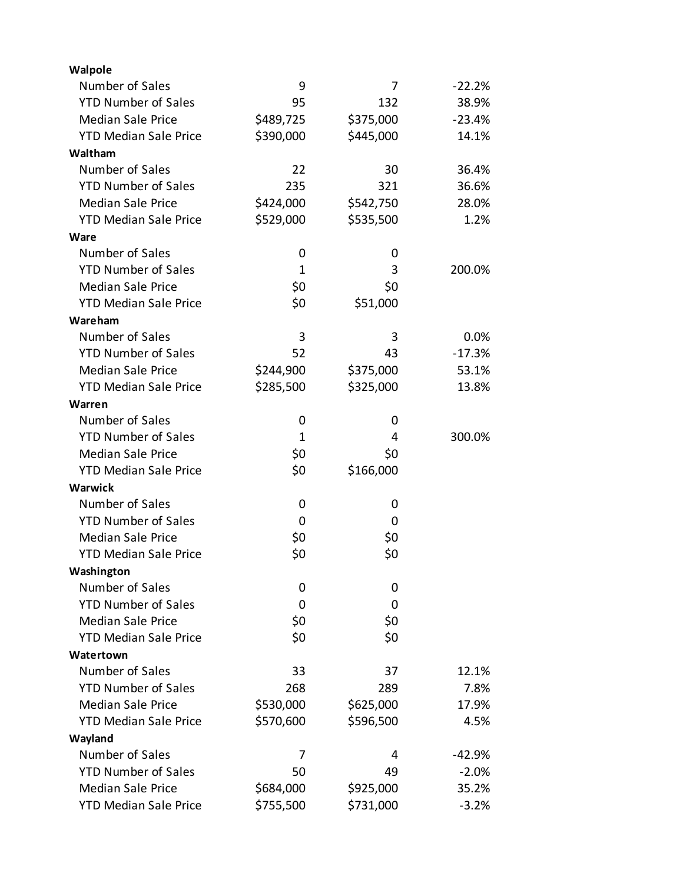| Walpole                      |           |           |          |
|------------------------------|-----------|-----------|----------|
| Number of Sales              | 9         | 7         | $-22.2%$ |
| <b>YTD Number of Sales</b>   | 95        | 132       | 38.9%    |
| <b>Median Sale Price</b>     | \$489,725 | \$375,000 | $-23.4%$ |
| <b>YTD Median Sale Price</b> | \$390,000 | \$445,000 | 14.1%    |
| Waltham                      |           |           |          |
| Number of Sales              | 22        | 30        | 36.4%    |
| <b>YTD Number of Sales</b>   | 235       | 321       | 36.6%    |
| <b>Median Sale Price</b>     | \$424,000 | \$542,750 | 28.0%    |
| <b>YTD Median Sale Price</b> | \$529,000 | \$535,500 | 1.2%     |
| Ware                         |           |           |          |
| Number of Sales              | 0         | 0         |          |
| <b>YTD Number of Sales</b>   | 1         | 3         | 200.0%   |
| <b>Median Sale Price</b>     | \$0       | \$0       |          |
| <b>YTD Median Sale Price</b> | \$0       | \$51,000  |          |
| Wareham                      |           |           |          |
| Number of Sales              | 3         | 3         | 0.0%     |
| <b>YTD Number of Sales</b>   | 52        | 43        | $-17.3%$ |
| <b>Median Sale Price</b>     | \$244,900 | \$375,000 | 53.1%    |
| <b>YTD Median Sale Price</b> | \$285,500 | \$325,000 | 13.8%    |
| Warren                       |           |           |          |
| Number of Sales              | 0         | 0         |          |
| <b>YTD Number of Sales</b>   | 1         | 4         | 300.0%   |
| <b>Median Sale Price</b>     | \$0       | \$0       |          |
| <b>YTD Median Sale Price</b> | \$0       | \$166,000 |          |
| Warwick                      |           |           |          |
| Number of Sales              | 0         | 0         |          |
| <b>YTD Number of Sales</b>   | 0         | 0         |          |
| <b>Median Sale Price</b>     | \$0       | \$0       |          |
| <b>YTD Median Sale Price</b> | \$0       | \$0       |          |
| Washington                   |           |           |          |
| Number of Sales              | 0         | 0         |          |
| <b>YTD Number of Sales</b>   | 0         | 0         |          |
| <b>Median Sale Price</b>     | \$0       | \$0       |          |
| <b>YTD Median Sale Price</b> | \$0       | \$0       |          |
| Watertown                    |           |           |          |
| Number of Sales              | 33        | 37        | 12.1%    |
| <b>YTD Number of Sales</b>   | 268       | 289       | 7.8%     |
| <b>Median Sale Price</b>     | \$530,000 | \$625,000 | 17.9%    |
| <b>YTD Median Sale Price</b> | \$570,600 | \$596,500 | 4.5%     |
| Wayland                      |           |           |          |
| Number of Sales              | 7         | 4         | $-42.9%$ |
| <b>YTD Number of Sales</b>   | 50        | 49        | $-2.0%$  |
| <b>Median Sale Price</b>     | \$684,000 | \$925,000 | 35.2%    |
| <b>YTD Median Sale Price</b> | \$755,500 | \$731,000 | $-3.2%$  |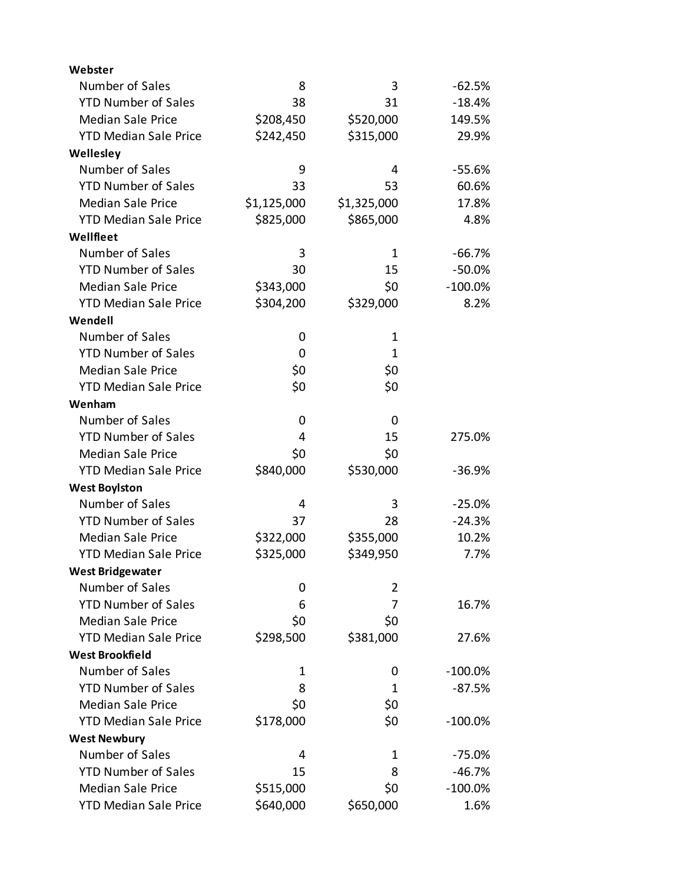| Webster                      |             |                |            |
|------------------------------|-------------|----------------|------------|
| Number of Sales              | 8           | 3              | $-62.5%$   |
| <b>YTD Number of Sales</b>   | 38          | 31             | $-18.4%$   |
| <b>Median Sale Price</b>     | \$208,450   | \$520,000      | 149.5%     |
| <b>YTD Median Sale Price</b> | \$242,450   | \$315,000      | 29.9%      |
| Wellesley                    |             |                |            |
| Number of Sales              | 9           | 4              | $-55.6%$   |
| <b>YTD Number of Sales</b>   | 33          | 53             | 60.6%      |
| <b>Median Sale Price</b>     | \$1,125,000 | \$1,325,000    | 17.8%      |
| <b>YTD Median Sale Price</b> | \$825,000   | \$865,000      | 4.8%       |
| Wellfleet                    |             |                |            |
| Number of Sales              | 3           | $\mathbf 1$    | $-66.7%$   |
| <b>YTD Number of Sales</b>   | 30          | 15             | $-50.0\%$  |
| <b>Median Sale Price</b>     | \$343,000   | \$0            | $-100.0\%$ |
| <b>YTD Median Sale Price</b> | \$304,200   | \$329,000      | 8.2%       |
| Wendell                      |             |                |            |
| Number of Sales              | 0           | $\mathbf 1$    |            |
| <b>YTD Number of Sales</b>   | 0           | 1              |            |
| <b>Median Sale Price</b>     | \$0         | \$0            |            |
| <b>YTD Median Sale Price</b> | \$0         | \$0            |            |
| Wenham                       |             |                |            |
| Number of Sales              | 0           | 0              |            |
| <b>YTD Number of Sales</b>   | 4           | 15             | 275.0%     |
| <b>Median Sale Price</b>     | \$0         | \$0            |            |
| <b>YTD Median Sale Price</b> | \$840,000   | \$530,000      | $-36.9%$   |
| <b>West Boylston</b>         |             |                |            |
| Number of Sales              | 4           | 3              | $-25.0%$   |
| <b>YTD Number of Sales</b>   | 37          | 28             | $-24.3%$   |
| <b>Median Sale Price</b>     | \$322,000   | \$355,000      | 10.2%      |
| <b>YTD Median Sale Price</b> | \$325,000   | \$349,950      | 7.7%       |
| <b>West Bridgewater</b>      |             |                |            |
| Number of Sales              | 0           | $\overline{2}$ |            |
| <b>YTD Number of Sales</b>   | 6           | 7              | 16.7%      |
| <b>Median Sale Price</b>     | \$0         | \$0            |            |
| <b>YTD Median Sale Price</b> | \$298,500   | \$381,000      | 27.6%      |
| <b>West Brookfield</b>       |             |                |            |
| Number of Sales              | 1           | 0              | $-100.0\%$ |
| <b>YTD Number of Sales</b>   | 8           | 1              | $-87.5%$   |
| <b>Median Sale Price</b>     | \$0         | \$0            |            |
| <b>YTD Median Sale Price</b> | \$178,000   | \$0            | $-100.0\%$ |
| <b>West Newbury</b>          |             |                |            |
| Number of Sales              | 4           | 1              | $-75.0%$   |
| <b>YTD Number of Sales</b>   | 15          | 8              | $-46.7%$   |
| <b>Median Sale Price</b>     | \$515,000   | \$0            | $-100.0\%$ |
| <b>YTD Median Sale Price</b> | \$640,000   | \$650,000      | 1.6%       |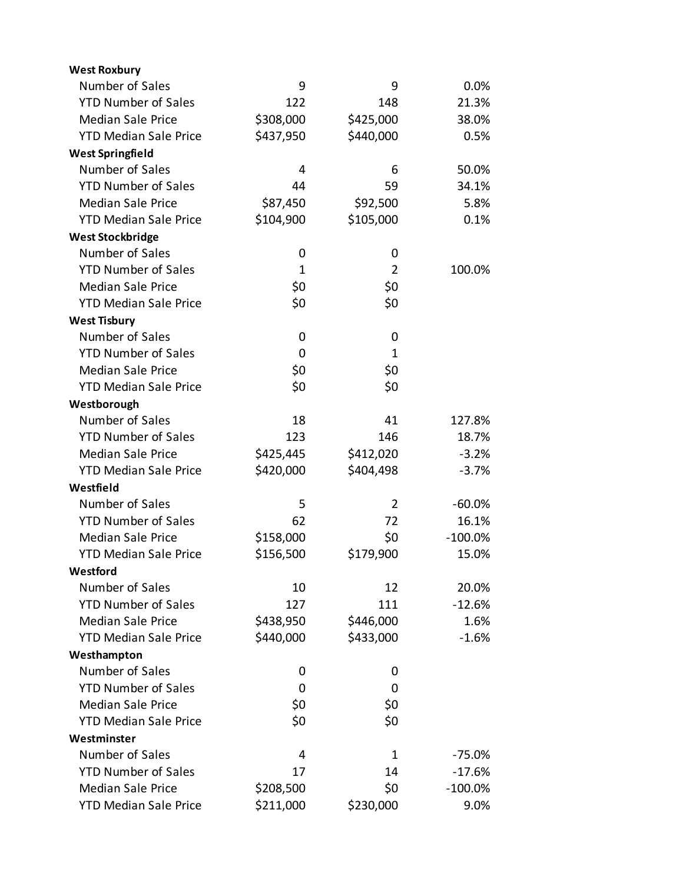| <b>West Roxbury</b>          |              |                |            |
|------------------------------|--------------|----------------|------------|
| Number of Sales              | 9            | 9              | 0.0%       |
| <b>YTD Number of Sales</b>   | 122          | 148            | 21.3%      |
| <b>Median Sale Price</b>     | \$308,000    | \$425,000      | 38.0%      |
| <b>YTD Median Sale Price</b> | \$437,950    | \$440,000      | 0.5%       |
| <b>West Springfield</b>      |              |                |            |
| Number of Sales              | 4            | 6              | 50.0%      |
| <b>YTD Number of Sales</b>   | 44           | 59             | 34.1%      |
| <b>Median Sale Price</b>     | \$87,450     | \$92,500       | 5.8%       |
| <b>YTD Median Sale Price</b> | \$104,900    | \$105,000      | 0.1%       |
| <b>West Stockbridge</b>      |              |                |            |
| Number of Sales              | 0            | 0              |            |
| <b>YTD Number of Sales</b>   | $\mathbf{1}$ | $\overline{2}$ | 100.0%     |
| <b>Median Sale Price</b>     | \$0          | \$0            |            |
| <b>YTD Median Sale Price</b> | \$0          | \$0            |            |
| <b>West Tisbury</b>          |              |                |            |
| Number of Sales              | 0            | 0              |            |
| <b>YTD Number of Sales</b>   | 0            | 1              |            |
| <b>Median Sale Price</b>     | \$0          | \$0            |            |
| <b>YTD Median Sale Price</b> | \$0          | \$0            |            |
| Westborough                  |              |                |            |
| Number of Sales              | 18           | 41             | 127.8%     |
| <b>YTD Number of Sales</b>   | 123          | 146            | 18.7%      |
| <b>Median Sale Price</b>     | \$425,445    | \$412,020      | $-3.2%$    |
| <b>YTD Median Sale Price</b> | \$420,000    | \$404,498      | $-3.7%$    |
| Westfield                    |              |                |            |
| Number of Sales              | 5            | $\overline{2}$ | $-60.0%$   |
| <b>YTD Number of Sales</b>   | 62           | 72             | 16.1%      |
| <b>Median Sale Price</b>     | \$158,000    | \$0            | $-100.0\%$ |
| <b>YTD Median Sale Price</b> | \$156,500    | \$179,900      | 15.0%      |
| Westford                     |              |                |            |
| Number of Sales              | 10           | 12             | 20.0%      |
| <b>YTD Number of Sales</b>   | 127          | 111            | $-12.6%$   |
| <b>Median Sale Price</b>     | \$438,950    | \$446,000      | 1.6%       |
| <b>YTD Median Sale Price</b> | \$440,000    | \$433,000      | $-1.6%$    |
| Westhampton                  |              |                |            |
| Number of Sales              | 0            | 0              |            |
| <b>YTD Number of Sales</b>   | 0            | 0              |            |
| <b>Median Sale Price</b>     | \$0          | \$0            |            |
| <b>YTD Median Sale Price</b> | \$0          | \$0            |            |
| Westminster                  |              |                |            |
| Number of Sales              | 4            | 1              | $-75.0%$   |
| <b>YTD Number of Sales</b>   | 17           | 14             | $-17.6%$   |
| <b>Median Sale Price</b>     | \$208,500    | \$0            | $-100.0\%$ |
| <b>YTD Median Sale Price</b> | \$211,000    | \$230,000      | 9.0%       |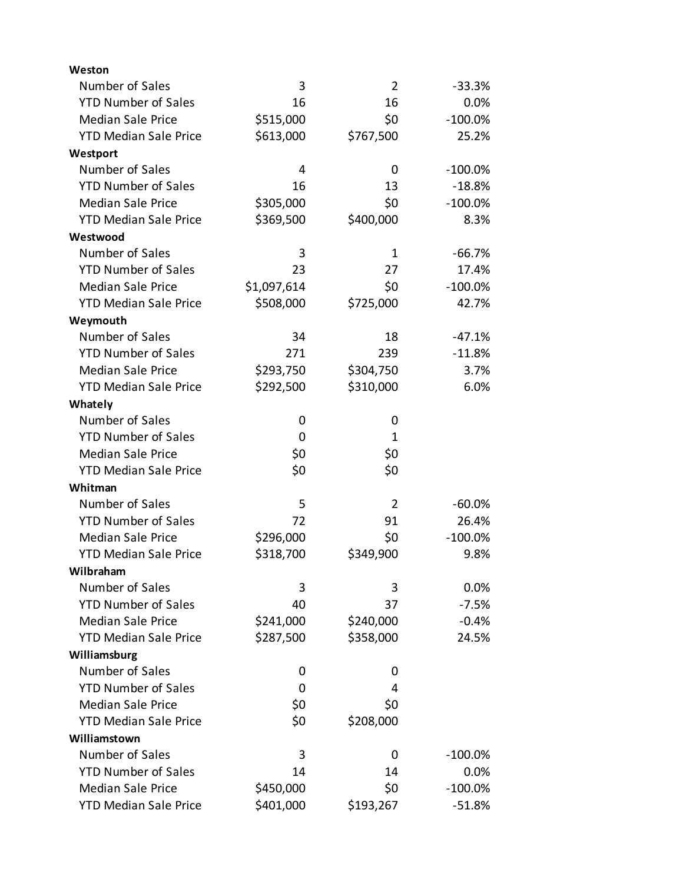| Weston                       |             |                |            |
|------------------------------|-------------|----------------|------------|
| Number of Sales              | 3           | $\overline{2}$ | $-33.3%$   |
| <b>YTD Number of Sales</b>   | 16          | 16             | 0.0%       |
| <b>Median Sale Price</b>     | \$515,000   | \$0            | $-100.0%$  |
| <b>YTD Median Sale Price</b> | \$613,000   | \$767,500      | 25.2%      |
| Westport                     |             |                |            |
| Number of Sales              | 4           | 0              | $-100.0\%$ |
| <b>YTD Number of Sales</b>   | 16          | 13             | $-18.8%$   |
| <b>Median Sale Price</b>     | \$305,000   | \$0            | $-100.0\%$ |
| <b>YTD Median Sale Price</b> | \$369,500   | \$400,000      | 8.3%       |
| Westwood                     |             |                |            |
| Number of Sales              | 3           | 1              | $-66.7%$   |
| <b>YTD Number of Sales</b>   | 23          | 27             | 17.4%      |
| <b>Median Sale Price</b>     | \$1,097,614 | \$0            | $-100.0\%$ |
| <b>YTD Median Sale Price</b> | \$508,000   | \$725,000      | 42.7%      |
| Weymouth                     |             |                |            |
| Number of Sales              | 34          | 18             | $-47.1%$   |
| <b>YTD Number of Sales</b>   | 271         | 239            | $-11.8%$   |
| <b>Median Sale Price</b>     | \$293,750   | \$304,750      | 3.7%       |
| <b>YTD Median Sale Price</b> | \$292,500   | \$310,000      | 6.0%       |
| Whately                      |             |                |            |
| Number of Sales              | 0           | 0              |            |
| <b>YTD Number of Sales</b>   | 0           | 1              |            |
| <b>Median Sale Price</b>     | \$0         | \$0            |            |
| <b>YTD Median Sale Price</b> | \$0         | \$0            |            |
| Whitman                      |             |                |            |
| Number of Sales              | 5           | $\overline{2}$ | $-60.0%$   |
| <b>YTD Number of Sales</b>   | 72          | 91             | 26.4%      |
| <b>Median Sale Price</b>     | \$296,000   | \$0            | $-100.0\%$ |
| <b>YTD Median Sale Price</b> | \$318,700   | \$349,900      | 9.8%       |
| Wilbraham                    |             |                |            |
| Number of Sales              | 3           | 3              | $0.0\%$    |
| <b>YTD Number of Sales</b>   | 40          | 37             | $-7.5%$    |
| <b>Median Sale Price</b>     | \$241,000   | \$240,000      | $-0.4%$    |
| <b>YTD Median Sale Price</b> | \$287,500   | \$358,000      | 24.5%      |
| Williamsburg                 |             |                |            |
| Number of Sales              | 0           | 0              |            |
| <b>YTD Number of Sales</b>   | 0           | 4              |            |
| <b>Median Sale Price</b>     | \$0         | \$0            |            |
| <b>YTD Median Sale Price</b> | \$0         | \$208,000      |            |
| Williamstown                 |             |                |            |
| Number of Sales              | 3           | 0              | $-100.0\%$ |
| <b>YTD Number of Sales</b>   | 14          | 14             | 0.0%       |
| <b>Median Sale Price</b>     | \$450,000   | \$0            | $-100.0\%$ |
| <b>YTD Median Sale Price</b> | \$401,000   | \$193,267      | $-51.8%$   |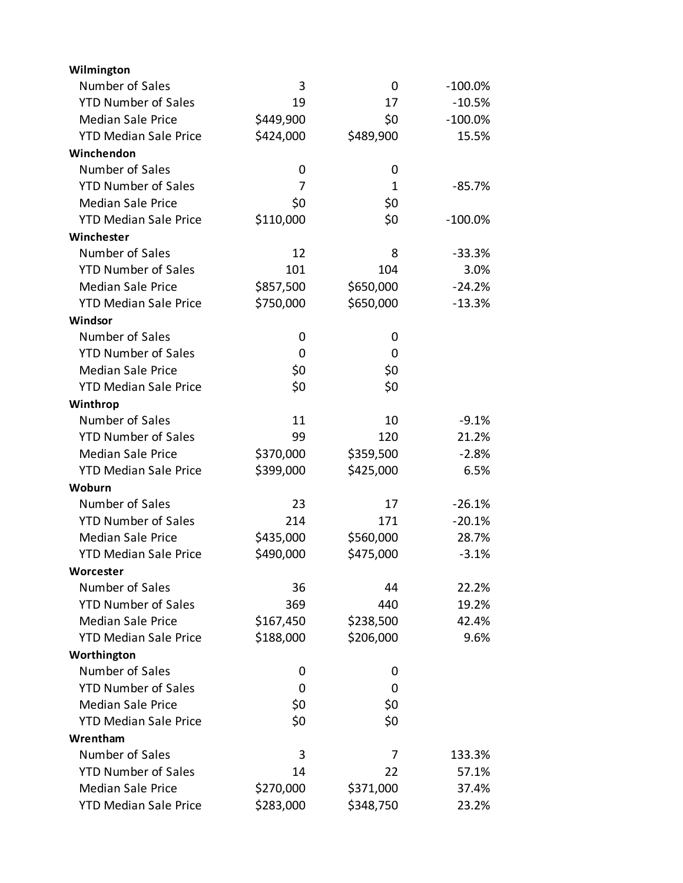| Wilmington                   |           |           |            |
|------------------------------|-----------|-----------|------------|
| Number of Sales              | 3         | 0         | $-100.0\%$ |
| <b>YTD Number of Sales</b>   | 19        | 17        | $-10.5%$   |
| <b>Median Sale Price</b>     | \$449,900 | \$0       | $-100.0\%$ |
| <b>YTD Median Sale Price</b> | \$424,000 | \$489,900 | 15.5%      |
| Winchendon                   |           |           |            |
| Number of Sales              | 0         | 0         |            |
| <b>YTD Number of Sales</b>   | 7         | 1         | $-85.7%$   |
| <b>Median Sale Price</b>     | \$0       | \$0       |            |
| <b>YTD Median Sale Price</b> | \$110,000 | \$0       | $-100.0\%$ |
| Winchester                   |           |           |            |
| Number of Sales              | 12        | 8         | $-33.3%$   |
| <b>YTD Number of Sales</b>   | 101       | 104       | 3.0%       |
| <b>Median Sale Price</b>     | \$857,500 | \$650,000 | $-24.2%$   |
| <b>YTD Median Sale Price</b> | \$750,000 | \$650,000 | $-13.3%$   |
| Windsor                      |           |           |            |
| Number of Sales              | 0         | 0         |            |
| <b>YTD Number of Sales</b>   | 0         | 0         |            |
| <b>Median Sale Price</b>     | \$0       | \$0       |            |
| <b>YTD Median Sale Price</b> | \$0       | \$0       |            |
| Winthrop                     |           |           |            |
| Number of Sales              | 11        | 10        | $-9.1%$    |
| <b>YTD Number of Sales</b>   | 99        | 120       | 21.2%      |
| <b>Median Sale Price</b>     | \$370,000 | \$359,500 | $-2.8%$    |
| <b>YTD Median Sale Price</b> | \$399,000 | \$425,000 | 6.5%       |
| Woburn                       |           |           |            |
| Number of Sales              | 23        | 17        | $-26.1%$   |
| <b>YTD Number of Sales</b>   | 214       | 171       | $-20.1%$   |
| <b>Median Sale Price</b>     | \$435,000 | \$560,000 | 28.7%      |
| <b>YTD Median Sale Price</b> | \$490,000 | \$475,000 | $-3.1%$    |
| Worcester                    |           |           |            |
| Number of Sales              | 36        | 44        | 22.2%      |
| <b>YTD Number of Sales</b>   | 369       | 440       | 19.2%      |
| <b>Median Sale Price</b>     | \$167,450 | \$238,500 | 42.4%      |
| <b>YTD Median Sale Price</b> | \$188,000 | \$206,000 | 9.6%       |
| Worthington                  |           |           |            |
| Number of Sales              | 0         | 0         |            |
| <b>YTD Number of Sales</b>   | 0         | 0         |            |
| <b>Median Sale Price</b>     | \$0       | \$0       |            |
| <b>YTD Median Sale Price</b> | \$0       | \$0       |            |
| Wrentham                     |           |           |            |
| Number of Sales              | 3         | 7         | 133.3%     |
| <b>YTD Number of Sales</b>   | 14        | 22        | 57.1%      |
| <b>Median Sale Price</b>     | \$270,000 | \$371,000 | 37.4%      |
| <b>YTD Median Sale Price</b> | \$283,000 | \$348,750 | 23.2%      |